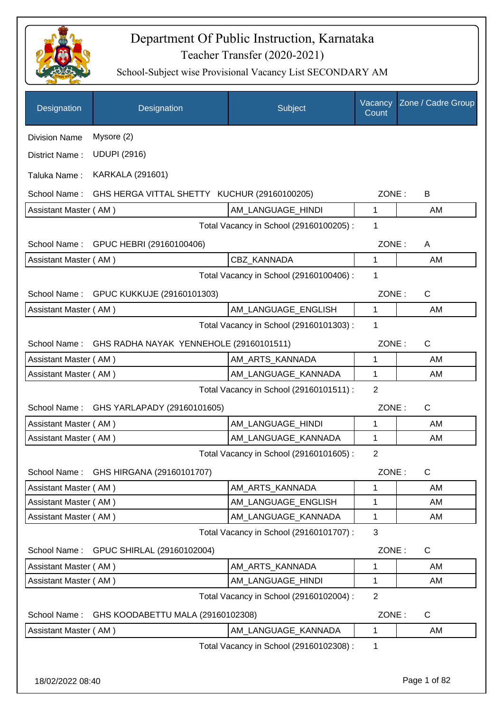

| Designation           | Designation                                          | Subject                                 | Vacancy<br>Count | Zone / Cadre Group |
|-----------------------|------------------------------------------------------|-----------------------------------------|------------------|--------------------|
| <b>Division Name</b>  | Mysore (2)                                           |                                         |                  |                    |
| District Name:        | <b>UDUPI (2916)</b>                                  |                                         |                  |                    |
| Taluka Name:          | KARKALA (291601)                                     |                                         |                  |                    |
| School Name:          | GHS HERGA VITTAL SHETTY KUCHUR (29160100205)         |                                         | ZONE:            | B                  |
| Assistant Master (AM) |                                                      | AM_LANGUAGE_HINDI                       | 1                | AM                 |
|                       |                                                      | Total Vacancy in School (29160100205) : | 1                |                    |
| School Name:          | GPUC HEBRI (29160100406)                             |                                         | ZONE:            | A                  |
| Assistant Master (AM) |                                                      | CBZ KANNADA                             | 1                | AM                 |
|                       |                                                      | Total Vacancy in School (29160100406) : | 1                |                    |
|                       | School Name: GPUC KUKKUJE (29160101303)              |                                         | ZONE:            | $\mathsf{C}$       |
| Assistant Master (AM) |                                                      | AM_LANGUAGE_ENGLISH                     | $\mathbf{1}$     | AM                 |
|                       |                                                      | Total Vacancy in School (29160101303) : | 1                |                    |
|                       | School Name: GHS RADHA NAYAK YENNEHOLE (29160101511) |                                         | ZONE:            | $\mathsf{C}$       |
| Assistant Master (AM) |                                                      | AM_ARTS_KANNADA                         | 1                | AM                 |
| Assistant Master (AM) |                                                      | AM_LANGUAGE_KANNADA                     | 1                | AM                 |
|                       |                                                      | Total Vacancy in School (29160101511) : | $\overline{2}$   |                    |
| School Name:          | GHS YARLAPADY (29160101605)                          |                                         | ZONE:            | C                  |
| Assistant Master (AM) |                                                      | AM_LANGUAGE_HINDI                       | 1                | AM                 |
| Assistant Master (AM) |                                                      | AM_LANGUAGE_KANNADA                     | 1                | AM                 |
|                       |                                                      | Total Vacancy in School (29160101605) : | 2                |                    |
| School Name:          | GHS HIRGANA (29160101707)                            |                                         | ZONE:            | $\mathsf C$        |
| Assistant Master (AM) |                                                      | AM_ARTS_KANNADA                         | 1                | AM                 |
| Assistant Master (AM) |                                                      | AM_LANGUAGE_ENGLISH                     | 1                | AM                 |
| Assistant Master (AM) |                                                      | AM_LANGUAGE_KANNADA                     | $\mathbf 1$      | AM                 |
|                       |                                                      | Total Vacancy in School (29160101707) : | $\mathbf{3}$     |                    |
| School Name:          | GPUC SHIRLAL (29160102004)                           |                                         | ZONE:            | $\mathsf C$        |
| Assistant Master (AM) |                                                      | AM_ARTS_KANNADA                         | 1                | AM                 |
| Assistant Master (AM) |                                                      | AM_LANGUAGE_HINDI                       | 1                | AM                 |
|                       |                                                      | Total Vacancy in School (29160102004) : | $\overline{2}$   |                    |
| School Name:          | GHS KOODABETTU MALA (29160102308)                    |                                         | ZONE:            | $\mathsf{C}$       |
| Assistant Master (AM) |                                                      | AM_LANGUAGE_KANNADA                     | 1                | AM                 |
|                       |                                                      | Total Vacancy in School (29160102308) : | 1                |                    |
|                       |                                                      |                                         |                  |                    |
| 18/02/2022 08:40      |                                                      |                                         |                  | Page 1 of 82       |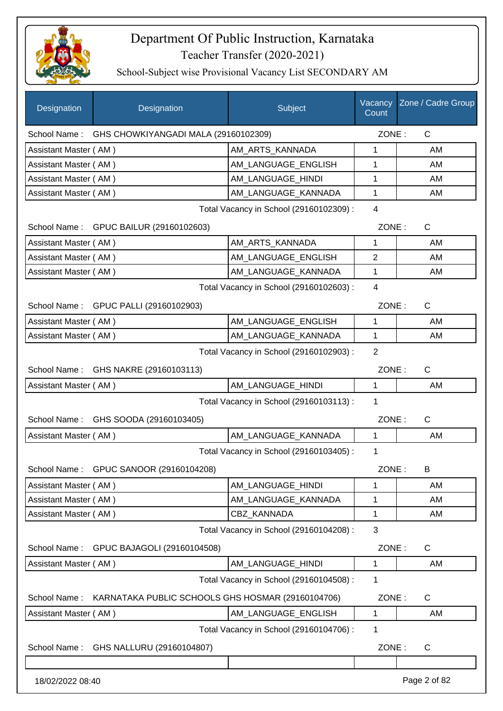

| Designation           | Designation                                       | Subject                                 | Vacancy<br>Count | Zone / Cadre Group |
|-----------------------|---------------------------------------------------|-----------------------------------------|------------------|--------------------|
| School Name:          | GHS CHOWKIYANGADI MALA (29160102309)              |                                         | ZONE:            | C                  |
| Assistant Master (AM) |                                                   | AM ARTS KANNADA                         | 1                | AM                 |
| Assistant Master (AM) |                                                   | AM_LANGUAGE_ENGLISH                     | 1                | AM                 |
| Assistant Master (AM) |                                                   | AM LANGUAGE HINDI                       | 1                | AM                 |
| Assistant Master (AM) |                                                   | AM_LANGUAGE_KANNADA                     | 1                | AM                 |
|                       |                                                   | Total Vacancy in School (29160102309) : | $\overline{4}$   |                    |
|                       | School Name: GPUC BAILUR (29160102603)            |                                         | ZONE:            | $\mathsf{C}$       |
| Assistant Master (AM) |                                                   | AM_ARTS_KANNADA                         | 1                | AM                 |
| Assistant Master (AM) |                                                   | AM_LANGUAGE_ENGLISH                     | 2                | AM                 |
| Assistant Master (AM) |                                                   | AM_LANGUAGE_KANNADA                     | 1                | AM                 |
|                       |                                                   | Total Vacancy in School (29160102603) : | $\overline{4}$   |                    |
|                       | School Name: GPUC PALLI (29160102903)             |                                         | ZONE:            | $\mathsf{C}$       |
| Assistant Master (AM) |                                                   | AM_LANGUAGE_ENGLISH                     | 1                | AM                 |
| Assistant Master (AM) |                                                   | AM_LANGUAGE_KANNADA                     | 1                | AM                 |
|                       |                                                   | Total Vacancy in School (29160102903) : | 2                |                    |
|                       | School Name: GHS NAKRE (29160103113)              |                                         | ZONE:            | C                  |
| Assistant Master (AM) |                                                   | AM_LANGUAGE_HINDI                       | 1                | AM                 |
|                       |                                                   | Total Vacancy in School (29160103113) : | 1                |                    |
|                       | School Name: GHS SOODA (29160103405)              |                                         | ZONE:            | C                  |
| Assistant Master (AM) |                                                   | AM LANGUAGE KANNADA                     | 1                | AM                 |
|                       |                                                   | Total Vacancy in School (29160103405) : | 1                |                    |
| School Name :         | GPUC SANOOR (29160104208)                         |                                         | ZONE:            | B                  |
| Assistant Master (AM) |                                                   | AM_LANGUAGE_HINDI                       | 1                | AM                 |
| Assistant Master (AM) |                                                   | AM LANGUAGE_KANNADA                     | 1                | AM                 |
| Assistant Master (AM) |                                                   | <b>CBZ KANNADA</b>                      | 1                | AM                 |
|                       |                                                   | Total Vacancy in School (29160104208) : | 3                |                    |
| School Name:          | GPUC BAJAGOLI (29160104508)                       |                                         | ZONE:            | $\mathsf{C}$       |
| Assistant Master (AM) |                                                   | AM_LANGUAGE_HINDI                       | 1                | AM                 |
|                       |                                                   | Total Vacancy in School (29160104508) : | 1                |                    |
| School Name:          | KARNATAKA PUBLIC SCHOOLS GHS HOSMAR (29160104706) |                                         | ZONE:            | $\mathsf{C}$       |
| Assistant Master (AM) |                                                   | AM_LANGUAGE_ENGLISH                     | 1                | AM                 |
|                       |                                                   | Total Vacancy in School (29160104706) : | 1                |                    |
| School Name:          | GHS NALLURU (29160104807)                         |                                         | ZONE:            | C                  |
|                       |                                                   |                                         |                  |                    |
| 18/02/2022 08:40      |                                                   |                                         |                  | Page 2 of 82       |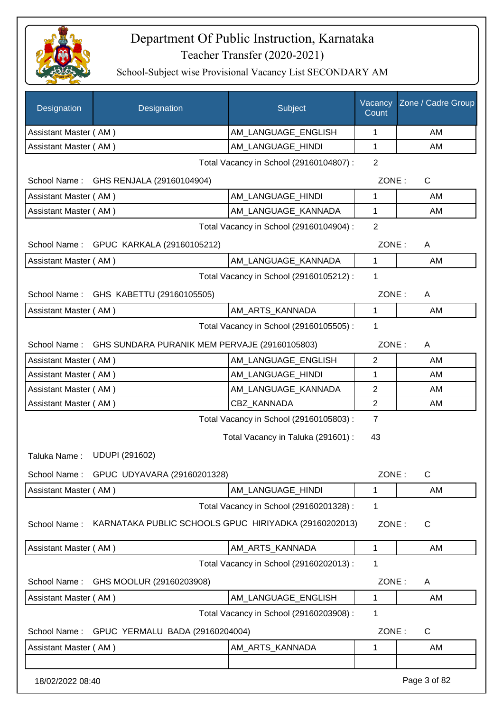

| Designation                 | Designation                                                | Subject                                 | Vacancy<br>Count | Zone / Cadre Group |
|-----------------------------|------------------------------------------------------------|-----------------------------------------|------------------|--------------------|
| Assistant Master (AM)       |                                                            | AM_LANGUAGE_ENGLISH                     | $\mathbf 1$      | AM                 |
| Assistant Master (AM)       |                                                            | AM_LANGUAGE_HINDI                       | 1                | AM                 |
|                             |                                                            | Total Vacancy in School (29160104807) : | $\overline{2}$   |                    |
| School Name:                | GHS RENJALA (29160104904)                                  |                                         | ZONE:            | $\mathsf{C}$       |
| Assistant Master (AM)       |                                                            | AM_LANGUAGE_HINDI                       | 1                | AM                 |
| Assistant Master (AM)       |                                                            | AM_LANGUAGE_KANNADA                     | 1                | AM                 |
|                             |                                                            | Total Vacancy in School (29160104904) : | $\overline{2}$   |                    |
|                             | School Name: GPUC KARKALA (29160105212)                    |                                         | ZONE:            | A                  |
| Assistant Master (AM)       |                                                            | AM_LANGUAGE_KANNADA                     | $\mathbf{1}$     | AM                 |
|                             |                                                            | Total Vacancy in School (29160105212) : | 1                |                    |
|                             | School Name: GHS KABETTU (29160105505)                     |                                         | ZONE:            | A                  |
| Assistant Master (AM)       |                                                            | AM_ARTS_KANNADA                         | 1                | AM                 |
|                             |                                                            | Total Vacancy in School (29160105505) : | 1                |                    |
|                             | School Name: GHS SUNDARA PURANIK MEM PERVAJE (29160105803) |                                         | ZONE:            | A                  |
| Assistant Master (AM)       |                                                            | AM_LANGUAGE_ENGLISH                     | $\overline{2}$   | AM                 |
| Assistant Master (AM)       |                                                            | AM_LANGUAGE_HINDI                       | 1                | AM                 |
| Assistant Master (AM)       |                                                            | AM_LANGUAGE_KANNADA                     | $\overline{2}$   | AM                 |
| Assistant Master (AM)       |                                                            | CBZ_KANNADA                             | $\overline{2}$   | AM                 |
|                             |                                                            | Total Vacancy in School (29160105803) : | $\overline{7}$   |                    |
|                             |                                                            | Total Vacancy in Taluka (291601) :      | 43               |                    |
| Taluka Name: UDUPI (291602) |                                                            |                                         |                  |                    |
| School Name:                | GPUC UDYAVARA (29160201328)                                |                                         | ZONE:            | C                  |
| Assistant Master (AM)       |                                                            | AM_LANGUAGE_HINDI                       | 1                | AM                 |
|                             |                                                            | Total Vacancy in School (29160201328) : | 1                |                    |
| School Name:                | KARNATAKA PUBLIC SCHOOLS GPUC HIRIYADKA (29160202013)      |                                         | ZONE:            | C                  |
| Assistant Master (AM)       |                                                            | AM_ARTS_KANNADA                         | 1                | AM                 |
|                             |                                                            | Total Vacancy in School (29160202013) : | 1                |                    |
| School Name:                | GHS MOOLUR (29160203908)                                   |                                         | ZONE:            | A                  |
| Assistant Master (AM)       |                                                            | AM_LANGUAGE_ENGLISH                     | 1                | AM                 |
|                             |                                                            | Total Vacancy in School (29160203908) : | 1                |                    |
| School Name:                | GPUC YERMALU BADA (29160204004)                            |                                         | ZONE:            | C                  |
| Assistant Master (AM)       |                                                            | AM_ARTS_KANNADA                         | 1                | AM                 |
| 18/02/2022 08:40            |                                                            |                                         |                  | Page 3 of 82       |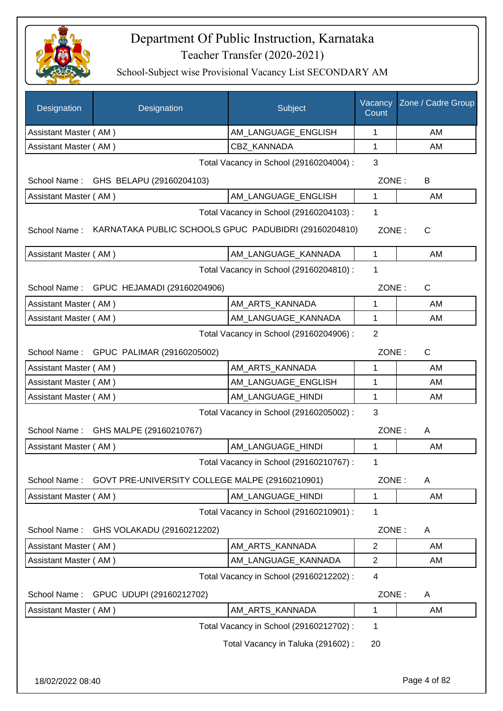

| Designation                             | Designation                                           | Subject                                 | Vacancy<br>Count | Zone / Cadre Group |
|-----------------------------------------|-------------------------------------------------------|-----------------------------------------|------------------|--------------------|
| Assistant Master (AM)                   |                                                       | AM_LANGUAGE_ENGLISH                     | 1                | AM                 |
| Assistant Master (AM)                   |                                                       | CBZ_KANNADA                             | 1                | AM                 |
| Total Vacancy in School (29160204004) : |                                                       |                                         |                  |                    |
|                                         | School Name: GHS BELAPU (29160204103)                 |                                         | ZONE:            | B                  |
| Assistant Master (AM)                   |                                                       | AM_LANGUAGE_ENGLISH                     | 1                | AM                 |
|                                         |                                                       | Total Vacancy in School (29160204103) : | 1                |                    |
| School Name:                            | KARNATAKA PUBLIC SCHOOLS GPUC PADUBIDRI (29160204810) |                                         | ZONE:            | $\mathsf{C}$       |
| Assistant Master (AM)                   |                                                       | AM_LANGUAGE_KANNADA                     | $\mathbf{1}$     | AM                 |
|                                         |                                                       | Total Vacancy in School (29160204810) : | 1                |                    |
|                                         | School Name: GPUC HEJAMADI (29160204906)              |                                         | ZONE:            | C                  |
| Assistant Master (AM)                   |                                                       | AM ARTS KANNADA                         | 1                | AM                 |
| Assistant Master (AM)                   |                                                       | AM LANGUAGE KANNADA                     | $\mathbf 1$      | AM                 |
|                                         |                                                       | Total Vacancy in School (29160204906) : | $\overline{2}$   |                    |
|                                         | School Name: GPUC PALIMAR (29160205002)               |                                         | ZONE:            | $\mathsf{C}$       |
| Assistant Master (AM)                   |                                                       | AM_ARTS_KANNADA                         | 1                | AM                 |
| Assistant Master (AM)                   |                                                       | AM_LANGUAGE_ENGLISH                     | 1                | AM                 |
| Assistant Master (AM)                   |                                                       | AM_LANGUAGE_HINDI                       | 1                | AM                 |
|                                         |                                                       | Total Vacancy in School (29160205002) : | 3                |                    |
|                                         | School Name: GHS MALPE (29160210767)                  |                                         | ZONE:            | Α                  |
| Assistant Master (AM)                   |                                                       | AM_LANGUAGE_HINDI                       | 1                | AM                 |
|                                         |                                                       | Total Vacancy in School (29160210767) : | 1                |                    |
| School Name:                            | GOVT PRE-UNIVERSITY COLLEGE MALPE (29160210901)       |                                         | ZONE:            | A                  |
| Assistant Master (AM)                   |                                                       | AM_LANGUAGE_HINDI                       | 1                | AM                 |
|                                         |                                                       | Total Vacancy in School (29160210901) : | 1                |                    |
| School Name:                            | GHS VOLAKADU (29160212202)                            |                                         | ZONE:            | A                  |
| Assistant Master (AM)                   |                                                       | AM_ARTS_KANNADA                         | $\mathbf{2}$     | AM                 |
| Assistant Master (AM)                   |                                                       | AM_LANGUAGE_KANNADA                     | $\overline{c}$   | AM                 |
|                                         |                                                       | Total Vacancy in School (29160212202) : | 4                |                    |
| School Name:                            | GPUC UDUPI (29160212702)                              |                                         | ZONE:            | Α                  |
| Assistant Master (AM)                   |                                                       | AM_ARTS_KANNADA                         | 1                | AM                 |
|                                         |                                                       | Total Vacancy in School (29160212702) : | 1                |                    |
|                                         |                                                       | Total Vacancy in Taluka (291602):       | 20               |                    |
|                                         |                                                       |                                         |                  |                    |
|                                         |                                                       |                                         |                  |                    |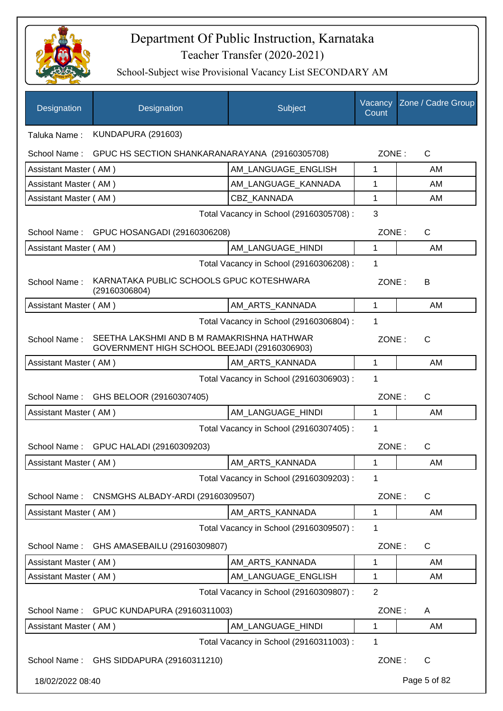

| Designation           | Designation                                                                                | Subject                                 | Vacancy<br>Count | Zone / Cadre Group |
|-----------------------|--------------------------------------------------------------------------------------------|-----------------------------------------|------------------|--------------------|
| Taluka Name:          | <b>KUNDAPURA (291603)</b>                                                                  |                                         |                  |                    |
| School Name:          | GPUC HS SECTION SHANKARANARAYANA (29160305708)                                             |                                         | ZONE:            | C                  |
| Assistant Master (AM) |                                                                                            | AM LANGUAGE ENGLISH                     | 1                | AM                 |
| Assistant Master (AM) |                                                                                            | AM_LANGUAGE_KANNADA                     | 1                | AM                 |
| Assistant Master (AM) |                                                                                            | <b>CBZ KANNADA</b>                      | 1                | AM                 |
|                       |                                                                                            | Total Vacancy in School (29160305708) : | 3                |                    |
| School Name:          | GPUC HOSANGADI (29160306208)                                                               |                                         | ZONE:            | C                  |
| Assistant Master (AM) |                                                                                            | AM_LANGUAGE_HINDI                       | 1                | AM                 |
|                       |                                                                                            | Total Vacancy in School (29160306208) : | 1                |                    |
| School Name:          | KARNATAKA PUBLIC SCHOOLS GPUC KOTESHWARA<br>(29160306804)                                  |                                         | ZONE:            | В                  |
| Assistant Master (AM) |                                                                                            | AM ARTS KANNADA                         | 1                | AM                 |
|                       |                                                                                            | Total Vacancy in School (29160306804) : | 1                |                    |
| School Name:          | SEETHA LAKSHMI AND B M RAMAKRISHNA HATHWAR<br>GOVERNMENT HIGH SCHOOL BEEJADI (29160306903) |                                         | ZONE:            | $\mathsf{C}$       |
| Assistant Master (AM) |                                                                                            | AM_ARTS_KANNADA                         | 1                | AM                 |
|                       |                                                                                            | Total Vacancy in School (29160306903) : | 1                |                    |
| School Name:          | GHS BELOOR (29160307405)                                                                   |                                         | ZONE:            | C                  |
| Assistant Master (AM) |                                                                                            | AM LANGUAGE HINDI                       | 1                | AM                 |
|                       |                                                                                            | Total Vacancy in School (29160307405) : | 1                |                    |
| School Name:          | GPUC HALADI (29160309203)                                                                  |                                         | ZONE:            | $\mathsf{C}$       |
| Assistant Master (AM) |                                                                                            | AM_ARTS_KANNADA                         | 1                | AM                 |
|                       |                                                                                            | Total Vacancy in School (29160309203) : | 1                |                    |
| School Name:          | CNSMGHS ALBADY-ARDI (29160309507)                                                          |                                         | ZONE:            | C                  |
| Assistant Master (AM) |                                                                                            | AM_ARTS_KANNADA                         | 1                | AM                 |
|                       |                                                                                            | Total Vacancy in School (29160309507) : | 1                |                    |
| School Name:          | GHS AMASEBAILU (29160309807)                                                               |                                         | ZONE:            | C                  |
| Assistant Master (AM) |                                                                                            | AM_ARTS_KANNADA                         | 1                | AM                 |
| Assistant Master (AM) |                                                                                            | AM_LANGUAGE_ENGLISH                     | 1                | AM                 |
|                       |                                                                                            | Total Vacancy in School (29160309807) : | $\overline{2}$   |                    |
| School Name:          | GPUC KUNDAPURA (29160311003)                                                               |                                         | ZONE:            | A                  |
| Assistant Master (AM) |                                                                                            | AM_LANGUAGE_HINDI                       | 1                | AM                 |
|                       |                                                                                            | Total Vacancy in School (29160311003) : | 1                |                    |
| School Name:          | GHS SIDDAPURA (29160311210)                                                                |                                         | ZONE:            | C                  |
| 18/02/2022 08:40      |                                                                                            |                                         |                  | Page 5 of 82       |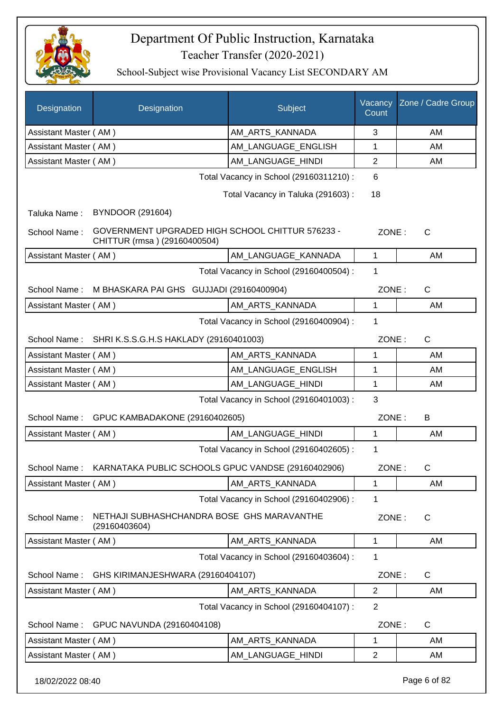

| Designation           | Designation                                                                      | Subject                                 | Vacancy<br>Count | Zone / Cadre Group |
|-----------------------|----------------------------------------------------------------------------------|-----------------------------------------|------------------|--------------------|
| Assistant Master (AM) |                                                                                  | AM_ARTS_KANNADA                         | 3                | AM                 |
| Assistant Master (AM) |                                                                                  | AM_LANGUAGE_ENGLISH                     | 1                | AM                 |
| Assistant Master (AM) |                                                                                  | AM LANGUAGE HINDI                       | $\mathbf{2}$     | AM                 |
|                       |                                                                                  | Total Vacancy in School (29160311210) : | 6                |                    |
|                       |                                                                                  | Total Vacancy in Taluka (291603):       | 18               |                    |
| Taluka Name:          | <b>BYNDOOR (291604)</b>                                                          |                                         |                  |                    |
| School Name:          | GOVERNMENT UPGRADED HIGH SCHOOL CHITTUR 576233 -<br>CHITTUR (rmsa) (29160400504) |                                         | ZONE:            | $\mathsf{C}$       |
| Assistant Master (AM) |                                                                                  | AM LANGUAGE KANNADA                     | $\mathbf{1}$     | AM                 |
|                       |                                                                                  | Total Vacancy in School (29160400504) : | 1                |                    |
| School Name:          | M BHASKARA PAI GHS GUJJADI (29160400904)                                         |                                         | ZONE:            | C                  |
| Assistant Master (AM) |                                                                                  | AM_ARTS_KANNADA                         | 1                | AM                 |
|                       |                                                                                  | Total Vacancy in School (29160400904) : | $\mathbf{1}$     |                    |
| School Name:          | SHRI K.S.S.G.H.S HAKLADY (29160401003)                                           |                                         | ZONE:            | C                  |
| Assistant Master (AM) |                                                                                  | AM_ARTS_KANNADA                         | 1                | AM                 |
| Assistant Master (AM) |                                                                                  | AM_LANGUAGE_ENGLISH                     | 1                | AM                 |
| Assistant Master (AM) |                                                                                  | AM_LANGUAGE_HINDI                       | 1                | AM                 |
|                       |                                                                                  | Total Vacancy in School (29160401003) : | 3                |                    |
| School Name:          | GPUC KAMBADAKONE (29160402605)                                                   |                                         | ZONE:            | B                  |
| Assistant Master (AM) |                                                                                  | AM_LANGUAGE_HINDI                       | $\mathbf{1}$     | AM                 |
|                       |                                                                                  | Total Vacancy in School (29160402605) : | 1                |                    |
|                       | School Name: KARNATAKA PUBLIC SCHOOLS GPUC VANDSE (29160402906)                  |                                         | ZONE:            | C                  |
| Assistant Master (AM) |                                                                                  | AM_ARTS_KANNADA                         | 1                | AM                 |
|                       |                                                                                  | Total Vacancy in School (29160402906) : | 1                |                    |
| School Name:          | NETHAJI SUBHASHCHANDRA BOSE GHS MARAVANTHE<br>(29160403604)                      |                                         | ZONE:            | C                  |
| Assistant Master (AM) |                                                                                  | AM ARTS KANNADA                         | 1                | AM                 |
|                       |                                                                                  | Total Vacancy in School (29160403604) : | 1                |                    |
| School Name:          | GHS KIRIMANJESHWARA (29160404107)                                                |                                         | ZONE:            | $\mathsf{C}$       |
| Assistant Master (AM) |                                                                                  | AM_ARTS_KANNADA                         | $\overline{2}$   | AM                 |
|                       |                                                                                  | Total Vacancy in School (29160404107) : | $\overline{2}$   |                    |
| School Name:          | GPUC NAVUNDA (29160404108)                                                       |                                         | ZONE:            | C                  |
| Assistant Master (AM) |                                                                                  | AM_ARTS_KANNADA                         | $\mathbf 1$      | AM                 |
| Assistant Master (AM) |                                                                                  | AM_LANGUAGE_HINDI                       | $\overline{2}$   | AM                 |
| 18/02/2022 08:40      |                                                                                  |                                         |                  | Page 6 of 82       |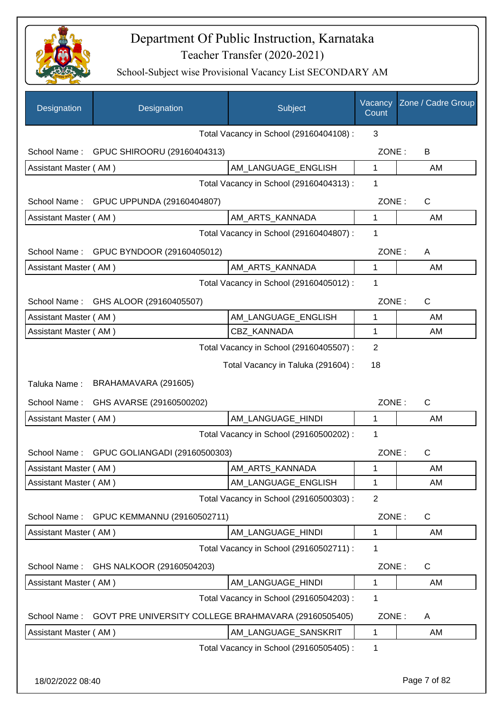

| Designation           | Designation                                          | Subject                                 | Vacancy<br>Count | Zone / Cadre Group |
|-----------------------|------------------------------------------------------|-----------------------------------------|------------------|--------------------|
|                       |                                                      | Total Vacancy in School (29160404108) : | 3                |                    |
|                       | School Name: GPUC SHIROORU (29160404313)             |                                         | ZONE:            | B                  |
| Assistant Master (AM) |                                                      | AM LANGUAGE_ENGLISH                     | $\mathbf{1}$     | AM                 |
|                       |                                                      | Total Vacancy in School (29160404313) : | 1                |                    |
| School Name:          | GPUC UPPUNDA (29160404807)                           |                                         | ZONE:            | $\mathsf{C}$       |
| Assistant Master (AM) |                                                      | AM_ARTS_KANNADA                         | 1                | AM                 |
|                       |                                                      | Total Vacancy in School (29160404807) : | 1                |                    |
| School Name:          | GPUC BYNDOOR (29160405012)                           |                                         | ZONE:            | A                  |
| Assistant Master (AM) |                                                      | AM_ARTS_KANNADA                         | $\mathbf{1}$     | AM                 |
|                       |                                                      | Total Vacancy in School (29160405012) : | 1                |                    |
| School Name:          | GHS ALOOR (29160405507)                              |                                         | ZONE:            | $\mathsf{C}$       |
| Assistant Master (AM) |                                                      | AM_LANGUAGE_ENGLISH                     | 1                | AM                 |
| Assistant Master (AM) |                                                      | <b>CBZ KANNADA</b>                      | 1                | AM                 |
|                       |                                                      | Total Vacancy in School (29160405507) : | 2                |                    |
|                       |                                                      | Total Vacancy in Taluka (291604) :      | 18               |                    |
| Taluka Name:          | BRAHAMAVARA (291605)                                 |                                         |                  |                    |
| School Name:          | GHS AVARSE (29160500202)                             |                                         | ZONE:            | $\mathsf{C}$       |
| Assistant Master (AM) |                                                      | AM_LANGUAGE_HINDI                       | 1                | AM                 |
|                       |                                                      | Total Vacancy in School (29160500202) : | 1                |                    |
| School Name:          | GPUC GOLIANGADI (29160500303)                        |                                         | ZONE:            | C                  |
| Assistant Master (AM) |                                                      | AM_ARTS_KANNADA                         | 1                | AM                 |
| Assistant Master (AM) |                                                      | AM_LANGUAGE_ENGLISH                     | 1                | AM                 |
|                       |                                                      | Total Vacancy in School (29160500303) : | $\overline{2}$   |                    |
| School Name:          | GPUC KEMMANNU (29160502711)                          |                                         | ZONE:            | $\mathsf{C}$       |
| Assistant Master (AM) |                                                      | AM_LANGUAGE_HINDI                       | 1                | AM                 |
|                       |                                                      | Total Vacancy in School (29160502711) : | 1                |                    |
| School Name:          | GHS NALKOOR (29160504203)                            |                                         | ZONE:            | $\mathsf{C}$       |
| Assistant Master (AM) |                                                      | AM_LANGUAGE_HINDI                       | 1                | AM                 |
|                       |                                                      | Total Vacancy in School (29160504203) : | 1                |                    |
| School Name:          | GOVT PRE UNIVERSITY COLLEGE BRAHMAVARA (29160505405) |                                         | ZONE:            | A                  |
| Assistant Master (AM) |                                                      | AM_LANGUAGE_SANSKRIT                    | 1                | AM                 |
|                       |                                                      | Total Vacancy in School (29160505405) : | 1                |                    |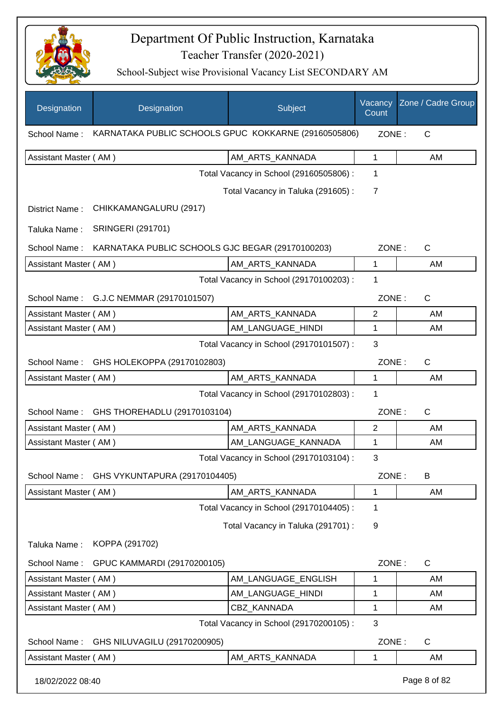

| Designation           | Designation                                          | Subject                                 | Vacancy<br>Count | Zone / Cadre Group |
|-----------------------|------------------------------------------------------|-----------------------------------------|------------------|--------------------|
| School Name:          | KARNATAKA PUBLIC SCHOOLS GPUC KOKKARNE (29160505806) |                                         | ZONE:            | C                  |
| Assistant Master (AM) |                                                      | AM_ARTS_KANNADA                         | 1                | AM                 |
|                       |                                                      | Total Vacancy in School (29160505806) : | 1                |                    |
|                       |                                                      | Total Vacancy in Taluka (291605):       | $\overline{7}$   |                    |
| District Name:        | CHIKKAMANGALURU (2917)                               |                                         |                  |                    |
| Taluka Name:          | <b>SRINGERI (291701)</b>                             |                                         |                  |                    |
| School Name:          | KARNATAKA PUBLIC SCHOOLS GJC BEGAR (29170100203)     |                                         | ZONE:            | $\mathsf{C}$       |
| Assistant Master (AM) |                                                      | AM_ARTS_KANNADA                         | 1                | AM                 |
|                       |                                                      | Total Vacancy in School (29170100203) : | 1                |                    |
|                       | School Name: G.J.C NEMMAR (29170101507)              |                                         | ZONE:            | $\mathsf{C}$       |
| Assistant Master (AM) |                                                      | AM ARTS KANNADA                         | $\overline{2}$   | AM                 |
| Assistant Master (AM) |                                                      | AM_LANGUAGE_HINDI                       | 1                | AM                 |
|                       |                                                      | Total Vacancy in School (29170101507) : | 3                |                    |
| School Name:          | GHS HOLEKOPPA (29170102803)                          |                                         | ZONE:            | $\mathsf{C}$       |
| Assistant Master (AM) |                                                      | AM_ARTS_KANNADA                         | 1                | AM                 |
|                       |                                                      | Total Vacancy in School (29170102803) : | 1                |                    |
| School Name:          | GHS THOREHADLU (29170103104)                         |                                         | ZONE:            | $\mathsf{C}$       |
| Assistant Master (AM) |                                                      | AM ARTS KANNADA                         | $\overline{2}$   | AM                 |
| Assistant Master (AM) |                                                      | AM_LANGUAGE_KANNADA                     | 1                | AM                 |
|                       |                                                      | Total Vacancy in School (29170103104) : | 3                |                    |
| School Name:          | GHS VYKUNTAPURA (29170104405)                        |                                         | ZONE:            | В                  |
| Assistant Master (AM) |                                                      | AM_ARTS_KANNADA                         | 1                | AM                 |
|                       |                                                      | Total Vacancy in School (29170104405) : | 1                |                    |
|                       |                                                      | Total Vacancy in Taluka (291701) :      | 9                |                    |
| Taluka Name:          | KOPPA (291702)                                       |                                         |                  |                    |
| School Name:          | GPUC KAMMARDI (29170200105)                          |                                         | ZONE:            | C                  |
| Assistant Master (AM) |                                                      | AM_LANGUAGE_ENGLISH                     | 1                | AM                 |
| Assistant Master (AM) |                                                      | AM_LANGUAGE_HINDI                       | 1                | AM                 |
| Assistant Master (AM) |                                                      | CBZ_KANNADA                             | 1                | AM                 |
|                       |                                                      | Total Vacancy in School (29170200105) : | 3                |                    |
| School Name:          | GHS NILUVAGILU (29170200905)                         |                                         | ZONE:            | C                  |
| Assistant Master (AM) |                                                      | AM_ARTS_KANNADA                         | 1                | AM                 |
| 18/02/2022 08:40      |                                                      |                                         |                  | Page 8 of 82       |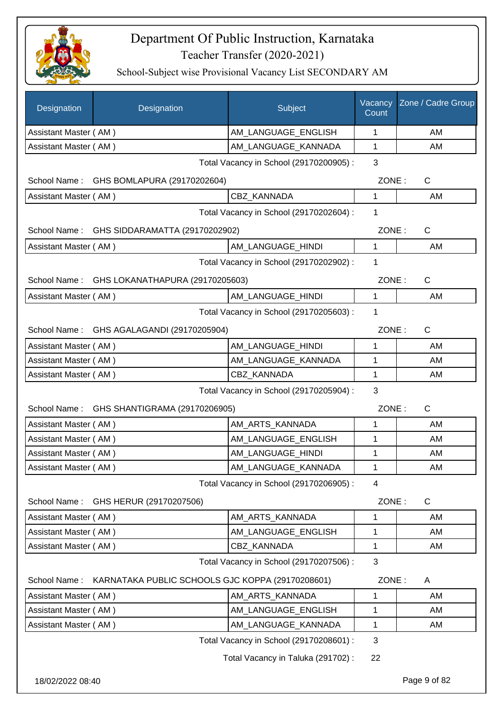

| Designation           | Designation                                      | Subject                                 | Vacancy<br>Count | Zone / Cadre Group    |
|-----------------------|--------------------------------------------------|-----------------------------------------|------------------|-----------------------|
| Assistant Master (AM) |                                                  | AM LANGUAGE ENGLISH                     | 1                | AM                    |
| Assistant Master (AM) |                                                  | AM_LANGUAGE_KANNADA                     | 1                | AM                    |
|                       |                                                  | Total Vacancy in School (29170200905) : | 3                |                       |
|                       | School Name: GHS BOMLAPURA (29170202604)         |                                         | ZONE:            | $\mathsf{C}$          |
| Assistant Master (AM) |                                                  | <b>CBZ KANNADA</b>                      | 1                | AM                    |
|                       | Total Vacancy in School (29170202604) :          |                                         |                  |                       |
|                       | School Name: GHS SIDDARAMATTA (29170202902)      |                                         | ZONE:            | $\mathsf{C}$          |
| Assistant Master (AM) |                                                  | AM_LANGUAGE_HINDI                       | 1                | AM                    |
|                       |                                                  | Total Vacancy in School (29170202902) : | 1                |                       |
|                       | School Name: GHS LOKANATHAPURA (29170205603)     |                                         |                  | ZONE:<br>$\mathsf{C}$ |
| Assistant Master (AM) |                                                  | AM_LANGUAGE_HINDI                       | 1                | AM                    |
|                       |                                                  | Total Vacancy in School (29170205603) : | 1                |                       |
|                       | School Name: GHS AGALAGANDI (29170205904)        |                                         | ZONE:            | $\mathsf{C}$          |
| Assistant Master (AM) |                                                  | AM_LANGUAGE_HINDI                       | 1                | AM                    |
| Assistant Master (AM) |                                                  | AM_LANGUAGE_KANNADA                     | 1                | AM                    |
| Assistant Master (AM) |                                                  | <b>CBZ KANNADA</b>                      | 1                | AM                    |
|                       |                                                  | Total Vacancy in School (29170205904) : | 3                |                       |
|                       | School Name: GHS SHANTIGRAMA (29170206905)       |                                         | ZONE:            | $\mathsf{C}$          |
| Assistant Master (AM) |                                                  | AM_ARTS_KANNADA                         | 1                | AM                    |
| Assistant Master (AM) |                                                  | AM_LANGUAGE_ENGLISH                     | 1                | AM                    |
| Assistant Master (AM) |                                                  | AM_LANGUAGE_HINDI                       | 1                | AM                    |
| Assistant Master (AM) |                                                  | AM_LANGUAGE_KANNADA                     | 1                | AM                    |
|                       |                                                  | Total Vacancy in School (29170206905) : | 4                |                       |
| School Name:          | GHS HERUR (29170207506)                          |                                         | ZONE:            | C                     |
| Assistant Master (AM) |                                                  | AM ARTS KANNADA                         | 1                | AM                    |
| Assistant Master (AM) |                                                  | AM_LANGUAGE_ENGLISH                     | 1                | AM                    |
| Assistant Master (AM) |                                                  | CBZ_KANNADA                             | $\mathbf{1}$     | AM                    |
|                       |                                                  | Total Vacancy in School (29170207506) : | 3                |                       |
| School Name:          | KARNATAKA PUBLIC SCHOOLS GJC KOPPA (29170208601) |                                         | ZONE:            | A                     |
| Assistant Master (AM) |                                                  | AM_ARTS_KANNADA                         | 1                | AM                    |
| Assistant Master (AM) |                                                  | AM_LANGUAGE_ENGLISH                     | 1                | AM                    |
| Assistant Master (AM) |                                                  | AM_LANGUAGE_KANNADA                     | 1                | AM                    |
|                       |                                                  | Total Vacancy in School (29170208601) : | 3                |                       |
|                       |                                                  | Total Vacancy in Taluka (291702) :      | 22               |                       |
| 18/02/2022 08:40      |                                                  |                                         |                  | Page 9 of 82          |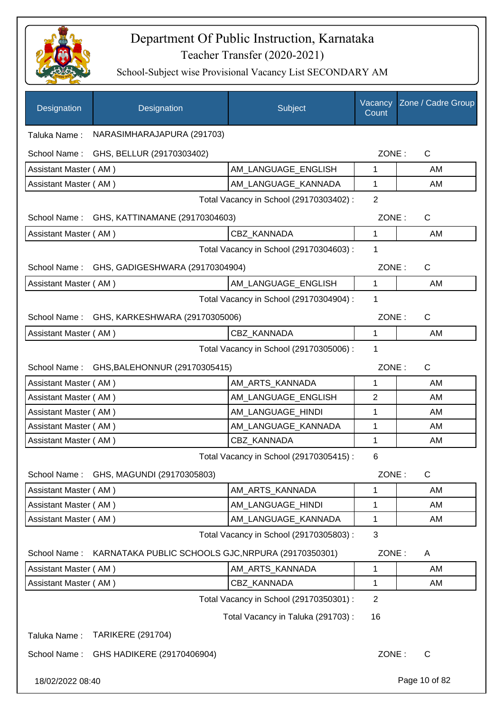

| Designation           | Designation                                        | Subject                                 | Vacancy<br>Count | Zone / Cadre Group |
|-----------------------|----------------------------------------------------|-----------------------------------------|------------------|--------------------|
| Taluka Name:          | NARASIMHARAJAPURA (291703)                         |                                         |                  |                    |
|                       | School Name: GHS, BELLUR (29170303402)             |                                         | ZONE:            | $\mathsf{C}$       |
| Assistant Master (AM) |                                                    | AM_LANGUAGE_ENGLISH                     | $\mathbf{1}$     | AM                 |
| Assistant Master (AM) |                                                    | AM_LANGUAGE_KANNADA                     | $\mathbf{1}$     | AM                 |
|                       |                                                    | Total Vacancy in School (29170303402) : | 2                |                    |
|                       | School Name: GHS, KATTINAMANE (29170304603)        |                                         | ZONE:            | $\mathsf{C}$       |
| Assistant Master (AM) |                                                    | CBZ KANNADA                             | $\mathbf 1$      | AM                 |
|                       |                                                    | Total Vacancy in School (29170304603) : | 1                |                    |
|                       | School Name: GHS, GADIGESHWARA (29170304904)       |                                         | ZONE:            | $\mathsf{C}$       |
| Assistant Master (AM) |                                                    | AM LANGUAGE ENGLISH                     | $\mathbf{1}$     | AM                 |
|                       |                                                    | Total Vacancy in School (29170304904) : | 1                |                    |
|                       | School Name: GHS, KARKESHWARA (29170305006)        |                                         | ZONE:            | $\mathsf{C}$       |
| Assistant Master (AM) |                                                    | CBZ_KANNADA                             | 1                | AM                 |
|                       |                                                    | Total Vacancy in School (29170305006) : | $\mathbf 1$      |                    |
|                       | School Name: GHS, BALEHONNUR (29170305415)         |                                         | ZONE:            | $\mathsf{C}$       |
| Assistant Master (AM) |                                                    | AM_ARTS_KANNADA                         | 1                | AM                 |
| Assistant Master (AM) |                                                    | AM_LANGUAGE_ENGLISH                     | $\overline{2}$   | AM                 |
| Assistant Master (AM) |                                                    | AM_LANGUAGE_HINDI                       | 1                | AM                 |
| Assistant Master (AM) |                                                    | AM_LANGUAGE_KANNADA                     | 1                | AM                 |
| Assistant Master (AM) |                                                    | <b>CBZ KANNADA</b>                      | 1                | AM                 |
|                       |                                                    | Total Vacancy in School (29170305415) : | 6                |                    |
|                       | School Name: GHS, MAGUNDI (29170305803)            |                                         | ZONE:            | C                  |
| Assistant Master (AM) |                                                    | AM ARTS KANNADA                         | 1                | AM                 |
| Assistant Master (AM) |                                                    | AM LANGUAGE HINDI                       | 1                | AM                 |
| Assistant Master (AM) |                                                    | AM_LANGUAGE_KANNADA                     | 1                | AM                 |
|                       |                                                    | Total Vacancy in School (29170305803):  | 3                |                    |
| School Name:          | KARNATAKA PUBLIC SCHOOLS GJC, NRPURA (29170350301) |                                         | ZONE:            | A                  |
| Assistant Master (AM) |                                                    | AM_ARTS_KANNADA                         | 1                | AM                 |
| Assistant Master (AM) |                                                    | CBZ_KANNADA                             | 1                | AM                 |
|                       |                                                    | Total Vacancy in School (29170350301) : | $\overline{2}$   |                    |
|                       |                                                    | Total Vacancy in Taluka (291703):       | 16               |                    |
| Taluka Name:          | <b>TARIKERE (291704)</b>                           |                                         |                  |                    |
| School Name:          | GHS HADIKERE (29170406904)                         |                                         | ZONE:            | $\mathsf{C}$       |
| 18/02/2022 08:40      |                                                    |                                         |                  | Page 10 of 82      |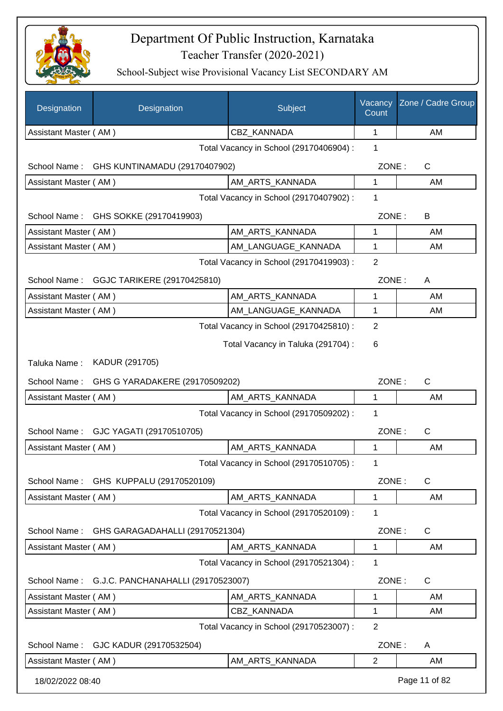

| Designation           | Designation                                 | Subject                                 | Vacancy<br>Count | Zone / Cadre Group |
|-----------------------|---------------------------------------------|-----------------------------------------|------------------|--------------------|
| Assistant Master (AM) |                                             | CBZ_KANNADA                             | $\mathbf 1$      | AM                 |
|                       |                                             | Total Vacancy in School (29170406904) : | 1                |                    |
|                       | School Name: GHS KUNTINAMADU (29170407902)  |                                         | ZONE:            | $\mathsf{C}$       |
| Assistant Master (AM) |                                             | AM ARTS KANNADA                         | 1                | AM                 |
|                       |                                             | Total Vacancy in School (29170407902) : | 1                |                    |
|                       | School Name: GHS SOKKE (29170419903)        |                                         | ZONE:            | B                  |
| Assistant Master (AM) |                                             | AM_ARTS_KANNADA                         | 1                | AM                 |
| Assistant Master (AM) |                                             | AM_LANGUAGE_KANNADA                     | 1                | AM                 |
|                       |                                             | Total Vacancy in School (29170419903) : | $\overline{2}$   |                    |
|                       | School Name: GGJC TARIKERE (29170425810)    |                                         | ZONE:            | A                  |
| Assistant Master (AM) |                                             | AM_ARTS_KANNADA                         | 1                | AM                 |
| Assistant Master (AM) |                                             | AM_LANGUAGE_KANNADA                     | 1                | AM                 |
|                       |                                             | Total Vacancy in School (29170425810) : | $\overline{2}$   |                    |
|                       |                                             | Total Vacancy in Taluka (291704) :      | 6                |                    |
| Taluka Name:          | KADUR (291705)                              |                                         |                  |                    |
|                       | School Name: GHS G YARADAKERE (29170509202) |                                         | ZONE:            | $\mathsf{C}$       |
| Assistant Master (AM) |                                             | AM_ARTS_KANNADA                         | 1                | AM                 |
|                       |                                             | Total Vacancy in School (29170509202) : | 1                |                    |
|                       | School Name: GJC YAGATI (29170510705)       |                                         | ZONE:            | C                  |
| Assistant Master (AM) |                                             | AM_ARTS_KANNADA                         | 1                | AM                 |
|                       |                                             | Total Vacancy in School (29170510705) : | 1                |                    |
|                       | School Name: GHS KUPPALU (29170520109)      |                                         | ZONE:            | C                  |
| Assistant Master (AM) |                                             | AM ARTS KANNADA                         | 1                | AM                 |
|                       |                                             | Total Vacancy in School (29170520109) : | 1                |                    |
| School Name:          | GHS GARAGADAHALLI (29170521304)             |                                         | ZONE:            | $\mathsf{C}$       |
| Assistant Master (AM) |                                             | AM_ARTS_KANNADA                         | 1                | AM                 |
|                       |                                             | Total Vacancy in School (29170521304) : | 1                |                    |
| School Name:          | G.J.C. PANCHANAHALLI (29170523007)          |                                         | ZONE:            | C                  |
| Assistant Master (AM) |                                             | AM_ARTS_KANNADA                         | 1                | AM                 |
| Assistant Master (AM) |                                             | CBZ_KANNADA                             | 1                | AM                 |
|                       |                                             | Total Vacancy in School (29170523007) : | $\overline{2}$   |                    |
| School Name:          | GJC KADUR (29170532504)                     |                                         | ZONE:            | A                  |
| Assistant Master (AM) |                                             | AM_ARTS_KANNADA                         | $\overline{2}$   | AM                 |
| 18/02/2022 08:40      |                                             |                                         |                  | Page 11 of 82      |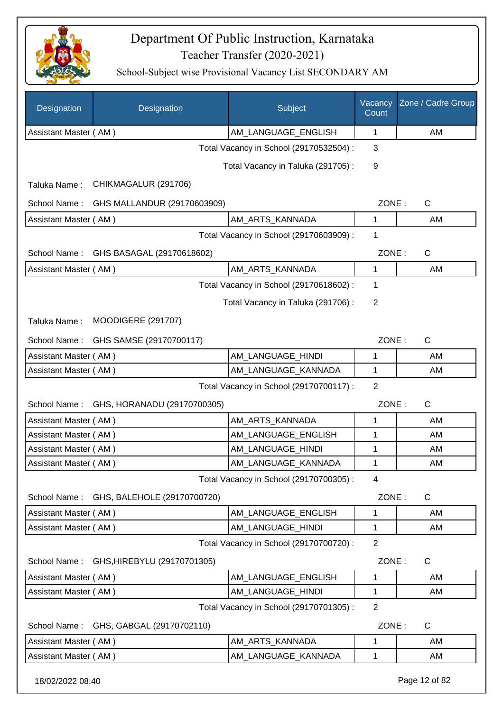

| Designation           | Designation                 | Subject                                 | Vacancy<br>Count | Zone / Cadre Group |
|-----------------------|-----------------------------|-----------------------------------------|------------------|--------------------|
| Assistant Master (AM) |                             | AM_LANGUAGE_ENGLISH                     | 1                | AM                 |
|                       |                             | Total Vacancy in School (29170532504) : | 3                |                    |
|                       |                             | Total Vacancy in Taluka (291705):       | 9                |                    |
| Taluka Name:          | CHIKMAGALUR (291706)        |                                         |                  |                    |
| School Name:          | GHS MALLANDUR (29170603909) |                                         | ZONE:            | $\mathsf C$        |
| Assistant Master (AM) |                             | AM_ARTS_KANNADA                         | 1                | AM                 |
|                       |                             | Total Vacancy in School (29170603909) : | 1                |                    |
| School Name:          | GHS BASAGAL (29170618602)   |                                         | ZONE:            | $\mathsf C$        |
| Assistant Master (AM) |                             | AM ARTS KANNADA                         | 1                | AM                 |
|                       |                             | Total Vacancy in School (29170618602) : | 1                |                    |
|                       |                             | Total Vacancy in Taluka (291706):       | $\overline{2}$   |                    |
| Taluka Name:          | <b>MOODIGERE (291707)</b>   |                                         |                  |                    |
| School Name:          | GHS SAMSE (29170700117)     |                                         | ZONE:            | $\mathsf{C}$       |
| Assistant Master (AM) |                             | AM_LANGUAGE_HINDI                       | 1                | AM                 |
| Assistant Master (AM) |                             | AM_LANGUAGE_KANNADA                     | 1                | AM                 |
|                       |                             | Total Vacancy in School (29170700117) : | $\overline{2}$   |                    |
| School Name:          | GHS, HORANADU (29170700305) |                                         | ZONE:            | $\mathsf{C}$       |
| Assistant Master (AM) |                             | AM ARTS KANNADA                         | 1                | AM                 |
| Assistant Master (AM) |                             | AM_LANGUAGE_ENGLISH                     | 1                | AM                 |
| Assistant Master (AM) |                             | AM_LANGUAGE_HINDI                       | 1                | AM                 |
| Assistant Master (AM) |                             | AM_LANGUAGE_KANNADA                     | 1                | AM                 |
|                       |                             | Total Vacancy in School (29170700305) : | 4                |                    |
| School Name:          | GHS, BALEHOLE (29170700720) |                                         | ZONE:            | $\mathsf{C}$       |
| Assistant Master (AM) |                             | AM_LANGUAGE_ENGLISH                     | 1                | AM                 |
| Assistant Master (AM) |                             | AM_LANGUAGE_HINDI                       | 1                | AM                 |
|                       |                             | Total Vacancy in School (29170700720) : | $\overline{2}$   |                    |
| School Name:          | GHS, HIREBYLU (29170701305) |                                         | ZONE:            | C                  |
| Assistant Master (AM) |                             | AM_LANGUAGE_ENGLISH                     | 1                | AM                 |
| Assistant Master (AM) |                             | AM_LANGUAGE_HINDI                       | $\mathbf{1}$     | AM                 |
|                       |                             | Total Vacancy in School (29170701305) : | $\overline{2}$   |                    |
| School Name:          | GHS, GABGAL (29170702110)   |                                         | ZONE:            | C                  |
| Assistant Master (AM) |                             | AM ARTS KANNADA                         | 1                | AM                 |
| Assistant Master (AM) |                             | AM_LANGUAGE_KANNADA                     | 1                | AM                 |
| 18/02/2022 08:40      |                             |                                         |                  | Page 12 of 82      |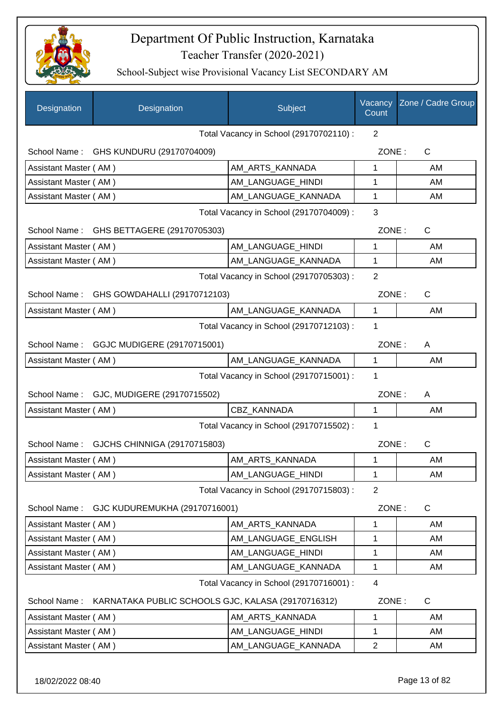

| Designation           | Designation                                        | Subject                                 | Vacancy<br>Count | Zone / Cadre Group |
|-----------------------|----------------------------------------------------|-----------------------------------------|------------------|--------------------|
|                       |                                                    | Total Vacancy in School (29170702110) : | 2                |                    |
|                       | School Name: GHS KUNDURU (29170704009)             |                                         | ZONE:            | $\mathsf{C}$       |
| Assistant Master (AM) |                                                    | AM ARTS KANNADA                         | 1                | AM                 |
| Assistant Master (AM) |                                                    | AM_LANGUAGE_HINDI                       | 1                | AM                 |
| Assistant Master (AM) |                                                    | AM_LANGUAGE_KANNADA                     | 1                | AM                 |
|                       |                                                    | Total Vacancy in School (29170704009) : | 3                |                    |
| School Name:          | GHS BETTAGERE (29170705303)                        |                                         | ZONE:            | $\mathsf{C}$       |
| Assistant Master (AM) |                                                    | AM_LANGUAGE_HINDI                       | 1                | AM                 |
| Assistant Master (AM) |                                                    | AM_LANGUAGE_KANNADA                     | 1                | AM                 |
|                       |                                                    | Total Vacancy in School (29170705303) : | $\overline{2}$   |                    |
| School Name:          | GHS GOWDAHALLI (29170712103)                       |                                         | ZONE:            | C                  |
| Assistant Master (AM) |                                                    | AM LANGUAGE_KANNADA                     | 1                | AM                 |
|                       |                                                    | Total Vacancy in School (29170712103) : | 1                |                    |
|                       | School Name: GGJC MUDIGERE (29170715001)           |                                         | ZONE:            | A                  |
| Assistant Master (AM) |                                                    | AM_LANGUAGE_KANNADA                     | $\mathbf{1}$     | AM                 |
|                       |                                                    | Total Vacancy in School (29170715001) : | 1                |                    |
| School Name:          | GJC, MUDIGERE (29170715502)                        |                                         | ZONE:            | A                  |
| Assistant Master (AM) |                                                    | CBZ_KANNADA                             | 1                | AM                 |
|                       |                                                    | Total Vacancy in School (29170715502) : | 1                |                    |
| School Name:          | GJCHS CHINNIGA (29170715803)                       |                                         | ZONE:            | $\mathsf{C}$       |
| Assistant Master (AM) |                                                    | AM ARTS_KANNADA                         | 1                | AM                 |
| Assistant Master (AM) |                                                    | AM_LANGUAGE_HINDI                       | $\mathbf 1$      | AM                 |
|                       |                                                    | Total Vacancy in School (29170715803) : | $\overline{2}$   |                    |
| School Name:          | GJC KUDUREMUKHA (29170716001)                      |                                         | ZONE:            | $\mathsf C$        |
| Assistant Master (AM) |                                                    | AM_ARTS_KANNADA                         | 1                | AM                 |
| Assistant Master (AM) |                                                    | AM LANGUAGE ENGLISH                     | 1                | AM                 |
| Assistant Master (AM) |                                                    | AM LANGUAGE HINDI                       | 1                | AM                 |
| Assistant Master (AM) |                                                    | AM_LANGUAGE_KANNADA                     | 1                | AM                 |
|                       |                                                    | Total Vacancy in School (29170716001) : | 4                |                    |
| School Name:          | KARNATAKA PUBLIC SCHOOLS GJC, KALASA (29170716312) |                                         | ZONE:            | C                  |
| Assistant Master (AM) |                                                    | AM_ARTS_KANNADA                         | 1                | AM                 |
| Assistant Master (AM) |                                                    | AM_LANGUAGE_HINDI                       | 1                | AM                 |
| Assistant Master (AM) |                                                    | AM_LANGUAGE_KANNADA                     | $\overline{2}$   | AM                 |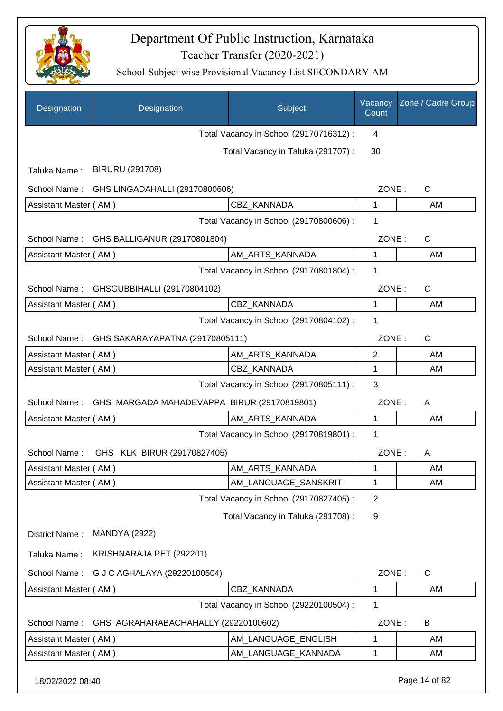

| Designation                                  | Designation                                 | Subject                                 | Vacancy<br>Count | Zone / Cadre Group |
|----------------------------------------------|---------------------------------------------|-----------------------------------------|------------------|--------------------|
|                                              |                                             | Total Vacancy in School (29170716312) : | 4                |                    |
|                                              |                                             | Total Vacancy in Taluka (291707) :      | 30               |                    |
| Taluka Name:                                 | <b>BIRURU (291708)</b>                      |                                         |                  |                    |
| School Name:                                 | GHS LINGADAHALLI (29170800606)              |                                         | ZONE:            | $\mathsf{C}$       |
| Assistant Master (AM)                        |                                             | CBZ_KANNADA                             | 1                | AM                 |
|                                              |                                             | Total Vacancy in School (29170800606) : | 1                |                    |
| School Name:                                 | GHS BALLIGANUR (29170801804)                |                                         | ZONE:            | $\mathsf{C}$       |
| Assistant Master (AM)                        |                                             | AM_ARTS_KANNADA                         | $\mathbf{1}$     | AM                 |
|                                              |                                             | Total Vacancy in School (29170801804) : | 1                |                    |
|                                              | School Name: GHSGUBBIHALLI (29170804102)    |                                         | ZONE:            | $\mathsf{C}$       |
| Assistant Master (AM)                        |                                             | <b>CBZ KANNADA</b>                      | 1                | AM                 |
|                                              |                                             | Total Vacancy in School (29170804102) : | 1                |                    |
| School Name:                                 | GHS SAKARAYAPATNA (29170805111)             |                                         | ZONE:            | $\mathsf{C}$       |
| Assistant Master (AM)                        |                                             | AM_ARTS_KANNADA                         | 2                | AM                 |
| Assistant Master (AM)                        |                                             | CBZ_KANNADA                             | 1                | AM                 |
| 3<br>Total Vacancy in School (29170805111) : |                                             |                                         |                  |                    |
| School Name:                                 | GHS MARGADA MAHADEVAPPA BIRUR (29170819801) |                                         | ZONE:            | A                  |
| Assistant Master (AM)                        |                                             | AM_ARTS_KANNADA                         | $\mathbf{1}$     | AM                 |
|                                              |                                             | Total Vacancy in School (29170819801) : | 1                |                    |
| School Name:                                 | GHS KLK BIRUR (29170827405)                 |                                         | ZONE:            | A                  |
| Assistant Master (AM)                        |                                             | AM ARTS KANNADA                         | 1                | AM                 |
| Assistant Master (AM)                        |                                             | AM_LANGUAGE_SANSKRIT                    | 1                | AM                 |
|                                              |                                             | Total Vacancy in School (29170827405) : | $\overline{2}$   |                    |
|                                              |                                             | Total Vacancy in Taluka (291708) :      | 9                |                    |
| District Name:                               | <b>MANDYA (2922)</b>                        |                                         |                  |                    |
| Taluka Name:                                 | KRISHNARAJA PET (292201)                    |                                         |                  |                    |
| School Name:                                 | G J C AGHALAYA (29220100504)                |                                         | ZONE:            | C                  |
| Assistant Master (AM)                        |                                             | CBZ KANNADA                             | 1                | AM                 |
|                                              |                                             | Total Vacancy in School (29220100504) : | 1                |                    |
| School Name:                                 | GHS AGRAHARABACHAHALLY (29220100602)        |                                         | ZONE:            | B                  |
| Assistant Master (AM)                        |                                             | AM_LANGUAGE_ENGLISH                     | 1                | AM                 |
| Assistant Master (AM)                        |                                             | AM_LANGUAGE_KANNADA                     | 1                | AM                 |
| 18/02/2022 08:40                             |                                             |                                         |                  | Page 14 of 82      |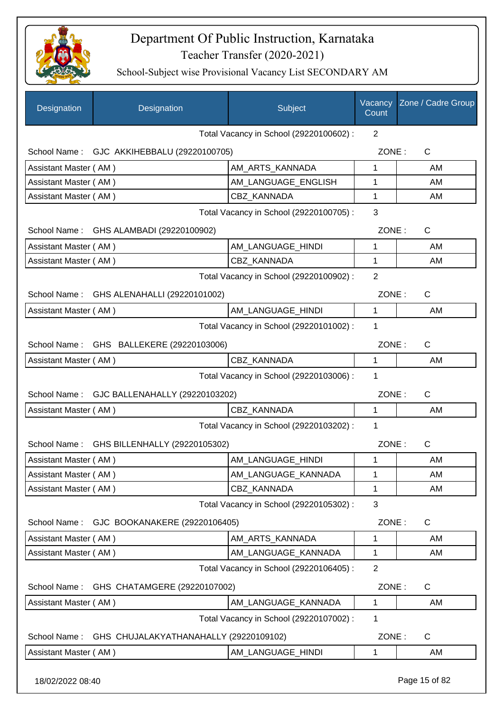

School-Subject wise Provisional Vacancy List SECONDARY AM

| Designation           | Designation                                | Subject                                 | Vacancy<br>Count | Zone / Cadre Group |
|-----------------------|--------------------------------------------|-----------------------------------------|------------------|--------------------|
|                       |                                            | Total Vacancy in School (29220100602) : | 2                |                    |
|                       | School Name: GJC AKKIHEBBALU (29220100705) |                                         | ZONE:            | $\mathsf{C}$       |
| Assistant Master (AM) |                                            | AM ARTS KANNADA                         | 1                | AM                 |
| Assistant Master (AM) |                                            | AM_LANGUAGE_ENGLISH                     | 1                | AM                 |
| Assistant Master (AM) |                                            | CBZ_KANNADA                             | 1                | AM                 |
|                       |                                            | Total Vacancy in School (29220100705) : | 3                |                    |
| School Name:          | GHS ALAMBADI (29220100902)                 |                                         | ZONE:            | C                  |
| Assistant Master (AM) |                                            | AM_LANGUAGE_HINDI                       | 1                | AM                 |
| Assistant Master (AM) |                                            | <b>CBZ KANNADA</b>                      | 1                | AM                 |
|                       |                                            | Total Vacancy in School (29220100902) : | $\overline{2}$   |                    |
| School Name:          | GHS ALENAHALLI (29220101002)               |                                         | ZONE:            | $\mathsf C$        |
| Assistant Master (AM) |                                            | AM LANGUAGE_HINDI                       | 1                | AM                 |
|                       |                                            | Total Vacancy in School (29220101002) : | 1                |                    |
| School Name:          | GHS BALLEKERE (29220103006)                |                                         | ZONE:            | C                  |
| Assistant Master (AM) |                                            | <b>CBZ KANNADA</b>                      | $\mathbf{1}$     | AM                 |
|                       |                                            | Total Vacancy in School (29220103006) : | 1                |                    |
| School Name:          | GJC BALLENAHALLY (29220103202)             |                                         | ZONE:            | C                  |
| Assistant Master (AM) |                                            | CBZ_KANNADA                             | 1                | AM                 |
|                       |                                            | Total Vacancy in School (29220103202) : | 1                |                    |
| School Name:          | GHS BILLENHALLY (29220105302)              |                                         | ZONE:            | C                  |
| Assistant Master (AM) |                                            | AM LANGUAGE HINDI                       | 1                | AM                 |
| Assistant Master (AM) |                                            | AM_LANGUAGE_KANNADA                     | 1                | AM                 |
| Assistant Master (AM) |                                            | <b>CBZ KANNADA</b>                      | 1                | AM                 |
|                       |                                            | Total Vacancy in School (29220105302) : | 3                |                    |
| School Name:          | GJC BOOKANAKERE (29220106405)              |                                         | ZONE:            | C                  |
| Assistant Master (AM) |                                            | AM_ARTS_KANNADA                         | 1                | AM                 |
| Assistant Master (AM) |                                            | AM_LANGUAGE_KANNADA                     | 1                | AM                 |
|                       |                                            | Total Vacancy in School (29220106405) : | $\overline{2}$   |                    |
| School Name:          | GHS CHATAMGERE (29220107002)               |                                         | ZONE:            | $\mathsf{C}$       |
| Assistant Master (AM) |                                            | AM_LANGUAGE_KANNADA                     | 1                | AM                 |
|                       |                                            | Total Vacancy in School (29220107002) : | 1                |                    |
| School Name:          | GHS CHUJALAKYATHANAHALLY (29220109102)     |                                         | ZONE:            | $\mathsf{C}$       |
| Assistant Master (AM) |                                            | AM_LANGUAGE_HINDI                       | 1                | AM                 |

18/02/2022 08:40 Page 15 of 82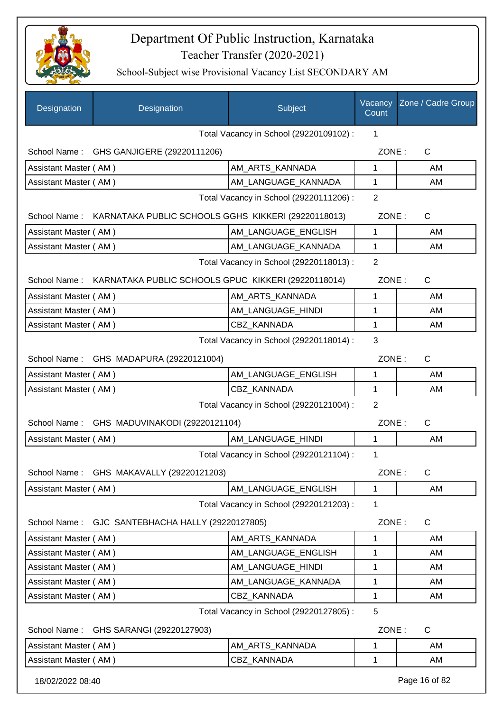

| <b>Designation</b>                           | Designation                                                      | <b>Subject</b>                          | Count          | Vacancy Zone / Cadre Group |
|----------------------------------------------|------------------------------------------------------------------|-----------------------------------------|----------------|----------------------------|
|                                              |                                                                  | Total Vacancy in School (29220109102) : | 1              |                            |
|                                              | School Name: GHS GANJIGERE (29220111206)                         |                                         | ZONE:          | $\mathsf{C}$               |
| Assistant Master (AM)                        |                                                                  | AM_ARTS_KANNADA                         | 1              | AM                         |
| Assistant Master (AM)                        |                                                                  | AM_LANGUAGE_KANNADA                     | $\mathbf 1$    | AM                         |
|                                              |                                                                  | Total Vacancy in School (29220111206) : | $\overline{2}$ |                            |
|                                              | School Name: KARNATAKA PUBLIC SCHOOLS GGHS KIKKERI (29220118013) |                                         | ZONE:          | C                          |
| Assistant Master (AM)                        |                                                                  | AM LANGUAGE ENGLISH                     | $\mathbf 1$    | AM                         |
| Assistant Master (AM)                        |                                                                  | AM_LANGUAGE_KANNADA                     | $\mathbf 1$    | AM                         |
|                                              |                                                                  | Total Vacancy in School (29220118013) : | $\overline{2}$ |                            |
|                                              | School Name: KARNATAKA PUBLIC SCHOOLS GPUC KIKKERI (29220118014) |                                         | ZONE:          | $\mathsf{C}$               |
| Assistant Master (AM)                        |                                                                  | AM_ARTS_KANNADA                         | 1              | AM                         |
| Assistant Master (AM)                        |                                                                  | AM_LANGUAGE_HINDI                       | 1              | AM                         |
| Assistant Master (AM)                        |                                                                  | CBZ KANNADA                             | 1              | AM                         |
|                                              |                                                                  | Total Vacancy in School (29220118014) : | 3              |                            |
|                                              | School Name: GHS MADAPURA (29220121004)                          |                                         | ZONE:          | $\mathsf{C}$               |
| Assistant Master (AM)                        |                                                                  | AM_LANGUAGE_ENGLISH                     | 1              | AM                         |
| Assistant Master (AM)                        |                                                                  | CBZ_KANNADA                             | $\mathbf 1$    | AM                         |
|                                              |                                                                  | Total Vacancy in School (29220121004) : | 2              |                            |
|                                              | School Name: GHS MADUVINAKODI (29220121104)                      |                                         | ZONE:          | C                          |
| Assistant Master (AM)                        |                                                                  | AM LANGUAGE HINDI                       | $\mathbf{1}$   | AM                         |
|                                              |                                                                  | Total Vacancy in School (29220121104) : | 1              |                            |
| School Name:                                 | GHS MAKAVALLY (29220121203)                                      |                                         | ZONE:          | $\mathsf C$                |
| Assistant Master (AM)                        |                                                                  | AM_LANGUAGE_ENGLISH                     | 1              | AM                         |
|                                              |                                                                  | Total Vacancy in School (29220121203) : | 1              |                            |
| School Name:                                 | GJC SANTEBHACHA HALLY (29220127805)                              |                                         | ZONE:          | C                          |
| Assistant Master (AM)                        |                                                                  | AM_ARTS_KANNADA                         | 1              | AM                         |
| Assistant Master (AM)                        |                                                                  | AM_LANGUAGE_ENGLISH                     | 1              | AM                         |
| Assistant Master (AM)                        |                                                                  | AM LANGUAGE HINDI                       | 1              | AM                         |
| Assistant Master (AM)                        |                                                                  | AM_LANGUAGE_KANNADA                     | 1              | AM                         |
| Assistant Master (AM)                        |                                                                  | CBZ_KANNADA                             | 1              | AM                         |
| 5<br>Total Vacancy in School (29220127805) : |                                                                  |                                         |                |                            |
| School Name:                                 | GHS SARANGI (29220127903)                                        |                                         | ZONE:          | C                          |
| Assistant Master (AM)                        |                                                                  | AM_ARTS_KANNADA                         | 1              | AM                         |
| Assistant Master (AM)                        |                                                                  | CBZ_KANNADA                             | 1              | AM                         |
| 18/02/2022 08:40                             |                                                                  |                                         |                | Page 16 of 82              |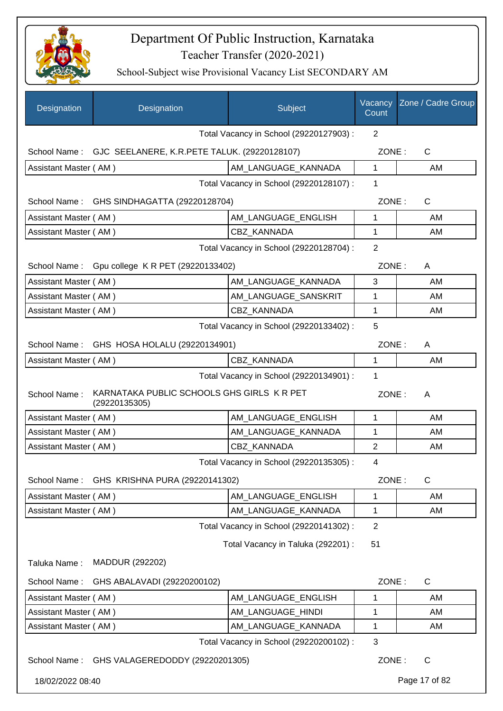

| Designation                                       | Designation                                                 | Subject                                 | Vacancy<br>Count | Zone / Cadre Group |
|---------------------------------------------------|-------------------------------------------------------------|-----------------------------------------|------------------|--------------------|
|                                                   |                                                             | Total Vacancy in School (29220127903) : | 2                |                    |
|                                                   | School Name: GJC SEELANERE, K.R.PETE TALUK. (29220128107)   |                                         | ZONE:            | C                  |
| Assistant Master (AM)                             |                                                             | AM_LANGUAGE_KANNADA                     | 1                | AM                 |
|                                                   |                                                             | Total Vacancy in School (29220128107) : | 1                |                    |
| School Name:                                      | GHS SINDHAGATTA (29220128704)                               |                                         | ZONE:            | $\mathsf{C}$       |
| Assistant Master (AM)                             |                                                             | AM_LANGUAGE_ENGLISH                     | 1                | AM                 |
| Assistant Master (AM)                             |                                                             | <b>CBZ KANNADA</b>                      | 1                | AM                 |
|                                                   |                                                             | Total Vacancy in School (29220128704) : | $\overline{2}$   |                    |
| School Name:<br>Gpu college K R PET (29220133402) |                                                             |                                         |                  | ZONE:<br>A         |
| Assistant Master (AM)                             |                                                             | AM_LANGUAGE_KANNADA                     | 3                | AM                 |
| Assistant Master (AM)                             |                                                             | AM_LANGUAGE_SANSKRIT                    | 1                | AM                 |
| Assistant Master (AM)                             |                                                             | CBZ_KANNADA                             | 1                | AM                 |
|                                                   |                                                             | Total Vacancy in School (29220133402) : | 5                |                    |
|                                                   | School Name: GHS HOSA HOLALU (29220134901)                  |                                         | ZONE:            | A                  |
| Assistant Master (AM)                             |                                                             | CBZ_KANNADA                             | 1                | AM                 |
|                                                   |                                                             | Total Vacancy in School (29220134901) : | 1                |                    |
| School Name:                                      | KARNATAKA PUBLIC SCHOOLS GHS GIRLS K R PET<br>(29220135305) |                                         | ZONE:            | A                  |
| Assistant Master (AM)                             |                                                             | AM_LANGUAGE_ENGLISH                     | 1                | AM                 |
| Assistant Master (AM)                             |                                                             | AM_LANGUAGE_KANNADA                     | 1                | AM                 |
| Assistant Master (AM)                             |                                                             | CBZ KANNADA                             | $\overline{2}$   | AM                 |
|                                                   |                                                             | Total Vacancy in School (29220135305) : | 4                |                    |
| School Name:                                      | GHS KRISHNA PURA (29220141302)                              |                                         | ZONE:            | C                  |
| Assistant Master (AM)                             |                                                             | AM_LANGUAGE_ENGLISH                     | 1                | AM                 |
| Assistant Master (AM)                             |                                                             | AM_LANGUAGE_KANNADA                     | 1                | AM                 |
|                                                   |                                                             | Total Vacancy in School (29220141302) : | $\overline{2}$   |                    |
|                                                   |                                                             | Total Vacancy in Taluka (292201) :      | 51               |                    |
| Taluka Name:                                      | MADDUR (292202)                                             |                                         |                  |                    |
| School Name:                                      | GHS ABALAVADI (29220200102)                                 |                                         | ZONE:            | $\mathsf{C}$       |
| Assistant Master (AM)                             |                                                             | AM_LANGUAGE_ENGLISH                     | 1                | AM                 |
| Assistant Master (AM)                             |                                                             | AM_LANGUAGE_HINDI                       | 1                | AM                 |
| Assistant Master (AM)                             |                                                             | AM_LANGUAGE_KANNADA                     | 1                | AM                 |
|                                                   |                                                             | Total Vacancy in School (29220200102) : | 3                |                    |
| School Name:                                      | GHS VALAGEREDODDY (29220201305)                             |                                         | ZONE:            | C                  |
| 18/02/2022 08:40                                  |                                                             |                                         |                  | Page 17 of 82      |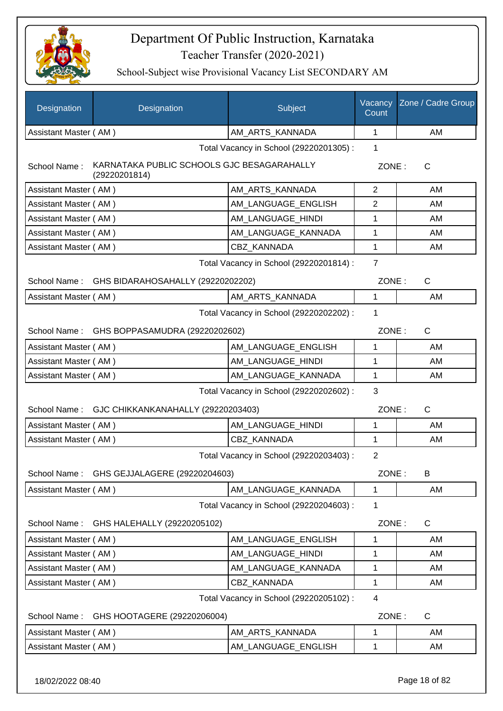

School-Subject wise Provisional Vacancy List SECONDARY AM

| Designation           | Designation                                                 | Subject                                 | Vacancy<br>Count | Zone / Cadre Group |
|-----------------------|-------------------------------------------------------------|-----------------------------------------|------------------|--------------------|
| Assistant Master (AM) |                                                             | AM ARTS KANNADA                         | 1                | AM                 |
|                       |                                                             | Total Vacancy in School (29220201305) : | 1                |                    |
| School Name:          | KARNATAKA PUBLIC SCHOOLS GJC BESAGARAHALLY<br>(29220201814) |                                         | ZONE:            | C                  |
| Assistant Master (AM) |                                                             | AM ARTS KANNADA                         | 2                | AM                 |
| Assistant Master (AM) |                                                             | AM_LANGUAGE_ENGLISH                     | 2                | AM                 |
| Assistant Master (AM) |                                                             | AM_LANGUAGE_HINDI                       | 1                | AM                 |
| Assistant Master (AM) |                                                             | AM_LANGUAGE_KANNADA                     | 1                | AM                 |
| Assistant Master (AM) |                                                             | CBZ KANNADA                             | 1                | AM                 |
|                       |                                                             | Total Vacancy in School (29220201814) : | $\overline{7}$   |                    |
|                       | School Name: GHS BIDARAHOSAHALLY (29220202202)              |                                         | ZONE:            | C                  |
| Assistant Master (AM) |                                                             | AM ARTS_KANNADA                         | 1                | AM                 |
|                       |                                                             | Total Vacancy in School (29220202202) : | 1                |                    |
|                       | School Name: GHS BOPPASAMUDRA (29220202602)                 |                                         | ZONE:            | $\mathsf{C}$       |
| Assistant Master (AM) |                                                             | AM_LANGUAGE_ENGLISH                     | 1                | AM                 |
| Assistant Master (AM) |                                                             | AM_LANGUAGE_HINDI                       | 1                | AM                 |
| Assistant Master (AM) |                                                             | AM_LANGUAGE_KANNADA                     | 1                | AM                 |
|                       |                                                             | Total Vacancy in School (29220202602) : | 3                |                    |
|                       | School Name: GJC CHIKKANKANAHALLY (29220203403)             |                                         | ZONE:            | C                  |
| Assistant Master (AM) |                                                             | AM LANGUAGE HINDI                       | 1                | AM                 |
| Assistant Master (AM) |                                                             | CBZ KANNADA                             | 1                | AM                 |
|                       |                                                             | Total Vacancy in School (29220203403) : | 2                |                    |
| School Name:          | GHS GEJJALAGERE (29220204603)                               |                                         | ZONE:            | B                  |
| Assistant Master (AM) |                                                             | AM LANGUAGE KANNADA                     | 1                | AM                 |
|                       |                                                             | Total Vacancy in School (29220204603) : | 1                |                    |
| School Name:          | GHS HALEHALLY (29220205102)                                 |                                         | ZONE:            | $\mathsf{C}$       |
| Assistant Master (AM) |                                                             | AM_LANGUAGE_ENGLISH                     | 1                | AM                 |
| Assistant Master (AM) |                                                             | AM LANGUAGE HINDI                       | 1                | AM                 |
| Assistant Master (AM) |                                                             | AM_LANGUAGE_KANNADA                     | 1                | AM                 |
| Assistant Master (AM) |                                                             | CBZ_KANNADA                             | 1                | AM                 |
|                       |                                                             | Total Vacancy in School (29220205102) : | 4                |                    |
| School Name:          | GHS HOOTAGERE (29220206004)                                 |                                         | ZONE:            | C                  |
| Assistant Master (AM) |                                                             | AM_ARTS_KANNADA                         | 1                | AM                 |
| Assistant Master (AM) |                                                             | AM_LANGUAGE_ENGLISH                     | 1                | AM                 |
|                       |                                                             |                                         |                  |                    |

18/02/2022 08:40 Page 18 of 82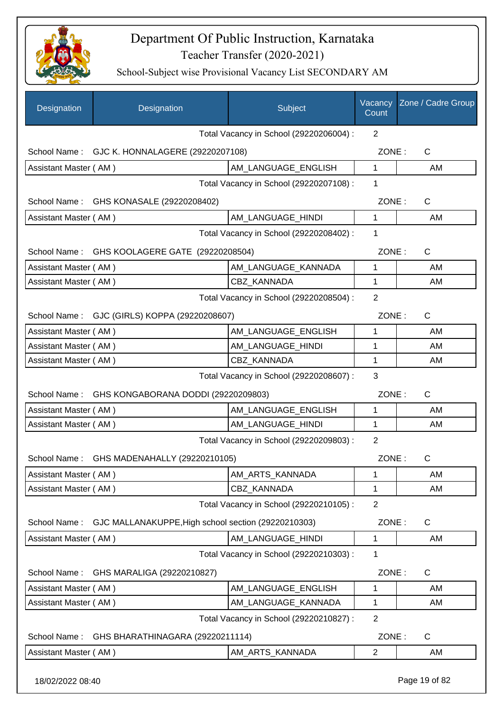

School-Subject wise Provisional Vacancy List SECONDARY AM

| School Name: GJC K. HONNALAGERE (29220207108)                       | Total Vacancy in School (29220206004) : | $\overline{2}$ |              |
|---------------------------------------------------------------------|-----------------------------------------|----------------|--------------|
|                                                                     |                                         |                |              |
|                                                                     |                                         | ZONE:          | C            |
| Assistant Master (AM)                                               | AM LANGUAGE ENGLISH                     | $\mathbf{1}$   | AM           |
|                                                                     | Total Vacancy in School (29220207108) : | 1              |              |
| School Name: GHS KONASALE (29220208402)                             |                                         | ZONE:          | $\mathsf{C}$ |
| Assistant Master (AM)                                               | AM_LANGUAGE_HINDI                       | $\mathbf{1}$   | AM           |
|                                                                     | Total Vacancy in School (29220208402) : | 1              |              |
| School Name: GHS KOOLAGERE GATE (29220208504)                       |                                         | ZONE:          | $\mathsf{C}$ |
| Assistant Master (AM)                                               | AM_LANGUAGE_KANNADA                     | 1              | AM           |
| Assistant Master (AM)                                               | <b>CBZ KANNADA</b>                      | 1              | AM           |
|                                                                     | Total Vacancy in School (29220208504) : | $\overline{2}$ |              |
| School Name: GJC (GIRLS) KOPPA (29220208607)                        |                                         | ZONE:          | $\mathsf{C}$ |
| Assistant Master (AM)                                               | AM_LANGUAGE_ENGLISH                     | 1              | AM           |
| Assistant Master (AM)                                               | AM_LANGUAGE_HINDI                       | 1              | AM           |
| Assistant Master (AM)                                               | CBZ KANNADA                             | 1              | AM           |
| Total Vacancy in School (29220208607) :                             | 3                                       |                |              |
| School Name: GHS KONGABORANA DODDI (29220209803)                    |                                         | ZONE:          | $\mathsf{C}$ |
| Assistant Master (AM)                                               | AM_LANGUAGE_ENGLISH                     | 1              | AM           |
| Assistant Master (AM)                                               | AM_LANGUAGE_HINDI                       | 1              | AM           |
|                                                                     | Total Vacancy in School (29220209803) : | $\overline{2}$ |              |
| School Name:<br>GHS MADENAHALLY (29220210105)                       |                                         | ZONE:          | С            |
| Assistant Master (AM)                                               | AM ARTS KANNADA                         | 1              | AM           |
| Assistant Master (AM)                                               | CBZ_KANNADA                             | 1              | AM           |
|                                                                     | Total Vacancy in School (29220210105) : | $\overline{2}$ |              |
| GJC MALLANAKUPPE, High school section (29220210303)<br>School Name: |                                         | ZONE:          | C            |
| Assistant Master (AM)                                               | AM LANGUAGE HINDI                       | 1              | AM           |
|                                                                     | Total Vacancy in School (29220210303) : | 1              |              |
| School Name:<br>GHS MARALIGA (29220210827)                          |                                         | ZONE:          | C            |
| Assistant Master (AM)                                               | AM LANGUAGE ENGLISH                     | 1              | AM           |
| Assistant Master (AM)                                               | AM_LANGUAGE_KANNADA                     | 1              | AM           |
|                                                                     | Total Vacancy in School (29220210827) : | $\overline{2}$ |              |
| GHS BHARATHINAGARA (29220211114)<br>School Name:                    |                                         | ZONE:          | C            |
| Assistant Master (AM)                                               | AM_ARTS_KANNADA                         | $\overline{2}$ | AM           |

18/02/2022 08:40 Page 19 of 82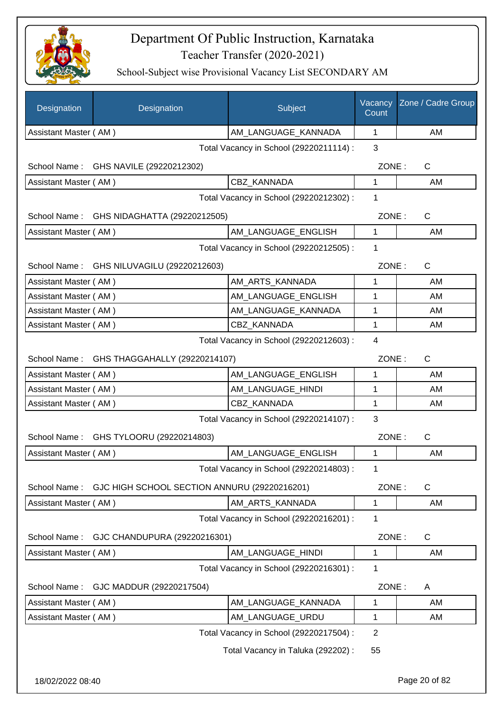

| Designation           | Designation                                  | Subject                                 | Vacancy<br>Count | Zone / Cadre Group |
|-----------------------|----------------------------------------------|-----------------------------------------|------------------|--------------------|
| Assistant Master (AM) |                                              | AM LANGUAGE KANNADA                     | 1                | AM                 |
|                       |                                              | Total Vacancy in School (29220211114) : | 3                |                    |
|                       | School Name: GHS NAVILE (29220212302)        |                                         | ZONE:            | C                  |
| Assistant Master (AM) |                                              | CBZ KANNADA                             | 1                | AM                 |
|                       |                                              | Total Vacancy in School (29220212302) : | 1                |                    |
|                       | School Name: GHS NIDAGHATTA (29220212505)    |                                         | ZONE:            | $\mathsf{C}$       |
| Assistant Master (AM) |                                              | AM LANGUAGE_ENGLISH                     | 1                | AM                 |
|                       |                                              | Total Vacancy in School (29220212505) : | 1                |                    |
|                       | School Name: GHS NILUVAGILU (29220212603)    |                                         | ZONE:            | $\mathsf{C}$       |
| Assistant Master (AM) |                                              | AM_ARTS_KANNADA                         | 1                | AM                 |
| Assistant Master (AM) |                                              | AM_LANGUAGE_ENGLISH                     | 1                | AM                 |
| Assistant Master (AM) |                                              | AM_LANGUAGE_KANNADA                     | 1                | AM                 |
| Assistant Master (AM) |                                              | <b>CBZ KANNADA</b>                      | 1                | AM                 |
|                       |                                              | Total Vacancy in School (29220212603) : | $\overline{4}$   |                    |
|                       | School Name: GHS THAGGAHALLY (29220214107)   |                                         | ZONE:            | C                  |
| Assistant Master (AM) |                                              | AM_LANGUAGE_ENGLISH                     | 1                | AM                 |
| Assistant Master (AM) |                                              | AM_LANGUAGE_HINDI                       | 1                | AM                 |
| Assistant Master (AM) |                                              | CBZ KANNADA                             | 1                | AM                 |
|                       |                                              | Total Vacancy in School (29220214107) : | 3                |                    |
|                       | School Name: GHS TYLOORU (29220214803)       |                                         | ZONE:            | $\mathsf{C}$       |
| Assistant Master (AM) |                                              | AM_LANGUAGE_ENGLISH                     | 1                | AM                 |
|                       |                                              | Total Vacancy in School (29220214803) : | 1                |                    |
| School Name:          | GJC HIGH SCHOOL SECTION ANNURU (29220216201) |                                         | ZONE:            | C                  |
| Assistant Master (AM) |                                              | AM ARTS KANNADA                         | 1                | AM                 |
|                       |                                              | Total Vacancy in School (29220216201) : | 1                |                    |
| School Name:          | GJC CHANDUPURA (29220216301)                 |                                         | ZONE:            | C                  |
| Assistant Master (AM) |                                              | AM_LANGUAGE_HINDI                       | $\mathbf 1$      | AM                 |
|                       |                                              | Total Vacancy in School (29220216301) : | 1                |                    |
| School Name:          | GJC MADDUR (29220217504)                     |                                         | ZONE:            | A                  |
| Assistant Master (AM) |                                              | AM_LANGUAGE_KANNADA                     | 1                | AM                 |
| Assistant Master (AM) |                                              | AM_LANGUAGE_URDU                        | 1                | AM                 |
|                       |                                              | Total Vacancy in School (29220217504) : | $\overline{2}$   |                    |
|                       |                                              | Total Vacancy in Taluka (292202) :      | 55               |                    |
| 18/02/2022 08:40      |                                              |                                         |                  | Page 20 of 82      |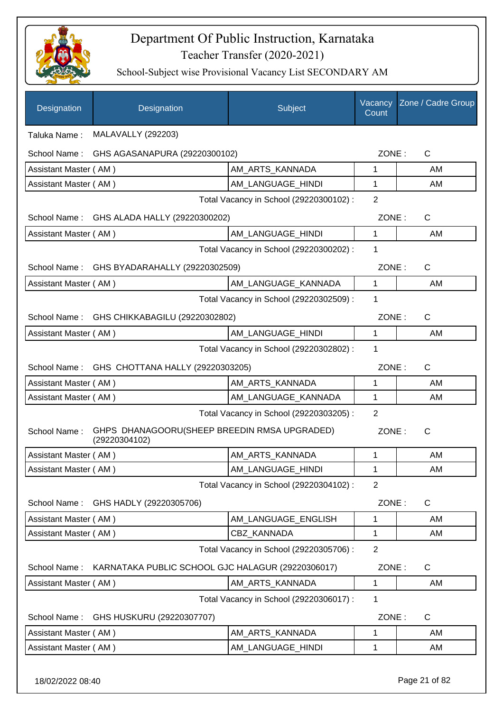

| Designation           | Designation                                                   | Subject                                 | Vacancy<br>Count | Zone / Cadre Group |
|-----------------------|---------------------------------------------------------------|-----------------------------------------|------------------|--------------------|
| Taluka Name:          | <b>MALAVALLY (292203)</b>                                     |                                         |                  |                    |
| School Name:          | GHS AGASANAPURA (29220300102)                                 |                                         | ZONE:            | $\mathsf{C}$       |
| Assistant Master (AM) |                                                               | AM_ARTS_KANNADA                         | 1                | AM                 |
| Assistant Master (AM) |                                                               | AM_LANGUAGE_HINDI                       | 1                | AM                 |
|                       |                                                               | Total Vacancy in School (29220300102) : | $\overline{2}$   |                    |
|                       | School Name: GHS ALADA HALLY (29220300202)                    |                                         | ZONE:            | $\mathsf{C}$       |
| Assistant Master (AM) |                                                               | AM LANGUAGE_HINDI                       | 1                | AM                 |
|                       |                                                               | Total Vacancy in School (29220300202) : | 1                |                    |
|                       | School Name: GHS BYADARAHALLY (29220302509)                   |                                         | ZONE:            | $\mathsf{C}$       |
| Assistant Master (AM) |                                                               | AM_LANGUAGE_KANNADA                     | 1                | AM                 |
|                       |                                                               | Total Vacancy in School (29220302509) : | 1                |                    |
|                       | School Name: GHS CHIKKABAGILU (29220302802)                   |                                         | ZONE:            | $\mathsf{C}$       |
| Assistant Master (AM) |                                                               | AM_LANGUAGE_HINDI                       | 1                | AM                 |
|                       |                                                               | Total Vacancy in School (29220302802) : | 1                |                    |
|                       | School Name: GHS CHOTTANA HALLY (29220303205)                 |                                         | ZONE:            | C                  |
| Assistant Master (AM) |                                                               | AM_ARTS_KANNADA                         | 1                | AM                 |
| Assistant Master (AM) |                                                               | AM_LANGUAGE_KANNADA                     | 1                | AM                 |
|                       |                                                               | Total Vacancy in School (29220303205) : | 2                |                    |
| School Name:          | GHPS DHANAGOORU(SHEEP BREEDIN RMSA UPGRADED)<br>(29220304102) |                                         | ZONE:            | C                  |
| Assistant Master (AM) |                                                               | AM_ARTS_KANNADA                         | $\mathbf{1}$     | AM                 |
| Assistant Master (AM) |                                                               | AM_LANGUAGE_HINDI                       | 1                | AM                 |
|                       |                                                               | Total Vacancy in School (29220304102) : | $\overline{2}$   |                    |
| School Name:          | GHS HADLY (29220305706)                                       |                                         | ZONE:            | C                  |
| Assistant Master (AM) |                                                               | AM_LANGUAGE_ENGLISH                     | 1                | AM                 |
| Assistant Master (AM) |                                                               | CBZ KANNADA                             | 1                | AM                 |
|                       |                                                               | Total Vacancy in School (29220305706) : | $\overline{2}$   |                    |
| School Name:          | KARNATAKA PUBLIC SCHOOL GJC HALAGUR (29220306017)             |                                         | ZONE:            | C                  |
| Assistant Master (AM) |                                                               | AM_ARTS_KANNADA                         | 1                | AM                 |
|                       |                                                               | Total Vacancy in School (29220306017) : | 1                |                    |
| School Name:          | GHS HUSKURU (29220307707)                                     |                                         | ZONE:            | C                  |
| Assistant Master (AM) |                                                               | AM_ARTS_KANNADA                         | 1                | AM                 |
| Assistant Master (AM) |                                                               | AM_LANGUAGE_HINDI                       | 1                | AM                 |
|                       |                                                               |                                         |                  |                    |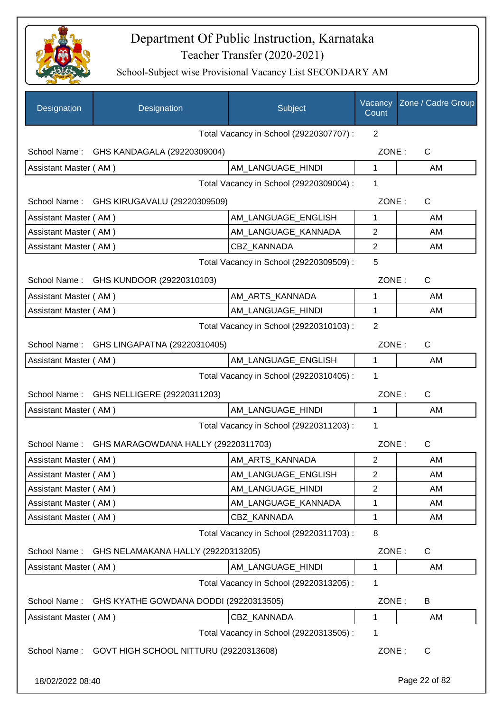

| Designation           | Designation                                         | Subject                                 | Vacancy<br>Count | Zone / Cadre Group |
|-----------------------|-----------------------------------------------------|-----------------------------------------|------------------|--------------------|
|                       |                                                     | Total Vacancy in School (29220307707) : | 2                |                    |
| School Name:          | GHS KANDAGALA (29220309004)                         |                                         | ZONE:            | C                  |
| Assistant Master (AM) |                                                     | AM LANGUAGE HINDI                       | 1                | AM                 |
|                       |                                                     | Total Vacancy in School (29220309004) : | 1                |                    |
|                       | School Name: GHS KIRUGAVALU (29220309509)           |                                         | ZONE:            | $\mathsf{C}$       |
| Assistant Master (AM) |                                                     | AM_LANGUAGE_ENGLISH                     | 1                | AM                 |
| Assistant Master (AM) |                                                     | AM_LANGUAGE_KANNADA                     | $\overline{2}$   | AM                 |
| Assistant Master (AM) |                                                     | CBZ_KANNADA                             | $\overline{2}$   | AM                 |
|                       |                                                     | Total Vacancy in School (29220309509) : | 5                |                    |
| School Name:          | GHS KUNDOOR (29220310103)                           |                                         | ZONE:            | C                  |
| Assistant Master (AM) |                                                     | AM_ARTS_KANNADA                         | 1                | AM                 |
| Assistant Master (AM) |                                                     | AM_LANGUAGE_HINDI                       | 1                | AM                 |
|                       |                                                     | Total Vacancy in School (29220310103) : | $\overline{2}$   |                    |
| School Name:          | GHS LINGAPATNA (29220310405)                        |                                         | ZONE:            | C                  |
| Assistant Master (AM) |                                                     | AM LANGUAGE ENGLISH                     | 1                | AM                 |
|                       |                                                     | Total Vacancy in School (29220310405) : | 1                |                    |
| School Name:          | GHS NELLIGERE (29220311203)                         |                                         | ZONE:            | $\mathsf{C}$       |
| Assistant Master (AM) |                                                     | AM_LANGUAGE_HINDI                       | 1                | AM                 |
|                       |                                                     | Total Vacancy in School (29220311203) : | 1                |                    |
| School Name:          | GHS MARAGOWDANA HALLY (29220311703)                 |                                         | ZONE:            | C                  |
| Assistant Master (AM) |                                                     | AM ARTS KANNADA                         | 2                | AM                 |
| Assistant Master (AM) |                                                     | AM_LANGUAGE_ENGLISH                     | $\overline{2}$   | AM                 |
| Assistant Master (AM) |                                                     | AM_LANGUAGE_HINDI                       | 2                | AM                 |
| Assistant Master (AM) |                                                     | AM_LANGUAGE_KANNADA                     | 1                | AM                 |
| Assistant Master (AM) |                                                     | CBZ KANNADA                             | 1                | AM                 |
|                       |                                                     | Total Vacancy in School (29220311703) : | 8                |                    |
| School Name:          | GHS NELAMAKANA HALLY (29220313205)                  |                                         | ZONE:            | $\mathsf C$        |
| Assistant Master (AM) |                                                     | AM_LANGUAGE_HINDI                       | 1                | AM                 |
|                       |                                                     | Total Vacancy in School (29220313205) : | 1                |                    |
| School Name:          | GHS KYATHE GOWDANA DODDI (29220313505)              |                                         | ZONE:            | B                  |
| Assistant Master (AM) |                                                     | CBZ_KANNADA                             | 1                | AM                 |
|                       |                                                     | Total Vacancy in School (29220313505) : | 1                |                    |
|                       | School Name: GOVT HIGH SCHOOL NITTURU (29220313608) |                                         | ZONE:            | $\mathsf{C}$       |
| 18/02/2022 08:40      |                                                     |                                         |                  | Page 22 of 82      |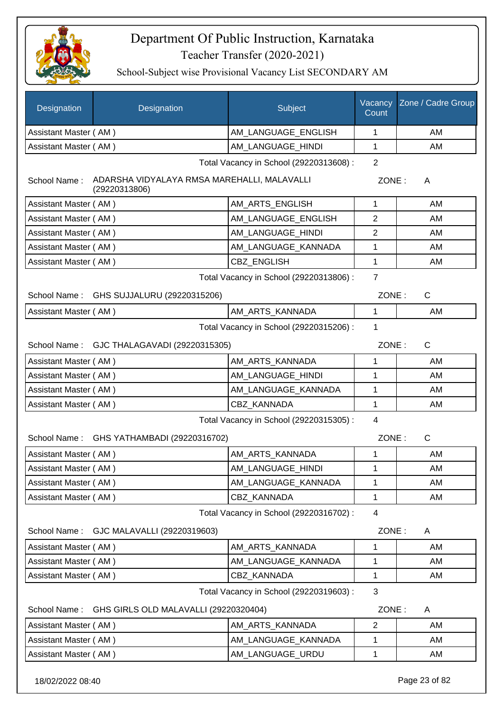

School-Subject wise Provisional Vacancy List SECONDARY AM

| Assistant Master (AM)<br>AM_LANGUAGE_ENGLISH<br>AM<br>1<br>Assistant Master (AM)<br>AM_LANGUAGE_HINDI<br>1<br>AM<br>Total Vacancy in School (29220313608) :<br>$\overline{2}$<br>ADARSHA VIDYALAYA RMSA MAREHALLI, MALAVALLI<br>School Name:<br>ZONE:<br>A<br>(29220313806)<br>Assistant Master (AM)<br>AM_ARTS_ENGLISH<br>1<br>AM<br>Assistant Master (AM)<br>AM_LANGUAGE_ENGLISH<br>2<br>AM<br>AM_LANGUAGE_HINDI<br>Assistant Master (AM)<br>2<br>AM<br>AM_LANGUAGE_KANNADA<br>Assistant Master (AM)<br>1<br>AM<br><b>CBZ ENGLISH</b><br>1<br>Assistant Master (AM)<br>AM<br>$\overline{7}$<br>Total Vacancy in School (29220313806) :<br>School Name: GHS SUJJALURU (29220315206)<br>ZONE:<br>C<br>Assistant Master (AM)<br>AM_ARTS_KANNADA<br>AM<br>1<br>Total Vacancy in School (29220315206) :<br>1<br>$\mathsf{C}$<br>School Name: GJC THALAGAVADI (29220315305)<br>ZONE:<br>Assistant Master (AM)<br>AM_ARTS_KANNADA<br>AM<br>1<br>Assistant Master (AM)<br>AM_LANGUAGE_HINDI<br>1<br>AM<br>Assistant Master (AM)<br>AM_LANGUAGE_KANNADA<br>1<br>AM<br>CBZ KANNADA<br>1<br>Assistant Master (AM)<br>AM<br>Total Vacancy in School (29220315305) :<br>4<br>ZONE:<br>$\mathsf{C}$<br>School Name: GHS YATHAMBADI (29220316702)<br>AM ARTS KANNADA<br>1<br>Assistant Master (AM)<br>AM<br>AM_LANGUAGE_HINDI<br>Assistant Master (AM)<br>AM<br>1<br>Assistant Master (AM)<br>AM_LANGUAGE_KANNADA<br>1<br>AM<br>Assistant Master (AM)<br>CBZ_KANNADA<br>1<br>AM<br>Total Vacancy in School (29220316702) :<br>4<br>GJC MALAVALLI (29220319603)<br>ZONE:<br>School Name:<br>A<br>Assistant Master (AM)<br>AM_ARTS_KANNADA<br>AM<br>1<br>Assistant Master (AM)<br>AM LANGUAGE KANNADA<br>1<br>AM<br>CBZ_KANNADA<br>Assistant Master (AM)<br>1<br>AM<br>3<br>Total Vacancy in School (29220319603) :<br>GHS GIRLS OLD MALAVALLI (29220320404)<br>ZONE:<br>School Name:<br>A<br>2<br>Assistant Master (AM)<br>AM_ARTS_KANNADA<br>AM<br>AM_LANGUAGE_KANNADA<br>Assistant Master (AM)<br>1<br>AM<br>Assistant Master (AM)<br>AM_LANGUAGE_URDU<br>1<br>AM | <b>Designation</b> | Designation | Subject | Vacancy<br>Count | Zone / Cadre Group |  |
|-------------------------------------------------------------------------------------------------------------------------------------------------------------------------------------------------------------------------------------------------------------------------------------------------------------------------------------------------------------------------------------------------------------------------------------------------------------------------------------------------------------------------------------------------------------------------------------------------------------------------------------------------------------------------------------------------------------------------------------------------------------------------------------------------------------------------------------------------------------------------------------------------------------------------------------------------------------------------------------------------------------------------------------------------------------------------------------------------------------------------------------------------------------------------------------------------------------------------------------------------------------------------------------------------------------------------------------------------------------------------------------------------------------------------------------------------------------------------------------------------------------------------------------------------------------------------------------------------------------------------------------------------------------------------------------------------------------------------------------------------------------------------------------------------------------------------------------------------------------------------------------------------------------------------------------------------------------------------------------------------------------------------------------------------------|--------------------|-------------|---------|------------------|--------------------|--|
|                                                                                                                                                                                                                                                                                                                                                                                                                                                                                                                                                                                                                                                                                                                                                                                                                                                                                                                                                                                                                                                                                                                                                                                                                                                                                                                                                                                                                                                                                                                                                                                                                                                                                                                                                                                                                                                                                                                                                                                                                                                       |                    |             |         |                  |                    |  |
|                                                                                                                                                                                                                                                                                                                                                                                                                                                                                                                                                                                                                                                                                                                                                                                                                                                                                                                                                                                                                                                                                                                                                                                                                                                                                                                                                                                                                                                                                                                                                                                                                                                                                                                                                                                                                                                                                                                                                                                                                                                       |                    |             |         |                  |                    |  |
|                                                                                                                                                                                                                                                                                                                                                                                                                                                                                                                                                                                                                                                                                                                                                                                                                                                                                                                                                                                                                                                                                                                                                                                                                                                                                                                                                                                                                                                                                                                                                                                                                                                                                                                                                                                                                                                                                                                                                                                                                                                       |                    |             |         |                  |                    |  |
|                                                                                                                                                                                                                                                                                                                                                                                                                                                                                                                                                                                                                                                                                                                                                                                                                                                                                                                                                                                                                                                                                                                                                                                                                                                                                                                                                                                                                                                                                                                                                                                                                                                                                                                                                                                                                                                                                                                                                                                                                                                       |                    |             |         |                  |                    |  |
|                                                                                                                                                                                                                                                                                                                                                                                                                                                                                                                                                                                                                                                                                                                                                                                                                                                                                                                                                                                                                                                                                                                                                                                                                                                                                                                                                                                                                                                                                                                                                                                                                                                                                                                                                                                                                                                                                                                                                                                                                                                       |                    |             |         |                  |                    |  |
|                                                                                                                                                                                                                                                                                                                                                                                                                                                                                                                                                                                                                                                                                                                                                                                                                                                                                                                                                                                                                                                                                                                                                                                                                                                                                                                                                                                                                                                                                                                                                                                                                                                                                                                                                                                                                                                                                                                                                                                                                                                       |                    |             |         |                  |                    |  |
|                                                                                                                                                                                                                                                                                                                                                                                                                                                                                                                                                                                                                                                                                                                                                                                                                                                                                                                                                                                                                                                                                                                                                                                                                                                                                                                                                                                                                                                                                                                                                                                                                                                                                                                                                                                                                                                                                                                                                                                                                                                       |                    |             |         |                  |                    |  |
|                                                                                                                                                                                                                                                                                                                                                                                                                                                                                                                                                                                                                                                                                                                                                                                                                                                                                                                                                                                                                                                                                                                                                                                                                                                                                                                                                                                                                                                                                                                                                                                                                                                                                                                                                                                                                                                                                                                                                                                                                                                       |                    |             |         |                  |                    |  |
|                                                                                                                                                                                                                                                                                                                                                                                                                                                                                                                                                                                                                                                                                                                                                                                                                                                                                                                                                                                                                                                                                                                                                                                                                                                                                                                                                                                                                                                                                                                                                                                                                                                                                                                                                                                                                                                                                                                                                                                                                                                       |                    |             |         |                  |                    |  |
|                                                                                                                                                                                                                                                                                                                                                                                                                                                                                                                                                                                                                                                                                                                                                                                                                                                                                                                                                                                                                                                                                                                                                                                                                                                                                                                                                                                                                                                                                                                                                                                                                                                                                                                                                                                                                                                                                                                                                                                                                                                       |                    |             |         |                  |                    |  |
|                                                                                                                                                                                                                                                                                                                                                                                                                                                                                                                                                                                                                                                                                                                                                                                                                                                                                                                                                                                                                                                                                                                                                                                                                                                                                                                                                                                                                                                                                                                                                                                                                                                                                                                                                                                                                                                                                                                                                                                                                                                       |                    |             |         |                  |                    |  |
|                                                                                                                                                                                                                                                                                                                                                                                                                                                                                                                                                                                                                                                                                                                                                                                                                                                                                                                                                                                                                                                                                                                                                                                                                                                                                                                                                                                                                                                                                                                                                                                                                                                                                                                                                                                                                                                                                                                                                                                                                                                       |                    |             |         |                  |                    |  |
|                                                                                                                                                                                                                                                                                                                                                                                                                                                                                                                                                                                                                                                                                                                                                                                                                                                                                                                                                                                                                                                                                                                                                                                                                                                                                                                                                                                                                                                                                                                                                                                                                                                                                                                                                                                                                                                                                                                                                                                                                                                       |                    |             |         |                  |                    |  |
|                                                                                                                                                                                                                                                                                                                                                                                                                                                                                                                                                                                                                                                                                                                                                                                                                                                                                                                                                                                                                                                                                                                                                                                                                                                                                                                                                                                                                                                                                                                                                                                                                                                                                                                                                                                                                                                                                                                                                                                                                                                       |                    |             |         |                  |                    |  |
|                                                                                                                                                                                                                                                                                                                                                                                                                                                                                                                                                                                                                                                                                                                                                                                                                                                                                                                                                                                                                                                                                                                                                                                                                                                                                                                                                                                                                                                                                                                                                                                                                                                                                                                                                                                                                                                                                                                                                                                                                                                       |                    |             |         |                  |                    |  |
|                                                                                                                                                                                                                                                                                                                                                                                                                                                                                                                                                                                                                                                                                                                                                                                                                                                                                                                                                                                                                                                                                                                                                                                                                                                                                                                                                                                                                                                                                                                                                                                                                                                                                                                                                                                                                                                                                                                                                                                                                                                       |                    |             |         |                  |                    |  |
|                                                                                                                                                                                                                                                                                                                                                                                                                                                                                                                                                                                                                                                                                                                                                                                                                                                                                                                                                                                                                                                                                                                                                                                                                                                                                                                                                                                                                                                                                                                                                                                                                                                                                                                                                                                                                                                                                                                                                                                                                                                       |                    |             |         |                  |                    |  |
|                                                                                                                                                                                                                                                                                                                                                                                                                                                                                                                                                                                                                                                                                                                                                                                                                                                                                                                                                                                                                                                                                                                                                                                                                                                                                                                                                                                                                                                                                                                                                                                                                                                                                                                                                                                                                                                                                                                                                                                                                                                       |                    |             |         |                  |                    |  |
|                                                                                                                                                                                                                                                                                                                                                                                                                                                                                                                                                                                                                                                                                                                                                                                                                                                                                                                                                                                                                                                                                                                                                                                                                                                                                                                                                                                                                                                                                                                                                                                                                                                                                                                                                                                                                                                                                                                                                                                                                                                       |                    |             |         |                  |                    |  |
|                                                                                                                                                                                                                                                                                                                                                                                                                                                                                                                                                                                                                                                                                                                                                                                                                                                                                                                                                                                                                                                                                                                                                                                                                                                                                                                                                                                                                                                                                                                                                                                                                                                                                                                                                                                                                                                                                                                                                                                                                                                       |                    |             |         |                  |                    |  |
|                                                                                                                                                                                                                                                                                                                                                                                                                                                                                                                                                                                                                                                                                                                                                                                                                                                                                                                                                                                                                                                                                                                                                                                                                                                                                                                                                                                                                                                                                                                                                                                                                                                                                                                                                                                                                                                                                                                                                                                                                                                       |                    |             |         |                  |                    |  |
|                                                                                                                                                                                                                                                                                                                                                                                                                                                                                                                                                                                                                                                                                                                                                                                                                                                                                                                                                                                                                                                                                                                                                                                                                                                                                                                                                                                                                                                                                                                                                                                                                                                                                                                                                                                                                                                                                                                                                                                                                                                       |                    |             |         |                  |                    |  |
|                                                                                                                                                                                                                                                                                                                                                                                                                                                                                                                                                                                                                                                                                                                                                                                                                                                                                                                                                                                                                                                                                                                                                                                                                                                                                                                                                                                                                                                                                                                                                                                                                                                                                                                                                                                                                                                                                                                                                                                                                                                       |                    |             |         |                  |                    |  |
|                                                                                                                                                                                                                                                                                                                                                                                                                                                                                                                                                                                                                                                                                                                                                                                                                                                                                                                                                                                                                                                                                                                                                                                                                                                                                                                                                                                                                                                                                                                                                                                                                                                                                                                                                                                                                                                                                                                                                                                                                                                       |                    |             |         |                  |                    |  |
|                                                                                                                                                                                                                                                                                                                                                                                                                                                                                                                                                                                                                                                                                                                                                                                                                                                                                                                                                                                                                                                                                                                                                                                                                                                                                                                                                                                                                                                                                                                                                                                                                                                                                                                                                                                                                                                                                                                                                                                                                                                       |                    |             |         |                  |                    |  |
|                                                                                                                                                                                                                                                                                                                                                                                                                                                                                                                                                                                                                                                                                                                                                                                                                                                                                                                                                                                                                                                                                                                                                                                                                                                                                                                                                                                                                                                                                                                                                                                                                                                                                                                                                                                                                                                                                                                                                                                                                                                       |                    |             |         |                  |                    |  |
|                                                                                                                                                                                                                                                                                                                                                                                                                                                                                                                                                                                                                                                                                                                                                                                                                                                                                                                                                                                                                                                                                                                                                                                                                                                                                                                                                                                                                                                                                                                                                                                                                                                                                                                                                                                                                                                                                                                                                                                                                                                       |                    |             |         |                  |                    |  |
|                                                                                                                                                                                                                                                                                                                                                                                                                                                                                                                                                                                                                                                                                                                                                                                                                                                                                                                                                                                                                                                                                                                                                                                                                                                                                                                                                                                                                                                                                                                                                                                                                                                                                                                                                                                                                                                                                                                                                                                                                                                       |                    |             |         |                  |                    |  |
|                                                                                                                                                                                                                                                                                                                                                                                                                                                                                                                                                                                                                                                                                                                                                                                                                                                                                                                                                                                                                                                                                                                                                                                                                                                                                                                                                                                                                                                                                                                                                                                                                                                                                                                                                                                                                                                                                                                                                                                                                                                       |                    |             |         |                  |                    |  |
|                                                                                                                                                                                                                                                                                                                                                                                                                                                                                                                                                                                                                                                                                                                                                                                                                                                                                                                                                                                                                                                                                                                                                                                                                                                                                                                                                                                                                                                                                                                                                                                                                                                                                                                                                                                                                                                                                                                                                                                                                                                       |                    |             |         |                  |                    |  |
|                                                                                                                                                                                                                                                                                                                                                                                                                                                                                                                                                                                                                                                                                                                                                                                                                                                                                                                                                                                                                                                                                                                                                                                                                                                                                                                                                                                                                                                                                                                                                                                                                                                                                                                                                                                                                                                                                                                                                                                                                                                       |                    |             |         |                  |                    |  |
|                                                                                                                                                                                                                                                                                                                                                                                                                                                                                                                                                                                                                                                                                                                                                                                                                                                                                                                                                                                                                                                                                                                                                                                                                                                                                                                                                                                                                                                                                                                                                                                                                                                                                                                                                                                                                                                                                                                                                                                                                                                       |                    |             |         |                  |                    |  |
|                                                                                                                                                                                                                                                                                                                                                                                                                                                                                                                                                                                                                                                                                                                                                                                                                                                                                                                                                                                                                                                                                                                                                                                                                                                                                                                                                                                                                                                                                                                                                                                                                                                                                                                                                                                                                                                                                                                                                                                                                                                       |                    |             |         |                  |                    |  |
|                                                                                                                                                                                                                                                                                                                                                                                                                                                                                                                                                                                                                                                                                                                                                                                                                                                                                                                                                                                                                                                                                                                                                                                                                                                                                                                                                                                                                                                                                                                                                                                                                                                                                                                                                                                                                                                                                                                                                                                                                                                       |                    |             |         |                  |                    |  |

18/02/2022 08:40 Page 23 of 82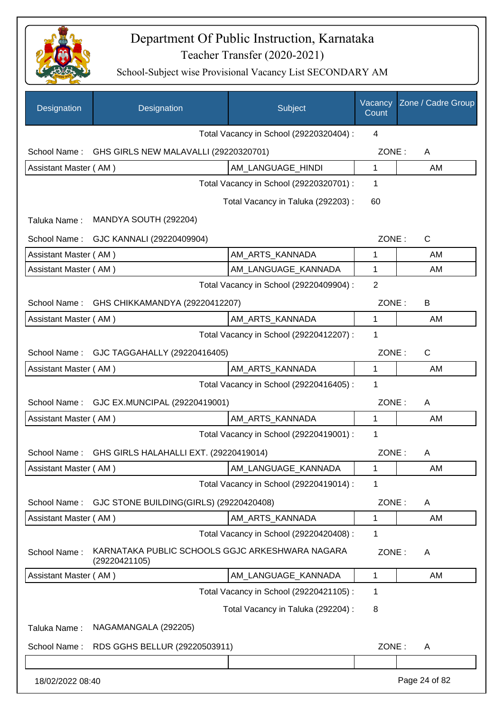

| Designation           | Designation                                                      | Subject                                 | Vacancy<br>Count | Zone / Cadre Group |
|-----------------------|------------------------------------------------------------------|-----------------------------------------|------------------|--------------------|
|                       |                                                                  | Total Vacancy in School (29220320404) : | 4                |                    |
| School Name:          | GHS GIRLS NEW MALAVALLI (29220320701)                            |                                         | ZONE:            | A                  |
| Assistant Master (AM) |                                                                  | AM LANGUAGE HINDI                       | $\mathbf{1}$     | AM                 |
|                       |                                                                  | Total Vacancy in School (29220320701) : | 1                |                    |
|                       |                                                                  | Total Vacancy in Taluka (292203) :      | 60               |                    |
| Taluka Name:          | MANDYA SOUTH (292204)                                            |                                         |                  |                    |
| School Name:          | GJC KANNALI (29220409904)                                        |                                         | ZONE:            | $\mathsf{C}$       |
| Assistant Master (AM) |                                                                  | AM_ARTS_KANNADA                         | 1                | AM                 |
| Assistant Master (AM) |                                                                  | AM_LANGUAGE_KANNADA                     | 1                | AM                 |
|                       |                                                                  | Total Vacancy in School (29220409904) : | $\overline{2}$   |                    |
| School Name:          | GHS CHIKKAMANDYA (29220412207)                                   |                                         | ZONE:            | B                  |
| Assistant Master (AM) |                                                                  | AM_ARTS_KANNADA                         | 1                | AM                 |
|                       |                                                                  | Total Vacancy in School (29220412207) : | 1                |                    |
| School Name:          | GJC TAGGAHALLY (29220416405)                                     |                                         | ZONE:            | $\mathsf{C}$       |
| Assistant Master (AM) |                                                                  | AM_ARTS_KANNADA                         | $\mathbf{1}$     | AM                 |
|                       |                                                                  | Total Vacancy in School (29220416405) : | 1                |                    |
| School Name:          | GJC EX.MUNCIPAL (29220419001)                                    |                                         | ZONE:            | A                  |
| Assistant Master (AM) |                                                                  | AM_ARTS_KANNADA                         | $\mathbf{1}$     | AM                 |
|                       |                                                                  | Total Vacancy in School (29220419001) : | 1                |                    |
| School Name:          | GHS GIRLS HALAHALLI EXT. (29220419014)                           |                                         | ZONE:            | A                  |
| Assistant Master (AM) |                                                                  | AM LANGUAGE KANNADA                     | 1                | AM                 |
|                       |                                                                  | Total Vacancy in School (29220419014) : | 1                |                    |
| School Name:          | GJC STONE BUILDING(GIRLS) (29220420408)                          |                                         | ZONE:            | A                  |
| Assistant Master (AM) |                                                                  | AM ARTS KANNADA                         | 1                | AM                 |
|                       |                                                                  | Total Vacancy in School (29220420408) : | 1                |                    |
| School Name:          | KARNATAKA PUBLIC SCHOOLS GGJC ARKESHWARA NAGARA<br>(29220421105) |                                         | ZONE:            | A                  |
| Assistant Master (AM) |                                                                  | AM_LANGUAGE_KANNADA                     | 1                | AM                 |
|                       |                                                                  | Total Vacancy in School (29220421105) : | 1                |                    |
|                       |                                                                  | Total Vacancy in Taluka (292204) :      | 8                |                    |
| Taluka Name:          | NAGAMANGALA (292205)                                             |                                         |                  |                    |
| School Name:          | RDS GGHS BELLUR (29220503911)                                    |                                         | ZONE:            | A                  |
|                       |                                                                  |                                         |                  |                    |
| 18/02/2022 08:40      |                                                                  |                                         |                  | Page 24 of 82      |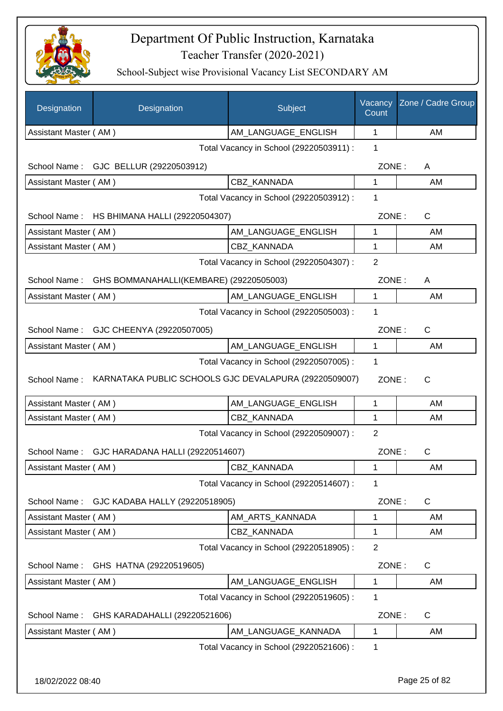

| Designation           | Designation                                           | Subject                                 | Vacancy<br>Count | Zone / Cadre Group |
|-----------------------|-------------------------------------------------------|-----------------------------------------|------------------|--------------------|
| Assistant Master (AM) |                                                       | AM_LANGUAGE_ENGLISH                     | $\mathbf{1}$     | AM                 |
|                       |                                                       | Total Vacancy in School (29220503911) : | 1                |                    |
|                       | School Name: GJC BELLUR (29220503912)                 |                                         | ZONE:            | A                  |
| Assistant Master (AM) |                                                       | CBZ KANNADA                             | 1                | AM                 |
|                       |                                                       | Total Vacancy in School (29220503912) : | 1                |                    |
|                       | School Name: HS BHIMANA HALLI (29220504307)           |                                         | ZONE:            | C                  |
| Assistant Master (AM) |                                                       | AM_LANGUAGE_ENGLISH                     | 1                | AM                 |
| Assistant Master (AM) |                                                       | CBZ KANNADA                             | 1                | AM                 |
|                       |                                                       | Total Vacancy in School (29220504307) : | $\overline{2}$   |                    |
| School Name:          | GHS BOMMANAHALLI(KEMBARE) (29220505003)               |                                         | ZONE:            | A                  |
| Assistant Master (AM) |                                                       | AM_LANGUAGE_ENGLISH                     | 1                | AM                 |
|                       |                                                       | Total Vacancy in School (29220505003) : | 1                |                    |
|                       | School Name: GJC CHEENYA (29220507005)                |                                         | ZONE:            | C                  |
| Assistant Master (AM) |                                                       | AM_LANGUAGE_ENGLISH                     | 1                | AM                 |
|                       |                                                       | Total Vacancy in School (29220507005) : | 1                |                    |
| School Name:          | KARNATAKA PUBLIC SCHOOLS GJC DEVALAPURA (29220509007) |                                         | ZONE:            | C                  |
| Assistant Master (AM) |                                                       | AM_LANGUAGE_ENGLISH                     | 1                | AM                 |
| Assistant Master (AM) |                                                       | CBZ KANNADA                             | 1                | AM                 |
|                       |                                                       | Total Vacancy in School (29220509007) : | $\overline{2}$   |                    |
|                       | School Name: GJC HARADANA HALLI (29220514607)         |                                         | ZONE:            | C                  |
| Assistant Master (AM) |                                                       | CBZ_KANNADA                             | 1                | AM                 |
|                       |                                                       | Total Vacancy in School (29220514607) : | 1                |                    |
| School Name:          | GJC KADABA HALLY (29220518905)                        |                                         | ZONE:            | C                  |
| Assistant Master (AM) |                                                       | AM_ARTS_KANNADA                         | 1                | AM                 |
| Assistant Master (AM) |                                                       | <b>CBZ KANNADA</b>                      | 1                | AM                 |
|                       |                                                       | Total Vacancy in School (29220518905) : | $\overline{2}$   |                    |
| School Name:          | GHS HATNA (29220519605)                               |                                         | ZONE:            | C                  |
| Assistant Master (AM) |                                                       | AM_LANGUAGE_ENGLISH                     | 1                | AM                 |
|                       |                                                       | Total Vacancy in School (29220519605) : | 1                |                    |
| School Name:          | GHS KARADAHALLI (29220521606)                         |                                         | ZONE:            | C                  |
| Assistant Master (AM) |                                                       | AM LANGUAGE KANNADA                     | 1                | AM                 |
|                       |                                                       | Total Vacancy in School (29220521606) : | 1                |                    |
|                       |                                                       |                                         |                  |                    |
| 18/02/2022 08:40      |                                                       |                                         |                  | Page 25 of 82      |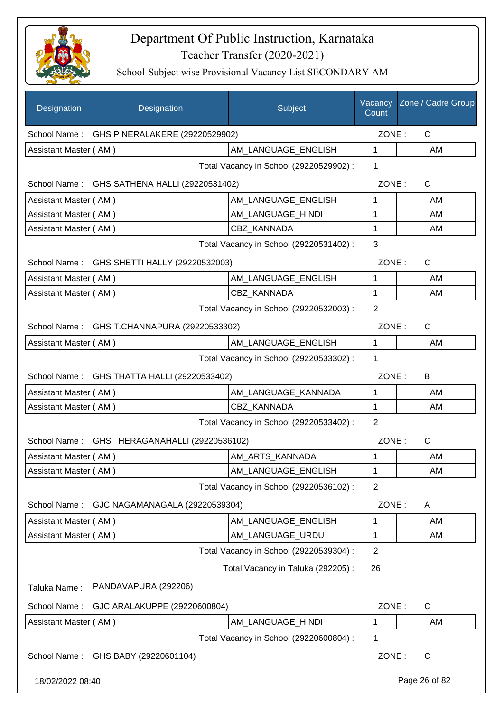

| Designation           | Designation                                  | Subject                                 | Vacancy<br>Count | Zone / Cadre Group |
|-----------------------|----------------------------------------------|-----------------------------------------|------------------|--------------------|
|                       | School Name: GHS P NERALAKERE (29220529902)  |                                         | ZONE:            | C                  |
| Assistant Master (AM) |                                              | AM LANGUAGE ENGLISH                     | 1                | AM                 |
|                       |                                              | Total Vacancy in School (29220529902) : | 1                |                    |
|                       | School Name: GHS SATHENA HALLI (29220531402) |                                         | ZONE:            | $\mathsf{C}$       |
| Assistant Master (AM) |                                              | AM LANGUAGE_ENGLISH                     | 1                | AM                 |
| Assistant Master (AM) |                                              | AM_LANGUAGE_HINDI                       | 1                | AM                 |
| Assistant Master (AM) |                                              | <b>CBZ KANNADA</b>                      | 1                | AM                 |
|                       |                                              | Total Vacancy in School (29220531402) : | 3                |                    |
|                       | School Name: GHS SHETTI HALLY (29220532003)  |                                         | ZONE:            | C                  |
| Assistant Master (AM) |                                              | AM_LANGUAGE_ENGLISH                     | $\mathbf 1$      | AM                 |
| Assistant Master (AM) |                                              | <b>CBZ KANNADA</b>                      | $\mathbf{1}$     | AM                 |
|                       |                                              | Total Vacancy in School (29220532003) : | $\overline{2}$   |                    |
|                       | School Name: GHS T.CHANNAPURA (29220533302)  |                                         | ZONE:            | C                  |
| Assistant Master (AM) |                                              | AM LANGUAGE ENGLISH                     | 1                | AM                 |
|                       |                                              | Total Vacancy in School (29220533302) : | $\mathbf{1}$     |                    |
|                       | School Name: GHS THATTA HALLI (29220533402)  |                                         | ZONE:            | B                  |
| Assistant Master (AM) |                                              | AM_LANGUAGE_KANNADA                     | 1                | AM                 |
| Assistant Master (AM) |                                              | <b>CBZ KANNADA</b>                      | $\mathbf{1}$     | AM                 |
|                       |                                              | Total Vacancy in School (29220533402) : | $\overline{2}$   |                    |
|                       | School Name: GHS HERAGANAHALLI (29220536102) |                                         | ZONE:            | $\mathsf{C}$       |
| Assistant Master (AM) |                                              | AM_ARTS_KANNADA                         | 1                | AM                 |
| Assistant Master (AM) |                                              | AM_LANGUAGE_ENGLISH                     | 1                | AM                 |
|                       |                                              | Total Vacancy in School (29220536102):  | $\overline{2}$   |                    |
| School Name:          | GJC NAGAMANAGALA (29220539304)               |                                         | ZONE:            | A                  |
| Assistant Master (AM) |                                              | AM_LANGUAGE_ENGLISH                     | 1                | AM                 |
| Assistant Master (AM) |                                              | AM LANGUAGE URDU                        | 1                | AM                 |
|                       |                                              | Total Vacancy in School (29220539304) : | $\overline{2}$   |                    |
|                       |                                              | Total Vacancy in Taluka (292205):       | 26               |                    |
| Taluka Name:          | PANDAVAPURA (292206)                         |                                         |                  |                    |
| School Name:          | GJC ARALAKUPPE (29220600804)                 |                                         | ZONE:            | $\mathsf C$        |
| Assistant Master (AM) |                                              | AM_LANGUAGE_HINDI                       | 1                | AM                 |
|                       |                                              | Total Vacancy in School (29220600804) : | $\mathbf 1$      |                    |
| School Name:          | GHS BABY (29220601104)                       |                                         | ZONE:            | C                  |
| 18/02/2022 08:40      |                                              |                                         |                  | Page 26 of 82      |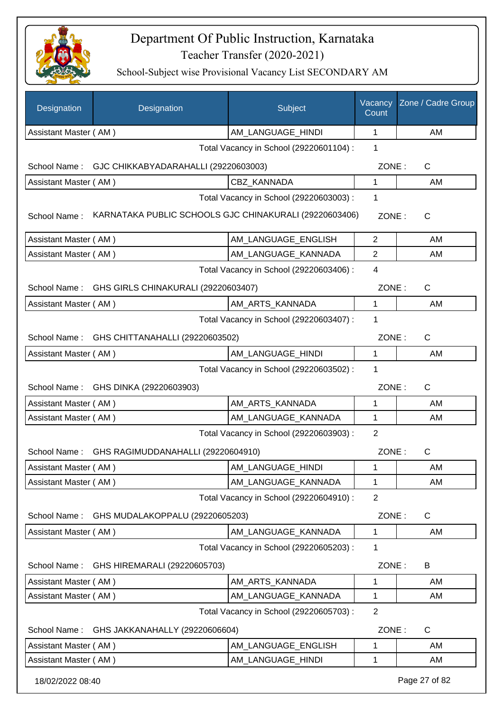

| Designation           | Designation                                            | Subject                                 | Vacancy<br>Count | Zone / Cadre Group |  |
|-----------------------|--------------------------------------------------------|-----------------------------------------|------------------|--------------------|--|
| Assistant Master (AM) |                                                        | AM_LANGUAGE_HINDI                       | 1                | AM                 |  |
|                       |                                                        | Total Vacancy in School (29220601104) : | 1                |                    |  |
| School Name:          | GJC CHIKKABYADARAHALLI (29220603003)                   |                                         | ZONE:            | C                  |  |
| Assistant Master (AM) |                                                        | <b>CBZ KANNADA</b>                      | 1                | AM                 |  |
|                       |                                                        | Total Vacancy in School (29220603003) : | 1                |                    |  |
| School Name:          | KARNATAKA PUBLIC SCHOOLS GJC CHINAKURALI (29220603406) |                                         | ZONE:            | $\mathsf{C}$       |  |
| Assistant Master (AM) |                                                        | AM_LANGUAGE_ENGLISH                     | $\overline{2}$   | AM                 |  |
| Assistant Master (AM) |                                                        | AM LANGUAGE KANNADA                     | $\overline{2}$   | AM                 |  |
|                       |                                                        | Total Vacancy in School (29220603406) : | 4                |                    |  |
| School Name :         | GHS GIRLS CHINAKURALI (29220603407)                    |                                         | ZONE:            | C                  |  |
| Assistant Master (AM) |                                                        | AM_ARTS_KANNADA                         | 1                | AM                 |  |
|                       |                                                        | Total Vacancy in School (29220603407) : | 1                |                    |  |
| School Name:          | GHS CHITTANAHALLI (29220603502)                        |                                         | ZONE:            | $\mathsf{C}$       |  |
| Assistant Master (AM) |                                                        | AM LANGUAGE_HINDI                       | 1                | AM                 |  |
|                       | Total Vacancy in School (29220603502) :<br>1           |                                         |                  |                    |  |
|                       | School Name: GHS DINKA (29220603903)                   |                                         | ZONE:            | C                  |  |
| Assistant Master (AM) |                                                        | AM_ARTS_KANNADA                         | 1                | AM                 |  |
| Assistant Master (AM) |                                                        | AM LANGUAGE KANNADA                     | 1                | AM                 |  |
|                       |                                                        | Total Vacancy in School (29220603903) : | $\overline{2}$   |                    |  |
|                       | School Name: GHS RAGIMUDDANAHALLI (29220604910)        |                                         | ZONE:            | $\mathsf{C}$       |  |
| Assistant Master (AM) |                                                        | AM_LANGUAGE_HINDI                       | 1                | AM                 |  |
| Assistant Master (AM) |                                                        | AM_LANGUAGE_KANNADA                     | 1                | AM                 |  |
|                       |                                                        | Total Vacancy in School (29220604910) : | $\overline{2}$   |                    |  |
| School Name:          | GHS MUDALAKOPPALU (29220605203)                        |                                         | ZONE:            | C                  |  |
| Assistant Master (AM) |                                                        | AM_LANGUAGE_KANNADA                     | 1                | AM                 |  |
|                       |                                                        | Total Vacancy in School (29220605203) : | 1                |                    |  |
| School Name:          | GHS HIREMARALI (29220605703)                           |                                         | ZONE:            | B                  |  |
| Assistant Master (AM) |                                                        | AM_ARTS_KANNADA                         | 1                | AM                 |  |
| Assistant Master (AM) |                                                        | AM_LANGUAGE_KANNADA                     | 1                | AM                 |  |
|                       |                                                        | Total Vacancy in School (29220605703) : | $\overline{2}$   |                    |  |
| School Name:          | GHS JAKKANAHALLY (29220606604)                         |                                         | ZONE:            | $\mathsf{C}$       |  |
| Assistant Master (AM) |                                                        | AM_LANGUAGE_ENGLISH                     | 1                | AM                 |  |
| Assistant Master (AM) |                                                        | AM_LANGUAGE_HINDI                       | 1                | AM                 |  |
| 18/02/2022 08:40      |                                                        |                                         |                  | Page 27 of 82      |  |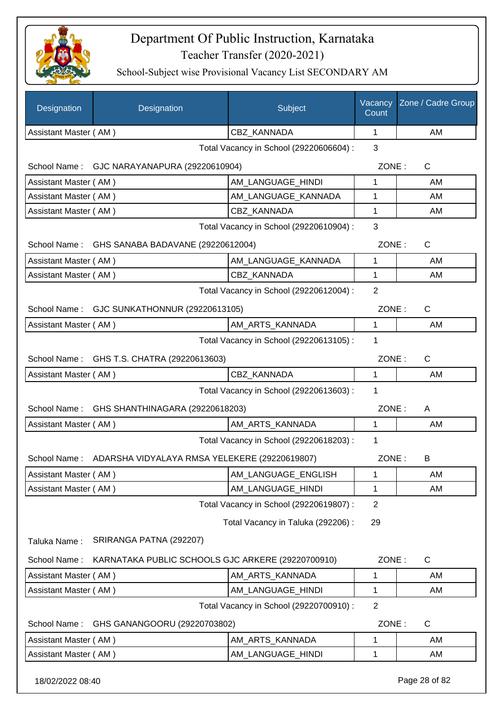

| Designation                             | Designation                                                | Subject                                 | Vacancy<br>Count | Zone / Cadre Group |
|-----------------------------------------|------------------------------------------------------------|-----------------------------------------|------------------|--------------------|
| Assistant Master (AM)                   |                                                            | CBZ_KANNADA                             | 1                | AM                 |
|                                         |                                                            | Total Vacancy in School (29220606604) : | 3                |                    |
|                                         | School Name: GJC NARAYANAPURA (29220610904)                |                                         | ZONE:            | $\mathsf{C}$       |
| Assistant Master (AM)                   |                                                            | AM_LANGUAGE_HINDI                       | 1                | AM                 |
| Assistant Master (AM)                   |                                                            | AM_LANGUAGE_KANNADA                     | 1                | AM                 |
| Assistant Master (AM)                   |                                                            | <b>CBZ KANNADA</b>                      | 1                | AM                 |
| Total Vacancy in School (29220610904) : |                                                            |                                         |                  |                    |
|                                         | School Name: GHS SANABA BADAVANE (29220612004)             |                                         | ZONE:            | $\mathsf{C}$       |
| Assistant Master (AM)                   |                                                            | AM LANGUAGE KANNADA                     | 1                | AM                 |
| Assistant Master (AM)                   |                                                            | <b>CBZ KANNADA</b>                      | 1                | AM                 |
|                                         |                                                            | Total Vacancy in School (29220612004) : | $\overline{2}$   |                    |
| School Name:                            | GJC SUNKATHONNUR (29220613105)                             |                                         | ZONE:            | C                  |
| Assistant Master (AM)                   |                                                            | AM_ARTS_KANNADA                         | 1                | AM                 |
|                                         |                                                            | Total Vacancy in School (29220613105) : | 1                |                    |
|                                         | School Name: GHS T.S. CHATRA (29220613603)                 |                                         | ZONE:            | C                  |
| Assistant Master (AM)                   |                                                            | <b>CBZ KANNADA</b>                      | 1                | AM                 |
|                                         |                                                            | Total Vacancy in School (29220613603) : | 1                |                    |
| School Name:                            | GHS SHANTHINAGARA (29220618203)                            |                                         | ZONE:            | A                  |
| Assistant Master (AM)                   |                                                            | AM ARTS KANNADA                         | 1                | AM                 |
|                                         |                                                            | Total Vacancy in School (29220618203) : | 1                |                    |
|                                         | School Name: ADARSHA VIDYALAYA RMSA YELEKERE (29220619807) |                                         | ZONE:            | B                  |
| Assistant Master (AM)                   |                                                            | AM LANGUAGE ENGLISH                     | 1                | AM                 |
| Assistant Master (AM)                   |                                                            | AM LANGUAGE HINDI                       | 1                | AM                 |
|                                         |                                                            | Total Vacancy in School (29220619807) : | $\overline{2}$   |                    |
|                                         |                                                            | Total Vacancy in Taluka (292206) :      | 29               |                    |
| Taluka Name:                            | SRIRANGA PATNA (292207)                                    |                                         |                  |                    |
| School Name:                            | KARNATAKA PUBLIC SCHOOLS GJC ARKERE (29220700910)          |                                         | ZONE:            | C                  |
| Assistant Master (AM)                   |                                                            | AM_ARTS_KANNADA                         | 1                | AM                 |
| Assistant Master (AM)                   |                                                            | AM_LANGUAGE_HINDI                       | 1                | AM                 |
|                                         |                                                            | Total Vacancy in School (29220700910) : | 2                |                    |
| School Name:                            | GHS GANANGOORU (29220703802)                               |                                         | ZONE:            | $\mathsf C$        |
| Assistant Master (AM)                   |                                                            | AM_ARTS_KANNADA                         | 1                | AM                 |
| Assistant Master (AM)                   |                                                            | AM_LANGUAGE_HINDI                       | 1                | AM                 |
| 18/02/2022 08:40                        |                                                            |                                         |                  | Page 28 of 82      |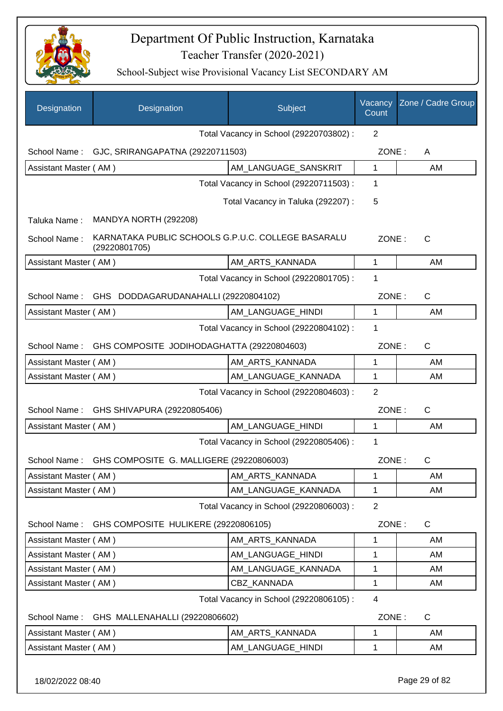

| Designation                             | Designation                                                         | Subject                                 | Vacancy<br>Count | Zone / Cadre Group |
|-----------------------------------------|---------------------------------------------------------------------|-----------------------------------------|------------------|--------------------|
|                                         |                                                                     | Total Vacancy in School (29220703802) : | $\overline{2}$   |                    |
| School Name:                            | GJC, SRIRANGAPATNA (29220711503)                                    |                                         | ZONE:            | A                  |
| Assistant Master (AM)                   |                                                                     | AM_LANGUAGE_SANSKRIT                    | $\mathbf 1$      | AM                 |
|                                         |                                                                     | Total Vacancy in School (29220711503) : | 1                |                    |
|                                         |                                                                     | Total Vacancy in Taluka (292207) :      | 5                |                    |
| Taluka Name:                            | MANDYA NORTH (292208)                                               |                                         |                  |                    |
| School Name:                            | KARNATAKA PUBLIC SCHOOLS G.P.U.C. COLLEGE BASARALU<br>(29220801705) |                                         | ZONE:            | $\mathsf{C}$       |
| Assistant Master (AM)                   |                                                                     | AM_ARTS_KANNADA                         | $\mathbf{1}$     | AM                 |
|                                         |                                                                     | Total Vacancy in School (29220801705) : | 1                |                    |
| School Name:                            | GHS DODDAGARUDANAHALLI (29220804102)                                |                                         | ZONE:            | $\mathsf{C}$       |
| Assistant Master (AM)                   |                                                                     | AM_LANGUAGE_HINDI                       | 1                | AM                 |
|                                         |                                                                     | Total Vacancy in School (29220804102) : | 1                |                    |
| School Name:                            | GHS COMPOSITE JODIHODAGHATTA (29220804603)                          |                                         | ZONE:            | $\mathsf{C}$       |
| Assistant Master (AM)                   |                                                                     | AM_ARTS_KANNADA                         | 1                | AM                 |
| Assistant Master (AM)                   |                                                                     | AM_LANGUAGE_KANNADA                     | $\mathbf 1$      | AM                 |
| Total Vacancy in School (29220804603) : |                                                                     |                                         |                  |                    |
| School Name:                            | GHS SHIVAPURA (29220805406)                                         |                                         | ZONE:            | C                  |
| Assistant Master (AM)                   |                                                                     | AM_LANGUAGE_HINDI                       | 1                | AM                 |
|                                         |                                                                     | Total Vacancy in School (29220805406) : | 1                |                    |
| School Name:                            | GHS COMPOSITE G. MALLIGERE (29220806003)                            |                                         | ZONE:            | $\mathsf{C}$       |
| Assistant Master (AM)                   |                                                                     | AM ARTS KANNADA                         | 1                | AM                 |
| Assistant Master (AM)                   |                                                                     | AM LANGUAGE KANNADA                     | 1                | AM                 |
|                                         |                                                                     | Total Vacancy in School (29220806003) : | $\overline{2}$   |                    |
| School Name:                            | GHS COMPOSITE HULIKERE (29220806105)                                |                                         | ZONE:            | C                  |
| Assistant Master (AM)                   |                                                                     | AM ARTS KANNADA                         | 1                | AM                 |
| Assistant Master (AM)                   |                                                                     | AM LANGUAGE HINDI                       | 1                | AM                 |
| Assistant Master (AM)                   |                                                                     | AM LANGUAGE KANNADA                     | 1                | AM                 |
| Assistant Master (AM)                   |                                                                     | CBZ_KANNADA                             | 1                | AM                 |
|                                         |                                                                     | Total Vacancy in School (29220806105) : | 4                |                    |
| School Name:                            | GHS MALLENAHALLI (29220806602)                                      |                                         | ZONE:            | C                  |
| Assistant Master (AM)                   |                                                                     | AM_ARTS_KANNADA                         | 1                | AM                 |
| Assistant Master (AM)                   |                                                                     | AM_LANGUAGE_HINDI                       | 1                | AM                 |
| 18/02/2022 08:40                        |                                                                     |                                         |                  | Page 29 of 82      |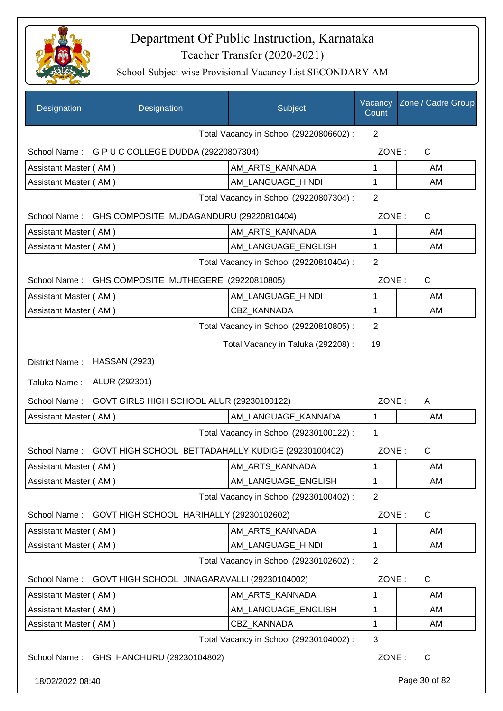

| Designation           | Designation                                        | Subject                                 | Vacancy<br>Count | Zone / Cadre Group |
|-----------------------|----------------------------------------------------|-----------------------------------------|------------------|--------------------|
|                       |                                                    | Total Vacancy in School (29220806602) : | $\overline{2}$   |                    |
|                       | School Name: G P U C COLLEGE DUDDA (29220807304)   |                                         | ZONE:            | C                  |
| Assistant Master (AM) |                                                    | AM ARTS KANNADA                         | 1                | AM                 |
| Assistant Master (AM) |                                                    | AM_LANGUAGE_HINDI                       | 1                | AM                 |
|                       |                                                    | Total Vacancy in School (29220807304) : | 2                |                    |
| School Name:          | GHS COMPOSITE MUDAGANDURU (29220810404)            |                                         | ZONE:            | C                  |
| Assistant Master (AM) |                                                    | AM_ARTS_KANNADA                         | 1                | AM                 |
| Assistant Master (AM) |                                                    | AM_LANGUAGE_ENGLISH                     | 1                | AM                 |
|                       |                                                    | Total Vacancy in School (29220810404) : | $\overline{2}$   |                    |
| School Name:          | GHS COMPOSITE MUTHEGERE (29220810805)              |                                         | ZONE:            | C                  |
| Assistant Master (AM) |                                                    | AM_LANGUAGE_HINDI                       | 1                | AM                 |
| Assistant Master (AM) |                                                    | <b>CBZ KANNADA</b>                      | 1                | AM                 |
|                       |                                                    | Total Vacancy in School (29220810805) : | 2                |                    |
|                       |                                                    | Total Vacancy in Taluka (292208) :      | 19               |                    |
| District Name:        | <b>HASSAN (2923)</b>                               |                                         |                  |                    |
| Taluka Name:          | ALUR (292301)                                      |                                         |                  |                    |
| School Name:          | GOVT GIRLS HIGH SCHOOL ALUR (29230100122)          |                                         | ZONE:            | A                  |
| Assistant Master (AM) |                                                    | AM_LANGUAGE_KANNADA                     | $\mathbf{1}$     | AM                 |
|                       |                                                    | Total Vacancy in School (29230100122) : | 1                |                    |
| School Name:          | GOVT HIGH SCHOOL BETTADAHALLY KUDIGE (29230100402) |                                         | ZONE:            | C                  |
| Assistant Master (AM) |                                                    | AM_ARTS_KANNADA                         | 1                | AМ                 |
| Assistant Master (AM) |                                                    | AM_LANGUAGE_ENGLISH                     | 1                | AM                 |
|                       |                                                    | Total Vacancy in School (29230100402) : | $\overline{2}$   |                    |
| School Name:          | GOVT HIGH SCHOOL HARIHALLY (29230102602)           |                                         | ZONE:            | C                  |
| Assistant Master (AM) |                                                    | AM ARTS KANNADA                         | 1                | AM                 |
| Assistant Master (AM) |                                                    | AM_LANGUAGE_HINDI                       | 1                | AM                 |
|                       |                                                    | Total Vacancy in School (29230102602) : | $\overline{2}$   |                    |
| School Name:          | GOVT HIGH SCHOOL JINAGARAVALLI (29230104002)       |                                         | ZONE:            | $\mathsf{C}$       |
| Assistant Master (AM) |                                                    | AM_ARTS_KANNADA                         | 1                | AM                 |
| Assistant Master (AM) |                                                    | AM_LANGUAGE_ENGLISH                     | 1                | AM                 |
| Assistant Master (AM) |                                                    | CBZ_KANNADA                             | 1                | AM                 |
|                       |                                                    | Total Vacancy in School (29230104002) : | 3                |                    |
|                       | School Name: GHS HANCHURU (29230104802)            |                                         | ZONE:            | $\mathsf{C}$       |
| 18/02/2022 08:40      |                                                    |                                         |                  | Page 30 of 82      |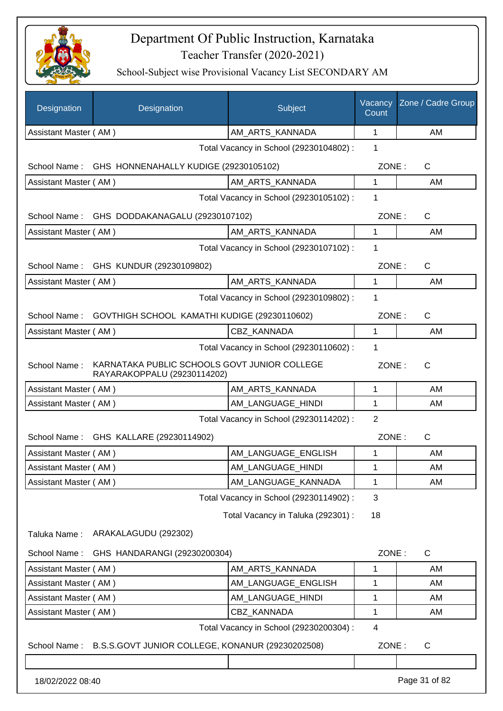

| Designation           | Designation                                                                 | Subject                                 | Vacancy<br>Count | Zone / Cadre Group |
|-----------------------|-----------------------------------------------------------------------------|-----------------------------------------|------------------|--------------------|
| Assistant Master (AM) |                                                                             | AM_ARTS_KANNADA                         | 1                | AM                 |
|                       |                                                                             | Total Vacancy in School (29230104802) : | 1                |                    |
| School Name:          | GHS HONNENAHALLY KUDIGE (29230105102)                                       |                                         | ZONE:            | C                  |
| Assistant Master (AM) |                                                                             | AM ARTS KANNADA                         | 1                | AM                 |
|                       |                                                                             | Total Vacancy in School (29230105102) : | 1                |                    |
| School Name:          | GHS DODDAKANAGALU (29230107102)                                             |                                         | ZONE:            | $\mathsf C$        |
| Assistant Master (AM) |                                                                             | AM_ARTS_KANNADA                         | $\mathbf{1}$     | AM                 |
|                       |                                                                             | Total Vacancy in School (29230107102) : | 1                |                    |
|                       | School Name: GHS KUNDUR (29230109802)                                       |                                         | ZONE:            | $\mathsf C$        |
| Assistant Master (AM) |                                                                             | AM_ARTS_KANNADA                         | $\mathbf{1}$     | AM                 |
|                       |                                                                             | Total Vacancy in School (29230109802) : | 1                |                    |
| School Name:          | GOVTHIGH SCHOOL KAMATHI KUDIGE (29230110602)                                |                                         | ZONE:            | C                  |
| Assistant Master (AM) |                                                                             | CBZ KANNADA                             | 1                | AM                 |
|                       |                                                                             | Total Vacancy in School (29230110602) : | 1                |                    |
| School Name:          | KARNATAKA PUBLIC SCHOOLS GOVT JUNIOR COLLEGE<br>RAYARAKOPPALU (29230114202) |                                         | ZONE:            | $\mathsf{C}$       |
| Assistant Master (AM) |                                                                             | AM_ARTS_KANNADA                         | 1                | AM                 |
| Assistant Master (AM) |                                                                             | AM_LANGUAGE_HINDI                       | 1                | AM                 |
|                       |                                                                             | Total Vacancy in School (29230114202) : | $\overline{2}$   |                    |
|                       | School Name: GHS KALLARE (29230114902)                                      |                                         | ZONE:            | $\mathsf{C}$       |
| Assistant Master (AM) |                                                                             | AM LANGUAGE ENGLISH                     | $\mathbf{1}$     | AM                 |
| Assistant Master (AM) |                                                                             | AM_LANGUAGE_HINDI                       | $\mathbf{1}$     | AM                 |
| Assistant Master (AM) |                                                                             | AM LANGUAGE KANNADA                     | 1                | AM                 |
|                       |                                                                             | Total Vacancy in School (29230114902) : | 3                |                    |
|                       |                                                                             | Total Vacancy in Taluka (292301) :      | 18               |                    |
| Taluka Name:          | ARAKALAGUDU (292302)                                                        |                                         |                  |                    |
| School Name:          | GHS HANDARANGI (29230200304)                                                |                                         | ZONE:            | $\mathsf C$        |
| Assistant Master (AM) |                                                                             | AM_ARTS_KANNADA                         | 1                | AM                 |
| Assistant Master (AM) |                                                                             | AM_LANGUAGE_ENGLISH                     | 1                | AM                 |
| Assistant Master (AM) |                                                                             | AM_LANGUAGE_HINDI                       | 1                | AM                 |
| Assistant Master (AM) |                                                                             | CBZ_KANNADA                             | 1                | AM                 |
|                       |                                                                             | Total Vacancy in School (29230200304) : | 4                |                    |
| School Name:          | B.S.S.GOVT JUNIOR COLLEGE, KONANUR (29230202508)                            |                                         | ZONE:            | C                  |
|                       |                                                                             |                                         |                  |                    |
| 18/02/2022 08:40      |                                                                             |                                         |                  | Page 31 of 82      |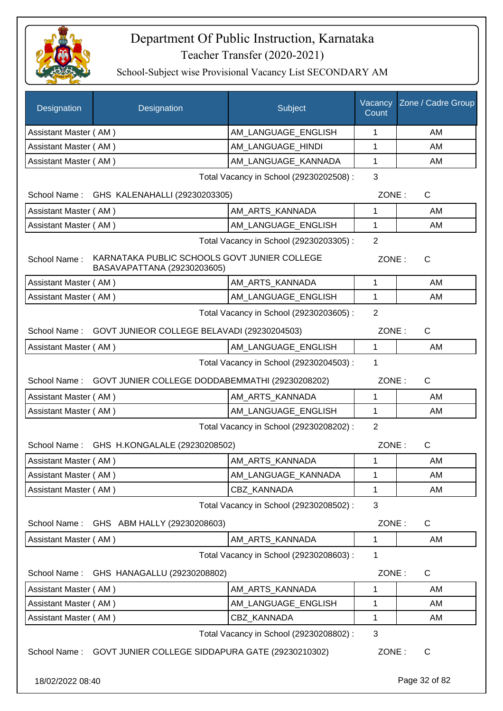

| Designation           | Designation                                                                 | Subject                                 | Vacancy<br>Count | Zone / Cadre Group |
|-----------------------|-----------------------------------------------------------------------------|-----------------------------------------|------------------|--------------------|
| Assistant Master (AM) |                                                                             | AM LANGUAGE ENGLISH                     | 1                | AM                 |
| Assistant Master (AM) |                                                                             | AM LANGUAGE HINDI                       | 1                | AM                 |
| Assistant Master (AM) |                                                                             | AM LANGUAGE KANNADA                     | 1                | AM                 |
|                       |                                                                             | Total Vacancy in School (29230202508) : | 3                |                    |
|                       | School Name: GHS KALENAHALLI (29230203305)                                  |                                         | ZONE:            | C                  |
| Assistant Master (AM) |                                                                             | AM ARTS KANNADA                         | 1                | AM                 |
| Assistant Master (AM) |                                                                             | AM_LANGUAGE_ENGLISH                     | 1                | AM                 |
|                       |                                                                             | Total Vacancy in School (29230203305) : | 2                |                    |
| School Name:          | KARNATAKA PUBLIC SCHOOLS GOVT JUNIER COLLEGE<br>BASAVAPATTANA (29230203605) |                                         | ZONE:            | $\mathsf{C}$       |
| Assistant Master (AM) |                                                                             | AM ARTS KANNADA                         | 1                | AM                 |
| Assistant Master (AM) |                                                                             | AM_LANGUAGE_ENGLISH                     | 1                | AM                 |
|                       |                                                                             | Total Vacancy in School (29230203605) : | $\overline{2}$   |                    |
|                       | School Name: GOVT JUNIEOR COLLEGE BELAVADI (29230204503)                    |                                         | ZONE:            | $\mathsf{C}$       |
| Assistant Master (AM) |                                                                             | AM_LANGUAGE_ENGLISH                     | 1                | AM                 |
|                       |                                                                             | Total Vacancy in School (29230204503) : | 1                |                    |
|                       | School Name: GOVT JUNIER COLLEGE DODDABEMMATHI (29230208202)                |                                         | ZONE:            | $\mathsf{C}$       |
| Assistant Master (AM) |                                                                             | AM_ARTS_KANNADA                         | 1                | AM                 |
| Assistant Master (AM) |                                                                             | AM_LANGUAGE_ENGLISH                     | $\mathbf 1$      | AM                 |
|                       |                                                                             | Total Vacancy in School (29230208202) : | $\overline{2}$   |                    |
|                       | School Name: GHS H.KONGALALE (29230208502)                                  |                                         | ZONE:            | $\mathsf{C}$       |
| Assistant Master (AM) |                                                                             | AM_ARTS_KANNADA                         | 1                | AM                 |
| Assistant Master (AM) |                                                                             | AM_LANGUAGE_KANNADA                     | 1                | AM                 |
| Assistant Master (AM) |                                                                             | <b>CBZ KANNADA</b>                      | 1                | AM                 |
|                       |                                                                             | Total Vacancy in School (29230208502) : | 3                |                    |
| School Name:          | GHS ABM HALLY (29230208603)                                                 |                                         | ZONE:            | C                  |
| Assistant Master (AM) |                                                                             | AM_ARTS_KANNADA                         | $\mathbf{1}$     | AM                 |
|                       |                                                                             | Total Vacancy in School (29230208603) : | 1                |                    |
| School Name:          | GHS HANAGALLU (29230208802)                                                 |                                         | ZONE:            | C                  |
| Assistant Master (AM) |                                                                             | AM_ARTS_KANNADA                         | 1                | AM                 |
| Assistant Master (AM) |                                                                             | AM_LANGUAGE_ENGLISH                     | 1                | AM                 |
| Assistant Master (AM) |                                                                             | CBZ_KANNADA                             | 1                | AM                 |
|                       |                                                                             | Total Vacancy in School (29230208802) : | 3                |                    |
| School Name:          | GOVT JUNIER COLLEGE SIDDAPURA GATE (29230210302)                            |                                         | ZONE:            | $\mathsf{C}$       |
| 18/02/2022 08:40      |                                                                             |                                         |                  | Page 32 of 82      |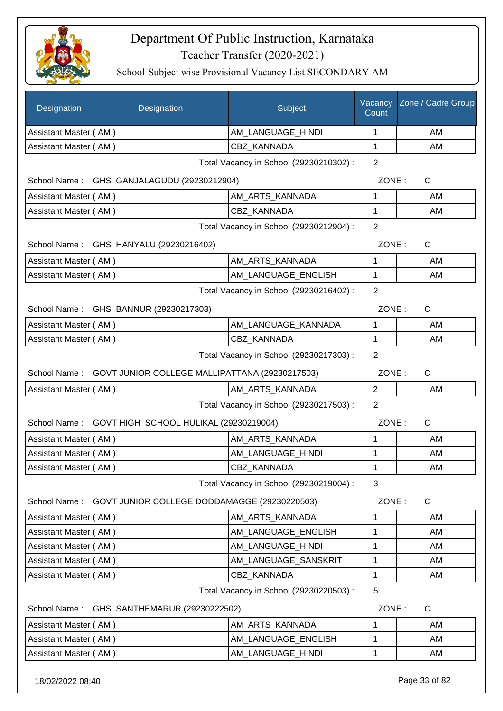

School-Subject wise Provisional Vacancy List SECONDARY AM

| Designation                                                    | Designation                                  | Subject                                 | Vacancy<br>Count | Zone / Cadre Group |
|----------------------------------------------------------------|----------------------------------------------|-----------------------------------------|------------------|--------------------|
| Assistant Master (AM)                                          |                                              | AM LANGUAGE HINDI                       | 1                | AM                 |
| Assistant Master (AM)                                          |                                              | CBZ_KANNADA                             | $\mathbf{1}$     | AM                 |
|                                                                |                                              | Total Vacancy in School (29230210302) : | $\overline{2}$   |                    |
|                                                                | School Name: GHS GANJALAGUDU (29230212904)   |                                         | ZONE:            | $\mathsf{C}$       |
| Assistant Master (AM)                                          |                                              | AM_ARTS_KANNADA                         | 1                | AM                 |
| Assistant Master (AM)                                          |                                              | <b>CBZ KANNADA</b>                      | 1                | AM                 |
|                                                                |                                              | Total Vacancy in School (29230212904) : | $\overline{2}$   |                    |
|                                                                | School Name: GHS HANYALU (29230216402)       |                                         | ZONE:            | $\mathsf{C}$       |
| Assistant Master (AM)                                          |                                              | AM_ARTS_KANNADA                         | 1                | AM                 |
| Assistant Master (AM)                                          |                                              | AM LANGUAGE ENGLISH                     | $\mathbf 1$      | AM                 |
|                                                                |                                              | Total Vacancy in School (29230216402) : | $\overline{2}$   |                    |
|                                                                | School Name: GHS BANNUR (29230217303)        |                                         | ZONE:            | $\mathsf{C}$       |
| Assistant Master (AM)                                          |                                              | AM_LANGUAGE_KANNADA                     | 1                | AM                 |
| Assistant Master (AM)                                          |                                              | <b>CBZ KANNADA</b>                      | $\mathbf{1}$     | AM                 |
| Total Vacancy in School (29230217303) :                        |                                              |                                         |                  |                    |
| School Name:<br>GOVT JUNIOR COLLEGE MALLIPATTANA (29230217503) |                                              |                                         | ZONE:            | $\mathsf{C}$       |
| Assistant Master (AM)                                          |                                              | AM_ARTS_KANNADA                         | $\overline{2}$   | AM                 |
|                                                                |                                              | Total Vacancy in School (29230217503) : | $\overline{2}$   |                    |
| School Name:                                                   | GOVT HIGH SCHOOL HULIKAL (29230219004)       |                                         | ZONE:            | $\mathsf{C}$       |
| Assistant Master (AM)                                          |                                              | AM_ARTS_KANNADA                         | 1                | AM                 |
| Assistant Master (AM)                                          |                                              | AM LANGUAGE HINDI                       | 1                | AM                 |
| Assistant Master (AM)                                          |                                              | CBZ_KANNADA                             | 1                | AM                 |
|                                                                |                                              | Total Vacancy in School (29230219004) : | 3                |                    |
| School Name:                                                   | GOVT JUNIOR COLLEGE DODDAMAGGE (29230220503) |                                         | ZONE:            | $\mathsf{C}$       |
| Assistant Master (AM)                                          |                                              | AM ARTS KANNADA                         | 1                | AM                 |
| Assistant Master (AM)                                          |                                              | AM LANGUAGE ENGLISH                     | 1                | AM                 |
| Assistant Master (AM)                                          |                                              | AM_LANGUAGE_HINDI                       | $\mathbf 1$      | AM                 |
| Assistant Master (AM)                                          |                                              | AM_LANGUAGE_SANSKRIT                    | 1                | AM                 |
| Assistant Master (AM)                                          |                                              | CBZ KANNADA                             | 1                | AM                 |
| Total Vacancy in School (29230220503) :<br>5                   |                                              |                                         |                  |                    |
| School Name:                                                   | GHS SANTHEMARUR (29230222502)                |                                         | ZONE:            | $\mathsf{C}$       |
| Assistant Master (AM)                                          |                                              | AM_ARTS_KANNADA                         | 1                | AM                 |
| Assistant Master (AM)                                          |                                              | AM_LANGUAGE_ENGLISH                     | 1                | AM                 |
| Assistant Master (AM)                                          |                                              | AM_LANGUAGE_HINDI                       | 1                | AM                 |

18/02/2022 08:40 Page 33 of 82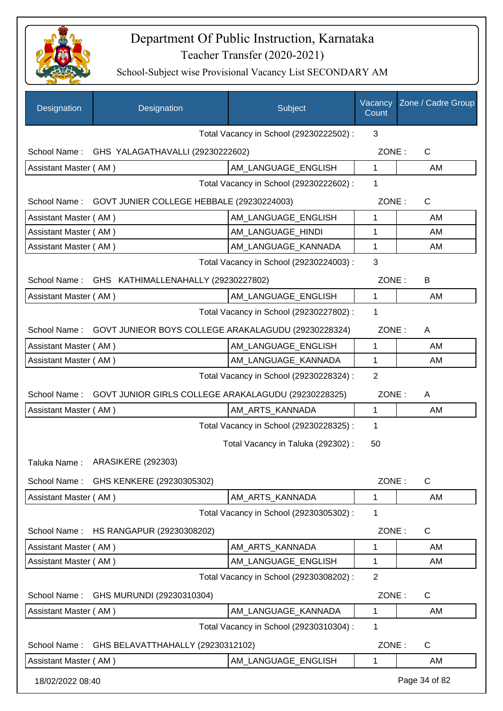

| Designation           | Designation                                            | Subject                                 | Vacancy<br>Count | Zone / Cadre Group |
|-----------------------|--------------------------------------------------------|-----------------------------------------|------------------|--------------------|
|                       |                                                        | Total Vacancy in School (29230222502) : | 3                |                    |
|                       | School Name: GHS YALAGATHAVALLI (29230222602)          |                                         | ZONE:            | $\mathsf{C}$       |
| Assistant Master (AM) |                                                        | AM LANGUAGE ENGLISH                     | $\mathbf 1$      | AM                 |
|                       |                                                        | Total Vacancy in School (29230222602) : | 1                |                    |
|                       | School Name: GOVT JUNIER COLLEGE HEBBALE (29230224003) |                                         | ZONE:            | $\mathsf{C}$       |
| Assistant Master (AM) |                                                        | AM_LANGUAGE_ENGLISH                     | 1                | AM                 |
| Assistant Master (AM) |                                                        | AM_LANGUAGE_HINDI                       | 1                | AM                 |
| Assistant Master (AM) |                                                        | AM_LANGUAGE_KANNADA                     | 1                | AM                 |
|                       |                                                        | Total Vacancy in School (29230224003) : | 3                |                    |
| School Name:          | GHS KATHIMALLENAHALLY (29230227802)                    |                                         | ZONE:            | B                  |
| Assistant Master (AM) |                                                        | AM_LANGUAGE_ENGLISH                     | 1                | AM                 |
|                       |                                                        | Total Vacancy in School (29230227802) : | 1                |                    |
| School Name:          | GOVT JUNIEOR BOYS COLLEGE ARAKALAGUDU (29230228324)    |                                         | ZONE:            | A                  |
| Assistant Master (AM) |                                                        | AM_LANGUAGE_ENGLISH                     | 1                | AM                 |
| Assistant Master (AM) |                                                        | AM_LANGUAGE_KANNADA                     | 1                | AM                 |
|                       |                                                        | Total Vacancy in School (29230228324) : | $\overline{2}$   |                    |
| School Name:          | GOVT JUNIOR GIRLS COLLEGE ARAKALAGUDU (29230228325)    |                                         | ZONE:            | A                  |
| Assistant Master (AM) |                                                        | AM_ARTS_KANNADA                         | $\mathbf{1}$     | AM                 |
|                       |                                                        | Total Vacancy in School (29230228325) : | 1                |                    |
|                       |                                                        | Total Vacancy in Taluka (292302) :      | 50               |                    |
|                       | Taluka Name: ARASIKERE (292303)                        |                                         |                  |                    |
| School Name:          | GHS KENKERE (29230305302)                              |                                         | ZONE:            | C                  |
| Assistant Master (AM) |                                                        | AM ARTS KANNADA                         | 1                | AM                 |
|                       |                                                        | Total Vacancy in School (29230305302) : | 1                |                    |
| School Name:          | HS RANGAPUR (29230308202)                              |                                         | ZONE:            | C                  |
| Assistant Master (AM) |                                                        | AM_ARTS_KANNADA                         | 1                | AM                 |
| Assistant Master (AM) |                                                        | AM LANGUAGE ENGLISH                     | 1                | AM                 |
|                       |                                                        | Total Vacancy in School (29230308202) : | $\overline{2}$   |                    |
| School Name:          | GHS MURUNDI (29230310304)                              |                                         | ZONE:            | C                  |
| Assistant Master (AM) |                                                        | AM_LANGUAGE_KANNADA                     | 1                | AM                 |
|                       |                                                        | Total Vacancy in School (29230310304) : | 1                |                    |
| School Name:          | GHS BELAVATTHAHALLY (29230312102)                      |                                         | ZONE:            | C                  |
| Assistant Master (AM) |                                                        | AM_LANGUAGE_ENGLISH                     | 1                | AM                 |
| 18/02/2022 08:40      |                                                        |                                         |                  | Page 34 of 82      |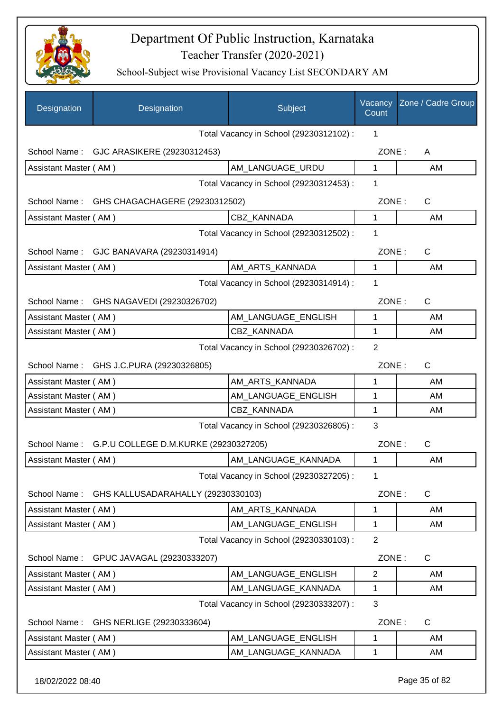

| Designation           | Designation                                        | Subject                                 | Vacancy<br>Count | Zone / Cadre Group |
|-----------------------|----------------------------------------------------|-----------------------------------------|------------------|--------------------|
|                       |                                                    | Total Vacancy in School (29230312102) : | 1                |                    |
|                       | School Name: GJC ARASIKERE (29230312453)           |                                         | ZONE:            | A                  |
| Assistant Master (AM) |                                                    | AM_LANGUAGE_URDU                        | 1                | AM                 |
|                       |                                                    | Total Vacancy in School (29230312453) : | 1                |                    |
| School Name:          | GHS CHAGACHAGERE (29230312502)                     |                                         | ZONE:            | $\mathsf{C}$       |
| Assistant Master (AM) |                                                    | CBZ_KANNADA                             | $\mathbf{1}$     | AM                 |
|                       |                                                    | Total Vacancy in School (29230312502) : | 1                |                    |
|                       | School Name: GJC BANAVARA (29230314914)            |                                         | ZONE:            | $\mathsf{C}$       |
| Assistant Master (AM) |                                                    | AM_ARTS_KANNADA                         | $\mathbf{1}$     | AM                 |
|                       |                                                    | Total Vacancy in School (29230314914) : | 1                |                    |
| School Name:          | GHS NAGAVEDI (29230326702)                         |                                         | ZONE:            | $\mathsf{C}$       |
| Assistant Master (AM) |                                                    | AM_LANGUAGE_ENGLISH                     | 1                | AM                 |
| Assistant Master (AM) |                                                    | CBZ KANNADA                             | 1                | AM                 |
|                       |                                                    | Total Vacancy in School (29230326702) : | $\overline{2}$   |                    |
|                       |                                                    |                                         |                  |                    |
|                       | School Name: GHS J.C.PURA (29230326805)            |                                         | ZONE:            | C                  |
| Assistant Master (AM) |                                                    | AM_ARTS_KANNADA                         | 1                | AM                 |
| Assistant Master (AM) |                                                    | AM_LANGUAGE_ENGLISH                     | 1                | AM                 |
| Assistant Master (AM) |                                                    | CBZ_KANNADA                             | 1                | AM                 |
|                       |                                                    | Total Vacancy in School (29230326805) : | 3                |                    |
|                       | School Name: G.P.U COLLEGE D.M.KURKE (29230327205) |                                         | ZONE:            | $\mathsf{C}$       |
| Assistant Master (AM) |                                                    | AM_LANGUAGE_KANNADA                     | 1                | AM                 |
|                       |                                                    | Total Vacancy in School (29230327205) : | 1                |                    |
| School Name:          | GHS KALLUSADARAHALLY (29230330103)                 |                                         | ZONE:            | $\mathsf{C}$       |
| Assistant Master (AM) |                                                    | AM_ARTS_KANNADA                         | 1                | AM                 |
| Assistant Master (AM) |                                                    | AM LANGUAGE ENGLISH                     | 1                | AM                 |
|                       |                                                    | Total Vacancy in School (29230330103) : | $\overline{2}$   |                    |
| School Name:          | GPUC JAVAGAL (29230333207)                         |                                         | ZONE:            | $\mathsf{C}$       |
| Assistant Master (AM) |                                                    | AM LANGUAGE ENGLISH                     | 2                | AM                 |
| Assistant Master (AM) |                                                    | AM_LANGUAGE_KANNADA                     | 1                | AM                 |
|                       |                                                    | Total Vacancy in School (29230333207) : | 3                |                    |
| School Name:          | GHS NERLIGE (29230333604)                          |                                         | ZONE:            | $\mathsf{C}$       |
| Assistant Master (AM) |                                                    | AM_LANGUAGE_ENGLISH                     | 1                | AM                 |
| Assistant Master (AM) |                                                    | AM_LANGUAGE_KANNADA                     | 1                | AM                 |
| 18/02/2022 08:40      |                                                    |                                         |                  | Page 35 of 82      |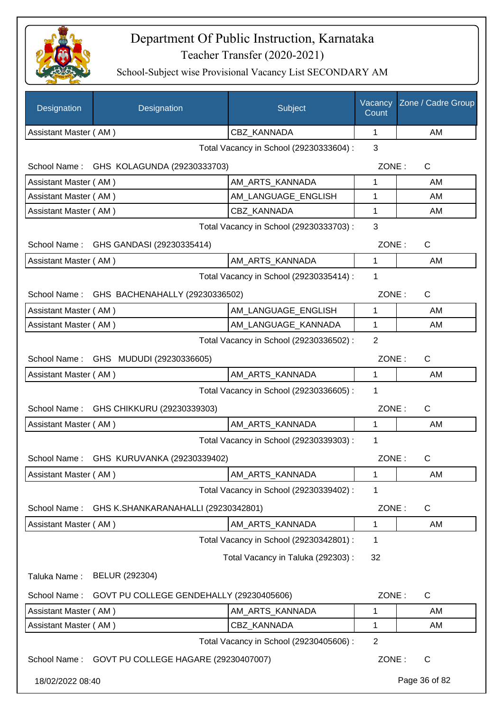

| Designation           | Designation                                 | Subject                                 | Vacancy<br>Count | Zone / Cadre Group |
|-----------------------|---------------------------------------------|-----------------------------------------|------------------|--------------------|
| Assistant Master (AM) |                                             | CBZ_KANNADA                             | 1                | AM                 |
|                       |                                             | Total Vacancy in School (29230333604) : | 3                |                    |
|                       | School Name: GHS KOLAGUNDA (29230333703)    |                                         | ZONE:            | $\mathsf{C}$       |
| Assistant Master (AM) |                                             | AM_ARTS_KANNADA                         | 1                | AM                 |
| Assistant Master (AM) |                                             | AM LANGUAGE ENGLISH                     | 1                | AM                 |
| Assistant Master (AM) |                                             | <b>CBZ KANNADA</b>                      | 1                | AM                 |
|                       | Total Vacancy in School (29230333703) :     | 3                                       |                  |                    |
|                       | School Name: GHS GANDASI (29230335414)      |                                         | ZONE:            | $\mathsf{C}$       |
| Assistant Master (AM) |                                             | AM ARTS KANNADA                         | $\mathbf{1}$     | AM                 |
|                       |                                             | Total Vacancy in School (29230335414) : | 1                |                    |
|                       | School Name: GHS BACHENAHALLY (29230336502) |                                         | ZONE:            | $\mathsf{C}$       |
| Assistant Master (AM) |                                             | AM_LANGUAGE_ENGLISH                     | 1                | AM                 |
| Assistant Master (AM) |                                             | AM LANGUAGE KANNADA                     | 1                | AM                 |
|                       |                                             | Total Vacancy in School (29230336502) : | 2                |                    |
|                       | School Name: GHS MUDUDI (29230336605)       |                                         | ZONE:            | C                  |
| Assistant Master (AM) |                                             | AM_ARTS_KANNADA                         | 1                | AM                 |
|                       |                                             | Total Vacancy in School (29230336605) : | 1                |                    |
| School Name:          | GHS CHIKKURU (29230339303)                  |                                         | ZONE:            | $\mathsf{C}$       |
| Assistant Master (AM) |                                             | AM ARTS KANNADA                         | 1                | AM                 |
|                       |                                             | Total Vacancy in School (29230339303) : | 1                |                    |
| School Name:          | GHS KURUVANKA (29230339402)                 |                                         | ZONE:            | $\mathsf{C}$       |
| Assistant Master (AM) |                                             | AM_ARTS_KANNADA                         | 1                | AM                 |
|                       |                                             | Total Vacancy in School (29230339402) : | 1                |                    |
| School Name:          | GHS K.SHANKARANAHALLI (29230342801)         |                                         | ZONE:            | C                  |
| Assistant Master (AM) |                                             | AM_ARTS_KANNADA                         | 1                | AM                 |
|                       |                                             | Total Vacancy in School (29230342801) : | 1                |                    |
|                       |                                             | Total Vacancy in Taluka (292303):       | 32               |                    |
| Taluka Name:          | BELUR (292304)                              |                                         |                  |                    |
| School Name:          | GOVT PU COLLEGE GENDEHALLY (29230405606)    |                                         | ZONE:            | $\mathsf{C}$       |
| Assistant Master (AM) |                                             | AM_ARTS_KANNADA                         | 1                | AM                 |
| Assistant Master (AM) |                                             | <b>CBZ KANNADA</b>                      | 1                | AM                 |
|                       |                                             | Total Vacancy in School (29230405606) : | $\overline{2}$   |                    |
| School Name:          | GOVT PU COLLEGE HAGARE (29230407007)        |                                         | ZONE:            | $\mathsf{C}$       |
| 18/02/2022 08:40      |                                             |                                         |                  | Page 36 of 82      |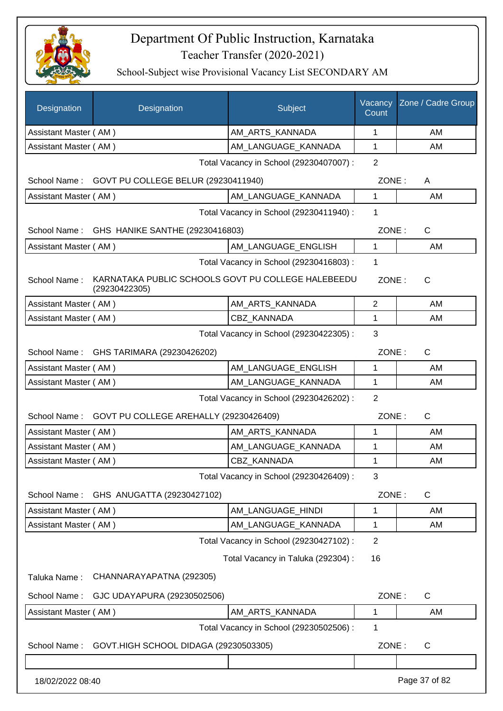

| Designation           | Designation                                                         | Subject                                 | Vacancy<br>Count | Zone / Cadre Group |
|-----------------------|---------------------------------------------------------------------|-----------------------------------------|------------------|--------------------|
| Assistant Master (AM) |                                                                     | AM ARTS KANNADA                         | 1                | AM                 |
| Assistant Master (AM) |                                                                     | AM_LANGUAGE_KANNADA                     | 1                | AM                 |
|                       |                                                                     | Total Vacancy in School (29230407007) : | $\overline{2}$   |                    |
| School Name:          | GOVT PU COLLEGE BELUR (29230411940)                                 |                                         | ZONE:            | A                  |
| Assistant Master (AM) |                                                                     | AM_LANGUAGE_KANNADA                     | $\mathbf{1}$     | AM                 |
|                       |                                                                     | Total Vacancy in School (29230411940) : | 1                |                    |
|                       | School Name: GHS HANIKE SANTHE (29230416803)                        |                                         | ZONE:            | C                  |
| Assistant Master (AM) |                                                                     | AM_LANGUAGE_ENGLISH                     | 1                | AM                 |
|                       |                                                                     | Total Vacancy in School (29230416803) : | 1                |                    |
| School Name:          | KARNATAKA PUBLIC SCHOOLS GOVT PU COLLEGE HALEBEEDU<br>(29230422305) |                                         | ZONE:            | $\mathsf{C}$       |
| Assistant Master (AM) |                                                                     | AM_ARTS_KANNADA                         | $\overline{2}$   | AM                 |
| Assistant Master (AM) |                                                                     | CBZ KANNADA                             | $\mathbf{1}$     | AM                 |
|                       | 3                                                                   |                                         |                  |                    |
|                       | School Name: GHS TARIMARA (29230426202)                             |                                         | ZONE:            | $\mathsf{C}$       |
| Assistant Master (AM) |                                                                     | AM_LANGUAGE_ENGLISH                     | 1                | AM                 |
| Assistant Master (AM) |                                                                     | AM_LANGUAGE_KANNADA                     | 1                | AM                 |
|                       |                                                                     | Total Vacancy in School (29230426202) : | $\overline{2}$   |                    |
|                       | School Name: GOVT PU COLLEGE AREHALLY (29230426409)                 |                                         | ZONE:            | $\mathsf{C}$       |
| Assistant Master (AM) |                                                                     | AM_ARTS_KANNADA                         | 1                | AM                 |
| Assistant Master (AM) |                                                                     | AM LANGUAGE KANNADA                     | 1                | AM                 |
| Assistant Master (AM) |                                                                     | <b>CBZ KANNADA</b>                      | 1                | AM                 |
|                       |                                                                     | Total Vacancy in School (29230426409) : | 3                |                    |
| School Name:          | GHS ANUGATTA (29230427102)                                          |                                         | ZONE:            | $\mathsf{C}$       |
| Assistant Master (AM) |                                                                     | AM_LANGUAGE_HINDI                       | 1                | AM                 |
| Assistant Master (AM) |                                                                     | AM_LANGUAGE_KANNADA                     | 1                | AM                 |
|                       |                                                                     | Total Vacancy in School (29230427102) : | $\overline{2}$   |                    |
|                       |                                                                     | Total Vacancy in Taluka (292304) :      | 16               |                    |
| Taluka Name:          | CHANNARAYAPATNA (292305)                                            |                                         |                  |                    |
| School Name:          | GJC UDAYAPURA (29230502506)                                         |                                         | ZONE:            | $\mathsf{C}$       |
| Assistant Master (AM) |                                                                     | AM_ARTS_KANNADA                         | 1                | AM                 |
|                       |                                                                     | Total Vacancy in School (29230502506) : | 1                |                    |
| School Name:          | GOVT.HIGH SCHOOL DIDAGA (29230503305)                               |                                         | ZONE:            | C                  |
|                       |                                                                     |                                         |                  |                    |
| 18/02/2022 08:40      |                                                                     |                                         |                  | Page 37 of 82      |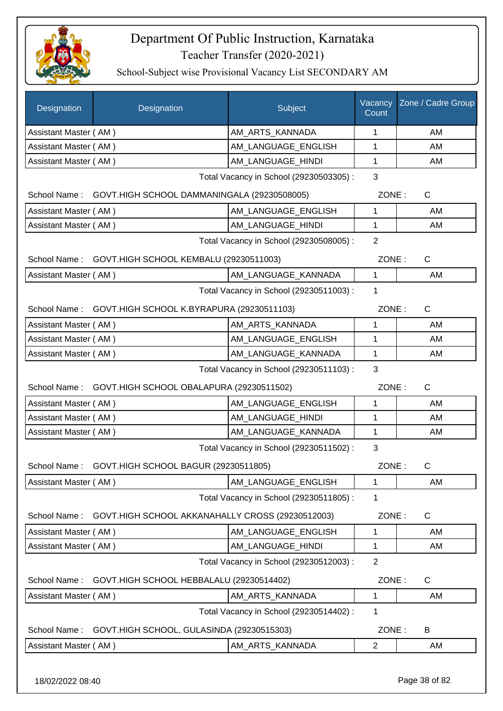

| Designation                                              | Designation                                              | Subject                                 | Vacancy<br>Count | Zone / Cadre Group |
|----------------------------------------------------------|----------------------------------------------------------|-----------------------------------------|------------------|--------------------|
| Assistant Master (AM)                                    |                                                          | AM_ARTS_KANNADA                         | 1                | AM                 |
| Assistant Master (AM)                                    |                                                          | AM_LANGUAGE_ENGLISH                     | 1                | AM                 |
| Assistant Master (AM)                                    |                                                          | AM LANGUAGE HINDI                       | 1                | AM                 |
|                                                          |                                                          | Total Vacancy in School (29230503305) : | 3                |                    |
|                                                          | School Name: GOVT.HIGH SCHOOL DAMMANINGALA (29230508005) |                                         | ZONE:            | $\mathsf{C}$       |
| Assistant Master (AM)                                    |                                                          | AM LANGUAGE ENGLISH                     | $\mathbf{1}$     | AM                 |
| Assistant Master (AM)                                    |                                                          | AM_LANGUAGE_HINDI                       | 1                | AM                 |
|                                                          |                                                          | Total Vacancy in School (29230508005) : | $\overline{2}$   |                    |
|                                                          | School Name: GOVT.HIGH SCHOOL KEMBALU (29230511003)      |                                         |                  | ZONE:<br>C         |
| Assistant Master (AM)                                    |                                                          | AM_LANGUAGE_KANNADA                     | $\mathbf{1}$     | AM                 |
|                                                          |                                                          | Total Vacancy in School (29230511003) : | $\mathbf{1}$     |                    |
| School Name:                                             | GOVT.HIGH SCHOOL K.BYRAPURA (29230511103)                |                                         | ZONE:            | $\mathsf C$        |
| Assistant Master (AM)                                    |                                                          | AM_ARTS_KANNADA                         | 1                | AM                 |
| Assistant Master (AM)                                    |                                                          | AM_LANGUAGE_ENGLISH                     | 1                | AM                 |
| Assistant Master (AM)                                    |                                                          | AM_LANGUAGE_KANNADA                     | 1                | AM                 |
|                                                          |                                                          | Total Vacancy in School (29230511103) : | 3                |                    |
|                                                          | School Name: GOVT.HIGH SCHOOL OBALAPURA (29230511502)    |                                         | ZONE:            | $\mathsf{C}$       |
| Assistant Master (AM)                                    |                                                          | AM LANGUAGE ENGLISH                     | 1                | AM                 |
| Assistant Master (AM)                                    |                                                          | AM_LANGUAGE_HINDI                       | 1                | AM                 |
| Assistant Master (AM)                                    |                                                          | AM_LANGUAGE_KANNADA                     | $\mathbf{1}$     | AM                 |
|                                                          |                                                          | Total Vacancy in School (29230511502) : | 3                |                    |
|                                                          | School Name: GOVT.HIGH SCHOOL BAGUR (29230511805)        |                                         | ZONE:            | C.                 |
| Assistant Master (AM)                                    |                                                          | AM LANGUAGE ENGLISH                     | $\mathbf 1$      | AM                 |
|                                                          |                                                          | Total Vacancy in School (29230511805) : | 1                |                    |
| School Name:                                             | GOVT.HIGH SCHOOL AKKANAHALLY CROSS (29230512003)         |                                         | ZONE:            | $\mathsf{C}$       |
| Assistant Master (AM)                                    |                                                          | AM LANGUAGE ENGLISH                     | 1                | AM                 |
| Assistant Master (AM)                                    |                                                          | AM_LANGUAGE_HINDI                       | 1                | AM                 |
|                                                          |                                                          | Total Vacancy in School (29230512003) : | $\overline{2}$   |                    |
| GOVT.HIGH SCHOOL HEBBALALU (29230514402)<br>School Name: |                                                          |                                         | ZONE:            | $\mathsf{C}$       |
| Assistant Master (AM)                                    |                                                          | AM_ARTS_KANNADA                         | 1                | AM                 |
|                                                          |                                                          | Total Vacancy in School (29230514402) : | 1                |                    |
| School Name:                                             | GOVT.HIGH SCHOOL, GULASINDA (29230515303)                |                                         | ZONE:            | B                  |
| Assistant Master (AM)                                    |                                                          | AM_ARTS_KANNADA                         | $\overline{2}$   | AM                 |
| 18/02/2022 08:40                                         |                                                          |                                         |                  | Page 38 of 82      |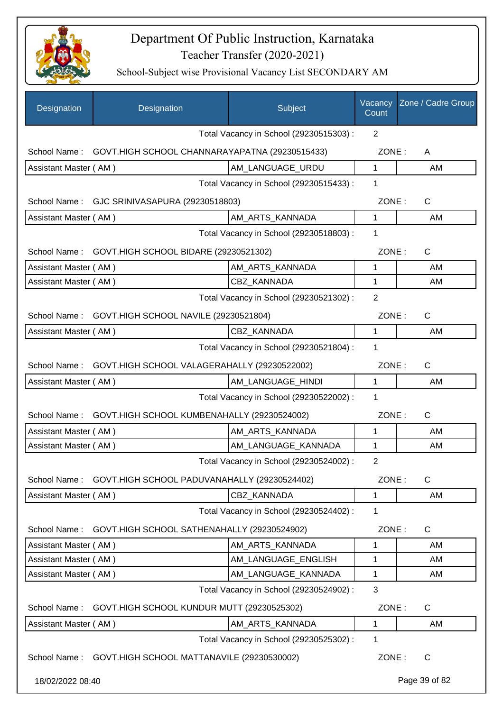

| Designation                                                                           | Designation                                             | Subject                                 | Vacancy<br>Count | Zone / Cadre Group    |
|---------------------------------------------------------------------------------------|---------------------------------------------------------|-----------------------------------------|------------------|-----------------------|
|                                                                                       |                                                         | Total Vacancy in School (29230515303) : | $\overline{2}$   |                       |
| School Name:                                                                          | GOVT.HIGH SCHOOL CHANNARAYAPATNA (29230515433)          |                                         | ZONE:            | A                     |
| Assistant Master (AM)                                                                 |                                                         | AM LANGUAGE URDU                        | $\mathbf{1}$     | AM                    |
|                                                                                       |                                                         | Total Vacancy in School (29230515433) : | 1                |                       |
| School Name:                                                                          | GJC SRINIVASAPURA (29230518803)                         |                                         | ZONE:            | $\mathsf{C}$          |
| Assistant Master (AM)                                                                 |                                                         | AM_ARTS_KANNADA                         | 1                | AM                    |
|                                                                                       |                                                         | Total Vacancy in School (29230518803) : | 1                |                       |
| School Name:                                                                          | GOVT.HIGH SCHOOL BIDARE (29230521302)                   |                                         | ZONE:            | $\mathsf{C}$          |
| Assistant Master (AM)                                                                 |                                                         | AM_ARTS_KANNADA                         | 1                | AM                    |
| Assistant Master (AM)                                                                 |                                                         | CBZ KANNADA                             | 1                | AM                    |
|                                                                                       |                                                         | Total Vacancy in School (29230521302) : | $\overline{2}$   |                       |
| GOVT.HIGH SCHOOL NAVILE (29230521804)<br>School Name:                                 |                                                         |                                         |                  | ZONE:<br>$\mathsf{C}$ |
| Assistant Master (AM)                                                                 |                                                         | CBZ KANNADA                             | 1                | AM                    |
| Total Vacancy in School (29230521804) :<br>1                                          |                                                         |                                         |                  |                       |
| GOVT.HIGH SCHOOL VALAGERAHALLY (29230522002)<br>ZONE:<br>$\mathsf{C}$<br>School Name: |                                                         |                                         |                  |                       |
| Assistant Master (AM)                                                                 |                                                         | AM LANGUAGE HINDI                       | 1                | AM                    |
|                                                                                       |                                                         | Total Vacancy in School (29230522002) : | 1                |                       |
| School Name:                                                                          | GOVT.HIGH SCHOOL KUMBENAHALLY (29230524002)             |                                         | ZONE:            | $\mathsf{C}$          |
| Assistant Master (AM)                                                                 |                                                         | AM_ARTS_KANNADA                         | 1                | AM                    |
| Assistant Master (AM)                                                                 |                                                         | AM LANGUAGE KANNADA                     | 1                | AM                    |
|                                                                                       |                                                         | Total Vacancy in School (29230524002) : | 2                |                       |
| School Name:                                                                          | GOVT.HIGH SCHOOL PADUVANAHALLY (29230524402)            |                                         | ZONE:            | $\mathsf{C}$          |
| Assistant Master (AM)                                                                 |                                                         | CBZ_KANNADA                             | 1                | AM                    |
|                                                                                       |                                                         | Total Vacancy in School (29230524402) : | 1                |                       |
| School Name:                                                                          | GOVT.HIGH SCHOOL SATHENAHALLY (29230524902)             |                                         | ZONE:            | $\mathsf{C}$          |
| Assistant Master (AM)                                                                 |                                                         | AM ARTS KANNADA                         | 1                | AM                    |
| Assistant Master (AM)                                                                 |                                                         | AM LANGUAGE ENGLISH                     | 1                | AM                    |
| Assistant Master (AM)                                                                 |                                                         | AM_LANGUAGE_KANNADA                     | 1                | AM                    |
|                                                                                       |                                                         | Total Vacancy in School (29230524902) : | 3                |                       |
| School Name:                                                                          | GOVT.HIGH SCHOOL KUNDUR MUTT (29230525302)              |                                         | ZONE:            | $\mathsf{C}$          |
| Assistant Master (AM)                                                                 |                                                         | AM_ARTS_KANNADA                         | 1                | AM                    |
|                                                                                       |                                                         | Total Vacancy in School (29230525302) : | 1                |                       |
|                                                                                       | School Name: GOVT.HIGH SCHOOL MATTANAVILE (29230530002) |                                         | ZONE:            | $\mathsf{C}$          |
| 18/02/2022 08:40                                                                      |                                                         |                                         |                  | Page 39 of 82         |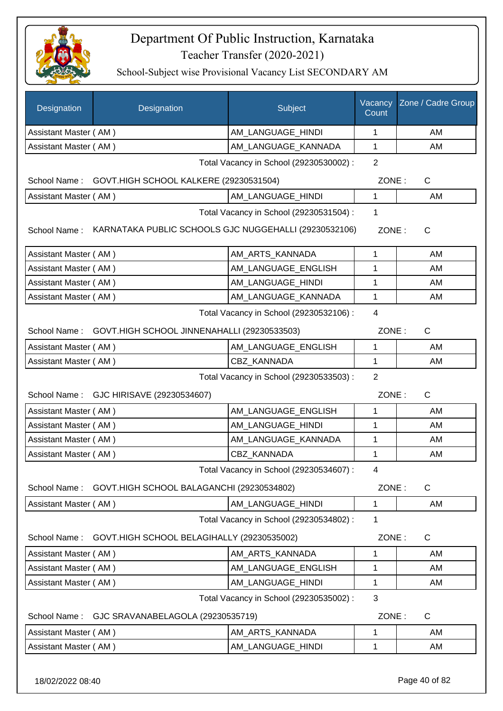

School-Subject wise Provisional Vacancy List SECONDARY AM

| Designation                                                                                                      | Designation                                              | Subject                                 | Vacancy<br>Count | Zone / Cadre Group |  |
|------------------------------------------------------------------------------------------------------------------|----------------------------------------------------------|-----------------------------------------|------------------|--------------------|--|
| Assistant Master (AM)                                                                                            |                                                          | AM_LANGUAGE_HINDI                       | 1                | AM                 |  |
| Assistant Master (AM)                                                                                            |                                                          | AM_LANGUAGE_KANNADA                     | 1                | AM                 |  |
|                                                                                                                  |                                                          | Total Vacancy in School (29230530002) : | $\overline{2}$   |                    |  |
|                                                                                                                  | School Name: GOVT.HIGH SCHOOL KALKERE (29230531504)      |                                         | ZONE:            | $\mathsf{C}$       |  |
| Assistant Master (AM)                                                                                            |                                                          | AM_LANGUAGE_HINDI                       | 1                | AM                 |  |
| Total Vacancy in School (29230531504) :<br>KARNATAKA PUBLIC SCHOOLS GJC NUGGEHALLI (29230532106)<br>School Name: |                                                          |                                         |                  | ZONE:<br>C         |  |
| Assistant Master (AM)                                                                                            |                                                          | AM ARTS KANNADA                         | 1                | AM                 |  |
| Assistant Master (AM)                                                                                            |                                                          | AM LANGUAGE ENGLISH                     | 1                | AM                 |  |
| Assistant Master (AM)                                                                                            |                                                          | AM_LANGUAGE_HINDI                       | 1                | AM                 |  |
| Assistant Master (AM)                                                                                            |                                                          | AM_LANGUAGE_KANNADA                     | 1                | AM                 |  |
|                                                                                                                  | Total Vacancy in School (29230532106) :                  |                                         |                  |                    |  |
|                                                                                                                  | School Name: GOVT.HIGH SCHOOL JINNENAHALLI (29230533503) |                                         | ZONE:            | $\mathsf{C}$       |  |
| Assistant Master (AM)                                                                                            |                                                          | AM_LANGUAGE_ENGLISH                     | 1                | AM                 |  |
| Assistant Master (AM)                                                                                            |                                                          | CBZ_KANNADA                             | $\mathbf{1}$     | AM                 |  |
| Total Vacancy in School (29230533503) :<br>School Name: GJC HIRISAVE (29230534607)                               |                                                          |                                         | 2<br>ZONE:       | $\mathsf{C}$       |  |
| Assistant Master (AM)                                                                                            |                                                          | AM_LANGUAGE_ENGLISH                     | 1                | AM                 |  |
| Assistant Master (AM)                                                                                            |                                                          | AM_LANGUAGE_HINDI                       | 1                | AM                 |  |
| Assistant Master (AM)                                                                                            |                                                          | AM_LANGUAGE_KANNADA                     | 1                | AM                 |  |
| Assistant Master (AM)                                                                                            |                                                          | CBZ KANNADA                             | 1                | AM                 |  |
|                                                                                                                  |                                                          | Total Vacancy in School (29230534607) : | 4                |                    |  |
| School Name:                                                                                                     | GOVT.HIGH SCHOOL BALAGANCHI (29230534802)                |                                         | ZONE:            | $\mathsf{C}$       |  |
| Assistant Master (AM)                                                                                            |                                                          | AM LANGUAGE HINDI                       | 1                | AM                 |  |
|                                                                                                                  |                                                          | Total Vacancy in School (29230534802) : | 1                |                    |  |
| School Name:                                                                                                     | GOVT.HIGH SCHOOL BELAGIHALLY (29230535002)               |                                         | ZONE:            | C                  |  |
| Assistant Master (AM)                                                                                            |                                                          | AM_ARTS_KANNADA                         | 1                | AM                 |  |
| Assistant Master (AM)                                                                                            |                                                          | AM LANGUAGE ENGLISH                     | 1                | AM                 |  |
| Assistant Master (AM)                                                                                            |                                                          | AM_LANGUAGE_HINDI                       | 1                | AM                 |  |
| Total Vacancy in School (29230535002) :                                                                          |                                                          |                                         |                  |                    |  |
| School Name:                                                                                                     | GJC SRAVANABELAGOLA (29230535719)                        |                                         | ZONE:            | $\mathsf C$        |  |
| Assistant Master (AM)                                                                                            |                                                          | AM_ARTS_KANNADA                         | 1                | AM                 |  |
| Assistant Master (AM)                                                                                            |                                                          | AM_LANGUAGE_HINDI                       | 1                | AM                 |  |
|                                                                                                                  |                                                          |                                         |                  |                    |  |

18/02/2022 08:40 Page 40 of 82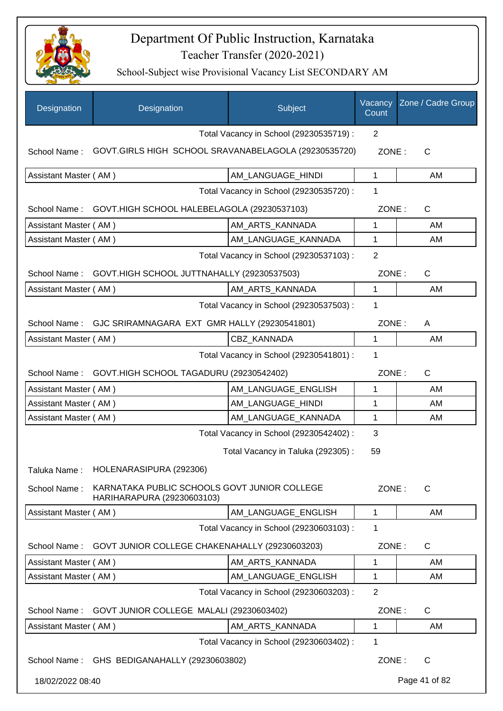

| Designation           | Designation                                                                | Subject                                 | Vacancy<br>Count | Zone / Cadre Group |
|-----------------------|----------------------------------------------------------------------------|-----------------------------------------|------------------|--------------------|
|                       |                                                                            | Total Vacancy in School (29230535719) : | 2                |                    |
| School Name:          | GOVT.GIRLS HIGH SCHOOL SRAVANABELAGOLA (29230535720)                       |                                         | ZONE:            | C                  |
| Assistant Master (AM) |                                                                            | AM_LANGUAGE_HINDI                       | 1                | AM                 |
|                       |                                                                            | Total Vacancy in School (29230535720) : | 1                |                    |
| School Name:          | GOVT.HIGH SCHOOL HALEBELAGOLA (29230537103)                                |                                         | ZONE:            | C                  |
| Assistant Master (AM) |                                                                            | AM_ARTS_KANNADA                         | 1                | AM                 |
| Assistant Master (AM) |                                                                            | AM_LANGUAGE_KANNADA                     | 1                | AM                 |
|                       |                                                                            | Total Vacancy in School (29230537103) : | $\overline{2}$   |                    |
|                       | School Name: GOVT.HIGH SCHOOL JUTTNAHALLY (29230537503)                    |                                         | ZONE:            | $\mathsf{C}$       |
| Assistant Master (AM) |                                                                            | AM_ARTS_KANNADA                         | $\mathbf{1}$     | AM                 |
|                       |                                                                            | Total Vacancy in School (29230537503) : | 1                |                    |
|                       | School Name: GJC SRIRAMNAGARA EXT GMR HALLY (29230541801)                  |                                         | ZONE:            | Α                  |
| Assistant Master (AM) |                                                                            | <b>CBZ KANNADA</b>                      | $\mathbf{1}$     | AM                 |
|                       |                                                                            | Total Vacancy in School (29230541801) : | 1                |                    |
| School Name:          | GOVT.HIGH SCHOOL TAGADURU (29230542402)                                    |                                         | ZONE:            | C                  |
| Assistant Master (AM) |                                                                            | AM_LANGUAGE_ENGLISH                     | 1                | AM                 |
| Assistant Master (AM) |                                                                            | AM_LANGUAGE_HINDI                       | 1                | AM                 |
| Assistant Master (AM) |                                                                            | AM_LANGUAGE_KANNADA                     | 1                | AM                 |
|                       |                                                                            | Total Vacancy in School (29230542402) : | 3                |                    |
|                       |                                                                            | Total Vacancy in Taluka (292305):       | 59               |                    |
| Taluka Name:          | HOLENARASIPURA (292306)                                                    |                                         |                  |                    |
| School Name:          | KARNATAKA PUBLIC SCHOOLS GOVT JUNIOR COLLEGE<br>HARIHARAPURA (29230603103) |                                         | ZONE:            | $\mathsf{C}$       |
| Assistant Master (AM) |                                                                            | AM LANGUAGE ENGLISH                     | $\mathbf{1}$     | AM                 |
|                       |                                                                            | Total Vacancy in School (29230603103) : | 1                |                    |
| School Name:          | GOVT JUNIOR COLLEGE CHAKENAHALLY (29230603203)                             |                                         | ZONE:            | C                  |
| Assistant Master (AM) |                                                                            | AM_ARTS_KANNADA                         | 1                | AM                 |
| Assistant Master (AM) |                                                                            | AM_LANGUAGE_ENGLISH                     | 1                | AM                 |
|                       |                                                                            | Total Vacancy in School (29230603203) : | $\overline{2}$   |                    |
| School Name:          | GOVT JUNIOR COLLEGE MALALI (29230603402)                                   |                                         | ZONE:            | $\mathsf C$        |
| Assistant Master (AM) |                                                                            | AM_ARTS_KANNADA                         | 1                | AM                 |
|                       |                                                                            | Total Vacancy in School (29230603402) : | 1                |                    |
| School Name:          | GHS BEDIGANAHALLY (29230603802)                                            |                                         | ZONE:            | C                  |
| 18/02/2022 08:40      |                                                                            |                                         |                  | Page 41 of 82      |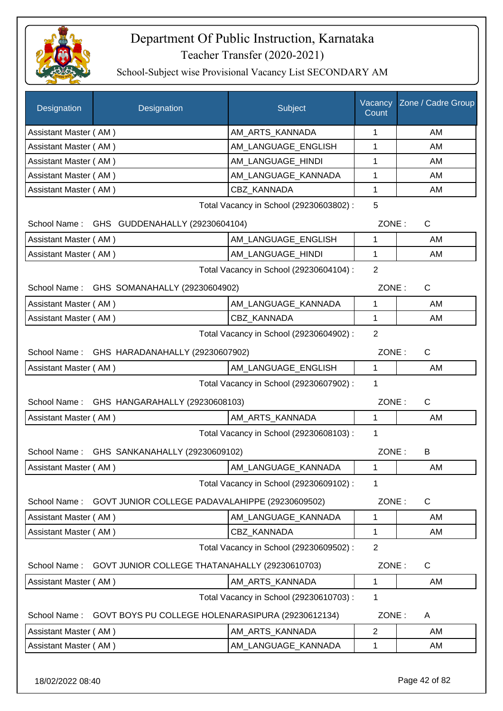

School-Subject wise Provisional Vacancy List SECONDARY AM

| Designation                                                    | Designation                                       | Subject                                 | Vacancy<br>Count | Zone / Cadre Group |
|----------------------------------------------------------------|---------------------------------------------------|-----------------------------------------|------------------|--------------------|
| Assistant Master (AM)                                          |                                                   | AM_ARTS_KANNADA                         | 1                | AM                 |
| Assistant Master (AM)                                          |                                                   | AM_LANGUAGE_ENGLISH                     | 1                | AM                 |
| Assistant Master (AM)                                          |                                                   | AM LANGUAGE_HINDI                       | 1                | AM                 |
| Assistant Master (AM)                                          |                                                   | AM_LANGUAGE_KANNADA                     | 1                | AM                 |
| Assistant Master (AM)                                          |                                                   | CBZ KANNADA                             | 1                | AM                 |
|                                                                |                                                   | Total Vacancy in School (29230603802) : | 5                |                    |
| School Name: GHS GUDDENAHALLY (29230604104)                    |                                                   |                                         | ZONE:            | C                  |
| Assistant Master (AM)                                          |                                                   | AM_LANGUAGE_ENGLISH                     | 1                | AM                 |
| Assistant Master (AM)                                          |                                                   | AM_LANGUAGE_HINDI                       | 1                | AM                 |
|                                                                |                                                   | Total Vacancy in School (29230604104) : | $\overline{2}$   |                    |
|                                                                | School Name: GHS SOMANAHALLY (29230604902)        |                                         | ZONE:            | $\mathsf{C}$       |
| Assistant Master (AM)                                          |                                                   | AM LANGUAGE KANNADA                     | 1                | AM                 |
| Assistant Master (AM)                                          |                                                   | CBZ KANNADA                             | $\mathbf{1}$     | AM                 |
|                                                                |                                                   | Total Vacancy in School (29230604902) : | $\overline{2}$   |                    |
| School Name: GHS HARADANAHALLY (29230607902)                   |                                                   |                                         | ZONE:            | C                  |
| Assistant Master (AM)                                          |                                                   | AM_LANGUAGE_ENGLISH                     | $\mathbf{1}$     | AM                 |
|                                                                |                                                   | Total Vacancy in School (29230607902) : | 1                |                    |
|                                                                | School Name: GHS HANGARAHALLY (29230608103)       |                                         | ZONE:            | $\mathsf C$        |
| Assistant Master (AM)                                          |                                                   | AM_ARTS_KANNADA                         | 1                | AM                 |
|                                                                |                                                   | Total Vacancy in School (29230608103) : | 1                |                    |
|                                                                | School Name: GHS SANKANAHALLY (29230609102)       |                                         | ZONE:            | B                  |
| Assistant Master (AM)                                          |                                                   | AM_LANGUAGE_KANNADA                     | 1                | AM                 |
|                                                                |                                                   | Total Vacancy in School (29230609102) : | 1                |                    |
| School Name:                                                   | GOVT JUNIOR COLLEGE PADAVALAHIPPE (29230609502)   |                                         | ZONE:            | C                  |
| Assistant Master (AM)                                          |                                                   | AM_LANGUAGE_KANNADA                     | 1                | AM                 |
| Assistant Master (AM)                                          |                                                   | CBZ_KANNADA                             | 1                | AM                 |
|                                                                |                                                   | Total Vacancy in School (29230609502) : | $\overline{2}$   |                    |
| GOVT JUNIOR COLLEGE THATANAHALLY (29230610703)<br>School Name: |                                                   |                                         | ZONE:            | C                  |
| Assistant Master (AM)                                          |                                                   | AM_ARTS_KANNADA                         | 1                | AM                 |
| Total Vacancy in School (29230610703) :                        |                                                   |                                         | 1                |                    |
| School Name:                                                   | GOVT BOYS PU COLLEGE HOLENARASIPURA (29230612134) |                                         | ZONE:            | A                  |
| Assistant Master (AM)                                          |                                                   | AM ARTS_KANNADA                         | $\overline{2}$   | AM                 |
| Assistant Master (AM)                                          |                                                   | AM_LANGUAGE_KANNADA                     | 1                | AM                 |
|                                                                |                                                   |                                         |                  |                    |

18/02/2022 08:40 Page 42 of 82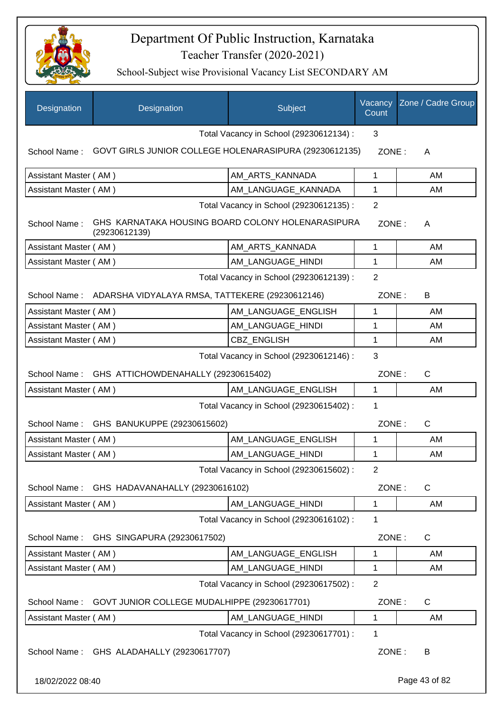

| Designation                                  | Designation                                                        | Subject                                 | Vacancy<br>Count | Zone / Cadre Group |
|----------------------------------------------|--------------------------------------------------------------------|-----------------------------------------|------------------|--------------------|
|                                              |                                                                    | Total Vacancy in School (29230612134) : | 3                |                    |
| School Name:                                 | GOVT GIRLS JUNIOR COLLEGE HOLENARASIPURA (29230612135)             |                                         | ZONE:            | A                  |
| Assistant Master (AM)                        |                                                                    | AM_ARTS_KANNADA                         | $\mathbf 1$      | AM                 |
| Assistant Master (AM)                        |                                                                    | AM LANGUAGE KANNADA                     | 1                | AM                 |
|                                              |                                                                    | Total Vacancy in School (29230612135) : | $\overline{2}$   |                    |
| School Name:                                 | GHS KARNATAKA HOUSING BOARD COLONY HOLENARASIPURA<br>(29230612139) |                                         | ZONE:            | A                  |
| Assistant Master (AM)                        |                                                                    | AM_ARTS_KANNADA                         | $\mathbf 1$      | AM                 |
| Assistant Master (AM)                        |                                                                    | AM_LANGUAGE_HINDI                       | 1                | AM                 |
|                                              |                                                                    | Total Vacancy in School (29230612139) : | $\overline{2}$   |                    |
|                                              | School Name: ADARSHA VIDYALAYA RMSA, TATTEKERE (29230612146)       |                                         | ZONE:            | B                  |
| Assistant Master (AM)                        |                                                                    | AM LANGUAGE ENGLISH                     | 1                | AM                 |
| Assistant Master (AM)                        |                                                                    | AM LANGUAGE HINDI                       | 1                | AM                 |
| Assistant Master (AM)                        |                                                                    | <b>CBZ ENGLISH</b>                      | 1                | AM                 |
| 3<br>Total Vacancy in School (29230612146) : |                                                                    |                                         |                  |                    |
|                                              | School Name: GHS ATTICHOWDENAHALLY (29230615402)                   |                                         | ZONE:            | $\mathsf{C}$       |
| Assistant Master (AM)                        |                                                                    | AM_LANGUAGE_ENGLISH                     | $\mathbf 1$      | AM                 |
|                                              |                                                                    | Total Vacancy in School (29230615402) : | 1                |                    |
| School Name:                                 | GHS BANUKUPPE (29230615602)                                        |                                         | ZONE:            | $\mathsf{C}$       |
| Assistant Master (AM)                        |                                                                    | AM LANGUAGE ENGLISH                     | 1                | AM                 |
| Assistant Master (AM)                        |                                                                    | AM_LANGUAGE_HINDI                       | 1                | <b>AM</b>          |
|                                              |                                                                    | Total Vacancy in School (29230615602) : | 2                |                    |
| School Name:                                 | GHS HADAVANAHALLY (29230616102)                                    |                                         | ZONE:            | $\mathsf{C}$       |
| Assistant Master (AM)                        |                                                                    | AM_LANGUAGE_HINDI                       | 1                | AM                 |
|                                              |                                                                    | Total Vacancy in School (29230616102) : | 1                |                    |
| School Name:                                 | GHS SINGAPURA (29230617502)                                        |                                         | ZONE:            | $\mathsf{C}$       |
| Assistant Master (AM)                        |                                                                    | AM_LANGUAGE_ENGLISH                     | 1                | AM                 |
| Assistant Master (AM)                        |                                                                    | AM_LANGUAGE_HINDI                       | 1                | AM                 |
|                                              |                                                                    | Total Vacancy in School (29230617502) : | 2                |                    |
| School Name:                                 | GOVT JUNIOR COLLEGE MUDALHIPPE (29230617701)                       |                                         | ZONE:            | C                  |
| Assistant Master (AM)                        |                                                                    | AM_LANGUAGE_HINDI                       | 1                | AM                 |
|                                              |                                                                    | Total Vacancy in School (29230617701) : | 1                |                    |
| School Name:                                 | GHS ALADAHALLY (29230617707)                                       |                                         | ZONE:            | B                  |
| 18/02/2022 08:40                             |                                                                    |                                         |                  | Page 43 of 82      |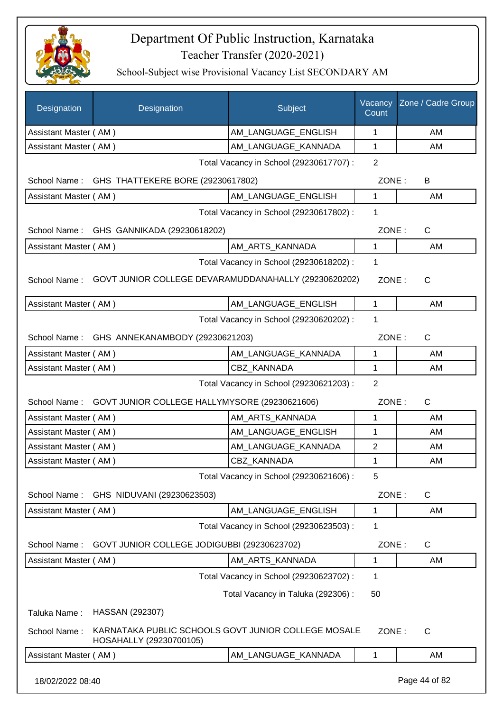

| <b>Designation</b>    | Designation                                                                    | Subject                                 | Vacancy<br>Count | Zone / Cadre Group |  |
|-----------------------|--------------------------------------------------------------------------------|-----------------------------------------|------------------|--------------------|--|
| Assistant Master (AM) |                                                                                | AM LANGUAGE ENGLISH                     | 1                | AM                 |  |
| Assistant Master (AM) |                                                                                | AM_LANGUAGE_KANNADA                     | 1                | AM                 |  |
|                       |                                                                                | Total Vacancy in School (29230617707) : | $\overline{2}$   |                    |  |
|                       | School Name: GHS THATTEKERE BORE (29230617802)                                 |                                         | ZONE:            | B                  |  |
| Assistant Master (AM) |                                                                                | AM_LANGUAGE_ENGLISH                     | 1                | AM                 |  |
|                       |                                                                                | Total Vacancy in School (29230617802) : | 1                |                    |  |
|                       | School Name: GHS GANNIKADA (29230618202)                                       |                                         | ZONE:            | $\mathsf{C}$       |  |
| Assistant Master (AM) |                                                                                | AM_ARTS_KANNADA                         | $\mathbf{1}$     | AM                 |  |
|                       |                                                                                | Total Vacancy in School (29230618202) : | 1                |                    |  |
| School Name:          | GOVT JUNIOR COLLEGE DEVARAMUDDANAHALLY (29230620202)                           |                                         | ZONE:            | $\mathsf{C}$       |  |
| Assistant Master (AM) |                                                                                | AM_LANGUAGE_ENGLISH                     | 1                | AM                 |  |
|                       |                                                                                | Total Vacancy in School (29230620202) : | 1                |                    |  |
|                       | School Name: GHS ANNEKANAMBODY (29230621203)                                   |                                         | ZONE:            | $\mathsf{C}$       |  |
| Assistant Master (AM) |                                                                                | AM LANGUAGE_KANNADA                     | 1                | AM                 |  |
| Assistant Master (AM) |                                                                                | <b>CBZ KANNADA</b>                      | $\mathbf{1}$     | AM                 |  |
|                       | $\overline{2}$<br>Total Vacancy in School (29230621203) :                      |                                         |                  |                    |  |
|                       | School Name: GOVT JUNIOR COLLEGE HALLYMYSORE (29230621606)                     |                                         | ZONE:            | $\mathsf{C}$       |  |
| Assistant Master (AM) |                                                                                | AM_ARTS_KANNADA                         | 1                | AM                 |  |
| Assistant Master (AM) |                                                                                | AM_LANGUAGE_ENGLISH                     | 1                | AM                 |  |
| Assistant Master (AM) |                                                                                | AM_LANGUAGE_KANNADA                     | $\overline{2}$   | AM                 |  |
| Assistant Master (AM) |                                                                                | <b>CBZ KANNADA</b>                      | 1                | AM                 |  |
|                       |                                                                                | Total Vacancy in School (29230621606) : | 5                |                    |  |
| School Name:          | GHS NIDUVANI (29230623503)                                                     |                                         | ZONE:            | $\mathsf{C}$       |  |
| Assistant Master (AM) |                                                                                | AM LANGUAGE ENGLISH                     | 1                | AM                 |  |
|                       |                                                                                | Total Vacancy in School (29230623503) : | 1                |                    |  |
| School Name:          | GOVT JUNIOR COLLEGE JODIGUBBI (29230623702)                                    |                                         | ZONE:            | C                  |  |
| Assistant Master (AM) |                                                                                | AM ARTS KANNADA                         | 1                | AM                 |  |
|                       |                                                                                | Total Vacancy in School (29230623702) : | 1                |                    |  |
|                       |                                                                                | Total Vacancy in Taluka (292306):       | 50               |                    |  |
| Taluka Name:          | HASSAN (292307)                                                                |                                         |                  |                    |  |
| School Name:          | KARNATAKA PUBLIC SCHOOLS GOVT JUNIOR COLLEGE MOSALE<br>HOSAHALLY (29230700105) |                                         | ZONE:            | $\mathsf{C}$       |  |
| Assistant Master (AM) |                                                                                | AM_LANGUAGE_KANNADA                     | 1                | AM                 |  |
| 18/02/2022 08:40      |                                                                                |                                         |                  | Page 44 of 82      |  |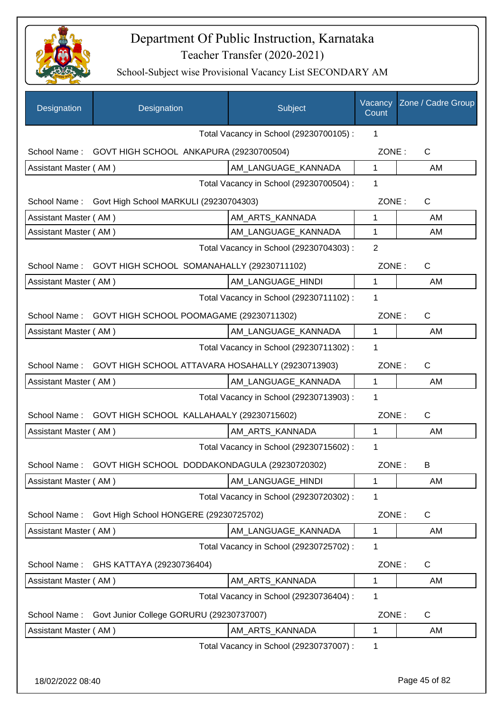

| Designation           | Designation                                                | Subject                                 | Vacancy<br>Count | Zone / Cadre Group |
|-----------------------|------------------------------------------------------------|-----------------------------------------|------------------|--------------------|
|                       |                                                            | Total Vacancy in School (29230700105) : | 1                |                    |
| School Name:          | GOVT HIGH SCHOOL ANKAPURA (29230700504)                    |                                         | ZONE:            | C                  |
| Assistant Master (AM) |                                                            | AM_LANGUAGE_KANNADA                     | 1                | AM                 |
|                       |                                                            | Total Vacancy in School (29230700504) : | 1                |                    |
| School Name:          | Govt High School MARKULI (29230704303)                     |                                         | ZONE:            | $\mathsf{C}$       |
| Assistant Master (AM) |                                                            | AM_ARTS_KANNADA                         | 1                | AM                 |
| Assistant Master (AM) |                                                            | AM_LANGUAGE_KANNADA                     | $\mathbf{1}$     | AM                 |
|                       |                                                            | Total Vacancy in School (29230704303) : | $\overline{2}$   |                    |
| School Name:          | GOVT HIGH SCHOOL SOMANAHALLY (29230711102)                 |                                         | ZONE:            | C                  |
| Assistant Master (AM) |                                                            | AM LANGUAGE HINDI                       | 1                | AM                 |
|                       |                                                            | Total Vacancy in School (29230711102) : | $\mathbf 1$      |                    |
| School Name:          | GOVT HIGH SCHOOL POOMAGAME (29230711302)                   |                                         | ZONE:            | $\mathsf{C}$       |
| Assistant Master (AM) |                                                            | AM LANGUAGE_KANNADA                     | 1                | AM                 |
|                       |                                                            | Total Vacancy in School (29230711302) : | 1                |                    |
| School Name:          | GOVT HIGH SCHOOL ATTAVARA HOSAHALLY (29230713903)          |                                         | ZONE:            | $\mathsf{C}$       |
| Assistant Master (AM) |                                                            | AM_LANGUAGE_KANNADA                     | $\mathbf{1}$     | AM                 |
|                       |                                                            | Total Vacancy in School (29230713903) : | $\mathbf 1$      |                    |
| School Name:          | GOVT HIGH SCHOOL KALLAHAALY (29230715602)                  |                                         | ZONE:            | $\mathsf{C}$       |
| Assistant Master (AM) |                                                            | AM_ARTS_KANNADA                         | $\mathbf{1}$     | AM                 |
|                       |                                                            | Total Vacancy in School (29230715602) : | 1                |                    |
|                       | School Name: GOVT HIGH SCHOOL DODDAKONDAGULA (29230720302) |                                         | ZONE:            | B                  |
| Assistant Master (AM) |                                                            | AM_LANGUAGE_HINDI                       | 1                | AM                 |
|                       |                                                            | Total Vacancy in School (29230720302) : | 1                |                    |
| School Name:          | Govt High School HONGERE (29230725702)                     |                                         | ZONE:            | $\mathsf{C}$       |
| Assistant Master (AM) |                                                            | AM_LANGUAGE_KANNADA                     | $\mathbf{1}$     | AM                 |
|                       |                                                            | Total Vacancy in School (29230725702) : | $\mathbf 1$      |                    |
| School Name:          | GHS KATTAYA (29230736404)                                  |                                         | ZONE:            | C                  |
| Assistant Master (AM) |                                                            | AM_ARTS_KANNADA                         | 1                | AM                 |
|                       |                                                            | Total Vacancy in School (29230736404) : | $\mathbf 1$      |                    |
| School Name:          | Govt Junior College GORURU (29230737007)                   |                                         | ZONE:            | C                  |
| Assistant Master (AM) |                                                            | AM_ARTS_KANNADA                         | 1                | AM                 |
|                       |                                                            | Total Vacancy in School (29230737007) : | $\mathbf 1$      |                    |
|                       |                                                            |                                         |                  |                    |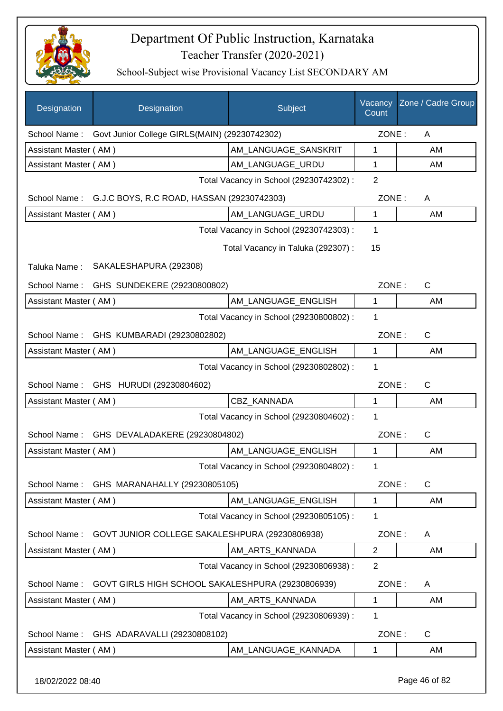

| Designation           | Designation                                       | Subject                                 | Vacancy<br>Count | Zone / Cadre Group |
|-----------------------|---------------------------------------------------|-----------------------------------------|------------------|--------------------|
| School Name:          | Govt Junior College GIRLS(MAIN) (29230742302)     |                                         | ZONE:            | A                  |
| Assistant Master (AM) |                                                   | AM_LANGUAGE_SANSKRIT                    | 1                | AM                 |
| Assistant Master (AM) |                                                   | AM_LANGUAGE_URDU                        | $\mathbf{1}$     | AM                 |
|                       |                                                   | Total Vacancy in School (29230742302) : | $\overline{2}$   |                    |
| School Name:          | G.J.C BOYS, R.C ROAD, HASSAN (29230742303)        |                                         | ZONE:            | A                  |
| Assistant Master (AM) |                                                   | AM_LANGUAGE_URDU                        | $\mathbf{1}$     | AM                 |
|                       |                                                   | Total Vacancy in School (29230742303) : | $\mathbf 1$      |                    |
|                       |                                                   | Total Vacancy in Taluka (292307) :      | 15               |                    |
| Taluka Name:          | SAKALESHAPURA (292308)                            |                                         |                  |                    |
| School Name:          | GHS SUNDEKERE (29230800802)                       |                                         | ZONE:            | $\mathsf{C}$       |
| Assistant Master (AM) |                                                   | AM_LANGUAGE_ENGLISH                     | $\mathbf{1}$     | AM                 |
|                       |                                                   | Total Vacancy in School (29230800802) : | 1                |                    |
| School Name:          | GHS KUMBARADI (29230802802)                       |                                         | ZONE:            | $\mathsf{C}$       |
| Assistant Master (AM) |                                                   | AM_LANGUAGE_ENGLISH                     | $\mathbf{1}$     | AM                 |
|                       |                                                   | Total Vacancy in School (29230802802) : | 1                |                    |
|                       | School Name: GHS HURUDI (29230804602)             |                                         | ZONE:            | $\mathsf{C}$       |
| Assistant Master (AM) |                                                   | CBZ_KANNADA                             | 1                | AM                 |
|                       |                                                   | Total Vacancy in School (29230804602) : | 1                |                    |
| School Name:          | GHS DEVALADAKERE (29230804802)                    |                                         | ZONE:            | $\mathsf{C}$       |
| Assistant Master (AM) |                                                   | AM_LANGUAGE_ENGLISH                     | $\mathbf{1}$     | AM                 |
|                       |                                                   | Total Vacancy in School (29230804802) : | 1                |                    |
| School Name:          | GHS MARANAHALLY (29230805105)                     |                                         | ZONE:            | C                  |
| Assistant Master (AM) |                                                   | AM LANGUAGE ENGLISH                     | 1                | AM                 |
|                       |                                                   | Total Vacancy in School (29230805105) : | 1                |                    |
| School Name:          | GOVT JUNIOR COLLEGE SAKALESHPURA (29230806938)    |                                         | ZONE:            | A                  |
| Assistant Master (AM) |                                                   | AM ARTS KANNADA                         | $\overline{2}$   | AM                 |
|                       |                                                   | Total Vacancy in School (29230806938) : | $\overline{2}$   |                    |
| School Name:          | GOVT GIRLS HIGH SCHOOL SAKALESHPURA (29230806939) |                                         | ZONE:            | A                  |
| Assistant Master (AM) |                                                   | AM_ARTS_KANNADA                         | 1                | AM                 |
|                       |                                                   | Total Vacancy in School (29230806939) : | 1                |                    |
| School Name:          | GHS ADARAVALLI (29230808102)                      |                                         | ZONE:            | C                  |
| Assistant Master (AM) |                                                   | AM_LANGUAGE_KANNADA                     | 1                | AM                 |
| 18/02/2022 08:40      |                                                   |                                         |                  | Page 46 of 82      |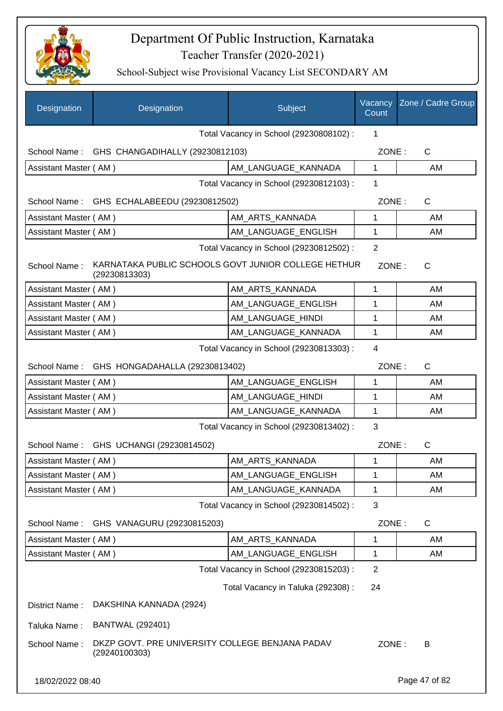

| Designation                                               | Designation                                                          | Subject                                 | Vacancy<br>Count | Zone / Cadre Group |  |
|-----------------------------------------------------------|----------------------------------------------------------------------|-----------------------------------------|------------------|--------------------|--|
|                                                           |                                                                      | Total Vacancy in School (29230808102) : | 1                |                    |  |
|                                                           | School Name: GHS CHANGADIHALLY (29230812103)                         |                                         | ZONE:            | C                  |  |
| Assistant Master (AM)                                     |                                                                      | AM_LANGUAGE_KANNADA                     | 1                | AM                 |  |
|                                                           |                                                                      | Total Vacancy in School (29230812103) : | 1                |                    |  |
|                                                           | School Name: GHS ECHALABEEDU (29230812502)                           |                                         | ZONE:            | C                  |  |
| Assistant Master (AM)                                     |                                                                      | AM_ARTS_KANNADA                         | 1                | AM                 |  |
| Assistant Master (AM)                                     |                                                                      | AM_LANGUAGE_ENGLISH                     | 1                | AM                 |  |
|                                                           |                                                                      | Total Vacancy in School (29230812502) : | $\overline{2}$   |                    |  |
| School Name:                                              | KARNATAKA PUBLIC SCHOOLS GOVT JUNIOR COLLEGE HETHUR<br>(29230813303) |                                         | ZONE:            | $\mathsf{C}$       |  |
| Assistant Master (AM)                                     |                                                                      | AM_ARTS_KANNADA                         | $\mathbf{1}$     | AM                 |  |
| Assistant Master (AM)                                     |                                                                      | AM_LANGUAGE_ENGLISH                     | 1                | AM                 |  |
| Assistant Master (AM)                                     |                                                                      | AM_LANGUAGE_HINDI                       | 1                | AM                 |  |
| Assistant Master (AM)                                     |                                                                      | AM_LANGUAGE_KANNADA                     | 1                | AM                 |  |
| $\overline{4}$<br>Total Vacancy in School (29230813303) : |                                                                      |                                         |                  |                    |  |
|                                                           | School Name: GHS HONGADAHALLA (29230813402)                          |                                         | ZONE:            | $\mathsf{C}$       |  |
| Assistant Master (AM)                                     |                                                                      | AM LANGUAGE ENGLISH                     | 1                | AM                 |  |
| Assistant Master (AM)                                     |                                                                      | AM_LANGUAGE_HINDI                       | 1                | AM                 |  |
| Assistant Master (AM)                                     |                                                                      | AM_LANGUAGE_KANNADA                     | 1                | AM                 |  |
|                                                           |                                                                      | Total Vacancy in School (29230813402) : | 3                |                    |  |
|                                                           | School Name: GHS UCHANGI (29230814502)                               |                                         | ZONE:            | C                  |  |
| Assistant Master (AM)                                     |                                                                      | AM_ARTS_KANNADA                         | 1                | AM                 |  |
| Assistant Master (AM)                                     |                                                                      | AM_LANGUAGE_ENGLISH                     | 1                | AM                 |  |
| Assistant Master (AM)                                     |                                                                      | AM_LANGUAGE_KANNADA                     | 1                | AM                 |  |
|                                                           |                                                                      | Total Vacancy in School (29230814502) : | 3                |                    |  |
| School Name:                                              | GHS VANAGURU (29230815203)                                           |                                         | ZONE:            | $\mathsf{C}$       |  |
| Assistant Master (AM)                                     |                                                                      | AM_ARTS_KANNADA                         | 1                | AM                 |  |
| Assistant Master (AM)                                     |                                                                      | AM LANGUAGE ENGLISH                     | 1                | AM                 |  |
|                                                           |                                                                      | Total Vacancy in School (29230815203) : | $\overline{2}$   |                    |  |
|                                                           |                                                                      | Total Vacancy in Taluka (292308) :      | 24               |                    |  |
| District Name:                                            | DAKSHINA KANNADA (2924)                                              |                                         |                  |                    |  |
| Taluka Name:                                              | <b>BANTWAL (292401)</b>                                              |                                         |                  |                    |  |
| School Name:                                              | DKZP GOVT. PRE UNIVERSITY COLLEGE BENJANA PADAV<br>(29240100303)     |                                         | ZONE:            | B                  |  |
| 18/02/2022 08:40                                          |                                                                      |                                         |                  | Page 47 of 82      |  |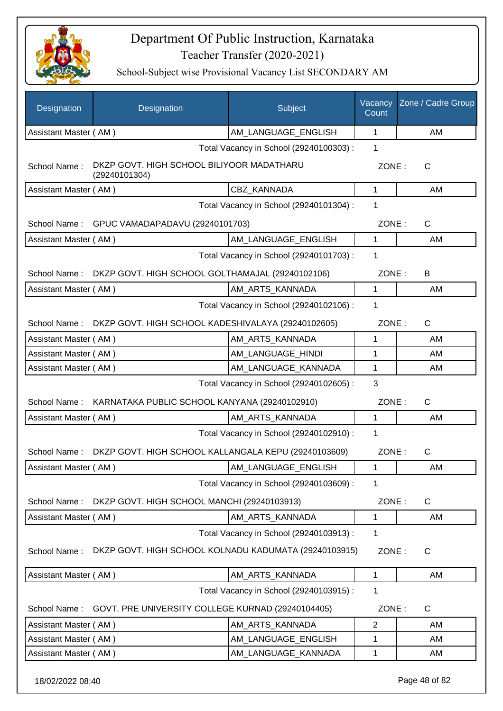

School-Subject wise Provisional Vacancy List SECONDARY AM

| AM_LANGUAGE_ENGLISH<br>$\mathbf 1$<br>AM<br>Assistant Master (AM)<br>Total Vacancy in School (29240100303) :<br>1<br>DKZP GOVT. HIGH SCHOOL BILIYOOR MADATHARU<br>School Name:<br>ZONE:<br>$\mathsf{C}$<br>(29240101304)<br>CBZ KANNADA<br>$\mathbf{1}$<br>Assistant Master (AM)<br>AM<br>Total Vacancy in School (29240101304) :<br>1<br>GPUC VAMADAPADAVU (29240101703)<br>ZONE:<br>C<br>School Name:<br>AM_LANGUAGE_ENGLISH<br>Assistant Master (AM)<br>$\mathbf 1$<br>AM<br>Total Vacancy in School (29240101703) :<br>1<br>DKZP GOVT. HIGH SCHOOL GOLTHAMAJAL (29240102106)<br>ZONE:<br>School Name:<br>B<br>AM ARTS KANNADA<br>Assistant Master (AM)<br>1<br>AM<br>Total Vacancy in School (29240102106) :<br>1<br>School Name:<br>DKZP GOVT. HIGH SCHOOL KADESHIVALAYA (29240102605)<br>ZONE:<br>C<br>Assistant Master (AM)<br>AM_ARTS_KANNADA<br>1<br>AM<br>Assistant Master (AM)<br>AM_LANGUAGE_HINDI<br>1<br>AM<br>AM_LANGUAGE_KANNADA<br>1<br>Assistant Master (AM)<br>AM<br>Total Vacancy in School (29240102605) :<br>3<br>KARNATAKA PUBLIC SCHOOL KANYANA (29240102910)<br>ZONE:<br>C<br>School Name:<br>AM_ARTS_KANNADA<br>Assistant Master (AM)<br>1<br>AM<br>Total Vacancy in School (29240102910) :<br>1<br>DKZP GOVT. HIGH SCHOOL KALLANGALA KEPU (29240103609)<br>ZONE:<br>$\mathsf{C}$<br>School Name:<br>Assistant Master (AM)<br>AM_LANGUAGE_ENGLISH<br>$\mathbf{1}$<br>AM<br>Total Vacancy in School (29240103609) :<br>1<br>ZONE:<br>School Name:<br>DKZP GOVT. HIGH SCHOOL MANCHI (29240103913)<br>C<br>AM_ARTS_KANNADA<br>Assistant Master (AM)<br>AM<br>1<br>Total Vacancy in School (29240103913) :<br>1<br>DKZP GOVT. HIGH SCHOOL KOLNADU KADUMATA (29240103915)<br>School Name:<br>ZONE:<br>C<br>Assistant Master (AM)<br>AM_ARTS_KANNADA<br>1<br>AM<br>Total Vacancy in School (29240103915) :<br>1<br>GOVT. PRE UNIVERSITY COLLEGE KURNAD (29240104405)<br>ZONE:<br>C<br>School Name:<br>AM_ARTS_KANNADA<br>2<br>Assistant Master (AM)<br>AM<br>AM_LANGUAGE_ENGLISH<br>AM<br>Assistant Master (AM)<br>1<br>Assistant Master (AM)<br>AM_LANGUAGE_KANNADA<br>AM<br>1 | <b>Designation</b> | Designation | Subject | Vacancy<br>Count | Zone / Cadre Group |
|-----------------------------------------------------------------------------------------------------------------------------------------------------------------------------------------------------------------------------------------------------------------------------------------------------------------------------------------------------------------------------------------------------------------------------------------------------------------------------------------------------------------------------------------------------------------------------------------------------------------------------------------------------------------------------------------------------------------------------------------------------------------------------------------------------------------------------------------------------------------------------------------------------------------------------------------------------------------------------------------------------------------------------------------------------------------------------------------------------------------------------------------------------------------------------------------------------------------------------------------------------------------------------------------------------------------------------------------------------------------------------------------------------------------------------------------------------------------------------------------------------------------------------------------------------------------------------------------------------------------------------------------------------------------------------------------------------------------------------------------------------------------------------------------------------------------------------------------------------------------------------------------------------------------------------------------------------------------------------------------------------------------------------------------------------------------------------------------------------|--------------------|-------------|---------|------------------|--------------------|
|                                                                                                                                                                                                                                                                                                                                                                                                                                                                                                                                                                                                                                                                                                                                                                                                                                                                                                                                                                                                                                                                                                                                                                                                                                                                                                                                                                                                                                                                                                                                                                                                                                                                                                                                                                                                                                                                                                                                                                                                                                                                                                     |                    |             |         |                  |                    |
|                                                                                                                                                                                                                                                                                                                                                                                                                                                                                                                                                                                                                                                                                                                                                                                                                                                                                                                                                                                                                                                                                                                                                                                                                                                                                                                                                                                                                                                                                                                                                                                                                                                                                                                                                                                                                                                                                                                                                                                                                                                                                                     |                    |             |         |                  |                    |
|                                                                                                                                                                                                                                                                                                                                                                                                                                                                                                                                                                                                                                                                                                                                                                                                                                                                                                                                                                                                                                                                                                                                                                                                                                                                                                                                                                                                                                                                                                                                                                                                                                                                                                                                                                                                                                                                                                                                                                                                                                                                                                     |                    |             |         |                  |                    |
|                                                                                                                                                                                                                                                                                                                                                                                                                                                                                                                                                                                                                                                                                                                                                                                                                                                                                                                                                                                                                                                                                                                                                                                                                                                                                                                                                                                                                                                                                                                                                                                                                                                                                                                                                                                                                                                                                                                                                                                                                                                                                                     |                    |             |         |                  |                    |
|                                                                                                                                                                                                                                                                                                                                                                                                                                                                                                                                                                                                                                                                                                                                                                                                                                                                                                                                                                                                                                                                                                                                                                                                                                                                                                                                                                                                                                                                                                                                                                                                                                                                                                                                                                                                                                                                                                                                                                                                                                                                                                     |                    |             |         |                  |                    |
|                                                                                                                                                                                                                                                                                                                                                                                                                                                                                                                                                                                                                                                                                                                                                                                                                                                                                                                                                                                                                                                                                                                                                                                                                                                                                                                                                                                                                                                                                                                                                                                                                                                                                                                                                                                                                                                                                                                                                                                                                                                                                                     |                    |             |         |                  |                    |
|                                                                                                                                                                                                                                                                                                                                                                                                                                                                                                                                                                                                                                                                                                                                                                                                                                                                                                                                                                                                                                                                                                                                                                                                                                                                                                                                                                                                                                                                                                                                                                                                                                                                                                                                                                                                                                                                                                                                                                                                                                                                                                     |                    |             |         |                  |                    |
|                                                                                                                                                                                                                                                                                                                                                                                                                                                                                                                                                                                                                                                                                                                                                                                                                                                                                                                                                                                                                                                                                                                                                                                                                                                                                                                                                                                                                                                                                                                                                                                                                                                                                                                                                                                                                                                                                                                                                                                                                                                                                                     |                    |             |         |                  |                    |
|                                                                                                                                                                                                                                                                                                                                                                                                                                                                                                                                                                                                                                                                                                                                                                                                                                                                                                                                                                                                                                                                                                                                                                                                                                                                                                                                                                                                                                                                                                                                                                                                                                                                                                                                                                                                                                                                                                                                                                                                                                                                                                     |                    |             |         |                  |                    |
|                                                                                                                                                                                                                                                                                                                                                                                                                                                                                                                                                                                                                                                                                                                                                                                                                                                                                                                                                                                                                                                                                                                                                                                                                                                                                                                                                                                                                                                                                                                                                                                                                                                                                                                                                                                                                                                                                                                                                                                                                                                                                                     |                    |             |         |                  |                    |
|                                                                                                                                                                                                                                                                                                                                                                                                                                                                                                                                                                                                                                                                                                                                                                                                                                                                                                                                                                                                                                                                                                                                                                                                                                                                                                                                                                                                                                                                                                                                                                                                                                                                                                                                                                                                                                                                                                                                                                                                                                                                                                     |                    |             |         |                  |                    |
|                                                                                                                                                                                                                                                                                                                                                                                                                                                                                                                                                                                                                                                                                                                                                                                                                                                                                                                                                                                                                                                                                                                                                                                                                                                                                                                                                                                                                                                                                                                                                                                                                                                                                                                                                                                                                                                                                                                                                                                                                                                                                                     |                    |             |         |                  |                    |
|                                                                                                                                                                                                                                                                                                                                                                                                                                                                                                                                                                                                                                                                                                                                                                                                                                                                                                                                                                                                                                                                                                                                                                                                                                                                                                                                                                                                                                                                                                                                                                                                                                                                                                                                                                                                                                                                                                                                                                                                                                                                                                     |                    |             |         |                  |                    |
|                                                                                                                                                                                                                                                                                                                                                                                                                                                                                                                                                                                                                                                                                                                                                                                                                                                                                                                                                                                                                                                                                                                                                                                                                                                                                                                                                                                                                                                                                                                                                                                                                                                                                                                                                                                                                                                                                                                                                                                                                                                                                                     |                    |             |         |                  |                    |
|                                                                                                                                                                                                                                                                                                                                                                                                                                                                                                                                                                                                                                                                                                                                                                                                                                                                                                                                                                                                                                                                                                                                                                                                                                                                                                                                                                                                                                                                                                                                                                                                                                                                                                                                                                                                                                                                                                                                                                                                                                                                                                     |                    |             |         |                  |                    |
|                                                                                                                                                                                                                                                                                                                                                                                                                                                                                                                                                                                                                                                                                                                                                                                                                                                                                                                                                                                                                                                                                                                                                                                                                                                                                                                                                                                                                                                                                                                                                                                                                                                                                                                                                                                                                                                                                                                                                                                                                                                                                                     |                    |             |         |                  |                    |
|                                                                                                                                                                                                                                                                                                                                                                                                                                                                                                                                                                                                                                                                                                                                                                                                                                                                                                                                                                                                                                                                                                                                                                                                                                                                                                                                                                                                                                                                                                                                                                                                                                                                                                                                                                                                                                                                                                                                                                                                                                                                                                     |                    |             |         |                  |                    |
|                                                                                                                                                                                                                                                                                                                                                                                                                                                                                                                                                                                                                                                                                                                                                                                                                                                                                                                                                                                                                                                                                                                                                                                                                                                                                                                                                                                                                                                                                                                                                                                                                                                                                                                                                                                                                                                                                                                                                                                                                                                                                                     |                    |             |         |                  |                    |
|                                                                                                                                                                                                                                                                                                                                                                                                                                                                                                                                                                                                                                                                                                                                                                                                                                                                                                                                                                                                                                                                                                                                                                                                                                                                                                                                                                                                                                                                                                                                                                                                                                                                                                                                                                                                                                                                                                                                                                                                                                                                                                     |                    |             |         |                  |                    |
|                                                                                                                                                                                                                                                                                                                                                                                                                                                                                                                                                                                                                                                                                                                                                                                                                                                                                                                                                                                                                                                                                                                                                                                                                                                                                                                                                                                                                                                                                                                                                                                                                                                                                                                                                                                                                                                                                                                                                                                                                                                                                                     |                    |             |         |                  |                    |
|                                                                                                                                                                                                                                                                                                                                                                                                                                                                                                                                                                                                                                                                                                                                                                                                                                                                                                                                                                                                                                                                                                                                                                                                                                                                                                                                                                                                                                                                                                                                                                                                                                                                                                                                                                                                                                                                                                                                                                                                                                                                                                     |                    |             |         |                  |                    |
|                                                                                                                                                                                                                                                                                                                                                                                                                                                                                                                                                                                                                                                                                                                                                                                                                                                                                                                                                                                                                                                                                                                                                                                                                                                                                                                                                                                                                                                                                                                                                                                                                                                                                                                                                                                                                                                                                                                                                                                                                                                                                                     |                    |             |         |                  |                    |
|                                                                                                                                                                                                                                                                                                                                                                                                                                                                                                                                                                                                                                                                                                                                                                                                                                                                                                                                                                                                                                                                                                                                                                                                                                                                                                                                                                                                                                                                                                                                                                                                                                                                                                                                                                                                                                                                                                                                                                                                                                                                                                     |                    |             |         |                  |                    |
|                                                                                                                                                                                                                                                                                                                                                                                                                                                                                                                                                                                                                                                                                                                                                                                                                                                                                                                                                                                                                                                                                                                                                                                                                                                                                                                                                                                                                                                                                                                                                                                                                                                                                                                                                                                                                                                                                                                                                                                                                                                                                                     |                    |             |         |                  |                    |
|                                                                                                                                                                                                                                                                                                                                                                                                                                                                                                                                                                                                                                                                                                                                                                                                                                                                                                                                                                                                                                                                                                                                                                                                                                                                                                                                                                                                                                                                                                                                                                                                                                                                                                                                                                                                                                                                                                                                                                                                                                                                                                     |                    |             |         |                  |                    |
|                                                                                                                                                                                                                                                                                                                                                                                                                                                                                                                                                                                                                                                                                                                                                                                                                                                                                                                                                                                                                                                                                                                                                                                                                                                                                                                                                                                                                                                                                                                                                                                                                                                                                                                                                                                                                                                                                                                                                                                                                                                                                                     |                    |             |         |                  |                    |
|                                                                                                                                                                                                                                                                                                                                                                                                                                                                                                                                                                                                                                                                                                                                                                                                                                                                                                                                                                                                                                                                                                                                                                                                                                                                                                                                                                                                                                                                                                                                                                                                                                                                                                                                                                                                                                                                                                                                                                                                                                                                                                     |                    |             |         |                  |                    |
|                                                                                                                                                                                                                                                                                                                                                                                                                                                                                                                                                                                                                                                                                                                                                                                                                                                                                                                                                                                                                                                                                                                                                                                                                                                                                                                                                                                                                                                                                                                                                                                                                                                                                                                                                                                                                                                                                                                                                                                                                                                                                                     |                    |             |         |                  |                    |
|                                                                                                                                                                                                                                                                                                                                                                                                                                                                                                                                                                                                                                                                                                                                                                                                                                                                                                                                                                                                                                                                                                                                                                                                                                                                                                                                                                                                                                                                                                                                                                                                                                                                                                                                                                                                                                                                                                                                                                                                                                                                                                     |                    |             |         |                  |                    |
|                                                                                                                                                                                                                                                                                                                                                                                                                                                                                                                                                                                                                                                                                                                                                                                                                                                                                                                                                                                                                                                                                                                                                                                                                                                                                                                                                                                                                                                                                                                                                                                                                                                                                                                                                                                                                                                                                                                                                                                                                                                                                                     |                    |             |         |                  |                    |
|                                                                                                                                                                                                                                                                                                                                                                                                                                                                                                                                                                                                                                                                                                                                                                                                                                                                                                                                                                                                                                                                                                                                                                                                                                                                                                                                                                                                                                                                                                                                                                                                                                                                                                                                                                                                                                                                                                                                                                                                                                                                                                     |                    |             |         |                  |                    |
|                                                                                                                                                                                                                                                                                                                                                                                                                                                                                                                                                                                                                                                                                                                                                                                                                                                                                                                                                                                                                                                                                                                                                                                                                                                                                                                                                                                                                                                                                                                                                                                                                                                                                                                                                                                                                                                                                                                                                                                                                                                                                                     |                    |             |         |                  |                    |

18/02/2022 08:40 Page 48 of 82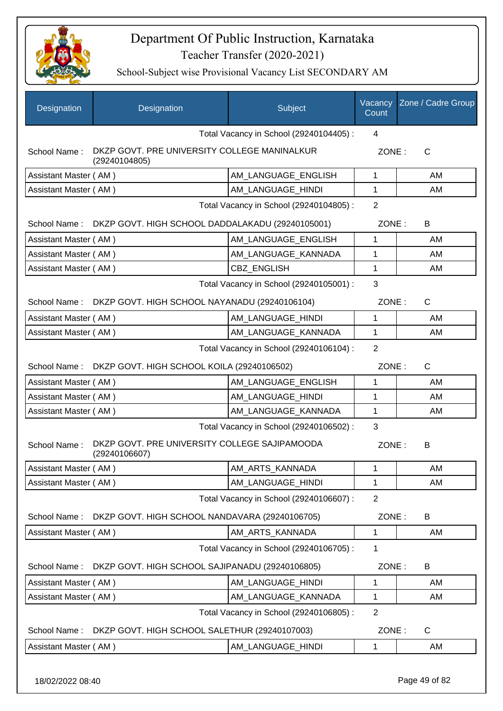

| Designation                             | Designation                                                    | Subject                                 | Vacancy<br>Count | Zone / Cadre Group |
|-----------------------------------------|----------------------------------------------------------------|-----------------------------------------|------------------|--------------------|
|                                         |                                                                | Total Vacancy in School (29240104405) : | 4                |                    |
| School Name:                            | DKZP GOVT. PRE UNIVERSITY COLLEGE MANINALKUR<br>(29240104805)  |                                         | ZONE:            | C                  |
| Assistant Master (AM)                   |                                                                | AM_LANGUAGE_ENGLISH                     | $\mathbf 1$      | AM                 |
| Assistant Master (AM)                   |                                                                | AM_LANGUAGE_HINDI                       | 1                | AM                 |
|                                         |                                                                | Total Vacancy in School (29240104805) : | $\overline{2}$   |                    |
|                                         | School Name: DKZP GOVT. HIGH SCHOOL DADDALAKADU (29240105001)  |                                         | ZONE:            | B                  |
| Assistant Master (AM)                   |                                                                | AM LANGUAGE ENGLISH                     | $\mathbf{1}$     | AM                 |
| Assistant Master (AM)                   |                                                                | AM LANGUAGE KANNADA                     | 1                | AM                 |
| Assistant Master (AM)                   |                                                                | CBZ_ENGLISH                             | $\mathbf 1$      | AM                 |
|                                         |                                                                | Total Vacancy in School (29240105001) : | 3                |                    |
|                                         | School Name: DKZP GOVT. HIGH SCHOOL NAYANADU (29240106104)     |                                         | ZONE:            | C                  |
| Assistant Master (AM)                   |                                                                | AM LANGUAGE_HINDI                       | 1                | AM                 |
| Assistant Master (AM)                   |                                                                | AM LANGUAGE KANNADA                     | $\mathbf{1}$     | AM                 |
| Total Vacancy in School (29240106104) : |                                                                |                                         |                  |                    |
|                                         | School Name: DKZP GOVT. HIGH SCHOOL KOILA (29240106502)        |                                         | ZONE:            | $\mathsf{C}$       |
| Assistant Master (AM)                   |                                                                | AM LANGUAGE ENGLISH                     | 1                | AM                 |
| Assistant Master (AM)                   |                                                                | AM LANGUAGE HINDI                       | 1                | AM                 |
| Assistant Master (AM)                   |                                                                | AM_LANGUAGE_KANNADA                     | 1                | AM                 |
|                                         |                                                                | Total Vacancy in School (29240106502) : | 3                |                    |
| School Name:                            | DKZP GOVT. PRE UNIVERSITY COLLEGE SAJIPAMOODA<br>(29240106607) |                                         | ZONE:            | B                  |
| Assistant Master (AM)                   |                                                                | AM_ARTS_KANNADA                         | 1                | AM                 |
| Assistant Master (AM)                   |                                                                | AM_LANGUAGE_HINDI                       | 1                | AM                 |
|                                         |                                                                | Total Vacancy in School (29240106607) : | $\overline{2}$   |                    |
| School Name:                            | DKZP GOVT. HIGH SCHOOL NANDAVARA (29240106705)                 |                                         | ZONE:            | B                  |
| Assistant Master (AM)                   |                                                                | AM ARTS KANNADA                         | 1                | AM                 |
|                                         |                                                                | Total Vacancy in School (29240106705) : | 1                |                    |
| School Name:                            | DKZP GOVT. HIGH SCHOOL SAJIPANADU (29240106805)                |                                         | ZONE:            | B                  |
| Assistant Master (AM)                   |                                                                | AM_LANGUAGE_HINDI                       | 1                | AM                 |
| Assistant Master (AM)                   |                                                                | AM_LANGUAGE_KANNADA                     | 1                | AM                 |
|                                         |                                                                | Total Vacancy in School (29240106805) : | $\overline{2}$   |                    |
| School Name:                            | DKZP GOVT. HIGH SCHOOL SALETHUR (29240107003)                  |                                         | ZONE:            | $\mathsf{C}$       |
| Assistant Master (AM)                   |                                                                | AM_LANGUAGE_HINDI                       | 1                | AM                 |
| 18/02/2022 08:40                        |                                                                |                                         |                  | Page 49 of 82      |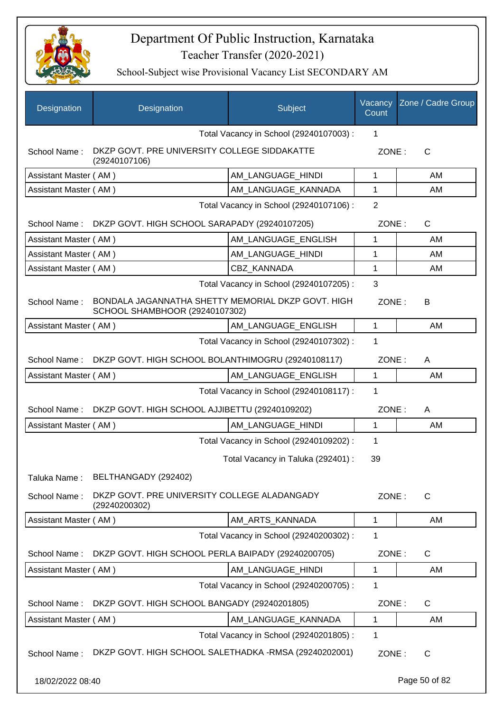

| Designation           | Designation                                                                          | Subject                                 | Vacancy<br>Count | Zone / Cadre Group |
|-----------------------|--------------------------------------------------------------------------------------|-----------------------------------------|------------------|--------------------|
|                       |                                                                                      | Total Vacancy in School (29240107003) : | 1                |                    |
| School Name:          | DKZP GOVT. PRE UNIVERSITY COLLEGE SIDDAKATTE<br>(29240107106)                        |                                         | ZONE:            | $\mathsf{C}$       |
| Assistant Master (AM) |                                                                                      | AM_LANGUAGE_HINDI                       | 1                | AM                 |
| Assistant Master (AM) |                                                                                      | AM LANGUAGE_KANNADA                     | 1                | AM                 |
|                       |                                                                                      | Total Vacancy in School (29240107106) : | $\overline{2}$   |                    |
|                       | School Name: DKZP GOVT. HIGH SCHOOL SARAPADY (29240107205)                           |                                         | ZONE:            | $\mathsf{C}$       |
| Assistant Master (AM) |                                                                                      | AM LANGUAGE ENGLISH                     | 1                | AM                 |
| Assistant Master (AM) |                                                                                      | AM LANGUAGE HINDI                       | 1                | AM                 |
| Assistant Master (AM) |                                                                                      | <b>CBZ KANNADA</b>                      | 1                | AM                 |
|                       |                                                                                      | Total Vacancy in School (29240107205) : | 3                |                    |
| School Name:          | BONDALA JAGANNATHA SHETTY MEMORIAL DKZP GOVT. HIGH<br>SCHOOL SHAMBHOOR (29240107302) |                                         | ZONE:            | В                  |
| Assistant Master (AM) |                                                                                      | AM_LANGUAGE_ENGLISH                     | 1                | AM                 |
|                       |                                                                                      | Total Vacancy in School (29240107302) : | 1                |                    |
| School Name:          | DKZP GOVT. HIGH SCHOOL BOLANTHIMOGRU (29240108117)                                   |                                         | ZONE:            | A                  |
| Assistant Master (AM) |                                                                                      | AM_LANGUAGE_ENGLISH                     | 1                | AM                 |
|                       |                                                                                      | Total Vacancy in School (29240108117) : | 1                |                    |
| School Name:          | DKZP GOVT. HIGH SCHOOL AJJIBETTU (29240109202)                                       |                                         | ZONE:            | Α                  |
| Assistant Master (AM) |                                                                                      | AM_LANGUAGE_HINDI                       | 1                | AM                 |
|                       |                                                                                      | Total Vacancy in School (29240109202) : | 1                |                    |
|                       |                                                                                      | Total Vacancy in Taluka (292401) :      | 39               |                    |
| Taluka Name:          | BELTHANGADY (292402)                                                                 |                                         |                  |                    |
| School Name:          | DKZP GOVT. PRE UNIVERSITY COLLEGE ALADANGADY<br>(29240200302)                        |                                         | ZONE:            | $\mathsf{C}$       |
| Assistant Master (AM) |                                                                                      | AM_ARTS_KANNADA                         | 1                | AM                 |
|                       |                                                                                      | Total Vacancy in School (29240200302) : | 1                |                    |
| School Name:          | DKZP GOVT. HIGH SCHOOL PERLA BAIPADY (29240200705)                                   |                                         | ZONE:            | C                  |
| Assistant Master (AM) |                                                                                      | AM LANGUAGE HINDI                       | 1                | AM                 |
|                       |                                                                                      | Total Vacancy in School (29240200705) : | 1                |                    |
| School Name:          | DKZP GOVT. HIGH SCHOOL BANGADY (29240201805)                                         |                                         | ZONE:            | C                  |
| Assistant Master (AM) |                                                                                      | AM LANGUAGE KANNADA                     | 1                | AM                 |
|                       |                                                                                      | Total Vacancy in School (29240201805) : | 1                |                    |
| School Name:          | DKZP GOVT. HIGH SCHOOL SALETHADKA -RMSA (29240202001)                                |                                         | ZONE:            | $\mathsf{C}$       |
| 18/02/2022 08:40      |                                                                                      |                                         |                  | Page 50 of 82      |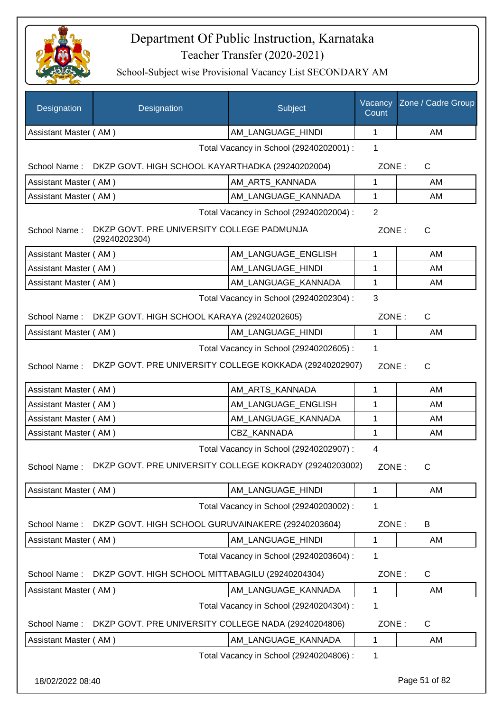

| Designation                                  | Designation                                                   | Subject                                 | Vacancy<br>Count | Zone / Cadre Group |  |
|----------------------------------------------|---------------------------------------------------------------|-----------------------------------------|------------------|--------------------|--|
| Assistant Master (AM)                        |                                                               | AM_LANGUAGE_HINDI                       | 1                | AM                 |  |
|                                              |                                                               | Total Vacancy in School (29240202001) : | 1                |                    |  |
|                                              | School Name: DKZP GOVT. HIGH SCHOOL KAYARTHADKA (29240202004) |                                         | ZONE:            | $\mathsf{C}$       |  |
| Assistant Master (AM)                        |                                                               | AM_ARTS_KANNADA                         | 1                | AM                 |  |
| Assistant Master (AM)                        |                                                               | AM LANGUAGE KANNADA                     | 1                | AM                 |  |
|                                              |                                                               | Total Vacancy in School (29240202004) : | $\overline{2}$   |                    |  |
| School Name:                                 | DKZP GOVT. PRE UNIVERSITY COLLEGE PADMUNJA<br>(29240202304)   |                                         | ZONE:            | C                  |  |
| Assistant Master (AM)                        |                                                               | AM LANGUAGE ENGLISH                     | 1                | AM                 |  |
| Assistant Master (AM)                        |                                                               | AM LANGUAGE HINDI                       | 1                | AM                 |  |
| Assistant Master (AM)                        |                                                               | AM_LANGUAGE_KANNADA                     | 1                | AM                 |  |
| 3<br>Total Vacancy in School (29240202304) : |                                                               |                                         |                  |                    |  |
| School Name:                                 | DKZP GOVT. HIGH SCHOOL KARAYA (29240202605)                   |                                         | ZONE:            | $\mathsf{C}$       |  |
| Assistant Master (AM)                        |                                                               | AM_LANGUAGE_HINDI                       | $\mathbf{1}$     | AM                 |  |
|                                              |                                                               | Total Vacancy in School (29240202605) : | 1                |                    |  |
| School Name:                                 | DKZP GOVT. PRE UNIVERSITY COLLEGE KOKKADA (29240202907)       |                                         | ZONE:            | $\mathsf{C}$       |  |
| Assistant Master (AM)                        |                                                               | AM_ARTS_KANNADA                         | 1                | AM                 |  |
| Assistant Master (AM)                        |                                                               | AM_LANGUAGE_ENGLISH                     | 1                | AM                 |  |
| Assistant Master (AM)                        |                                                               | AM_LANGUAGE_KANNADA                     | 1                | AM                 |  |
| Assistant Master (AM)                        |                                                               | CBZ_KANNADA                             | 1                | AM                 |  |
|                                              |                                                               | Total Vacancy in School (29240202907) : | 4                |                    |  |
| School Name:                                 | DKZP GOVT. PRE UNIVERSITY COLLEGE KOKRADY (29240203002)       |                                         | ZONE:            | C                  |  |
| Assistant Master (AM)                        |                                                               | AM LANGUAGE HINDI                       | 1                | AM                 |  |
|                                              |                                                               | Total Vacancy in School (29240203002) : | 1                |                    |  |
| School Name:                                 | DKZP GOVT. HIGH SCHOOL GURUVAINAKERE (29240203604)            |                                         | ZONE:            | B                  |  |
| Assistant Master (AM)                        |                                                               | AM_LANGUAGE_HINDI                       | 1                | AM                 |  |
|                                              |                                                               | Total Vacancy in School (29240203604) : | 1                |                    |  |
| School Name:                                 | DKZP GOVT. HIGH SCHOOL MITTABAGILU (29240204304)              |                                         | ZONE:            | C                  |  |
| Assistant Master (AM)                        |                                                               | AM_LANGUAGE_KANNADA                     | 1                | AM                 |  |
|                                              |                                                               | Total Vacancy in School (29240204304) : | 1                |                    |  |
| School Name:                                 | DKZP GOVT. PRE UNIVERSITY COLLEGE NADA (29240204806)          |                                         | ZONE:            | C                  |  |
| Assistant Master (AM)                        |                                                               | AM_LANGUAGE_KANNADA                     | 1                | AM                 |  |
|                                              |                                                               | Total Vacancy in School (29240204806) : | 1                |                    |  |
| 18/02/2022 08:40                             |                                                               |                                         |                  | Page 51 of 82      |  |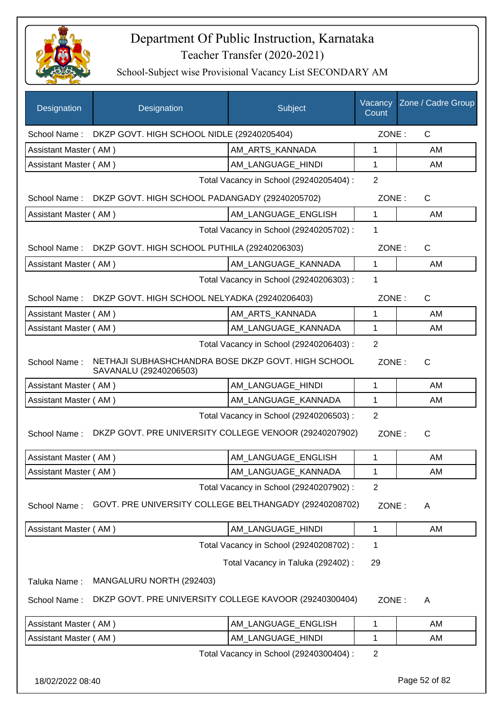

| Designation           | Designation                                                                  | Subject                                 | Vacancy<br>Count | Zone / Cadre Group |
|-----------------------|------------------------------------------------------------------------------|-----------------------------------------|------------------|--------------------|
|                       | School Name: DKZP GOVT. HIGH SCHOOL NIDLE (29240205404)                      |                                         | ZONE:            | $\mathsf{C}$       |
| Assistant Master (AM) |                                                                              | AM_ARTS_KANNADA                         | 1                | AM                 |
| Assistant Master (AM) |                                                                              | AM_LANGUAGE_HINDI                       | 1                | AM                 |
|                       |                                                                              | Total Vacancy in School (29240205404) : | 2                |                    |
| School Name:          | DKZP GOVT. HIGH SCHOOL PADANGADY (29240205702)                               |                                         | ZONE:            | $\mathsf{C}$       |
| Assistant Master (AM) |                                                                              | AM_LANGUAGE_ENGLISH                     | $\mathbf 1$      | AM                 |
|                       |                                                                              | Total Vacancy in School (29240205702) : | 1                |                    |
| School Name:          | DKZP GOVT. HIGH SCHOOL PUTHILA (29240206303)                                 |                                         | ZONE:            | $\mathsf{C}$       |
| Assistant Master (AM) |                                                                              | AM_LANGUAGE_KANNADA                     | 1                | AM                 |
|                       |                                                                              | Total Vacancy in School (29240206303) : | 1                |                    |
|                       | School Name: DKZP GOVT. HIGH SCHOOL NELYADKA (29240206403)                   |                                         | ZONE:            | C                  |
| Assistant Master (AM) |                                                                              | AM_ARTS_KANNADA                         | 1                | AM                 |
| Assistant Master (AM) |                                                                              | AM_LANGUAGE_KANNADA                     | 1                | AM                 |
|                       |                                                                              | Total Vacancy in School (29240206403) : | 2                |                    |
| School Name:          | NETHAJI SUBHASHCHANDRA BOSE DKZP GOVT. HIGH SCHOOL<br>SAVANALU (29240206503) |                                         | ZONE:            | $\mathsf{C}$       |
| Assistant Master (AM) |                                                                              | AM LANGUAGE HINDI                       | 1                | AM                 |
| Assistant Master (AM) |                                                                              | AM_LANGUAGE_KANNADA                     | 1                | AM                 |
|                       |                                                                              | Total Vacancy in School (29240206503) : | $\overline{2}$   |                    |
| School Name:          | DKZP GOVT. PRE UNIVERSITY COLLEGE VENOOR (29240207902)                       |                                         | ZONE:            | $\mathsf{C}$       |
| Assistant Master (AM) |                                                                              | AM_LANGUAGE_ENGLISH                     | 1                | AM                 |
| Assistant Master (AM) |                                                                              | AM_LANGUAGE_KANNADA                     | 1                | AM                 |
|                       |                                                                              | Total Vacancy in School (29240207902) : | 2                |                    |
| School Name:          | GOVT. PRE UNIVERSITY COLLEGE BELTHANGADY (29240208702)                       |                                         | ZONE:            | A                  |
| Assistant Master (AM) |                                                                              | AM_LANGUAGE_HINDI                       | 1                | AM                 |
|                       |                                                                              | Total Vacancy in School (29240208702) : | 1                |                    |
|                       |                                                                              | Total Vacancy in Taluka (292402) :      | 29               |                    |
| Taluka Name:          | MANGALURU NORTH (292403)                                                     |                                         |                  |                    |
| School Name:          | DKZP GOVT. PRE UNIVERSITY COLLEGE KAVOOR (29240300404)                       |                                         | ZONE:            | Α                  |
| Assistant Master (AM) |                                                                              | AM_LANGUAGE_ENGLISH                     | 1                | AM                 |
| Assistant Master (AM) |                                                                              | AM_LANGUAGE_HINDI                       | 1                | AM                 |
|                       |                                                                              | Total Vacancy in School (29240300404) : | $\overline{2}$   |                    |
| 18/02/2022 08:40      |                                                                              |                                         |                  | Page 52 of 82      |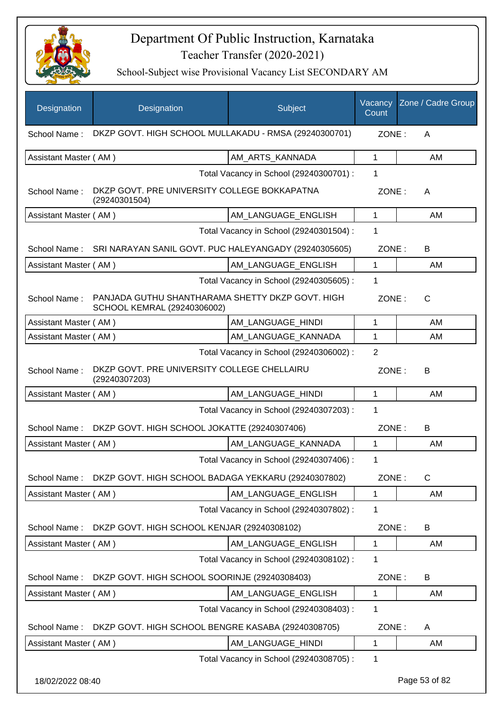

| Designation           | Designation                                                                     | Subject                                 | Vacancy<br>Count | Zone / Cadre Group |  |
|-----------------------|---------------------------------------------------------------------------------|-----------------------------------------|------------------|--------------------|--|
| School Name:          | DKZP GOVT. HIGH SCHOOL MULLAKADU - RMSA (29240300701)                           |                                         |                  | ZONE:<br>A         |  |
| Assistant Master (AM) |                                                                                 | AM_ARTS_KANNADA                         | 1                | AM                 |  |
|                       |                                                                                 | Total Vacancy in School (29240300701) : | 1                |                    |  |
| School Name:          | DKZP GOVT. PRE UNIVERSITY COLLEGE BOKKAPATNA<br>(29240301504)                   |                                         | ZONE:            | A                  |  |
| Assistant Master (AM) |                                                                                 | AM_LANGUAGE_ENGLISH                     | 1                | AM                 |  |
|                       |                                                                                 | Total Vacancy in School (29240301504) : | 1                |                    |  |
| School Name:          | SRI NARAYAN SANIL GOVT. PUC HALEYANGADY (29240305605)                           |                                         | ZONE:            | B                  |  |
| Assistant Master (AM) |                                                                                 | AM_LANGUAGE_ENGLISH                     | 1                | AM                 |  |
|                       |                                                                                 | Total Vacancy in School (29240305605) : | 1                |                    |  |
| School Name:          | PANJADA GUTHU SHANTHARAMA SHETTY DKZP GOVT. HIGH<br>SCHOOL KEMRAL (29240306002) |                                         | ZONE:            | $\mathsf{C}$       |  |
| Assistant Master (AM) |                                                                                 | AM_LANGUAGE_HINDI                       | 1                | AM                 |  |
| Assistant Master (AM) |                                                                                 | AM_LANGUAGE_KANNADA                     | 1                | AM                 |  |
|                       |                                                                                 | Total Vacancy in School (29240306002) : | $\overline{2}$   |                    |  |
| School Name:          | DKZP GOVT. PRE UNIVERSITY COLLEGE CHELLAIRU<br>(29240307203)                    |                                         | ZONE:            | B                  |  |
| Assistant Master (AM) |                                                                                 | AM_LANGUAGE_HINDI                       | 1                | AM                 |  |
|                       |                                                                                 | Total Vacancy in School (29240307203) : | 1                |                    |  |
| School Name:          | DKZP GOVT. HIGH SCHOOL JOKATTE (29240307406)                                    |                                         | ZONE:            | B                  |  |
| Assistant Master (AM) |                                                                                 | AM_LANGUAGE_KANNADA                     | 1                | AM                 |  |
|                       |                                                                                 | Total Vacancy in School (29240307406) : | 1                |                    |  |
| School Name:          | DKZP GOVT. HIGH SCHOOL BADAGA YEKKARU (29240307802)                             |                                         | ZONE:            | $\mathsf C$        |  |
| Assistant Master (AM) |                                                                                 | AM_LANGUAGE_ENGLISH                     | 1                | AM                 |  |
|                       |                                                                                 | Total Vacancy in School (29240307802) : | 1                |                    |  |
| School Name:          | DKZP GOVT. HIGH SCHOOL KENJAR (29240308102)                                     |                                         | ZONE:            | B                  |  |
| Assistant Master (AM) |                                                                                 | AM LANGUAGE ENGLISH                     | 1                | AM                 |  |
|                       |                                                                                 | Total Vacancy in School (29240308102) : | 1                |                    |  |
| School Name:          | DKZP GOVT. HIGH SCHOOL SOORINJE (29240308403)                                   |                                         | ZONE:            | B                  |  |
| Assistant Master (AM) |                                                                                 | AM_LANGUAGE_ENGLISH                     | 1                | AM                 |  |
|                       |                                                                                 | Total Vacancy in School (29240308403) : | 1                |                    |  |
| School Name:          | DKZP GOVT. HIGH SCHOOL BENGRE KASABA (29240308705)                              |                                         | ZONE:            | A                  |  |
| Assistant Master (AM) |                                                                                 | AM_LANGUAGE_HINDI                       | 1                | AM                 |  |
|                       |                                                                                 | Total Vacancy in School (29240308705) : | 1                |                    |  |
| 18/02/2022 08:40      |                                                                                 |                                         |                  | Page 53 of 82      |  |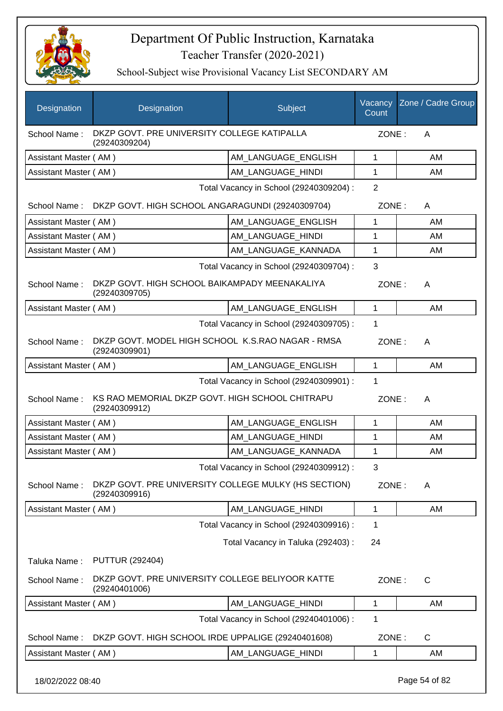

School-Subject wise Provisional Vacancy List SECONDARY AM

| DKZP GOVT. PRE UNIVERSITY COLLEGE KATIPALLA<br>School Name:<br>ZONE:<br>A<br>(29240309204)<br>AM_LANGUAGE_ENGLISH<br>$\mathbf{1}$<br>Assistant Master (AM)<br>AM<br>Assistant Master (AM)<br>AM LANGUAGE HINDI<br>1<br>AM<br>$\overline{2}$<br>Total Vacancy in School (29240309204) :<br>DKZP GOVT. HIGH SCHOOL ANGARAGUNDI (29240309704)<br>ZONE:<br>School Name:<br>A<br>Assistant Master (AM)<br>AM LANGUAGE ENGLISH<br>1<br>AM<br>Assistant Master (AM)<br>AM LANGUAGE HINDI<br>1<br>AM<br>AM_LANGUAGE_KANNADA<br>1<br>Assistant Master (AM)<br>AM<br>3<br>Total Vacancy in School (29240309704) :<br>DKZP GOVT. HIGH SCHOOL BAIKAMPADY MEENAKALIYA<br>School Name:<br>ZONE:<br>A<br>(29240309705)<br>Assistant Master (AM)<br>AM_LANGUAGE_ENGLISH<br>$\mathbf{1}$<br>AM<br>Total Vacancy in School (29240309705) :<br>1<br>DKZP GOVT. MODEL HIGH SCHOOL K.S.RAO NAGAR - RMSA<br>School Name:<br>ZONE:<br>A<br>(29240309901)<br>$\mathbf{1}$<br>AM_LANGUAGE_ENGLISH<br>AM<br>Assistant Master (AM)<br>Total Vacancy in School (29240309901) :<br>1<br>KS RAO MEMORIAL DKZP GOVT. HIGH SCHOOL CHITRAPU<br>School Name:<br>ZONE:<br>A<br>(29240309912)<br>Assistant Master (AM)<br>AM_LANGUAGE_ENGLISH<br>1<br>AM<br>AM_LANGUAGE_HINDI<br>1<br>Assistant Master (AM)<br>AM<br>AM_LANGUAGE_KANNADA<br>1<br>AM<br>Assistant Master (AM)<br>Total Vacancy in School (29240309912) :<br>3<br>DKZP GOVT. PRE UNIVERSITY COLLEGE MULKY (HS SECTION)<br>School Name:<br>ZONE:<br>A<br>(29240309916)<br>Assistant Master (AM)<br>AM LANGUAGE HINDI<br>1<br>AM<br>Total Vacancy in School (29240309916) :<br>1<br>Total Vacancy in Taluka (292403) :<br>24<br><b>PUTTUR (292404)</b><br>Taluka Name:<br>DKZP GOVT. PRE UNIVERSITY COLLEGE BELIYOOR KATTE<br>School Name:<br>ZONE:<br>C<br>(29240401006)<br>AM_LANGUAGE_HINDI<br>$\mathbf{1}$<br>Assistant Master (AM)<br>AM<br>Total Vacancy in School (29240401006) :<br>1<br>DKZP GOVT. HIGH SCHOOL IRDE UPPALIGE (29240401608)<br>ZONE: | Designation  | Designation | Subject | Vacancy<br>Count | Zone / Cadre Group |  |
|--------------------------------------------------------------------------------------------------------------------------------------------------------------------------------------------------------------------------------------------------------------------------------------------------------------------------------------------------------------------------------------------------------------------------------------------------------------------------------------------------------------------------------------------------------------------------------------------------------------------------------------------------------------------------------------------------------------------------------------------------------------------------------------------------------------------------------------------------------------------------------------------------------------------------------------------------------------------------------------------------------------------------------------------------------------------------------------------------------------------------------------------------------------------------------------------------------------------------------------------------------------------------------------------------------------------------------------------------------------------------------------------------------------------------------------------------------------------------------------------------------------------------------------------------------------------------------------------------------------------------------------------------------------------------------------------------------------------------------------------------------------------------------------------------------------------------------------------------------------------------------------------------------------------------------------------------------------------------------------|--------------|-------------|---------|------------------|--------------------|--|
|                                                                                                                                                                                                                                                                                                                                                                                                                                                                                                                                                                                                                                                                                                                                                                                                                                                                                                                                                                                                                                                                                                                                                                                                                                                                                                                                                                                                                                                                                                                                                                                                                                                                                                                                                                                                                                                                                                                                                                                      |              |             |         |                  |                    |  |
|                                                                                                                                                                                                                                                                                                                                                                                                                                                                                                                                                                                                                                                                                                                                                                                                                                                                                                                                                                                                                                                                                                                                                                                                                                                                                                                                                                                                                                                                                                                                                                                                                                                                                                                                                                                                                                                                                                                                                                                      |              |             |         |                  |                    |  |
|                                                                                                                                                                                                                                                                                                                                                                                                                                                                                                                                                                                                                                                                                                                                                                                                                                                                                                                                                                                                                                                                                                                                                                                                                                                                                                                                                                                                                                                                                                                                                                                                                                                                                                                                                                                                                                                                                                                                                                                      |              |             |         |                  |                    |  |
|                                                                                                                                                                                                                                                                                                                                                                                                                                                                                                                                                                                                                                                                                                                                                                                                                                                                                                                                                                                                                                                                                                                                                                                                                                                                                                                                                                                                                                                                                                                                                                                                                                                                                                                                                                                                                                                                                                                                                                                      |              |             |         |                  |                    |  |
|                                                                                                                                                                                                                                                                                                                                                                                                                                                                                                                                                                                                                                                                                                                                                                                                                                                                                                                                                                                                                                                                                                                                                                                                                                                                                                                                                                                                                                                                                                                                                                                                                                                                                                                                                                                                                                                                                                                                                                                      |              |             |         |                  |                    |  |
|                                                                                                                                                                                                                                                                                                                                                                                                                                                                                                                                                                                                                                                                                                                                                                                                                                                                                                                                                                                                                                                                                                                                                                                                                                                                                                                                                                                                                                                                                                                                                                                                                                                                                                                                                                                                                                                                                                                                                                                      |              |             |         |                  |                    |  |
|                                                                                                                                                                                                                                                                                                                                                                                                                                                                                                                                                                                                                                                                                                                                                                                                                                                                                                                                                                                                                                                                                                                                                                                                                                                                                                                                                                                                                                                                                                                                                                                                                                                                                                                                                                                                                                                                                                                                                                                      |              |             |         |                  |                    |  |
|                                                                                                                                                                                                                                                                                                                                                                                                                                                                                                                                                                                                                                                                                                                                                                                                                                                                                                                                                                                                                                                                                                                                                                                                                                                                                                                                                                                                                                                                                                                                                                                                                                                                                                                                                                                                                                                                                                                                                                                      |              |             |         |                  |                    |  |
|                                                                                                                                                                                                                                                                                                                                                                                                                                                                                                                                                                                                                                                                                                                                                                                                                                                                                                                                                                                                                                                                                                                                                                                                                                                                                                                                                                                                                                                                                                                                                                                                                                                                                                                                                                                                                                                                                                                                                                                      |              |             |         |                  |                    |  |
|                                                                                                                                                                                                                                                                                                                                                                                                                                                                                                                                                                                                                                                                                                                                                                                                                                                                                                                                                                                                                                                                                                                                                                                                                                                                                                                                                                                                                                                                                                                                                                                                                                                                                                                                                                                                                                                                                                                                                                                      |              |             |         |                  |                    |  |
|                                                                                                                                                                                                                                                                                                                                                                                                                                                                                                                                                                                                                                                                                                                                                                                                                                                                                                                                                                                                                                                                                                                                                                                                                                                                                                                                                                                                                                                                                                                                                                                                                                                                                                                                                                                                                                                                                                                                                                                      |              |             |         |                  |                    |  |
|                                                                                                                                                                                                                                                                                                                                                                                                                                                                                                                                                                                                                                                                                                                                                                                                                                                                                                                                                                                                                                                                                                                                                                                                                                                                                                                                                                                                                                                                                                                                                                                                                                                                                                                                                                                                                                                                                                                                                                                      |              |             |         |                  |                    |  |
|                                                                                                                                                                                                                                                                                                                                                                                                                                                                                                                                                                                                                                                                                                                                                                                                                                                                                                                                                                                                                                                                                                                                                                                                                                                                                                                                                                                                                                                                                                                                                                                                                                                                                                                                                                                                                                                                                                                                                                                      |              |             |         |                  |                    |  |
|                                                                                                                                                                                                                                                                                                                                                                                                                                                                                                                                                                                                                                                                                                                                                                                                                                                                                                                                                                                                                                                                                                                                                                                                                                                                                                                                                                                                                                                                                                                                                                                                                                                                                                                                                                                                                                                                                                                                                                                      |              |             |         |                  |                    |  |
|                                                                                                                                                                                                                                                                                                                                                                                                                                                                                                                                                                                                                                                                                                                                                                                                                                                                                                                                                                                                                                                                                                                                                                                                                                                                                                                                                                                                                                                                                                                                                                                                                                                                                                                                                                                                                                                                                                                                                                                      |              |             |         |                  |                    |  |
|                                                                                                                                                                                                                                                                                                                                                                                                                                                                                                                                                                                                                                                                                                                                                                                                                                                                                                                                                                                                                                                                                                                                                                                                                                                                                                                                                                                                                                                                                                                                                                                                                                                                                                                                                                                                                                                                                                                                                                                      |              |             |         |                  |                    |  |
|                                                                                                                                                                                                                                                                                                                                                                                                                                                                                                                                                                                                                                                                                                                                                                                                                                                                                                                                                                                                                                                                                                                                                                                                                                                                                                                                                                                                                                                                                                                                                                                                                                                                                                                                                                                                                                                                                                                                                                                      |              |             |         |                  |                    |  |
|                                                                                                                                                                                                                                                                                                                                                                                                                                                                                                                                                                                                                                                                                                                                                                                                                                                                                                                                                                                                                                                                                                                                                                                                                                                                                                                                                                                                                                                                                                                                                                                                                                                                                                                                                                                                                                                                                                                                                                                      |              |             |         |                  |                    |  |
|                                                                                                                                                                                                                                                                                                                                                                                                                                                                                                                                                                                                                                                                                                                                                                                                                                                                                                                                                                                                                                                                                                                                                                                                                                                                                                                                                                                                                                                                                                                                                                                                                                                                                                                                                                                                                                                                                                                                                                                      |              |             |         |                  |                    |  |
|                                                                                                                                                                                                                                                                                                                                                                                                                                                                                                                                                                                                                                                                                                                                                                                                                                                                                                                                                                                                                                                                                                                                                                                                                                                                                                                                                                                                                                                                                                                                                                                                                                                                                                                                                                                                                                                                                                                                                                                      |              |             |         |                  |                    |  |
|                                                                                                                                                                                                                                                                                                                                                                                                                                                                                                                                                                                                                                                                                                                                                                                                                                                                                                                                                                                                                                                                                                                                                                                                                                                                                                                                                                                                                                                                                                                                                                                                                                                                                                                                                                                                                                                                                                                                                                                      |              |             |         |                  |                    |  |
|                                                                                                                                                                                                                                                                                                                                                                                                                                                                                                                                                                                                                                                                                                                                                                                                                                                                                                                                                                                                                                                                                                                                                                                                                                                                                                                                                                                                                                                                                                                                                                                                                                                                                                                                                                                                                                                                                                                                                                                      |              |             |         |                  |                    |  |
|                                                                                                                                                                                                                                                                                                                                                                                                                                                                                                                                                                                                                                                                                                                                                                                                                                                                                                                                                                                                                                                                                                                                                                                                                                                                                                                                                                                                                                                                                                                                                                                                                                                                                                                                                                                                                                                                                                                                                                                      |              |             |         |                  |                    |  |
|                                                                                                                                                                                                                                                                                                                                                                                                                                                                                                                                                                                                                                                                                                                                                                                                                                                                                                                                                                                                                                                                                                                                                                                                                                                                                                                                                                                                                                                                                                                                                                                                                                                                                                                                                                                                                                                                                                                                                                                      |              |             |         |                  |                    |  |
|                                                                                                                                                                                                                                                                                                                                                                                                                                                                                                                                                                                                                                                                                                                                                                                                                                                                                                                                                                                                                                                                                                                                                                                                                                                                                                                                                                                                                                                                                                                                                                                                                                                                                                                                                                                                                                                                                                                                                                                      |              |             |         |                  |                    |  |
|                                                                                                                                                                                                                                                                                                                                                                                                                                                                                                                                                                                                                                                                                                                                                                                                                                                                                                                                                                                                                                                                                                                                                                                                                                                                                                                                                                                                                                                                                                                                                                                                                                                                                                                                                                                                                                                                                                                                                                                      |              |             |         |                  |                    |  |
|                                                                                                                                                                                                                                                                                                                                                                                                                                                                                                                                                                                                                                                                                                                                                                                                                                                                                                                                                                                                                                                                                                                                                                                                                                                                                                                                                                                                                                                                                                                                                                                                                                                                                                                                                                                                                                                                                                                                                                                      |              |             |         |                  |                    |  |
|                                                                                                                                                                                                                                                                                                                                                                                                                                                                                                                                                                                                                                                                                                                                                                                                                                                                                                                                                                                                                                                                                                                                                                                                                                                                                                                                                                                                                                                                                                                                                                                                                                                                                                                                                                                                                                                                                                                                                                                      |              |             |         |                  |                    |  |
|                                                                                                                                                                                                                                                                                                                                                                                                                                                                                                                                                                                                                                                                                                                                                                                                                                                                                                                                                                                                                                                                                                                                                                                                                                                                                                                                                                                                                                                                                                                                                                                                                                                                                                                                                                                                                                                                                                                                                                                      | School Name: |             |         |                  | C                  |  |
| Assistant Master (AM)<br>AM_LANGUAGE_HINDI<br>1<br>AM                                                                                                                                                                                                                                                                                                                                                                                                                                                                                                                                                                                                                                                                                                                                                                                                                                                                                                                                                                                                                                                                                                                                                                                                                                                                                                                                                                                                                                                                                                                                                                                                                                                                                                                                                                                                                                                                                                                                |              |             |         |                  |                    |  |

18/02/2022 08:40 Page 54 of 82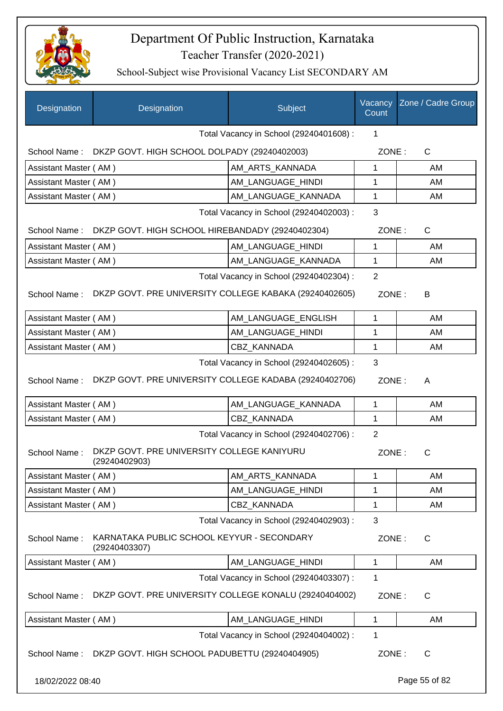

| Designation                                                                                                            | Designation                                                 | Subject                                 | Vacancy<br>Count        | Zone / Cadre Group |
|------------------------------------------------------------------------------------------------------------------------|-------------------------------------------------------------|-----------------------------------------|-------------------------|--------------------|
|                                                                                                                        |                                                             | Total Vacancy in School (29240401608) : | 1                       |                    |
|                                                                                                                        | School Name: DKZP GOVT. HIGH SCHOOL DOLPADY (29240402003)   |                                         | ZONE:                   | $\mathsf{C}$       |
| Assistant Master (AM)                                                                                                  |                                                             | AM ARTS KANNADA                         | 1                       | AM                 |
| Assistant Master (AM)                                                                                                  |                                                             | AM_LANGUAGE_HINDI                       | 1                       | AM                 |
| Assistant Master (AM)                                                                                                  |                                                             | AM_LANGUAGE_KANNADA                     | 1                       | AM                 |
|                                                                                                                        |                                                             | Total Vacancy in School (29240402003) : | 3                       |                    |
| School Name:                                                                                                           | DKZP GOVT. HIGH SCHOOL HIREBANDADY (29240402304)            |                                         | ZONE:                   | $\mathsf{C}$       |
| Assistant Master (AM)                                                                                                  |                                                             | AM LANGUAGE_HINDI                       | 1                       | AM                 |
| Assistant Master (AM)                                                                                                  |                                                             | AM_LANGUAGE_KANNADA                     | 1                       | AM                 |
|                                                                                                                        |                                                             | Total Vacancy in School (29240402304) : | $\overline{2}$          |                    |
| School Name:                                                                                                           | DKZP GOVT. PRE UNIVERSITY COLLEGE KABAKA (29240402605)      |                                         | ZONE:                   | B                  |
| Assistant Master (AM)                                                                                                  |                                                             | AM_LANGUAGE_ENGLISH                     | 1                       | AM                 |
| Assistant Master (AM)                                                                                                  |                                                             | AM_LANGUAGE_HINDI                       | $\mathbf{1}$            | AM                 |
| Assistant Master (AM)                                                                                                  |                                                             | CBZ_KANNADA                             | 1                       | AM                 |
| DKZP GOVT. PRE UNIVERSITY COLLEGE KADABA (29240402706)<br>School Name:<br>ZONE:<br>A                                   |                                                             |                                         |                         |                    |
| Assistant Master (AM)                                                                                                  |                                                             | AM_LANGUAGE_KANNADA                     | $\mathbf 1$             | AM                 |
| Assistant Master (AM)                                                                                                  |                                                             | CBZ_KANNADA                             | $\mathbf{1}$            | AM                 |
| Total Vacancy in School (29240402706) :<br>DKZP GOVT. PRE UNIVERSITY COLLEGE KANIYURU<br>School Name:<br>(29240402903) |                                                             |                                         | $\overline{2}$<br>ZONE: | $\mathsf{C}$       |
| Assistant Master (AM)                                                                                                  |                                                             | AM_ARTS_KANNADA                         | 1                       | AM                 |
| Assistant Master (AM)                                                                                                  |                                                             | AM_LANGUAGE_HINDI                       | 1                       | AM                 |
| Assistant Master (AM)                                                                                                  |                                                             | CBZ_KANNADA                             | 1                       | AM                 |
|                                                                                                                        |                                                             | Total Vacancy in School (29240402903) : | 3                       |                    |
| School Name:                                                                                                           | KARNATAKA PUBLIC SCHOOL KEYYUR - SECONDARY<br>(29240403307) |                                         | ZONE:                   | $\mathsf{C}$       |
| Assistant Master (AM)                                                                                                  |                                                             | AM_LANGUAGE_HINDI                       | 1                       | AM                 |
|                                                                                                                        |                                                             | Total Vacancy in School (29240403307) : | 1                       |                    |
| School Name:                                                                                                           | DKZP GOVT. PRE UNIVERSITY COLLEGE KONALU (29240404002)      |                                         | ZONE:                   | $\mathsf{C}$       |
| Assistant Master (AM)                                                                                                  |                                                             | AM LANGUAGE HINDI                       | 1                       | AM                 |
|                                                                                                                        |                                                             | Total Vacancy in School (29240404002) : | 1                       |                    |
|                                                                                                                        | School Name: DKZP GOVT. HIGH SCHOOL PADUBETTU (29240404905) |                                         | ZONE:                   | C                  |
| 18/02/2022 08:40                                                                                                       |                                                             |                                         |                         | Page 55 of 82      |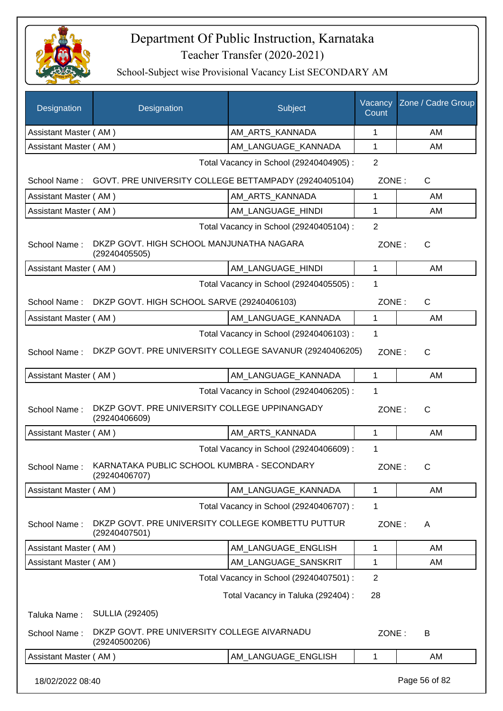

| Designation           | Designation                                                              | Subject                                 | Vacancy<br>Count | Zone / Cadre Group |
|-----------------------|--------------------------------------------------------------------------|-----------------------------------------|------------------|--------------------|
| Assistant Master (AM) |                                                                          | AM_ARTS_KANNADA                         | 1                | AM                 |
| Assistant Master (AM) |                                                                          | AM_LANGUAGE_KANNADA                     | 1                | AM                 |
|                       |                                                                          | Total Vacancy in School (29240404905) : | $\overline{2}$   |                    |
|                       | School Name: GOVT. PRE UNIVERSITY COLLEGE BETTAMPADY (29240405104)       |                                         | ZONE:            | C                  |
| Assistant Master (AM) |                                                                          | AM_ARTS_KANNADA                         | 1                | AM                 |
| Assistant Master (AM) |                                                                          | AM_LANGUAGE_HINDI                       | 1                | AM                 |
|                       |                                                                          | Total Vacancy in School (29240405104) : | $\overline{2}$   |                    |
| School Name:          | DKZP GOVT. HIGH SCHOOL MANJUNATHA NAGARA<br>(29240405505)                |                                         | ZONE:            | $\mathsf{C}$       |
| Assistant Master (AM) |                                                                          | AM_LANGUAGE_HINDI                       | $\mathbf{1}$     | AM                 |
|                       |                                                                          | Total Vacancy in School (29240405505) : | 1                |                    |
| School Name:          | DKZP GOVT. HIGH SCHOOL SARVE (29240406103)                               |                                         | ZONE:            | C                  |
| Assistant Master (AM) |                                                                          | AM LANGUAGE KANNADA                     | 1                | AM                 |
|                       |                                                                          | Total Vacancy in School (29240406103) : | 1                |                    |
| School Name:          | DKZP GOVT. PRE UNIVERSITY COLLEGE SAVANUR (29240406205)                  |                                         | ZONE:            | $\mathsf{C}$       |
| Assistant Master (AM) |                                                                          | AM_LANGUAGE_KANNADA                     | 1                | AM                 |
|                       |                                                                          | Total Vacancy in School (29240406205) : | 1                |                    |
| School Name:          | DKZP GOVT. PRE UNIVERSITY COLLEGE UPPINANGADY<br>(29240406609)           |                                         | ZONE:            | C                  |
| Assistant Master (AM) |                                                                          | AM_ARTS_KANNADA                         | 1                | AM                 |
|                       |                                                                          | Total Vacancy in School (29240406609) : | 1                |                    |
|                       | School Name: KARNATAKA PUBLIC SCHOOL KUMBRA - SECONDARY<br>(29240406707) |                                         | ZONE:            | C.                 |
| Assistant Master (AM) |                                                                          | AM LANGUAGE KANNADA                     | 1                | AM                 |
|                       |                                                                          | Total Vacancy in School (29240406707) : | 1                |                    |
| School Name:          | DKZP GOVT. PRE UNIVERSITY COLLEGE KOMBETTU PUTTUR<br>(29240407501)       |                                         | ZONE:            | A                  |
| Assistant Master (AM) |                                                                          | AM LANGUAGE ENGLISH                     | 1                | AM                 |
| Assistant Master (AM) |                                                                          | AM_LANGUAGE_SANSKRIT                    | 1                | AM                 |
|                       |                                                                          | Total Vacancy in School (29240407501) : | $\overline{2}$   |                    |
|                       |                                                                          | Total Vacancy in Taluka (292404) :      | 28               |                    |
| Taluka Name:          | <b>SULLIA (292405)</b>                                                   |                                         |                  |                    |
| School Name:          | DKZP GOVT. PRE UNIVERSITY COLLEGE AIVARNADU<br>(29240500206)             |                                         | ZONE:            | B                  |
| Assistant Master (AM) |                                                                          | AM_LANGUAGE_ENGLISH                     | 1                | AM                 |
| 18/02/2022 08:40      |                                                                          |                                         |                  | Page 56 of 82      |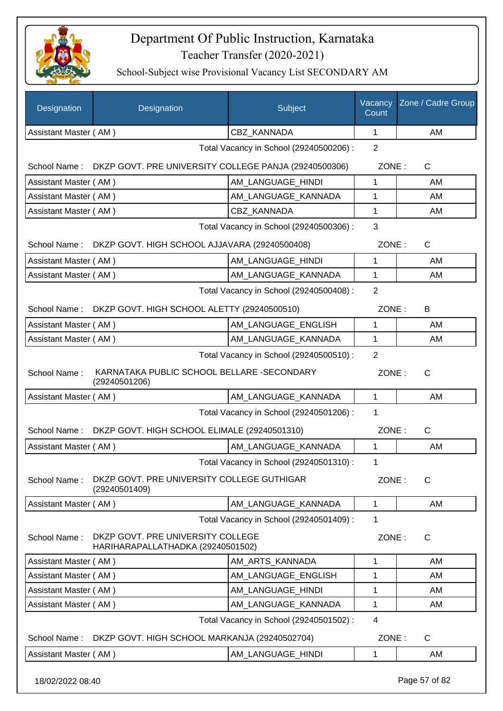

| Designation           | Designation                                                            | Subject                                 | Vacancy<br>Count | Zone / Cadre Group |  |
|-----------------------|------------------------------------------------------------------------|-----------------------------------------|------------------|--------------------|--|
| Assistant Master (AM) |                                                                        | CBZ KANNADA                             | 1                | AM                 |  |
|                       |                                                                        | Total Vacancy in School (29240500206) : | $\overline{2}$   |                    |  |
| School Name :         | DKZP GOVT. PRE UNIVERSITY COLLEGE PANJA (29240500306)                  |                                         | ZONE:            | $\mathsf{C}$       |  |
| Assistant Master (AM) |                                                                        | AM LANGUAGE HINDI                       | 1                | AM                 |  |
| Assistant Master (AM) |                                                                        | AM LANGUAGE KANNADA                     | 1                | AM                 |  |
| Assistant Master (AM) |                                                                        | <b>CBZ KANNADA</b>                      | 1                | AM                 |  |
|                       |                                                                        | Total Vacancy in School (29240500306) : | 3                |                    |  |
|                       | School Name: DKZP GOVT. HIGH SCHOOL AJJAVARA (29240500408)             |                                         | ZONE:            | $\mathsf{C}$       |  |
| Assistant Master (AM) |                                                                        | AM LANGUAGE HINDI                       | 1                | AM                 |  |
| Assistant Master (AM) |                                                                        | AM_LANGUAGE_KANNADA                     | 1                | AM                 |  |
|                       |                                                                        | Total Vacancy in School (29240500408) : | $\overline{2}$   |                    |  |
| School Name:          | DKZP GOVT. HIGH SCHOOL ALETTY (29240500510)                            |                                         | ZONE:            | B                  |  |
| Assistant Master (AM) |                                                                        | AM LANGUAGE ENGLISH                     | 1                | AM                 |  |
| Assistant Master (AM) |                                                                        | AM_LANGUAGE_KANNADA                     | 1                | AM                 |  |
|                       |                                                                        | Total Vacancy in School (29240500510) : | $\overline{2}$   |                    |  |
| School Name:          | KARNATAKA PUBLIC SCHOOL BELLARE - SECONDARY<br>(29240501206)           |                                         | ZONE:            | $\mathsf{C}$       |  |
| Assistant Master (AM) |                                                                        | AM_LANGUAGE_KANNADA                     | $\mathbf{1}$     | AM                 |  |
|                       |                                                                        | Total Vacancy in School (29240501206) : | 1                |                    |  |
| School Name:          | DKZP GOVT. HIGH SCHOOL ELIMALE (29240501310)                           |                                         | ZONE:            | C                  |  |
| Assistant Master (AM) |                                                                        | AM LANGUAGE KANNADA                     | 1                | <b>AM</b>          |  |
|                       |                                                                        | Total Vacancy in School (29240501310) : | 1                |                    |  |
| School Name:          | DKZP GOVT. PRE UNIVERSITY COLLEGE GUTHIGAR<br>(29240501409)            |                                         | ZONE:            | C                  |  |
| Assistant Master (AM) |                                                                        | AM LANGUAGE KANNADA                     | 1                | AM                 |  |
|                       |                                                                        | Total Vacancy in School (29240501409) : | 1                |                    |  |
| School Name:          | DKZP GOVT. PRE UNIVERSITY COLLEGE<br>HARIHARAPALLATHADKA (29240501502) |                                         | ZONE:            | C                  |  |
| Assistant Master (AM) |                                                                        | AM ARTS KANNADA                         | 1                | AM                 |  |
| Assistant Master (AM) |                                                                        | AM_LANGUAGE_ENGLISH                     | 1                | AM                 |  |
| Assistant Master (AM) |                                                                        | AM LANGUAGE HINDI                       | 1                | AM                 |  |
| Assistant Master (AM) |                                                                        | AM_LANGUAGE_KANNADA                     | 1                | AM                 |  |
|                       | $\overline{4}$<br>Total Vacancy in School (29240501502) :              |                                         |                  |                    |  |
| School Name:          | DKZP GOVT. HIGH SCHOOL MARKANJA (29240502704)                          |                                         | ZONE:            | $\mathsf{C}$       |  |
| Assistant Master (AM) |                                                                        | AM_LANGUAGE_HINDI                       | 1                | AM                 |  |
| 18/02/2022 08:40      |                                                                        |                                         |                  | Page 57 of 82      |  |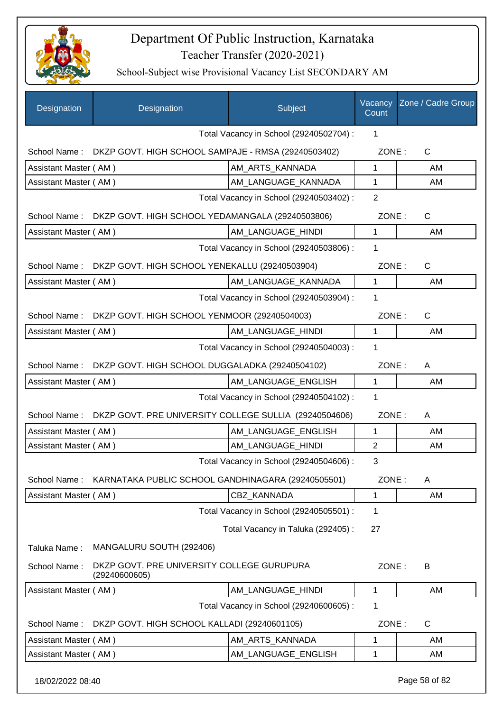

| Designation           | Designation                                                 | Subject                                 | Vacancy<br>Count | Zone / Cadre Group |
|-----------------------|-------------------------------------------------------------|-----------------------------------------|------------------|--------------------|
|                       |                                                             | Total Vacancy in School (29240502704) : | 1                |                    |
| School Name:          | DKZP GOVT. HIGH SCHOOL SAMPAJE - RMSA (29240503402)         |                                         | ZONE:            | $\mathsf{C}$       |
| Assistant Master (AM) |                                                             | AM_ARTS_KANNADA                         | $\mathbf{1}$     | AM                 |
| Assistant Master (AM) |                                                             | AM_LANGUAGE_KANNADA                     | 1                | AM                 |
|                       |                                                             | Total Vacancy in School (29240503402) : | $\overline{2}$   |                    |
| School Name:          | DKZP GOVT. HIGH SCHOOL YEDAMANGALA (29240503806)            |                                         | ZONE:            | $\mathsf{C}$       |
| Assistant Master (AM) |                                                             | AM_LANGUAGE_HINDI                       | 1                | AM                 |
|                       |                                                             | Total Vacancy in School (29240503806) : | 1                |                    |
| School Name:          | DKZP GOVT. HIGH SCHOOL YENEKALLU (29240503904)              |                                         | ZONE:            | $\mathsf{C}$       |
| Assistant Master (AM) |                                                             | AM_LANGUAGE_KANNADA                     | 1                | AM                 |
|                       |                                                             | Total Vacancy in School (29240503904) : | 1                |                    |
| School Name:          | DKZP GOVT. HIGH SCHOOL YENMOOR (29240504003)                |                                         | ZONE:            | $\mathsf{C}$       |
| Assistant Master (AM) |                                                             | AM_LANGUAGE_HINDI                       | $\mathbf{1}$     | AM                 |
|                       |                                                             | Total Vacancy in School (29240504003) : | 1                |                    |
| School Name:          | DKZP GOVT. HIGH SCHOOL DUGGALADKA (29240504102)             |                                         | ZONE:            | A                  |
| Assistant Master (AM) |                                                             | AM_LANGUAGE_ENGLISH                     | 1                | AM                 |
|                       |                                                             | Total Vacancy in School (29240504102) : | 1                |                    |
| School Name:          | DKZP GOVT. PRE UNIVERSITY COLLEGE SULLIA (29240504606)      |                                         | ZONE:            | A                  |
| Assistant Master (AM) |                                                             | AM_LANGUAGE_ENGLISH                     | $\mathbf{1}$     | AM                 |
| Assistant Master (AM) |                                                             | AM_LANGUAGE_HINDI                       | 2                | AM                 |
|                       |                                                             | Total Vacancy in School (29240504606) : | 3                |                    |
| School Name:          | KARNATAKA PUBLIC SCHOOL GANDHINAGARA (29240505501)          |                                         | ZONE:            | A                  |
| Assistant Master (AM) |                                                             | CBZ_KANNADA                             | 1                | AM                 |
|                       |                                                             | Total Vacancy in School (29240505501) : | 1                |                    |
|                       |                                                             | Total Vacancy in Taluka (292405) :      | 27               |                    |
| Taluka Name:          | MANGALURU SOUTH (292406)                                    |                                         |                  |                    |
| School Name:          | DKZP GOVT. PRE UNIVERSITY COLLEGE GURUPURA<br>(29240600605) |                                         | ZONE:            | B                  |
| Assistant Master (AM) |                                                             | AM_LANGUAGE_HINDI                       | 1                | AM                 |
|                       |                                                             | Total Vacancy in School (29240600605) : | 1                |                    |
| School Name:          | DKZP GOVT. HIGH SCHOOL KALLADI (29240601105)                |                                         | ZONE:            | C                  |
| Assistant Master (AM) |                                                             | AM_ARTS_KANNADA                         | 1                | AM                 |
| Assistant Master (AM) |                                                             | AM_LANGUAGE_ENGLISH                     | 1                | AM                 |
| 18/02/2022 08:40      |                                                             |                                         |                  | Page 58 of 82      |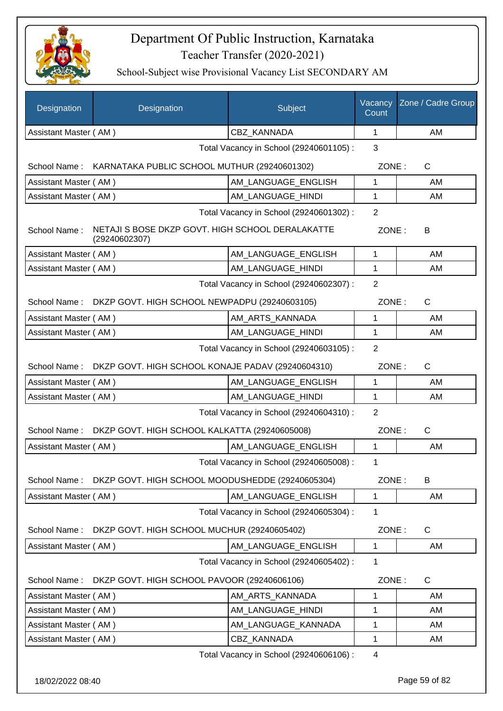

| Designation                             | Designation                                                       | Subject                                 | Vacancy<br>Count | Zone / Cadre Group |
|-----------------------------------------|-------------------------------------------------------------------|-----------------------------------------|------------------|--------------------|
| Assistant Master (AM)                   |                                                                   | <b>CBZ KANNADA</b>                      | 1                | AM                 |
|                                         |                                                                   | Total Vacancy in School (29240601105) : | 3                |                    |
|                                         | School Name: KARNATAKA PUBLIC SCHOOL MUTHUR (29240601302)         |                                         | ZONE:            | $\mathsf{C}$       |
| Assistant Master (AM)                   |                                                                   | AM_LANGUAGE_ENGLISH                     | 1                | AM                 |
| Assistant Master (AM)                   |                                                                   | AM_LANGUAGE_HINDI                       | 1                | AM                 |
| Total Vacancy in School (29240601302) : |                                                                   |                                         |                  |                    |
| School Name:                            | NETAJI S BOSE DKZP GOVT. HIGH SCHOOL DERALAKATTE<br>(29240602307) |                                         | ZONE:            | B                  |
| Assistant Master (AM)                   |                                                                   | AM LANGUAGE ENGLISH                     | $\mathbf{1}$     | AM                 |
| Assistant Master (AM)                   |                                                                   | AM_LANGUAGE_HINDI                       | 1                | AM                 |
|                                         |                                                                   | Total Vacancy in School (29240602307) : | $\overline{2}$   |                    |
| School Name:                            | DKZP GOVT. HIGH SCHOOL NEWPADPU (29240603105)                     |                                         | ZONE:            | $\mathsf{C}$       |
| Assistant Master (AM)                   |                                                                   | AM_ARTS_KANNADA                         | 1                | AM                 |
| Assistant Master (AM)                   |                                                                   | AM LANGUAGE HINDI                       | 1                | AM                 |
|                                         |                                                                   | Total Vacancy in School (29240603105) : | $\overline{2}$   |                    |
|                                         | School Name: DKZP GOVT. HIGH SCHOOL KONAJE PADAV (29240604310)    |                                         | ZONE:            | $\mathsf{C}$       |
| Assistant Master (AM)                   |                                                                   | AM_LANGUAGE_ENGLISH                     | 1                | AM                 |
| Assistant Master (AM)                   |                                                                   | AM_LANGUAGE_HINDI                       | 1                | AM                 |
|                                         |                                                                   | Total Vacancy in School (29240604310) : | $\overline{2}$   |                    |
| School Name:                            | DKZP GOVT. HIGH SCHOOL KALKATTA (29240605008)                     |                                         | ZONE:            | C                  |
| Assistant Master (AM)                   |                                                                   | AM_LANGUAGE_ENGLISH                     | 1                | AM                 |
|                                         |                                                                   | Total Vacancy in School (29240605008) : | 1                |                    |
| School Name:                            | DKZP GOVT. HIGH SCHOOL MOODUSHEDDE (29240605304)                  |                                         | ZONE:            | B                  |
| Assistant Master (AM)                   |                                                                   | AM_LANGUAGE_ENGLISH                     | 1                | AM                 |
|                                         |                                                                   | Total Vacancy in School (29240605304) : | 1                |                    |
| School Name:                            | DKZP GOVT. HIGH SCHOOL MUCHUR (29240605402)                       |                                         | ZONE:            | C                  |
| Assistant Master (AM)                   |                                                                   | AM_LANGUAGE_ENGLISH                     | $\mathbf 1$      | AM                 |
|                                         |                                                                   | Total Vacancy in School (29240605402) : | 1                |                    |
| School Name:                            | DKZP GOVT. HIGH SCHOOL PAVOOR (29240606106)                       |                                         | ZONE:            | C                  |
| Assistant Master (AM)                   |                                                                   | AM ARTS KANNADA                         | 1                | AM                 |
| Assistant Master (AM)                   |                                                                   | AM_LANGUAGE_HINDI                       | 1                | AM                 |
| Assistant Master (AM)                   |                                                                   | AM_LANGUAGE_KANNADA                     | 1                | AM                 |
| Assistant Master (AM)                   |                                                                   | CBZ_KANNADA                             | 1                | AM                 |
|                                         |                                                                   | Total Vacancy in School (29240606106) : | 4                |                    |
| 18/02/2022 08:40                        |                                                                   |                                         |                  | Page 59 of 82      |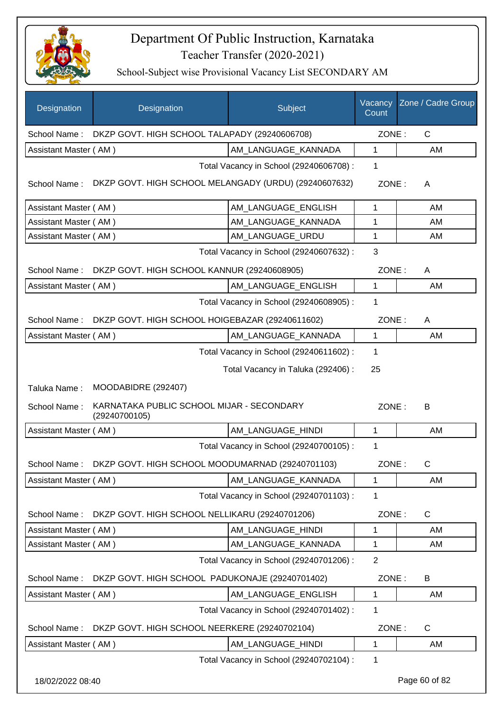

| Designation           | Designation                                                | Subject                                 | Vacancy<br>Count | Zone / Cadre Group |
|-----------------------|------------------------------------------------------------|-----------------------------------------|------------------|--------------------|
| School Name:          | DKZP GOVT. HIGH SCHOOL TALAPADY (29240606708)              |                                         | ZONE:            | $\mathsf{C}$       |
| Assistant Master (AM) |                                                            | AM LANGUAGE_KANNADA                     | $\mathbf{1}$     | AM                 |
|                       |                                                            | Total Vacancy in School (29240606708) : | 1                |                    |
| School Name:          | DKZP GOVT. HIGH SCHOOL MELANGADY (URDU) (29240607632)      |                                         | ZONE:            | A                  |
| Assistant Master (AM) |                                                            | AM_LANGUAGE_ENGLISH                     | $\mathbf{1}$     | AM                 |
| Assistant Master (AM) |                                                            | AM LANGUAGE KANNADA                     | 1                | AM                 |
| Assistant Master (AM) |                                                            | AM_LANGUAGE_URDU                        | $\mathbf 1$      | AM                 |
|                       |                                                            | Total Vacancy in School (29240607632) : | 3                |                    |
| School Name:          | DKZP GOVT. HIGH SCHOOL KANNUR (29240608905)                |                                         | ZONE:            | A                  |
| Assistant Master (AM) |                                                            | AM_LANGUAGE_ENGLISH                     | $\mathbf 1$      | AM                 |
|                       |                                                            | Total Vacancy in School (29240608905) : | 1                |                    |
| School Name:          | DKZP GOVT. HIGH SCHOOL HOIGEBAZAR (29240611602)            |                                         | ZONE:            | A                  |
| Assistant Master (AM) |                                                            | AM_LANGUAGE_KANNADA                     | $\mathbf{1}$     | AM                 |
|                       |                                                            | Total Vacancy in School (29240611602) : | $\mathbf{1}$     |                    |
|                       |                                                            | Total Vacancy in Taluka (292406) :      | 25               |                    |
| Taluka Name:          | MOODABIDRE (292407)                                        |                                         |                  |                    |
| School Name:          | KARNATAKA PUBLIC SCHOOL MIJAR - SECONDARY<br>(29240700105) |                                         | ZONE:            | B                  |
| Assistant Master (AM) |                                                            | AM_LANGUAGE_HINDI                       | $\mathbf{1}$     | AM                 |
|                       |                                                            | Total Vacancy in School (29240700105) : | 1                |                    |
| School Name:          | DKZP GOVT. HIGH SCHOOL MOODUMARNAD (29240701103)           |                                         | ZONE:            | C.                 |
| Assistant Master (AM) |                                                            | AM LANGUAGE KANNADA                     | $\mathbf 1$      | AM                 |
|                       |                                                            | Total Vacancy in School (29240701103) : | 1                |                    |
| School Name:          | DKZP GOVT. HIGH SCHOOL NELLIKARU (29240701206)             |                                         | ZONE:            | $\mathsf{C}$       |
| Assistant Master (AM) |                                                            | AM LANGUAGE HINDI                       | 1                | AM                 |
| Assistant Master (AM) |                                                            | AM_LANGUAGE_KANNADA                     | 1                | AM                 |
|                       |                                                            | Total Vacancy in School (29240701206) : | $\overline{2}$   |                    |
| School Name:          | DKZP GOVT. HIGH SCHOOL PADUKONAJE (29240701402)            |                                         | ZONE:            | B                  |
| Assistant Master (AM) |                                                            | AM_LANGUAGE_ENGLISH                     | $\mathbf 1$      | AM                 |
|                       |                                                            | Total Vacancy in School (29240701402) : | 1                |                    |
| School Name:          | DKZP GOVT. HIGH SCHOOL NEERKERE (29240702104)              |                                         | ZONE:            | $\mathsf{C}$       |
| Assistant Master (AM) |                                                            | AM_LANGUAGE_HINDI                       | 1                | AM                 |
|                       |                                                            | Total Vacancy in School (29240702104) : | 1                |                    |
| 18/02/2022 08:40      |                                                            |                                         |                  | Page 60 of 82      |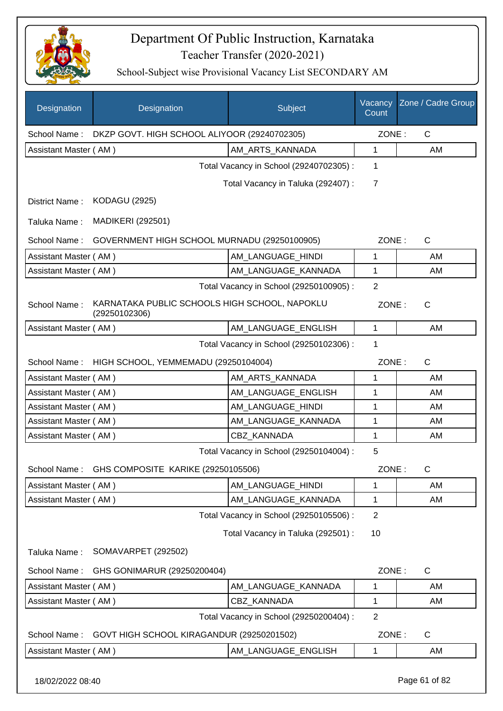

| Designation           | Designation                                                    | Subject                                 | Vacancy<br>Count | Zone / Cadre Group |
|-----------------------|----------------------------------------------------------------|-----------------------------------------|------------------|--------------------|
| School Name:          | DKZP GOVT. HIGH SCHOOL ALIYOOR (29240702305)                   |                                         | ZONE:            | $\mathsf{C}$       |
| Assistant Master (AM) |                                                                | AM ARTS KANNADA                         | 1                | AM                 |
|                       |                                                                | Total Vacancy in School (29240702305) : | 1                |                    |
|                       |                                                                | Total Vacancy in Taluka (292407) :      | $\overline{7}$   |                    |
| District Name:        | <b>KODAGU (2925)</b>                                           |                                         |                  |                    |
| Taluka Name:          | <b>MADIKERI (292501)</b>                                       |                                         |                  |                    |
| School Name:          | GOVERNMENT HIGH SCHOOL MURNADU (29250100905)                   |                                         | ZONE:            | $\mathsf{C}$       |
| Assistant Master (AM) |                                                                | AM LANGUAGE HINDI                       | 1                | AM                 |
| Assistant Master (AM) |                                                                | AM_LANGUAGE_KANNADA                     | 1                | AM                 |
|                       |                                                                | Total Vacancy in School (29250100905) : | 2                |                    |
| School Name:          | KARNATAKA PUBLIC SCHOOLS HIGH SCHOOL, NAPOKLU<br>(29250102306) |                                         | ZONE:            | $\mathsf{C}$       |
| Assistant Master (AM) |                                                                | AM_LANGUAGE_ENGLISH                     | $\mathbf{1}$     | AM                 |
|                       |                                                                | Total Vacancy in School (29250102306) : | 1                |                    |
| School Name:          | HIGH SCHOOL, YEMMEMADU (29250104004)                           |                                         | ZONE:            | C                  |
| Assistant Master (AM) |                                                                | AM_ARTS_KANNADA                         | 1                | AM                 |
| Assistant Master (AM) |                                                                | AM_LANGUAGE_ENGLISH                     | 1                | AM                 |
| Assistant Master (AM) |                                                                | AM_LANGUAGE_HINDI                       | 1                | AM                 |
| Assistant Master (AM) |                                                                | AM_LANGUAGE_KANNADA                     | 1                | AM                 |
| Assistant Master (AM) |                                                                | CBZ_KANNADA                             | 1                | AM                 |
|                       |                                                                | Total Vacancy in School (29250104004) : | 5                |                    |
| School Name:          | GHS COMPOSITE KARIKE (29250105506)                             |                                         | ZONE:            | $\mathsf{C}$       |
| Assistant Master (AM) |                                                                | AM_LANGUAGE_HINDI                       | 1                | AM                 |
| Assistant Master (AM) |                                                                | AM LANGUAGE KANNADA                     | 1                | AM                 |
|                       |                                                                | Total Vacancy in School (29250105506) : | $\overline{2}$   |                    |
|                       |                                                                | Total Vacancy in Taluka (292501) :      | 10               |                    |
| Taluka Name:          | SOMAVARPET (292502)                                            |                                         |                  |                    |
| School Name:          | GHS GONIMARUR (29250200404)                                    |                                         | ZONE:            | $\mathsf C$        |
| Assistant Master (AM) |                                                                | AM_LANGUAGE_KANNADA                     | 1                | AM                 |
| Assistant Master (AM) |                                                                | <b>CBZ KANNADA</b>                      | 1                | AM                 |
|                       |                                                                | Total Vacancy in School (29250200404) : | $\overline{2}$   |                    |
| School Name:          | GOVT HIGH SCHOOL KIRAGANDUR (29250201502)                      |                                         | ZONE:            | C                  |
| Assistant Master (AM) |                                                                | AM_LANGUAGE_ENGLISH                     | 1                | AM                 |
| 18/02/2022 08:40      |                                                                |                                         |                  | Page 61 of 82      |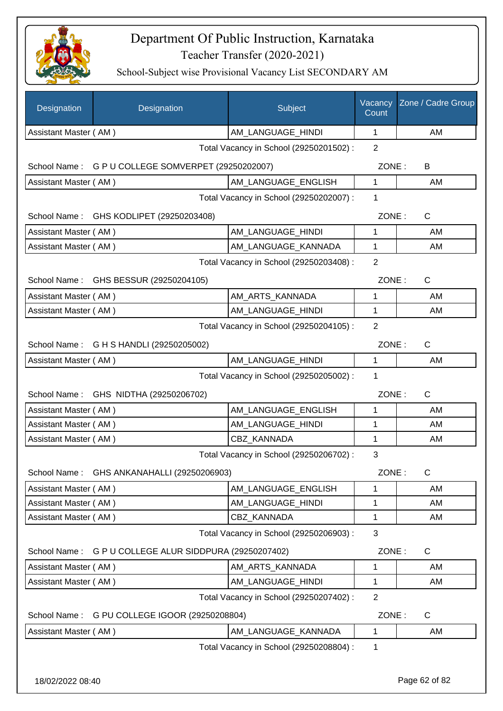

| Designation           | Designation                                        | Subject                                 | Vacancy<br>Count | Zone / Cadre Group |
|-----------------------|----------------------------------------------------|-----------------------------------------|------------------|--------------------|
| Assistant Master (AM) |                                                    | AM LANGUAGE HINDI                       | 1                | AM                 |
|                       |                                                    | Total Vacancy in School (29250201502) : | $\overline{2}$   |                    |
|                       | School Name: G P U COLLEGE SOMVERPET (29250202007) |                                         | ZONE:            | B                  |
| Assistant Master (AM) |                                                    | AM_LANGUAGE_ENGLISH                     | 1                | AM                 |
|                       |                                                    | Total Vacancy in School (29250202007) : | 1                |                    |
|                       | School Name: GHS KODLIPET (29250203408)            |                                         | ZONE:            | C                  |
| Assistant Master (AM) |                                                    | AM_LANGUAGE_HINDI                       | 1                | AM                 |
| Assistant Master (AM) |                                                    | AM_LANGUAGE_KANNADA                     | 1                | AM                 |
|                       |                                                    | Total Vacancy in School (29250203408) : | $\overline{2}$   |                    |
|                       | School Name: GHS BESSUR (29250204105)              |                                         | ZONE:            | $\mathsf{C}$       |
| Assistant Master (AM) |                                                    | AM_ARTS_KANNADA                         | 1                | AM                 |
| Assistant Master (AM) |                                                    | AM_LANGUAGE_HINDI                       | 1                | AM                 |
|                       |                                                    | Total Vacancy in School (29250204105) : | $\overline{2}$   |                    |
|                       | School Name: G H S HANDLI (29250205002)            |                                         | ZONE:            | C                  |
| Assistant Master (AM) |                                                    | AM_LANGUAGE_HINDI                       | $\mathbf 1$      | AM                 |
|                       |                                                    | Total Vacancy in School (29250205002) : | 1                |                    |
|                       | School Name: GHS NIDTHA (29250206702)              |                                         | ZONE:            | C                  |
| Assistant Master (AM) |                                                    | AM_LANGUAGE_ENGLISH                     | 1                | AM                 |
| Assistant Master (AM) |                                                    | AM_LANGUAGE_HINDI                       | 1                | AM                 |
| Assistant Master (AM) |                                                    | CBZ_KANNADA                             | 1                | AM                 |
|                       |                                                    | Total Vacancy in School (29250206702) : | 3                |                    |
| School Name:          | GHS ANKANAHALLI (29250206903)                      |                                         | ZONE:            | C                  |
| Assistant Master (AM) |                                                    | AM_LANGUAGE_ENGLISH                     | 1                | AM                 |
| Assistant Master (AM) |                                                    | AM LANGUAGE HINDI                       | 1                | AM                 |
| Assistant Master (AM) |                                                    | CBZ_KANNADA                             | 1                | AM                 |
|                       |                                                    | Total Vacancy in School (29250206903) : | 3                |                    |
| School Name:          | G P U COLLEGE ALUR SIDDPURA (29250207402)          |                                         | ZONE:            | $\mathsf{C}$       |
| Assistant Master (AM) |                                                    | AM ARTS KANNADA                         | 1                | AM                 |
| Assistant Master (AM) |                                                    | AM_LANGUAGE_HINDI                       | 1                | AM                 |
|                       |                                                    | Total Vacancy in School (29250207402) : | $\overline{2}$   |                    |
| School Name:          | G PU COLLEGE IGOOR (29250208804)                   |                                         | ZONE:            | $\mathsf{C}$       |
| Assistant Master (AM) |                                                    | AM LANGUAGE KANNADA                     | 1                | AM                 |
|                       |                                                    | Total Vacancy in School (29250208804) : | 1                |                    |
|                       |                                                    |                                         |                  |                    |
| 18/02/2022 08:40      |                                                    |                                         |                  | Page 62 of 82      |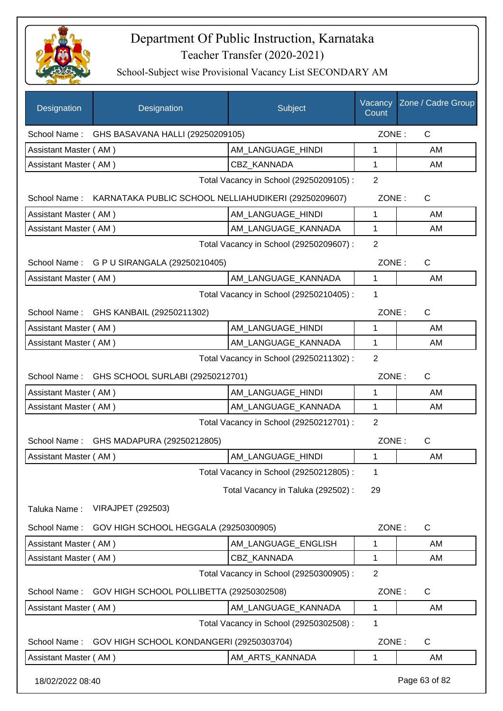

| Designation           | Designation                                                       | Subject                                 | Vacancy<br>Count | Zone / Cadre Group |
|-----------------------|-------------------------------------------------------------------|-----------------------------------------|------------------|--------------------|
|                       | School Name: GHS BASAVANA HALLI (29250209105)                     |                                         | ZONE:            | $\mathsf{C}$       |
| Assistant Master (AM) |                                                                   | AM_LANGUAGE_HINDI                       | 1                | AM                 |
| Assistant Master (AM) |                                                                   | <b>CBZ KANNADA</b>                      | $\mathbf{1}$     | AM                 |
|                       |                                                                   | Total Vacancy in School (29250209105) : | $\overline{2}$   |                    |
|                       | School Name: KARNATAKA PUBLIC SCHOOL NELLIAHUDIKERI (29250209607) |                                         | ZONE:            | $\mathsf{C}$       |
| Assistant Master (AM) |                                                                   | AM LANGUAGE HINDI                       | 1                | AM                 |
| Assistant Master (AM) |                                                                   | AM_LANGUAGE_KANNADA                     | $\mathbf{1}$     | AM                 |
|                       |                                                                   | Total Vacancy in School (29250209607) : | 2                |                    |
|                       | School Name: G P U SIRANGALA (29250210405)                        |                                         | ZONE:            | $\mathsf{C}$       |
| Assistant Master (AM) |                                                                   | AM_LANGUAGE_KANNADA                     | $\mathbf{1}$     | AM                 |
|                       |                                                                   | Total Vacancy in School (29250210405) : | 1                |                    |
|                       | School Name: GHS KANBAIL (29250211302)                            |                                         | ZONE:            | $\mathsf{C}$       |
| Assistant Master (AM) |                                                                   | AM_LANGUAGE_HINDI                       | 1                | AM                 |
| Assistant Master (AM) |                                                                   | AM_LANGUAGE_KANNADA                     | 1                | AM                 |
|                       |                                                                   | Total Vacancy in School (29250211302) : | $\overline{2}$   |                    |
|                       | School Name: GHS SCHOOL SURLABI (29250212701)                     |                                         | ZONE:            | $\mathsf{C}$       |
| Assistant Master (AM) |                                                                   | AM LANGUAGE HINDI                       | 1                | AM                 |
| Assistant Master (AM) |                                                                   | AM_LANGUAGE_KANNADA                     | $\mathbf{1}$     | AM                 |
|                       |                                                                   | Total Vacancy in School (29250212701) : | 2                |                    |
|                       | School Name: GHS MADAPURA (29250212805)                           |                                         | ZONE:            | $\mathsf{C}$       |
| Assistant Master (AM) |                                                                   | AM_LANGUAGE_HINDI                       | 1                | AM                 |
|                       |                                                                   | Total Vacancy in School (29250212805) : | 1                |                    |
|                       |                                                                   | Total Vacancy in Taluka (292502) :      | 29               |                    |
| Taluka Name:          | <b>VIRAJPET (292503)</b>                                          |                                         |                  |                    |
| School Name:          | GOV HIGH SCHOOL HEGGALA (29250300905)                             |                                         | ZONE:            | $\mathsf{C}$       |
| Assistant Master (AM) |                                                                   | AM_LANGUAGE_ENGLISH                     | 1                | AM                 |
| Assistant Master (AM) |                                                                   | CBZ_KANNADA                             | 1                | AM                 |
|                       |                                                                   | Total Vacancy in School (29250300905) : | 2                |                    |
| School Name:          | GOV HIGH SCHOOL POLLIBETTA (29250302508)                          |                                         | ZONE:            | C                  |
| Assistant Master (AM) |                                                                   | AM_LANGUAGE_KANNADA                     | $\mathbf{1}$     | AM                 |
|                       |                                                                   | Total Vacancy in School (29250302508) : | 1                |                    |
| School Name:          | GOV HIGH SCHOOL KONDANGERI (29250303704)                          |                                         | ZONE:            | $\mathsf{C}$       |
| Assistant Master (AM) |                                                                   | AM_ARTS_KANNADA                         | 1                | AM                 |
| 18/02/2022 08:40      |                                                                   |                                         |                  | Page 63 of 82      |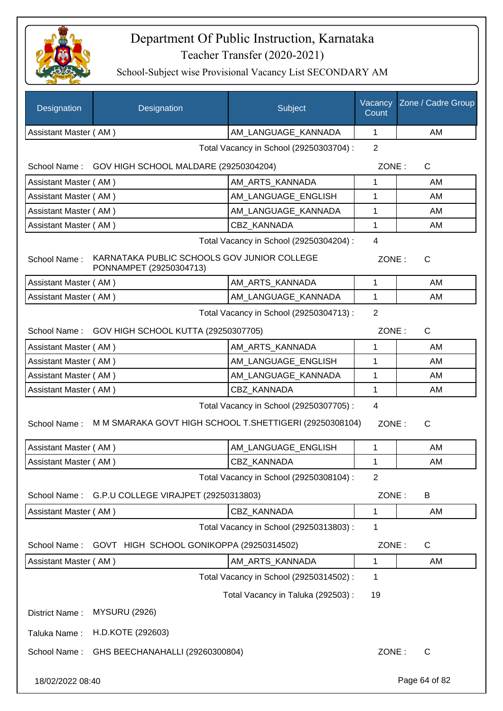

| <b>Designation</b>    | Designation                                                            | Subject                                 | Vacancy<br>Count | Zone / Cadre Group |
|-----------------------|------------------------------------------------------------------------|-----------------------------------------|------------------|--------------------|
| Assistant Master (AM) |                                                                        | AM_LANGUAGE_KANNADA                     | $\mathbf{1}$     | AM                 |
|                       |                                                                        | Total Vacancy in School (29250303704) : | $\overline{2}$   |                    |
|                       | School Name: GOV HIGH SCHOOL MALDARE (29250304204)                     |                                         | ZONE:            | $\mathsf{C}$       |
| Assistant Master (AM) |                                                                        | AM_ARTS_KANNADA                         | 1                | AM                 |
| Assistant Master (AM) |                                                                        | AM_LANGUAGE_ENGLISH                     | 1                | AM                 |
| Assistant Master (AM) |                                                                        | AM_LANGUAGE_KANNADA                     | 1                | AM                 |
| Assistant Master (AM) |                                                                        | <b>CBZ KANNADA</b>                      | $\mathbf{1}$     | AM                 |
|                       |                                                                        | Total Vacancy in School (29250304204) : | $\overline{4}$   |                    |
| School Name:          | KARNATAKA PUBLIC SCHOOLS GOV JUNIOR COLLEGE<br>PONNAMPET (29250304713) |                                         | ZONE:            | C                  |
| Assistant Master (AM) |                                                                        | AM_ARTS_KANNADA                         | 1                | AM                 |
| Assistant Master (AM) |                                                                        | AM_LANGUAGE_KANNADA                     | 1                | AM                 |
|                       |                                                                        | Total Vacancy in School (29250304713) : | $\overline{2}$   |                    |
|                       | School Name: GOV HIGH SCHOOL KUTTA (29250307705)                       |                                         | ZONE:            | $\mathsf{C}$       |
| Assistant Master (AM) |                                                                        | AM_ARTS_KANNADA                         | 1                | AM                 |
| Assistant Master (AM) |                                                                        | AM_LANGUAGE_ENGLISH                     | 1                | AM                 |
| Assistant Master (AM) |                                                                        | AM_LANGUAGE_KANNADA                     | 1                | AM                 |
| Assistant Master (AM) |                                                                        | CBZ KANNADA                             | $\mathbf{1}$     | AM                 |
|                       |                                                                        | Total Vacancy in School (29250307705) : | $\overline{4}$   |                    |
| School Name:          | M M SMARAKA GOVT HIGH SCHOOL T.SHETTIGERI (29250308104)                |                                         | ZONE:            | $\mathsf{C}$       |
| Assistant Master (AM) |                                                                        | AM LANGUAGE ENGLISH                     | $\mathbf{1}$     | AM                 |
| Assistant Master (AM) |                                                                        | CBZ_KANNADA                             | 1                | AM                 |
|                       |                                                                        | Total Vacancy in School (29250308104) : | $\overline{2}$   |                    |
| School Name:          | G.P.U COLLEGE VIRAJPET (29250313803)                                   |                                         | ZONE:            | B                  |
| Assistant Master (AM) |                                                                        | CBZ KANNADA                             | 1                | AM                 |
|                       |                                                                        | Total Vacancy in School (29250313803) : | 1                |                    |
| School Name:          | GOVT HIGH SCHOOL GONIKOPPA (29250314502)                               |                                         | ZONE:            | C                  |
| Assistant Master (AM) |                                                                        | AM ARTS KANNADA                         | 1                | AM                 |
|                       |                                                                        | Total Vacancy in School (29250314502) : | 1                |                    |
|                       |                                                                        | Total Vacancy in Taluka (292503) :      | 19               |                    |
| District Name:        | <b>MYSURU (2926)</b>                                                   |                                         |                  |                    |
| Taluka Name:          | H.D.KOTE (292603)                                                      |                                         |                  |                    |
| School Name:          | GHS BEECHANAHALLI (29260300804)                                        |                                         | ZONE:            | C                  |
| 18/02/2022 08:40      |                                                                        |                                         |                  | Page 64 of 82      |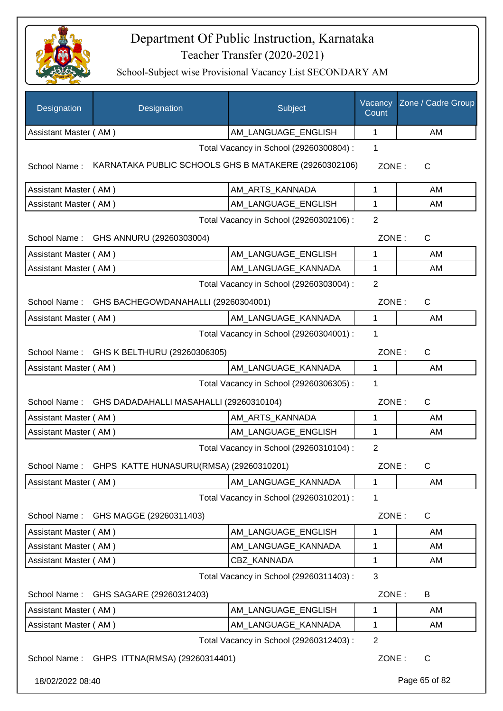

| Designation           | Designation                                           | Subject                                 | Vacancy<br>Count | Zone / Cadre Group |
|-----------------------|-------------------------------------------------------|-----------------------------------------|------------------|--------------------|
| Assistant Master (AM) |                                                       | AM_LANGUAGE_ENGLISH                     | 1                | AM                 |
|                       |                                                       | Total Vacancy in School (29260300804) : | 1                |                    |
| School Name:          | KARNATAKA PUBLIC SCHOOLS GHS B MATAKERE (29260302106) |                                         | ZONE:            | C                  |
| Assistant Master (AM) |                                                       | AM ARTS KANNADA                         | 1                | AM                 |
| Assistant Master (AM) |                                                       | AM_LANGUAGE_ENGLISH                     | 1                | AM                 |
|                       |                                                       | Total Vacancy in School (29260302106) : | $\overline{2}$   |                    |
|                       | School Name: GHS ANNURU (29260303004)                 |                                         | ZONE:            | C                  |
| Assistant Master (AM) |                                                       | AM_LANGUAGE_ENGLISH                     | 1                | AM                 |
| Assistant Master (AM) |                                                       | AM_LANGUAGE_KANNADA                     | 1                | AM                 |
|                       |                                                       | Total Vacancy in School (29260303004) : | $\overline{2}$   |                    |
| School Name:          | GHS BACHEGOWDANAHALLI (29260304001)                   |                                         | ZONE:            | C                  |
| Assistant Master (AM) |                                                       | AM_LANGUAGE_KANNADA                     | 1                | AM                 |
|                       |                                                       | Total Vacancy in School (29260304001) : | 1                |                    |
| School Name:          | GHS K BELTHURU (29260306305)                          |                                         | ZONE:            | $\mathsf{C}$       |
| Assistant Master (AM) |                                                       | AM_LANGUAGE_KANNADA                     | $\mathbf 1$      | AM                 |
|                       |                                                       | Total Vacancy in School (29260306305) : | 1                |                    |
|                       | School Name: GHS DADADAHALLI MASAHALLI (29260310104)  |                                         | ZONE:            | C                  |
| Assistant Master (AM) |                                                       | AM_ARTS_KANNADA                         | 1                | AM                 |
| Assistant Master (AM) |                                                       | AM_LANGUAGE_ENGLISH                     | 1                | AM                 |
|                       |                                                       | Total Vacancy in School (29260310104) : | $\overline{2}$   |                    |
|                       | School Name: GHPS KATTE HUNASURU(RMSA) (29260310201)  |                                         | ZONE:            | C                  |
| Assistant Master (AM) |                                                       | AM LANGUAGE KANNADA                     | 1                | AM                 |
|                       |                                                       | Total Vacancy in School (29260310201) : | 1                |                    |
| School Name:          | GHS MAGGE (29260311403)                               |                                         | ZONE:            | C                  |
| Assistant Master (AM) |                                                       | AM_LANGUAGE_ENGLISH                     | 1                | AM                 |
| Assistant Master (AM) |                                                       | AM_LANGUAGE_KANNADA                     | 1                | AM                 |
| Assistant Master (AM) |                                                       | CBZ KANNADA                             | 1                | AM                 |
|                       |                                                       | Total Vacancy in School (29260311403) : | 3                |                    |
| School Name:          | GHS SAGARE (29260312403)                              |                                         | ZONE:            | B                  |
| Assistant Master (AM) |                                                       | AM_LANGUAGE_ENGLISH                     | 1                | AM                 |
| Assistant Master (AM) |                                                       | AM_LANGUAGE_KANNADA                     | 1                | AM                 |
|                       |                                                       | Total Vacancy in School (29260312403) : | $\overline{2}$   |                    |
|                       | School Name: GHPS ITTNA(RMSA) (29260314401)           |                                         | ZONE:            | $\mathsf{C}$       |
| 18/02/2022 08:40      |                                                       |                                         |                  | Page 65 of 82      |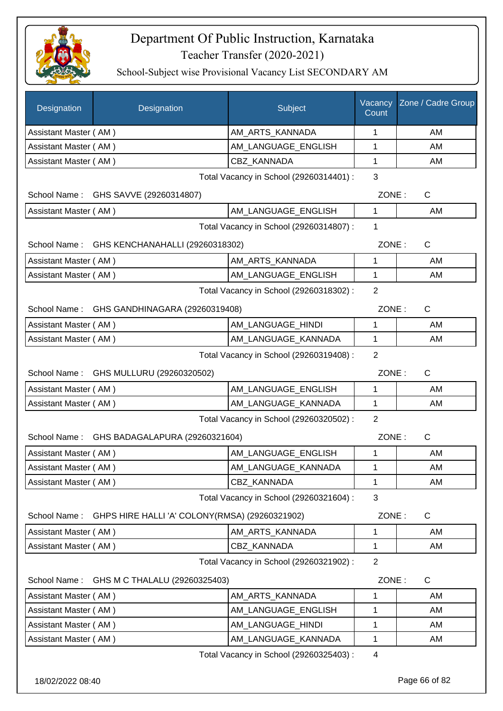

| Designation                                               | Designation                                    | Subject                                 | Vacancy<br>Count | Zone / Cadre Group    |
|-----------------------------------------------------------|------------------------------------------------|-----------------------------------------|------------------|-----------------------|
| Assistant Master (AM)                                     |                                                | AM_ARTS_KANNADA                         | 1                | AM                    |
| Assistant Master (AM)                                     |                                                | AM_LANGUAGE_ENGLISH                     | 1                | AM                    |
| Assistant Master (AM)                                     |                                                | <b>CBZ KANNADA</b>                      | 1                | AM                    |
|                                                           |                                                | Total Vacancy in School (29260314401) : | 3                |                       |
|                                                           | School Name: GHS SAVVE (29260314807)           |                                         | ZONE:            | C                     |
| Assistant Master (AM)                                     |                                                | AM_LANGUAGE_ENGLISH                     | 1                | AM                    |
|                                                           |                                                | Total Vacancy in School (29260314807) : | 1                |                       |
|                                                           | School Name: GHS KENCHANAHALLI (29260318302)   |                                         |                  | ZONE:<br>$\mathsf{C}$ |
| Assistant Master (AM)                                     |                                                | AM ARTS KANNADA                         | 1                | AM                    |
| Assistant Master (AM)                                     |                                                | AM_LANGUAGE_ENGLISH                     | 1                | AM                    |
|                                                           |                                                | Total Vacancy in School (29260318302):  | $\overline{2}$   |                       |
|                                                           | School Name: GHS GANDHINAGARA (29260319408)    |                                         | ZONE:            | $\mathsf{C}$          |
| Assistant Master (AM)                                     |                                                | AM_LANGUAGE_HINDI                       | 1                | AM                    |
| Assistant Master (AM)                                     |                                                | AM_LANGUAGE_KANNADA                     | $\mathbf{1}$     | AM                    |
| $\overline{2}$<br>Total Vacancy in School (29260319408) : |                                                |                                         |                  |                       |
| School Name:                                              | GHS MULLURU (29260320502)                      |                                         | ZONE:            | $\mathsf{C}$          |
| Assistant Master (AM)                                     |                                                | AM_LANGUAGE_ENGLISH                     | 1                | AM                    |
| Assistant Master (AM)                                     |                                                | AM_LANGUAGE_KANNADA                     | 1                | AM                    |
|                                                           |                                                | Total Vacancy in School (29260320502) : | $\overline{2}$   |                       |
|                                                           | School Name: GHS BADAGALAPURA (29260321604)    |                                         | ZONE:            | C                     |
| Assistant Master (AM)                                     |                                                | AM_LANGUAGE_ENGLISH                     | 1                | AM                    |
| Assistant Master (AM)                                     |                                                | AM_LANGUAGE_KANNADA                     | 1                | AM                    |
| Assistant Master (AM)                                     |                                                | CBZ_KANNADA                             | 1                | AM                    |
|                                                           |                                                | Total Vacancy in School (29260321604) : | 3                |                       |
| School Name:                                              | GHPS HIRE HALLI 'A' COLONY(RMSA) (29260321902) |                                         | ZONE:            | C                     |
| Assistant Master (AM)                                     |                                                | AM_ARTS_KANNADA                         | 1                | AM                    |
| Assistant Master (AM)                                     |                                                | CBZ KANNADA                             | 1                | AM                    |
| $\overline{2}$<br>Total Vacancy in School (29260321902) : |                                                |                                         |                  |                       |
| School Name:                                              | GHS M C THALALU (29260325403)                  |                                         | ZONE:            | C                     |
| Assistant Master (AM)                                     |                                                | AM_ARTS_KANNADA                         | 1                | AM                    |
| Assistant Master (AM)                                     |                                                | AM_LANGUAGE_ENGLISH                     | 1                | AM                    |
| Assistant Master (AM)                                     |                                                | AM_LANGUAGE_HINDI                       | 1                | AM                    |
| Assistant Master (AM)                                     |                                                | AM_LANGUAGE_KANNADA                     | 1                | AM                    |
|                                                           |                                                | Total Vacancy in School (29260325403) : | 4                |                       |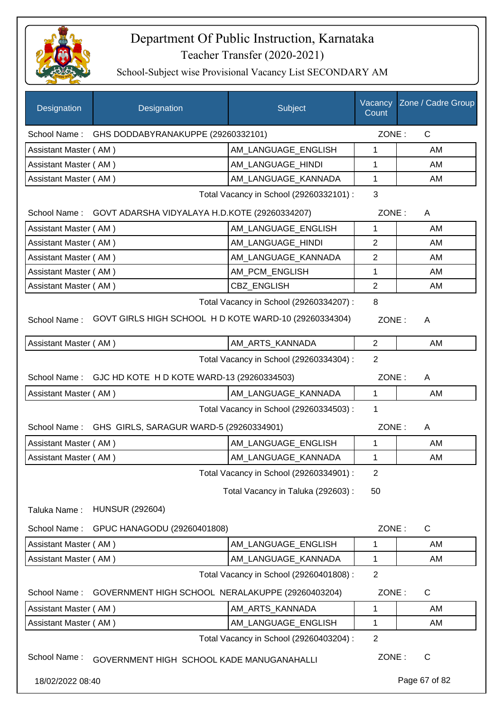

| Designation           | Designation                                                | Subject                                 | Vacancy<br>Count | Zone / Cadre Group |
|-----------------------|------------------------------------------------------------|-----------------------------------------|------------------|--------------------|
| School Name:          | GHS DODDABYRANAKUPPE (29260332101)                         |                                         | ZONE:            | $\mathsf{C}$       |
| Assistant Master (AM) |                                                            | AM LANGUAGE ENGLISH                     | 1                | AM                 |
| Assistant Master (AM) |                                                            | AM LANGUAGE HINDI                       | 1                | AM                 |
| Assistant Master (AM) |                                                            | AM LANGUAGE KANNADA                     | 1                | AM                 |
|                       |                                                            | Total Vacancy in School (29260332101) : | 3                |                    |
|                       | School Name: GOVT ADARSHA VIDYALAYA H.D.KOTE (29260334207) |                                         | ZONE:            | A                  |
| Assistant Master (AM) |                                                            | AM_LANGUAGE_ENGLISH                     | 1                | AM                 |
| Assistant Master (AM) |                                                            | AM_LANGUAGE_HINDI                       | $\overline{2}$   | AM                 |
| Assistant Master (AM) |                                                            | AM_LANGUAGE_KANNADA                     | $\overline{2}$   | AM                 |
| Assistant Master (AM) |                                                            | AM_PCM_ENGLISH                          | 1                | AM                 |
| Assistant Master (AM) |                                                            | <b>CBZ ENGLISH</b>                      | 2                | AM                 |
|                       |                                                            | Total Vacancy in School (29260334207) : | 8                |                    |
| School Name:          | GOVT GIRLS HIGH SCHOOL HD KOTE WARD-10 (29260334304)       |                                         | ZONE:            | A                  |
| Assistant Master (AM) |                                                            | AM_ARTS_KANNADA                         | 2                | AM                 |
|                       |                                                            | Total Vacancy in School (29260334304) : | $\overline{2}$   |                    |
|                       | School Name: GJC HD KOTE H D KOTE WARD-13 (29260334503)    |                                         | ZONE:            | A                  |
| Assistant Master (AM) |                                                            | AM_LANGUAGE_KANNADA                     | $\mathbf 1$      | AM                 |
|                       |                                                            | Total Vacancy in School (29260334503) : | 1                |                    |
|                       | School Name: GHS GIRLS, SARAGUR WARD-5 (29260334901)       |                                         | ZONE:            | A                  |
| Assistant Master (AM) |                                                            | AM_LANGUAGE_ENGLISH                     | $\mathbf{1}$     | AM                 |
| Assistant Master (AM) |                                                            | AM_LANGUAGE_KANNADA                     | 1                | AM                 |
|                       |                                                            | Total Vacancy in School (29260334901) : | $\overline{2}$   |                    |
|                       |                                                            | Total Vacancy in Taluka (292603) :      | 50               |                    |
| Taluka Name:          | <b>HUNSUR (292604)</b>                                     |                                         |                  |                    |
| School Name:          | GPUC HANAGODU (29260401808)                                |                                         | ZONE:            | $\mathsf{C}$       |
| Assistant Master (AM) |                                                            | AM_LANGUAGE_ENGLISH                     | 1                | AM                 |
| Assistant Master (AM) |                                                            | AM_LANGUAGE_KANNADA                     | 1                | AM                 |
|                       |                                                            | Total Vacancy in School (29260401808) : | $\overline{2}$   |                    |
| School Name:          | GOVERNMENT HIGH SCHOOL NERALAKUPPE (29260403204)           |                                         | ZONE:            | $\mathsf C$        |
| Assistant Master (AM) |                                                            | AM_ARTS_KANNADA                         | 1                | AM                 |
| Assistant Master (AM) |                                                            | AM_LANGUAGE_ENGLISH                     | 1                | AM                 |
|                       |                                                            | Total Vacancy in School (29260403204) : | $\overline{2}$   |                    |
| School Name:          | GOVERNMENT HIGH SCHOOL KADE MANUGANAHALLI                  |                                         | ZONE:            | $\mathsf{C}$       |
| 18/02/2022 08:40      |                                                            |                                         |                  | Page 67 of 82      |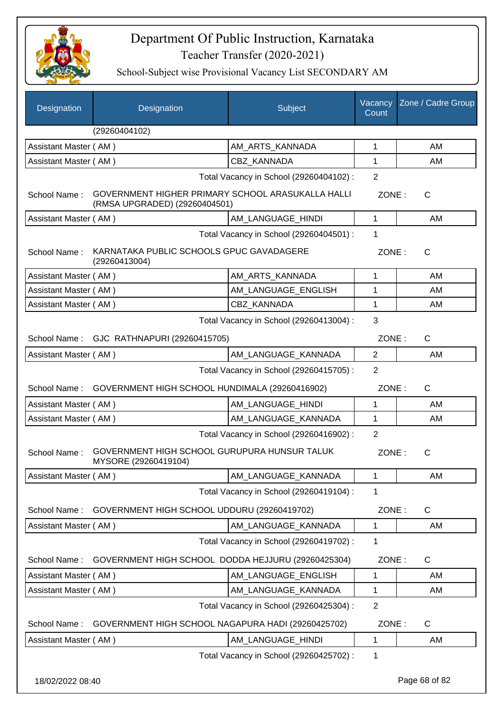

| Designation           | Designation                                                                        | Subject                                 | Vacancy<br>Count | Zone / Cadre Group |
|-----------------------|------------------------------------------------------------------------------------|-----------------------------------------|------------------|--------------------|
|                       | (29260404102)                                                                      |                                         |                  |                    |
| Assistant Master (AM) |                                                                                    | AM_ARTS_KANNADA                         | 1                | AM                 |
| Assistant Master (AM) |                                                                                    | <b>CBZ KANNADA</b>                      | 1                | AM                 |
|                       |                                                                                    | Total Vacancy in School (29260404102) : | $\overline{2}$   |                    |
| School Name:          | GOVERNMENT HIGHER PRIMARY SCHOOL ARASUKALLA HALLI<br>(RMSA UPGRADED) (29260404501) |                                         | ZONE:            | $\mathsf{C}$       |
| Assistant Master (AM) |                                                                                    | AM_LANGUAGE_HINDI                       | $\mathbf 1$      | AM                 |
|                       |                                                                                    | Total Vacancy in School (29260404501) : | 1                |                    |
| School Name:          | KARNATAKA PUBLIC SCHOOLS GPUC GAVADAGERE<br>(29260413004)                          |                                         | ZONE:            | $\mathsf{C}$       |
| Assistant Master (AM) |                                                                                    | AM_ARTS_KANNADA                         | 1                | AM                 |
| Assistant Master (AM) |                                                                                    | AM_LANGUAGE_ENGLISH                     | 1                | AM                 |
| Assistant Master (AM) |                                                                                    | <b>CBZ KANNADA</b>                      | 1                | AM                 |
|                       |                                                                                    | Total Vacancy in School (29260413004) : | 3                |                    |
|                       | School Name: GJC RATHNAPURI (29260415705)                                          |                                         | ZONE:            | $\mathsf{C}$       |
| Assistant Master (AM) |                                                                                    | AM_LANGUAGE_KANNADA                     | $\overline{2}$   | AM                 |
|                       |                                                                                    | Total Vacancy in School (29260415705) : | $\overline{2}$   |                    |
| School Name:          | GOVERNMENT HIGH SCHOOL HUNDIMALA (29260416902)                                     |                                         | ZONE:            | $\mathsf{C}$       |
| Assistant Master (AM) |                                                                                    | AM_LANGUAGE_HINDI                       | 1                | AM                 |
| Assistant Master (AM) |                                                                                    | AM_LANGUAGE_KANNADA                     | $\mathbf 1$      | AM                 |
|                       |                                                                                    | Total Vacancy in School (29260416902) : | 2                |                    |
| School Name:          | GOVERNMENT HIGH SCHOOL GURUPURA HUNSUR TALUK<br>MYSORE (29260419104)               |                                         | ZONE:            | $\mathsf{C}$       |
| Assistant Master (AM) |                                                                                    | AM LANGUAGE KANNADA                     | 1                | AM                 |
|                       |                                                                                    | Total Vacancy in School (29260419104) : | 1                |                    |
| School Name:          | GOVERNMENT HIGH SCHOOL UDDURU (29260419702)                                        |                                         | ZONE:            | C                  |
| Assistant Master (AM) |                                                                                    | AM LANGUAGE KANNADA                     | $\mathbf 1$      | AM                 |
|                       |                                                                                    | Total Vacancy in School (29260419702) : | 1                |                    |
| School Name:          | GOVERNMENT HIGH SCHOOL DODDA HEJJURU (29260425304)                                 |                                         | ZONE:            | $\mathsf{C}$       |
| Assistant Master (AM) |                                                                                    | AM_LANGUAGE_ENGLISH                     | 1                | AM                 |
| Assistant Master (AM) |                                                                                    | AM_LANGUAGE_KANNADA                     | 1                | AM                 |
|                       |                                                                                    | Total Vacancy in School (29260425304) : | $\overline{2}$   |                    |
| School Name:          | GOVERNMENT HIGH SCHOOL NAGAPURA HADI (29260425702)                                 |                                         | ZONE:            | $\mathsf{C}$       |
| Assistant Master (AM) |                                                                                    | AM_LANGUAGE_HINDI                       | $\mathbf 1$      | AM                 |
|                       |                                                                                    | Total Vacancy in School (29260425702) : | $\mathbf 1$      |                    |
| 18/02/2022 08:40      |                                                                                    |                                         |                  | Page 68 of 82      |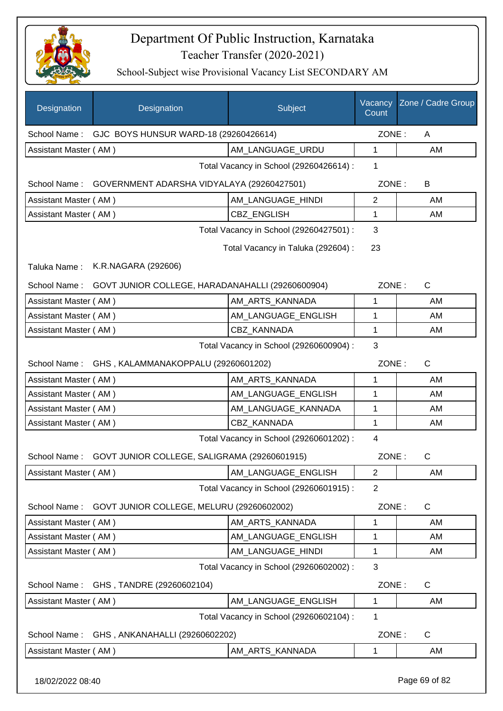

School-Subject wise Provisional Vacancy List SECONDARY AM

| Designation           | Designation                                               | Subject                                 | Vacancy<br>Count | Zone / Cadre Group |
|-----------------------|-----------------------------------------------------------|-----------------------------------------|------------------|--------------------|
|                       | School Name: GJC BOYS HUNSUR WARD-18 (29260426614)        |                                         | ZONE:            | A                  |
| Assistant Master (AM) |                                                           | AM LANGUAGE URDU                        | 1                | AM                 |
|                       |                                                           | Total Vacancy in School (29260426614) : | 1                |                    |
|                       | School Name: GOVERNMENT ADARSHA VIDYALAYA (29260427501)   |                                         | ZONE:            | B                  |
| Assistant Master (AM) |                                                           | AM_LANGUAGE_HINDI                       | $\mathbf{2}$     | AM                 |
| Assistant Master (AM) |                                                           | CBZ_ENGLISH                             | 1                | AM                 |
|                       |                                                           | Total Vacancy in School (29260427501) : | 3                |                    |
|                       |                                                           | Total Vacancy in Taluka (292604) :      | 23               |                    |
| Taluka Name:          | K.R.NAGARA (292606)                                       |                                         |                  |                    |
| School Name:          | GOVT JUNIOR COLLEGE, HARADANAHALLI (29260600904)          |                                         | ZONE:            | $\mathsf{C}$       |
| Assistant Master (AM) |                                                           | AM_ARTS_KANNADA                         | 1                | AM                 |
| Assistant Master (AM) |                                                           | AM LANGUAGE ENGLISH                     | 1                | AM                 |
| Assistant Master (AM) |                                                           | <b>CBZ KANNADA</b>                      | 1                | AM                 |
|                       | 3                                                         |                                         |                  |                    |
|                       | School Name: GHS, KALAMMANAKOPPALU (29260601202)          |                                         | ZONE:            | $\mathsf{C}$       |
| Assistant Master (AM) |                                                           | AM_ARTS_KANNADA                         | 1                | AM                 |
| Assistant Master (AM) |                                                           | AM_LANGUAGE_ENGLISH                     | 1                | AM                 |
| Assistant Master (AM) |                                                           | AM_LANGUAGE_KANNADA                     | 1                | AM                 |
| Assistant Master (AM) |                                                           | CBZ_KANNADA                             | 1                | AM                 |
|                       |                                                           | Total Vacancy in School (29260601202) : | 4                |                    |
|                       | School Name: GOVT JUNIOR COLLEGE, SALIGRAMA (29260601915) |                                         | ZONE:            | C                  |
| Assistant Master (AM) |                                                           | AM_LANGUAGE_ENGLISH                     | $\overline{c}$   | AM                 |
|                       |                                                           | Total Vacancy in School (29260601915) : | $\overline{2}$   |                    |
| School Name:          | GOVT JUNIOR COLLEGE, MELURU (29260602002)                 |                                         | ZONE:            | C                  |
| Assistant Master (AM) |                                                           | AM_ARTS_KANNADA                         | 1                | AM                 |
| Assistant Master (AM) |                                                           | AM LANGUAGE ENGLISH                     | 1                | AM                 |
| Assistant Master (AM) |                                                           | AM_LANGUAGE_HINDI                       | 1                | AM                 |
|                       |                                                           | Total Vacancy in School (29260602002) : | 3                |                    |
| School Name:          | GHS, TANDRE (29260602104)                                 |                                         | ZONE:            | C                  |
| Assistant Master (AM) |                                                           | AM_LANGUAGE_ENGLISH                     | 1                | AM                 |
|                       |                                                           | Total Vacancy in School (29260602104) : | 1                |                    |
| School Name:          | GHS, ANKANAHALLI (29260602202)                            |                                         | ZONE:            | C                  |
| Assistant Master (AM) |                                                           | AM_ARTS_KANNADA                         | 1                | AM                 |
|                       |                                                           |                                         |                  |                    |

18/02/2022 08:40 Page 69 of 82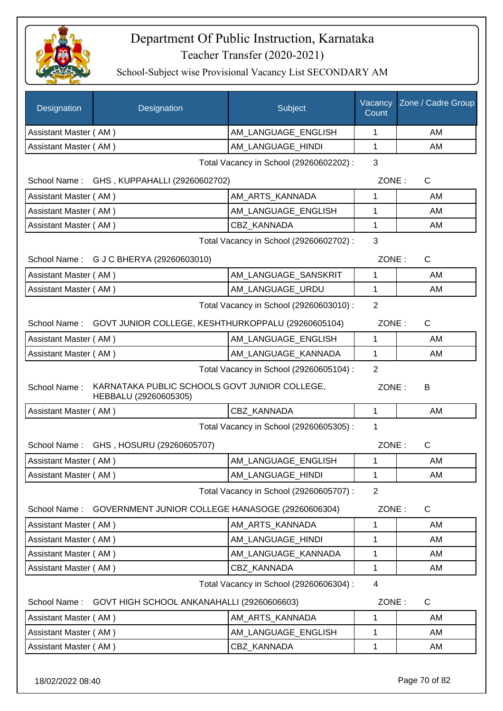

| AM_LANGUAGE_ENGLISH<br>1<br>AM<br>Assistant Master (AM)<br>AM_LANGUAGE_HINDI<br>1<br>AM<br>Assistant Master (AM)<br>3<br>Total Vacancy in School (29260602202) :<br>ZONE:<br>$\mathsf{C}$<br>School Name: GHS, KUPPAHALLI (29260602702)<br>AM_ARTS_KANNADA<br>Assistant Master (AM)<br>1<br>AM<br>AM LANGUAGE_ENGLISH<br>Assistant Master (AM)<br>1<br>AM<br><b>CBZ KANNADA</b><br>1<br>Assistant Master (AM)<br>AM<br>3<br>Total Vacancy in School (29260602702) :<br>School Name: G J C BHERYA (29260603010)<br>ZONE:<br>$\mathsf{C}$<br>AM LANGUAGE SANSKRIT<br>1<br>Assistant Master (AM)<br>AM<br>AM_LANGUAGE_URDU<br>1<br>Assistant Master (AM)<br>AM<br>$\overline{2}$<br>Total Vacancy in School (29260603010) :<br>School Name: GOVT JUNIOR COLLEGE, KESHTHURKOPPALU (29260605104)<br>ZONE:<br>$\mathsf{C}$<br>AM_LANGUAGE_ENGLISH<br>Assistant Master (AM)<br>1<br>AM<br>Assistant Master (AM)<br>AM_LANGUAGE_KANNADA<br>1<br>AM<br>$\overline{2}$<br>Total Vacancy in School (29260605104) :<br>KARNATAKA PUBLIC SCHOOLS GOVT JUNIOR COLLEGE,<br>School Name:<br>ZONE:<br>B<br>HEBBALU (29260605305)<br>CBZ_KANNADA<br>$\mathbf{1}$<br>AM<br>Assistant Master (AM)<br>Total Vacancy in School (29260605305) :<br>1<br>ZONE:<br>$\mathsf{C}$<br>School Name: GHS, HOSURU (29260605707)<br>AM LANGUAGE ENGLISH<br>Assistant Master (AM)<br>1<br>AM<br>Assistant Master (AM)<br>AM LANGUAGE HINDI<br>1<br>AM<br>Total Vacancy in School (29260605707) :<br>$\overline{2}$<br>GOVERNMENT JUNIOR COLLEGE HANASOGE (29260606304)<br>ZONE:<br>School Name:<br>C<br>Assistant Master (AM)<br>AM_ARTS_KANNADA<br>1<br>AM<br>Assistant Master (AM)<br>AM LANGUAGE HINDI<br>AM<br>1<br>AM_LANGUAGE_KANNADA<br>Assistant Master (AM)<br>1<br>AM<br>CBZ_KANNADA<br>1<br>Assistant Master (AM)<br>AM<br>Total Vacancy in School (29260606304) :<br>4<br>School Name:<br>ZONE:<br>C<br>GOVT HIGH SCHOOL ANKANAHALLI (29260606603)<br>AM_ARTS_KANNADA<br>Assistant Master (AM)<br>1<br>AM<br>Assistant Master (AM)<br>AM_LANGUAGE_ENGLISH<br>1<br>AM<br>Assistant Master (AM)<br>CBZ_KANNADA<br>1<br>AM | Designation | Designation | Subject | Vacancy<br>Count | Zone / Cadre Group |
|----------------------------------------------------------------------------------------------------------------------------------------------------------------------------------------------------------------------------------------------------------------------------------------------------------------------------------------------------------------------------------------------------------------------------------------------------------------------------------------------------------------------------------------------------------------------------------------------------------------------------------------------------------------------------------------------------------------------------------------------------------------------------------------------------------------------------------------------------------------------------------------------------------------------------------------------------------------------------------------------------------------------------------------------------------------------------------------------------------------------------------------------------------------------------------------------------------------------------------------------------------------------------------------------------------------------------------------------------------------------------------------------------------------------------------------------------------------------------------------------------------------------------------------------------------------------------------------------------------------------------------------------------------------------------------------------------------------------------------------------------------------------------------------------------------------------------------------------------------------------------------------------------------------------------------------------------------------------------------------------------------------------------------------------------------------------------------------------------|-------------|-------------|---------|------------------|--------------------|
|                                                                                                                                                                                                                                                                                                                                                                                                                                                                                                                                                                                                                                                                                                                                                                                                                                                                                                                                                                                                                                                                                                                                                                                                                                                                                                                                                                                                                                                                                                                                                                                                                                                                                                                                                                                                                                                                                                                                                                                                                                                                                                    |             |             |         |                  |                    |
|                                                                                                                                                                                                                                                                                                                                                                                                                                                                                                                                                                                                                                                                                                                                                                                                                                                                                                                                                                                                                                                                                                                                                                                                                                                                                                                                                                                                                                                                                                                                                                                                                                                                                                                                                                                                                                                                                                                                                                                                                                                                                                    |             |             |         |                  |                    |
|                                                                                                                                                                                                                                                                                                                                                                                                                                                                                                                                                                                                                                                                                                                                                                                                                                                                                                                                                                                                                                                                                                                                                                                                                                                                                                                                                                                                                                                                                                                                                                                                                                                                                                                                                                                                                                                                                                                                                                                                                                                                                                    |             |             |         |                  |                    |
|                                                                                                                                                                                                                                                                                                                                                                                                                                                                                                                                                                                                                                                                                                                                                                                                                                                                                                                                                                                                                                                                                                                                                                                                                                                                                                                                                                                                                                                                                                                                                                                                                                                                                                                                                                                                                                                                                                                                                                                                                                                                                                    |             |             |         |                  |                    |
|                                                                                                                                                                                                                                                                                                                                                                                                                                                                                                                                                                                                                                                                                                                                                                                                                                                                                                                                                                                                                                                                                                                                                                                                                                                                                                                                                                                                                                                                                                                                                                                                                                                                                                                                                                                                                                                                                                                                                                                                                                                                                                    |             |             |         |                  |                    |
|                                                                                                                                                                                                                                                                                                                                                                                                                                                                                                                                                                                                                                                                                                                                                                                                                                                                                                                                                                                                                                                                                                                                                                                                                                                                                                                                                                                                                                                                                                                                                                                                                                                                                                                                                                                                                                                                                                                                                                                                                                                                                                    |             |             |         |                  |                    |
|                                                                                                                                                                                                                                                                                                                                                                                                                                                                                                                                                                                                                                                                                                                                                                                                                                                                                                                                                                                                                                                                                                                                                                                                                                                                                                                                                                                                                                                                                                                                                                                                                                                                                                                                                                                                                                                                                                                                                                                                                                                                                                    |             |             |         |                  |                    |
|                                                                                                                                                                                                                                                                                                                                                                                                                                                                                                                                                                                                                                                                                                                                                                                                                                                                                                                                                                                                                                                                                                                                                                                                                                                                                                                                                                                                                                                                                                                                                                                                                                                                                                                                                                                                                                                                                                                                                                                                                                                                                                    |             |             |         |                  |                    |
|                                                                                                                                                                                                                                                                                                                                                                                                                                                                                                                                                                                                                                                                                                                                                                                                                                                                                                                                                                                                                                                                                                                                                                                                                                                                                                                                                                                                                                                                                                                                                                                                                                                                                                                                                                                                                                                                                                                                                                                                                                                                                                    |             |             |         |                  |                    |
|                                                                                                                                                                                                                                                                                                                                                                                                                                                                                                                                                                                                                                                                                                                                                                                                                                                                                                                                                                                                                                                                                                                                                                                                                                                                                                                                                                                                                                                                                                                                                                                                                                                                                                                                                                                                                                                                                                                                                                                                                                                                                                    |             |             |         |                  |                    |
|                                                                                                                                                                                                                                                                                                                                                                                                                                                                                                                                                                                                                                                                                                                                                                                                                                                                                                                                                                                                                                                                                                                                                                                                                                                                                                                                                                                                                                                                                                                                                                                                                                                                                                                                                                                                                                                                                                                                                                                                                                                                                                    |             |             |         |                  |                    |
|                                                                                                                                                                                                                                                                                                                                                                                                                                                                                                                                                                                                                                                                                                                                                                                                                                                                                                                                                                                                                                                                                                                                                                                                                                                                                                                                                                                                                                                                                                                                                                                                                                                                                                                                                                                                                                                                                                                                                                                                                                                                                                    |             |             |         |                  |                    |
|                                                                                                                                                                                                                                                                                                                                                                                                                                                                                                                                                                                                                                                                                                                                                                                                                                                                                                                                                                                                                                                                                                                                                                                                                                                                                                                                                                                                                                                                                                                                                                                                                                                                                                                                                                                                                                                                                                                                                                                                                                                                                                    |             |             |         |                  |                    |
|                                                                                                                                                                                                                                                                                                                                                                                                                                                                                                                                                                                                                                                                                                                                                                                                                                                                                                                                                                                                                                                                                                                                                                                                                                                                                                                                                                                                                                                                                                                                                                                                                                                                                                                                                                                                                                                                                                                                                                                                                                                                                                    |             |             |         |                  |                    |
|                                                                                                                                                                                                                                                                                                                                                                                                                                                                                                                                                                                                                                                                                                                                                                                                                                                                                                                                                                                                                                                                                                                                                                                                                                                                                                                                                                                                                                                                                                                                                                                                                                                                                                                                                                                                                                                                                                                                                                                                                                                                                                    |             |             |         |                  |                    |
|                                                                                                                                                                                                                                                                                                                                                                                                                                                                                                                                                                                                                                                                                                                                                                                                                                                                                                                                                                                                                                                                                                                                                                                                                                                                                                                                                                                                                                                                                                                                                                                                                                                                                                                                                                                                                                                                                                                                                                                                                                                                                                    |             |             |         |                  |                    |
|                                                                                                                                                                                                                                                                                                                                                                                                                                                                                                                                                                                                                                                                                                                                                                                                                                                                                                                                                                                                                                                                                                                                                                                                                                                                                                                                                                                                                                                                                                                                                                                                                                                                                                                                                                                                                                                                                                                                                                                                                                                                                                    |             |             |         |                  |                    |
|                                                                                                                                                                                                                                                                                                                                                                                                                                                                                                                                                                                                                                                                                                                                                                                                                                                                                                                                                                                                                                                                                                                                                                                                                                                                                                                                                                                                                                                                                                                                                                                                                                                                                                                                                                                                                                                                                                                                                                                                                                                                                                    |             |             |         |                  |                    |
|                                                                                                                                                                                                                                                                                                                                                                                                                                                                                                                                                                                                                                                                                                                                                                                                                                                                                                                                                                                                                                                                                                                                                                                                                                                                                                                                                                                                                                                                                                                                                                                                                                                                                                                                                                                                                                                                                                                                                                                                                                                                                                    |             |             |         |                  |                    |
|                                                                                                                                                                                                                                                                                                                                                                                                                                                                                                                                                                                                                                                                                                                                                                                                                                                                                                                                                                                                                                                                                                                                                                                                                                                                                                                                                                                                                                                                                                                                                                                                                                                                                                                                                                                                                                                                                                                                                                                                                                                                                                    |             |             |         |                  |                    |
|                                                                                                                                                                                                                                                                                                                                                                                                                                                                                                                                                                                                                                                                                                                                                                                                                                                                                                                                                                                                                                                                                                                                                                                                                                                                                                                                                                                                                                                                                                                                                                                                                                                                                                                                                                                                                                                                                                                                                                                                                                                                                                    |             |             |         |                  |                    |
|                                                                                                                                                                                                                                                                                                                                                                                                                                                                                                                                                                                                                                                                                                                                                                                                                                                                                                                                                                                                                                                                                                                                                                                                                                                                                                                                                                                                                                                                                                                                                                                                                                                                                                                                                                                                                                                                                                                                                                                                                                                                                                    |             |             |         |                  |                    |
|                                                                                                                                                                                                                                                                                                                                                                                                                                                                                                                                                                                                                                                                                                                                                                                                                                                                                                                                                                                                                                                                                                                                                                                                                                                                                                                                                                                                                                                                                                                                                                                                                                                                                                                                                                                                                                                                                                                                                                                                                                                                                                    |             |             |         |                  |                    |
|                                                                                                                                                                                                                                                                                                                                                                                                                                                                                                                                                                                                                                                                                                                                                                                                                                                                                                                                                                                                                                                                                                                                                                                                                                                                                                                                                                                                                                                                                                                                                                                                                                                                                                                                                                                                                                                                                                                                                                                                                                                                                                    |             |             |         |                  |                    |
|                                                                                                                                                                                                                                                                                                                                                                                                                                                                                                                                                                                                                                                                                                                                                                                                                                                                                                                                                                                                                                                                                                                                                                                                                                                                                                                                                                                                                                                                                                                                                                                                                                                                                                                                                                                                                                                                                                                                                                                                                                                                                                    |             |             |         |                  |                    |
|                                                                                                                                                                                                                                                                                                                                                                                                                                                                                                                                                                                                                                                                                                                                                                                                                                                                                                                                                                                                                                                                                                                                                                                                                                                                                                                                                                                                                                                                                                                                                                                                                                                                                                                                                                                                                                                                                                                                                                                                                                                                                                    |             |             |         |                  |                    |
|                                                                                                                                                                                                                                                                                                                                                                                                                                                                                                                                                                                                                                                                                                                                                                                                                                                                                                                                                                                                                                                                                                                                                                                                                                                                                                                                                                                                                                                                                                                                                                                                                                                                                                                                                                                                                                                                                                                                                                                                                                                                                                    |             |             |         |                  |                    |
|                                                                                                                                                                                                                                                                                                                                                                                                                                                                                                                                                                                                                                                                                                                                                                                                                                                                                                                                                                                                                                                                                                                                                                                                                                                                                                                                                                                                                                                                                                                                                                                                                                                                                                                                                                                                                                                                                                                                                                                                                                                                                                    |             |             |         |                  |                    |
|                                                                                                                                                                                                                                                                                                                                                                                                                                                                                                                                                                                                                                                                                                                                                                                                                                                                                                                                                                                                                                                                                                                                                                                                                                                                                                                                                                                                                                                                                                                                                                                                                                                                                                                                                                                                                                                                                                                                                                                                                                                                                                    |             |             |         |                  |                    |
|                                                                                                                                                                                                                                                                                                                                                                                                                                                                                                                                                                                                                                                                                                                                                                                                                                                                                                                                                                                                                                                                                                                                                                                                                                                                                                                                                                                                                                                                                                                                                                                                                                                                                                                                                                                                                                                                                                                                                                                                                                                                                                    |             |             |         |                  |                    |
|                                                                                                                                                                                                                                                                                                                                                                                                                                                                                                                                                                                                                                                                                                                                                                                                                                                                                                                                                                                                                                                                                                                                                                                                                                                                                                                                                                                                                                                                                                                                                                                                                                                                                                                                                                                                                                                                                                                                                                                                                                                                                                    |             |             |         |                  |                    |
|                                                                                                                                                                                                                                                                                                                                                                                                                                                                                                                                                                                                                                                                                                                                                                                                                                                                                                                                                                                                                                                                                                                                                                                                                                                                                                                                                                                                                                                                                                                                                                                                                                                                                                                                                                                                                                                                                                                                                                                                                                                                                                    |             |             |         |                  |                    |
|                                                                                                                                                                                                                                                                                                                                                                                                                                                                                                                                                                                                                                                                                                                                                                                                                                                                                                                                                                                                                                                                                                                                                                                                                                                                                                                                                                                                                                                                                                                                                                                                                                                                                                                                                                                                                                                                                                                                                                                                                                                                                                    |             |             |         |                  |                    |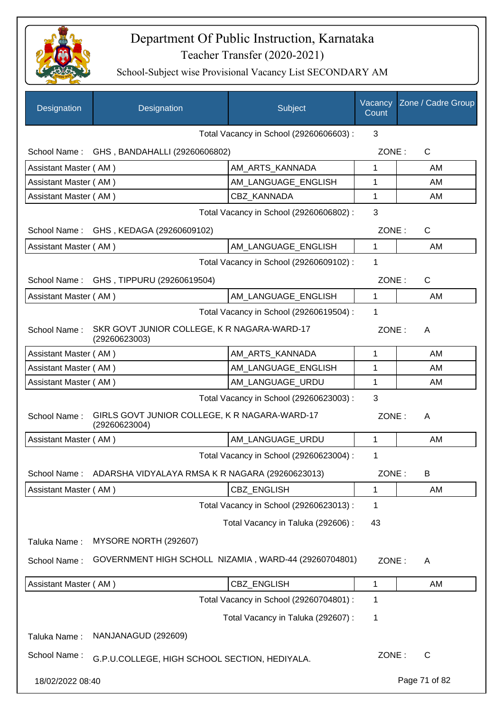

| Designation           | Designation                                                    | Subject                                 | Vacancy<br>Count | Zone / Cadre Group |
|-----------------------|----------------------------------------------------------------|-----------------------------------------|------------------|--------------------|
|                       |                                                                | Total Vacancy in School (29260606603) : | 3                |                    |
|                       | School Name: GHS, BANDAHALLI (29260606802)                     |                                         | ZONE:            | $\mathsf{C}$       |
| Assistant Master (AM) |                                                                | AM ARTS KANNADA                         | 1                | AM                 |
| Assistant Master (AM) |                                                                | AM_LANGUAGE_ENGLISH                     | 1                | AM                 |
| Assistant Master (AM) |                                                                | <b>CBZ KANNADA</b>                      | 1                | AM                 |
|                       |                                                                | Total Vacancy in School (29260606802) : | 3                |                    |
|                       | School Name: GHS, KEDAGA (29260609102)                         |                                         | ZONE:            | $\mathsf{C}$       |
| Assistant Master (AM) |                                                                | AM_LANGUAGE_ENGLISH                     | $\mathbf{1}$     | AM                 |
|                       |                                                                | Total Vacancy in School (29260609102) : | 1                |                    |
|                       | School Name: GHS, TIPPURU (29260619504)                        |                                         | ZONE:            | $\mathsf{C}$       |
| Assistant Master (AM) |                                                                | AM_LANGUAGE_ENGLISH                     | 1                | AM                 |
|                       |                                                                | Total Vacancy in School (29260619504) : | 1                |                    |
| School Name:          | SKR GOVT JUNIOR COLLEGE, K R NAGARA-WARD-17<br>(29260623003)   |                                         | ZONE:            | A                  |
| Assistant Master (AM) |                                                                | AM_ARTS_KANNADA                         | 1                | AM                 |
| Assistant Master (AM) |                                                                | AM_LANGUAGE_ENGLISH                     | 1                | AM                 |
| Assistant Master (AM) |                                                                | AM_LANGUAGE_URDU                        | 1                | AM                 |
|                       |                                                                | Total Vacancy in School (29260623003) : | 3                |                    |
| School Name:          | GIRLS GOVT JUNIOR COLLEGE, K R NAGARA-WARD-17<br>(29260623004) |                                         | ZONE:            | A                  |
| Assistant Master (AM) |                                                                | AM LANGUAGE URDU                        | 1                | AM                 |
|                       |                                                                | Total Vacancy in School (29260623004) : | 1                |                    |
| School Name:          | ADARSHA VIDYALAYA RMSA K R NAGARA (29260623013)                |                                         | ZONE:            | B                  |
| Assistant Master (AM) |                                                                | CBZ_ENGLISH                             | 1                | AM                 |
|                       |                                                                | Total Vacancy in School (29260623013) : | 1                |                    |
|                       |                                                                | Total Vacancy in Taluka (292606) :      | 43               |                    |
| Taluka Name:          | MYSORE NORTH (292607)                                          |                                         |                  |                    |
| School Name:          | GOVERNMENT HIGH SCHOLL NIZAMIA, WARD-44 (29260704801)          |                                         | ZONE:            | A                  |
| Assistant Master (AM) |                                                                | CBZ_ENGLISH                             | 1                | AM                 |
|                       |                                                                | Total Vacancy in School (29260704801) : | 1                |                    |
|                       |                                                                | Total Vacancy in Taluka (292607) :      | 1                |                    |
| Taluka Name:          | NANJANAGUD (292609)                                            |                                         |                  |                    |
| School Name:          | G.P.U.COLLEGE, HIGH SCHOOL SECTION, HEDIYALA.                  |                                         | ZONE:            | $\mathsf{C}$       |
| 18/02/2022 08:40      |                                                                |                                         |                  | Page 71 of 82      |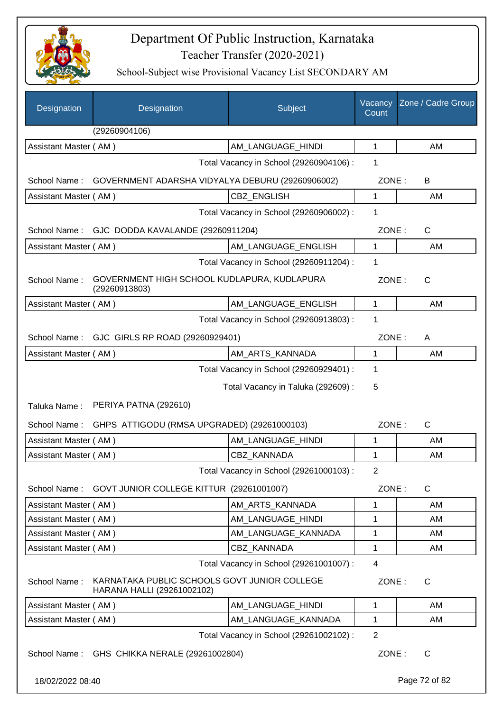

| Designation           | Designation                                                                | Subject                                 | Vacancy<br>Count | Zone / Cadre Group |
|-----------------------|----------------------------------------------------------------------------|-----------------------------------------|------------------|--------------------|
|                       | (29260904106)                                                              |                                         |                  |                    |
| Assistant Master (AM) |                                                                            | AM LANGUAGE HINDI                       | $\mathbf{1}$     | AM                 |
|                       |                                                                            | Total Vacancy in School (29260904106) : | 1                |                    |
|                       | School Name: GOVERNMENT ADARSHA VIDYALYA DEBURU (29260906002)              |                                         | ZONE:            | В                  |
| Assistant Master (AM) |                                                                            | CBZ_ENGLISH                             | 1                | AM                 |
|                       |                                                                            | Total Vacancy in School (29260906002) : | 1                |                    |
|                       | School Name: GJC DODDA KAVALANDE (29260911204)                             |                                         | ZONE:            | C                  |
| Assistant Master (AM) |                                                                            | AM_LANGUAGE_ENGLISH                     | 1                | AM                 |
|                       |                                                                            | Total Vacancy in School (29260911204) : | 1                |                    |
| School Name:          | GOVERNMENT HIGH SCHOOL KUDLAPURA, KUDLAPURA<br>(29260913803)               |                                         | ZONE:            | C                  |
| Assistant Master (AM) |                                                                            | AM_LANGUAGE_ENGLISH                     | 1                | AM                 |
|                       |                                                                            | Total Vacancy in School (29260913803) : | 1                |                    |
|                       | School Name: GJC GIRLS RP ROAD (29260929401)                               |                                         | ZONE:            | A                  |
| Assistant Master (AM) |                                                                            | AM_ARTS_KANNADA                         | 1                | AM                 |
|                       |                                                                            | Total Vacancy in School (29260929401) : | 1                |                    |
|                       |                                                                            | Total Vacancy in Taluka (292609) :      | 5                |                    |
| Taluka Name:          | PERIYA PATNA (292610)                                                      |                                         |                  |                    |
| School Name:          | GHPS ATTIGODU (RMSA UPGRADED) (29261000103)                                |                                         | ZONE:            | $\mathsf{C}$       |
| Assistant Master (AM) |                                                                            | AM_LANGUAGE_HINDI                       | 1                | AM                 |
| Assistant Master (AM) |                                                                            | CBZ_KANNADA                             | 1                | AM                 |
|                       |                                                                            | Total Vacancy in School (29261000103):  | 2                |                    |
| School Name:          | GOVT JUNIOR COLLEGE KITTUR (29261001007)                                   |                                         | ZONE:            | $\mathsf{C}$       |
| Assistant Master (AM) |                                                                            | AM_ARTS_KANNADA                         | 1                | AM                 |
| Assistant Master (AM) |                                                                            | AM LANGUAGE HINDI                       | 1                | AM                 |
| Assistant Master (AM) |                                                                            | AM_LANGUAGE_KANNADA                     | 1                | AM                 |
| Assistant Master (AM) |                                                                            | <b>CBZ KANNADA</b>                      | 1                | AM                 |
|                       |                                                                            | Total Vacancy in School (29261001007) : | $\overline{4}$   |                    |
| School Name:          | KARNATAKA PUBLIC SCHOOLS GOVT JUNIOR COLLEGE<br>HARANA HALLI (29261002102) |                                         | ZONE:            | $\mathsf{C}$       |
| Assistant Master (AM) |                                                                            | AM_LANGUAGE_HINDI                       | 1                | AM                 |
| Assistant Master (AM) |                                                                            | AM LANGUAGE_KANNADA                     | 1                | AM                 |
|                       |                                                                            | Total Vacancy in School (29261002102) : | $\overline{2}$   |                    |
|                       | School Name: GHS CHIKKA NERALE (29261002804)                               |                                         | ZONE:            | $\mathsf{C}$       |
| 18/02/2022 08:40      |                                                                            |                                         |                  | Page 72 of 82      |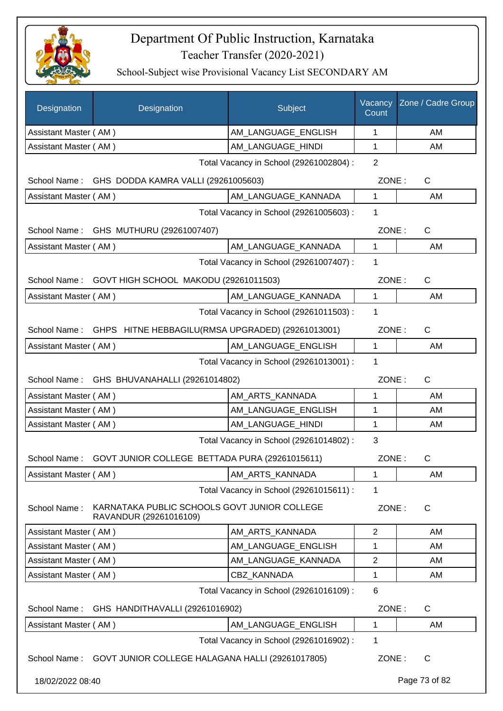

| Designation           | Designation                                                            | Subject                                 | Vacancy<br>Count | Zone / Cadre Group |
|-----------------------|------------------------------------------------------------------------|-----------------------------------------|------------------|--------------------|
| Assistant Master (AM) |                                                                        | AM_LANGUAGE_ENGLISH                     | 1                | AM                 |
| Assistant Master (AM) |                                                                        | AM_LANGUAGE_HINDI                       | $\mathbf{1}$     | AM                 |
|                       |                                                                        | Total Vacancy in School (29261002804) : | $\overline{2}$   |                    |
| School Name:          | GHS DODDA KAMRA VALLI (29261005603)                                    |                                         | ZONE:            | $\mathsf{C}$       |
| Assistant Master (AM) |                                                                        | AM_LANGUAGE_KANNADA                     | $\mathbf 1$      | AM                 |
|                       |                                                                        | Total Vacancy in School (29261005603) : | 1                |                    |
| School Name:          | GHS MUTHURU (29261007407)                                              |                                         | ZONE:            | $\mathsf{C}$       |
| Assistant Master (AM) |                                                                        | AM_LANGUAGE_KANNADA                     | $\mathbf{1}$     | AM                 |
|                       |                                                                        | Total Vacancy in School (29261007407) : | 1                |                    |
|                       | School Name: GOVT HIGH SCHOOL MAKODU (29261011503)                     |                                         | ZONE:            | $\mathsf{C}$       |
| Assistant Master (AM) |                                                                        | AM_LANGUAGE_KANNADA                     | $\mathbf 1$      | AM                 |
|                       |                                                                        | Total Vacancy in School (29261011503) : | 1                |                    |
|                       | School Name: GHPS HITNE HEBBAGILU(RMSA UPGRADED) (29261013001)         |                                         | ZONE:            | $\mathsf{C}$       |
| Assistant Master (AM) |                                                                        | AM_LANGUAGE_ENGLISH                     | $\mathbf 1$      | AM                 |
|                       |                                                                        | Total Vacancy in School (29261013001) : | 1                |                    |
|                       | School Name: GHS BHUVANAHALLI (29261014802)                            |                                         | ZONE:            | $\mathsf{C}$       |
| Assistant Master (AM) |                                                                        | AM_ARTS_KANNADA                         | 1                | AM                 |
| Assistant Master (AM) |                                                                        | AM_LANGUAGE_ENGLISH                     | 1                | AM                 |
| Assistant Master (AM) |                                                                        | AM_LANGUAGE_HINDI                       | 1                | AM                 |
|                       |                                                                        | Total Vacancy in School (29261014802) : | 3                |                    |
|                       | School Name: GOVT JUNIOR COLLEGE BETTADA PURA (29261015611)            |                                         | ZONE:            | $\mathsf{C}$       |
| Assistant Master (AM) |                                                                        | AM_ARTS_KANNADA                         | 1                | AM                 |
|                       |                                                                        | Total Vacancy in School (29261015611) : | 1                |                    |
| School Name:          | KARNATAKA PUBLIC SCHOOLS GOVT JUNIOR COLLEGE<br>RAVANDUR (29261016109) |                                         | ZONE:            | $\mathsf{C}$       |
| Assistant Master (AM) |                                                                        | AM_ARTS_KANNADA                         | $\overline{2}$   | AM                 |
| Assistant Master (AM) |                                                                        | AM_LANGUAGE_ENGLISH                     | 1                | AM                 |
| Assistant Master (AM) |                                                                        | AM_LANGUAGE_KANNADA                     | $\overline{c}$   | AM                 |
| Assistant Master (AM) |                                                                        | <b>CBZ KANNADA</b>                      | 1                | AM                 |
|                       |                                                                        | Total Vacancy in School (29261016109) : | 6                |                    |
| School Name:          | GHS HANDITHAVALLI (29261016902)                                        |                                         | ZONE:            | $\mathsf{C}$       |
| Assistant Master (AM) |                                                                        | AM_LANGUAGE_ENGLISH                     | 1                | AM                 |
|                       |                                                                        | Total Vacancy in School (29261016902) : | 1                |                    |
|                       | School Name: GOVT JUNIOR COLLEGE HALAGANA HALLI (29261017805)          |                                         | ZONE:            | $\mathsf{C}$       |
| 18/02/2022 08:40      |                                                                        |                                         |                  | Page 73 of 82      |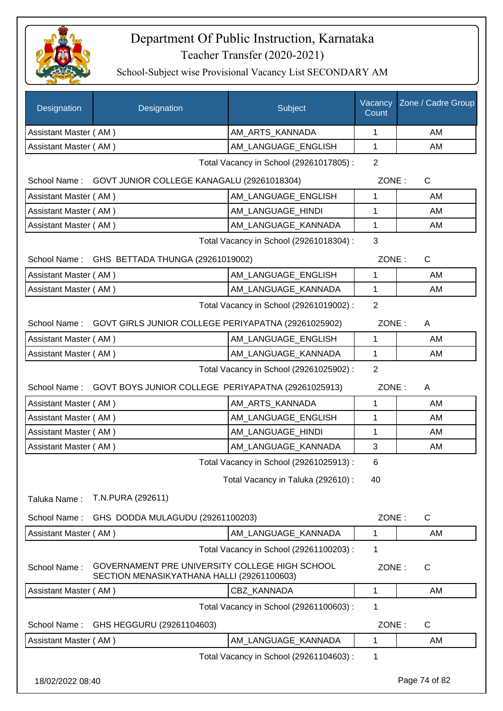

| Designation           | Designation                                                                                  | Subject                                 | Vacancy<br>Count | Zone / Cadre Group |
|-----------------------|----------------------------------------------------------------------------------------------|-----------------------------------------|------------------|--------------------|
| Assistant Master (AM) |                                                                                              | AM_ARTS_KANNADA                         | 1                | AM                 |
| Assistant Master (AM) |                                                                                              | AM_LANGUAGE_ENGLISH                     | 1                | AM                 |
|                       |                                                                                              | Total Vacancy in School (29261017805) : | $\overline{2}$   |                    |
|                       | School Name: GOVT JUNIOR COLLEGE KANAGALU (29261018304)                                      |                                         | ZONE:            | $\mathsf{C}$       |
| Assistant Master (AM) |                                                                                              | AM LANGUAGE_ENGLISH                     | 1                | AM                 |
| Assistant Master (AM) |                                                                                              | AM_LANGUAGE_HINDI                       | 1                | AM                 |
| Assistant Master (AM) |                                                                                              | AM_LANGUAGE_KANNADA                     | $\mathbf 1$      | AM                 |
|                       |                                                                                              | Total Vacancy in School (29261018304) : | 3                |                    |
|                       | School Name: GHS BETTADA THUNGA (29261019002)                                                |                                         | ZONE:            | $\mathsf{C}$       |
| Assistant Master (AM) |                                                                                              | AM_LANGUAGE_ENGLISH                     | 1                | AM                 |
| Assistant Master (AM) |                                                                                              | AM_LANGUAGE_KANNADA                     | 1                | AM                 |
|                       |                                                                                              | Total Vacancy in School (29261019002) : | $\overline{2}$   |                    |
|                       | School Name: GOVT GIRLS JUNIOR COLLEGE PERIYAPATNA (29261025902)                             |                                         | ZONE:            | A                  |
| Assistant Master (AM) |                                                                                              | AM LANGUAGE ENGLISH                     | $\mathbf{1}$     | AM                 |
| Assistant Master (AM) |                                                                                              | AM_LANGUAGE_KANNADA                     | 1                | AM                 |
|                       |                                                                                              | Total Vacancy in School (29261025902) : | 2                |                    |
|                       | School Name: GOVT BOYS JUNIOR COLLEGE PERIYAPATNA (29261025913)                              |                                         | ZONE:            | A                  |
| Assistant Master (AM) |                                                                                              | AM_ARTS_KANNADA                         | 1                | AM                 |
| Assistant Master (AM) |                                                                                              | AM_LANGUAGE_ENGLISH                     | 1                | AM                 |
| Assistant Master (AM) |                                                                                              | AM_LANGUAGE_HINDI                       | 1                | AM                 |
| Assistant Master (AM) |                                                                                              | AM_LANGUAGE_KANNADA                     | 3                | AM                 |
|                       |                                                                                              | Total Vacancy in School (29261025913) : | 6                |                    |
|                       |                                                                                              | Total Vacancy in Taluka (292610):       | 40               |                    |
| Taluka Name:          | T.N.PURA (292611)                                                                            |                                         |                  |                    |
| School Name:          | GHS DODDA MULAGUDU (29261100203)                                                             |                                         | ZONE:            | $\mathsf{C}$       |
| Assistant Master (AM) |                                                                                              | AM LANGUAGE KANNADA                     | 1                | AM                 |
|                       |                                                                                              | Total Vacancy in School (29261100203) : | 1                |                    |
| School Name:          | GOVERNAMENT PRE UNIVERSITY COLLEGE HIGH SCHOOL<br>SECTION MENASIKYATHANA HALLI (29261100603) |                                         | ZONE:            | C                  |
| Assistant Master (AM) |                                                                                              | CBZ_KANNADA                             | 1                | AM                 |
|                       |                                                                                              | Total Vacancy in School (29261100603) : | 1                |                    |
| School Name:          | GHS HEGGURU (29261104603)                                                                    |                                         | ZONE:            | $\mathsf{C}$       |
| Assistant Master (AM) |                                                                                              | AM_LANGUAGE_KANNADA                     | 1                | AM                 |
|                       |                                                                                              | Total Vacancy in School (29261104603) : | 1                |                    |
| 18/02/2022 08:40      |                                                                                              |                                         |                  | Page 74 of 82      |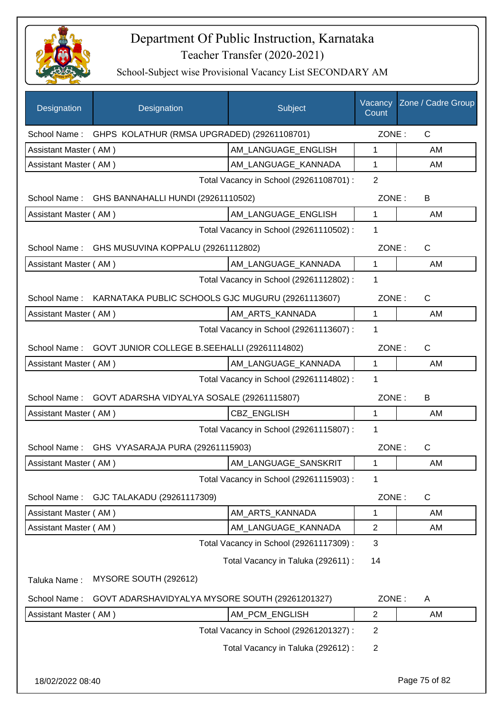

| Designation           | Designation                                       | Subject                                 | Vacancy<br>Count | Zone / Cadre Group |
|-----------------------|---------------------------------------------------|-----------------------------------------|------------------|--------------------|
| School Name:          | GHPS KOLATHUR (RMSA UPGRADED) (29261108701)       |                                         | ZONE:            | $\mathsf{C}$       |
| Assistant Master (AM) |                                                   | AM LANGUAGE ENGLISH                     | 1                | AM                 |
| Assistant Master (AM) |                                                   | AM_LANGUAGE_KANNADA                     | 1                | AM                 |
|                       |                                                   | Total Vacancy in School (29261108701) : | $\overline{2}$   |                    |
| School Name:          | GHS BANNAHALLI HUNDI (29261110502)                |                                         | ZONE:            | B                  |
| Assistant Master (AM) |                                                   | AM_LANGUAGE_ENGLISH                     | 1                | AM                 |
|                       |                                                   | Total Vacancy in School (29261110502) : | 1                |                    |
| School Name:          | GHS MUSUVINA KOPPALU (29261112802)                |                                         | ZONE:            | $\mathsf{C}$       |
| Assistant Master (AM) |                                                   | AM_LANGUAGE_KANNADA                     | 1                | AM                 |
|                       |                                                   | Total Vacancy in School (29261112802) : | 1                |                    |
| School Name:          | KARNATAKA PUBLIC SCHOOLS GJC MUGURU (29261113607) |                                         | ZONE:            | C                  |
| Assistant Master (AM) |                                                   | AM_ARTS_KANNADA                         | 1                | AM                 |
|                       |                                                   | Total Vacancy in School (29261113607) : | 1                |                    |
| School Name:          | GOVT JUNIOR COLLEGE B.SEEHALLI (29261114802)      |                                         | ZONE:            | $\mathsf{C}$       |
| Assistant Master (AM) |                                                   | AM_LANGUAGE_KANNADA                     | 1                | AM                 |
|                       |                                                   | Total Vacancy in School (29261114802) : | 1                |                    |
| School Name:          | GOVT ADARSHA VIDYALYA SOSALE (29261115807)        |                                         | ZONE:            | B                  |
| Assistant Master (AM) |                                                   | <b>CBZ ENGLISH</b>                      | 1                | AM                 |
|                       |                                                   | Total Vacancy in School (29261115807) : | 1                |                    |
| School Name:          | GHS VYASARAJA PURA (29261115903)                  |                                         | ZONE:            | C                  |
| Assistant Master (AM) |                                                   | AM LANGUAGE SANSKRIT                    |                  | AM                 |
|                       |                                                   | Total Vacancy in School (29261115903) : | 1                |                    |
| School Name:          | GJC TALAKADU (29261117309)                        |                                         | ZONE:            | $\mathsf C$        |
| Assistant Master (AM) |                                                   | AM_ARTS_KANNADA                         | 1                | AM                 |
| Assistant Master (AM) |                                                   | AM_LANGUAGE_KANNADA                     | $\overline{c}$   | AM                 |
|                       |                                                   | Total Vacancy in School (29261117309) : | 3                |                    |
|                       |                                                   | Total Vacancy in Taluka (292611) :      | 14               |                    |
| Taluka Name:          | MYSORE SOUTH (292612)                             |                                         |                  |                    |
| School Name:          | GOVT ADARSHAVIDYALYA MYSORE SOUTH (29261201327)   |                                         | ZONE:            | A                  |
| Assistant Master (AM) |                                                   | AM_PCM_ENGLISH                          | $\overline{c}$   | AM                 |
|                       |                                                   | Total Vacancy in School (29261201327) : | 2                |                    |
|                       |                                                   | Total Vacancy in Taluka (292612) :      | $\mathbf{2}$     |                    |
|                       |                                                   |                                         |                  |                    |
|                       |                                                   |                                         |                  |                    |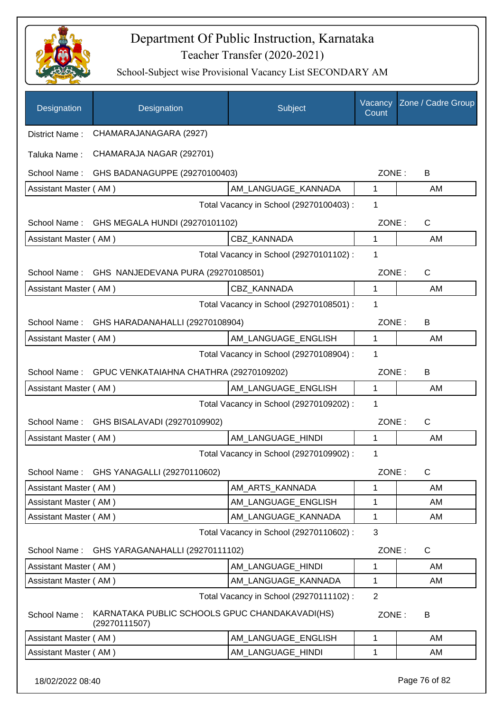

School-Subject wise Provisional Vacancy List SECONDARY AM

| CHAMARAJANAGARA (2927)<br>District Name:<br>CHAMARAJA NAGAR (292701)<br>Taluka Name:<br>School Name:<br>GHS BADANAGUPPE (29270100403)<br>ZONE:<br>B<br>AM LANGUAGE KANNADA<br>$\mathbf{1}$<br>Assistant Master (AM)<br>AM<br>Total Vacancy in School (29270100403) :<br>1<br>ZONE:<br>$\mathsf{C}$<br>School Name: GHS MEGALA HUNDI (29270101102)<br><b>CBZ KANNADA</b><br>$\mathbf 1$<br>AM<br>Assistant Master (AM)<br>Total Vacancy in School (29270101102) :<br>1<br>$\mathsf{C}$<br>School Name: GHS NANJEDEVANA PURA (29270108501)<br>ZONE:<br>CBZ_KANNADA<br>1<br>Assistant Master (AM)<br>AM<br>Total Vacancy in School (29270108501) :<br>1<br>School Name:<br>GHS HARADANAHALLI (29270108904)<br>ZONE:<br>B<br>Assistant Master (AM)<br>AM_LANGUAGE_ENGLISH<br>$\mathbf{1}$<br>AM<br>1<br>Total Vacancy in School (29270108904) :<br>School Name: GPUC VENKATAIAHNA CHATHRA (29270109202)<br>ZONE:<br>B<br>Assistant Master (AM)<br>AM_LANGUAGE_ENGLISH<br>$\mathbf{1}$<br>AM<br>1<br>Total Vacancy in School (29270109202) :<br>ZONE:<br>$\mathsf{C}$<br>School Name:<br>GHS BISALAVADI (29270109902)<br>Assistant Master (AM)<br>AM_LANGUAGE_HINDI<br>1<br>AM<br>Total Vacancy in School (29270109902) :<br>1<br>GHS YANAGALLI (29270110602)<br>ZONE:<br>C<br>School Name:<br>Assistant Master (AM)<br>AM_ARTS_KANNADA<br>1<br>AM<br>Assistant Master (AM)<br>AM LANGUAGE ENGLISH<br>1<br>AM<br>Assistant Master (AM)<br>AM LANGUAGE KANNADA<br>1<br>AM<br>Total Vacancy in School (29270110602) :<br>3<br>ZONE:<br>C<br>School Name:<br>GHS YARAGANAHALLI (29270111102)<br>Assistant Master (AM)<br>AM LANGUAGE HINDI<br>1<br>AM<br>Assistant Master (AM)<br>AM_LANGUAGE_KANNADA<br>1<br>AM<br>$\overline{2}$<br>Total Vacancy in School (29270111102) :<br>KARNATAKA PUBLIC SCHOOLS GPUC CHANDAKAVADI(HS)<br>School Name:<br>ZONE:<br>B<br>(29270111507)<br>AM_LANGUAGE_ENGLISH<br>AM<br>Assistant Master (AM)<br>$\mathbf{1}$ | Designation | Designation | Subject           | Vacancy<br>Count | Zone / Cadre Group |
|----------------------------------------------------------------------------------------------------------------------------------------------------------------------------------------------------------------------------------------------------------------------------------------------------------------------------------------------------------------------------------------------------------------------------------------------------------------------------------------------------------------------------------------------------------------------------------------------------------------------------------------------------------------------------------------------------------------------------------------------------------------------------------------------------------------------------------------------------------------------------------------------------------------------------------------------------------------------------------------------------------------------------------------------------------------------------------------------------------------------------------------------------------------------------------------------------------------------------------------------------------------------------------------------------------------------------------------------------------------------------------------------------------------------------------------------------------------------------------------------------------------------------------------------------------------------------------------------------------------------------------------------------------------------------------------------------------------------------------------------------------------------------------------------------------------------------------------------------------------------------------------------------------------------------------------------|-------------|-------------|-------------------|------------------|--------------------|
|                                                                                                                                                                                                                                                                                                                                                                                                                                                                                                                                                                                                                                                                                                                                                                                                                                                                                                                                                                                                                                                                                                                                                                                                                                                                                                                                                                                                                                                                                                                                                                                                                                                                                                                                                                                                                                                                                                                                              |             |             |                   |                  |                    |
|                                                                                                                                                                                                                                                                                                                                                                                                                                                                                                                                                                                                                                                                                                                                                                                                                                                                                                                                                                                                                                                                                                                                                                                                                                                                                                                                                                                                                                                                                                                                                                                                                                                                                                                                                                                                                                                                                                                                              |             |             |                   |                  |                    |
|                                                                                                                                                                                                                                                                                                                                                                                                                                                                                                                                                                                                                                                                                                                                                                                                                                                                                                                                                                                                                                                                                                                                                                                                                                                                                                                                                                                                                                                                                                                                                                                                                                                                                                                                                                                                                                                                                                                                              |             |             |                   |                  |                    |
|                                                                                                                                                                                                                                                                                                                                                                                                                                                                                                                                                                                                                                                                                                                                                                                                                                                                                                                                                                                                                                                                                                                                                                                                                                                                                                                                                                                                                                                                                                                                                                                                                                                                                                                                                                                                                                                                                                                                              |             |             |                   |                  |                    |
|                                                                                                                                                                                                                                                                                                                                                                                                                                                                                                                                                                                                                                                                                                                                                                                                                                                                                                                                                                                                                                                                                                                                                                                                                                                                                                                                                                                                                                                                                                                                                                                                                                                                                                                                                                                                                                                                                                                                              |             |             |                   |                  |                    |
|                                                                                                                                                                                                                                                                                                                                                                                                                                                                                                                                                                                                                                                                                                                                                                                                                                                                                                                                                                                                                                                                                                                                                                                                                                                                                                                                                                                                                                                                                                                                                                                                                                                                                                                                                                                                                                                                                                                                              |             |             |                   |                  |                    |
|                                                                                                                                                                                                                                                                                                                                                                                                                                                                                                                                                                                                                                                                                                                                                                                                                                                                                                                                                                                                                                                                                                                                                                                                                                                                                                                                                                                                                                                                                                                                                                                                                                                                                                                                                                                                                                                                                                                                              |             |             |                   |                  |                    |
|                                                                                                                                                                                                                                                                                                                                                                                                                                                                                                                                                                                                                                                                                                                                                                                                                                                                                                                                                                                                                                                                                                                                                                                                                                                                                                                                                                                                                                                                                                                                                                                                                                                                                                                                                                                                                                                                                                                                              |             |             |                   |                  |                    |
|                                                                                                                                                                                                                                                                                                                                                                                                                                                                                                                                                                                                                                                                                                                                                                                                                                                                                                                                                                                                                                                                                                                                                                                                                                                                                                                                                                                                                                                                                                                                                                                                                                                                                                                                                                                                                                                                                                                                              |             |             |                   |                  |                    |
|                                                                                                                                                                                                                                                                                                                                                                                                                                                                                                                                                                                                                                                                                                                                                                                                                                                                                                                                                                                                                                                                                                                                                                                                                                                                                                                                                                                                                                                                                                                                                                                                                                                                                                                                                                                                                                                                                                                                              |             |             |                   |                  |                    |
|                                                                                                                                                                                                                                                                                                                                                                                                                                                                                                                                                                                                                                                                                                                                                                                                                                                                                                                                                                                                                                                                                                                                                                                                                                                                                                                                                                                                                                                                                                                                                                                                                                                                                                                                                                                                                                                                                                                                              |             |             |                   |                  |                    |
|                                                                                                                                                                                                                                                                                                                                                                                                                                                                                                                                                                                                                                                                                                                                                                                                                                                                                                                                                                                                                                                                                                                                                                                                                                                                                                                                                                                                                                                                                                                                                                                                                                                                                                                                                                                                                                                                                                                                              |             |             |                   |                  |                    |
|                                                                                                                                                                                                                                                                                                                                                                                                                                                                                                                                                                                                                                                                                                                                                                                                                                                                                                                                                                                                                                                                                                                                                                                                                                                                                                                                                                                                                                                                                                                                                                                                                                                                                                                                                                                                                                                                                                                                              |             |             |                   |                  |                    |
|                                                                                                                                                                                                                                                                                                                                                                                                                                                                                                                                                                                                                                                                                                                                                                                                                                                                                                                                                                                                                                                                                                                                                                                                                                                                                                                                                                                                                                                                                                                                                                                                                                                                                                                                                                                                                                                                                                                                              |             |             |                   |                  |                    |
|                                                                                                                                                                                                                                                                                                                                                                                                                                                                                                                                                                                                                                                                                                                                                                                                                                                                                                                                                                                                                                                                                                                                                                                                                                                                                                                                                                                                                                                                                                                                                                                                                                                                                                                                                                                                                                                                                                                                              |             |             |                   |                  |                    |
|                                                                                                                                                                                                                                                                                                                                                                                                                                                                                                                                                                                                                                                                                                                                                                                                                                                                                                                                                                                                                                                                                                                                                                                                                                                                                                                                                                                                                                                                                                                                                                                                                                                                                                                                                                                                                                                                                                                                              |             |             |                   |                  |                    |
|                                                                                                                                                                                                                                                                                                                                                                                                                                                                                                                                                                                                                                                                                                                                                                                                                                                                                                                                                                                                                                                                                                                                                                                                                                                                                                                                                                                                                                                                                                                                                                                                                                                                                                                                                                                                                                                                                                                                              |             |             |                   |                  |                    |
|                                                                                                                                                                                                                                                                                                                                                                                                                                                                                                                                                                                                                                                                                                                                                                                                                                                                                                                                                                                                                                                                                                                                                                                                                                                                                                                                                                                                                                                                                                                                                                                                                                                                                                                                                                                                                                                                                                                                              |             |             |                   |                  |                    |
|                                                                                                                                                                                                                                                                                                                                                                                                                                                                                                                                                                                                                                                                                                                                                                                                                                                                                                                                                                                                                                                                                                                                                                                                                                                                                                                                                                                                                                                                                                                                                                                                                                                                                                                                                                                                                                                                                                                                              |             |             |                   |                  |                    |
|                                                                                                                                                                                                                                                                                                                                                                                                                                                                                                                                                                                                                                                                                                                                                                                                                                                                                                                                                                                                                                                                                                                                                                                                                                                                                                                                                                                                                                                                                                                                                                                                                                                                                                                                                                                                                                                                                                                                              |             |             |                   |                  |                    |
|                                                                                                                                                                                                                                                                                                                                                                                                                                                                                                                                                                                                                                                                                                                                                                                                                                                                                                                                                                                                                                                                                                                                                                                                                                                                                                                                                                                                                                                                                                                                                                                                                                                                                                                                                                                                                                                                                                                                              |             |             |                   |                  |                    |
|                                                                                                                                                                                                                                                                                                                                                                                                                                                                                                                                                                                                                                                                                                                                                                                                                                                                                                                                                                                                                                                                                                                                                                                                                                                                                                                                                                                                                                                                                                                                                                                                                                                                                                                                                                                                                                                                                                                                              |             |             |                   |                  |                    |
|                                                                                                                                                                                                                                                                                                                                                                                                                                                                                                                                                                                                                                                                                                                                                                                                                                                                                                                                                                                                                                                                                                                                                                                                                                                                                                                                                                                                                                                                                                                                                                                                                                                                                                                                                                                                                                                                                                                                              |             |             |                   |                  |                    |
|                                                                                                                                                                                                                                                                                                                                                                                                                                                                                                                                                                                                                                                                                                                                                                                                                                                                                                                                                                                                                                                                                                                                                                                                                                                                                                                                                                                                                                                                                                                                                                                                                                                                                                                                                                                                                                                                                                                                              |             |             |                   |                  |                    |
|                                                                                                                                                                                                                                                                                                                                                                                                                                                                                                                                                                                                                                                                                                                                                                                                                                                                                                                                                                                                                                                                                                                                                                                                                                                                                                                                                                                                                                                                                                                                                                                                                                                                                                                                                                                                                                                                                                                                              |             |             |                   |                  |                    |
|                                                                                                                                                                                                                                                                                                                                                                                                                                                                                                                                                                                                                                                                                                                                                                                                                                                                                                                                                                                                                                                                                                                                                                                                                                                                                                                                                                                                                                                                                                                                                                                                                                                                                                                                                                                                                                                                                                                                              |             |             |                   |                  |                    |
|                                                                                                                                                                                                                                                                                                                                                                                                                                                                                                                                                                                                                                                                                                                                                                                                                                                                                                                                                                                                                                                                                                                                                                                                                                                                                                                                                                                                                                                                                                                                                                                                                                                                                                                                                                                                                                                                                                                                              |             |             |                   |                  |                    |
|                                                                                                                                                                                                                                                                                                                                                                                                                                                                                                                                                                                                                                                                                                                                                                                                                                                                                                                                                                                                                                                                                                                                                                                                                                                                                                                                                                                                                                                                                                                                                                                                                                                                                                                                                                                                                                                                                                                                              |             |             |                   |                  |                    |
|                                                                                                                                                                                                                                                                                                                                                                                                                                                                                                                                                                                                                                                                                                                                                                                                                                                                                                                                                                                                                                                                                                                                                                                                                                                                                                                                                                                                                                                                                                                                                                                                                                                                                                                                                                                                                                                                                                                                              |             |             |                   |                  |                    |
|                                                                                                                                                                                                                                                                                                                                                                                                                                                                                                                                                                                                                                                                                                                                                                                                                                                                                                                                                                                                                                                                                                                                                                                                                                                                                                                                                                                                                                                                                                                                                                                                                                                                                                                                                                                                                                                                                                                                              |             |             |                   |                  |                    |
|                                                                                                                                                                                                                                                                                                                                                                                                                                                                                                                                                                                                                                                                                                                                                                                                                                                                                                                                                                                                                                                                                                                                                                                                                                                                                                                                                                                                                                                                                                                                                                                                                                                                                                                                                                                                                                                                                                                                              |             |             |                   |                  |                    |
| Assistant Master (AM)                                                                                                                                                                                                                                                                                                                                                                                                                                                                                                                                                                                                                                                                                                                                                                                                                                                                                                                                                                                                                                                                                                                                                                                                                                                                                                                                                                                                                                                                                                                                                                                                                                                                                                                                                                                                                                                                                                                        |             |             | AM_LANGUAGE_HINDI | 1                | AM                 |

18/02/2022 08:40 Page 76 of 82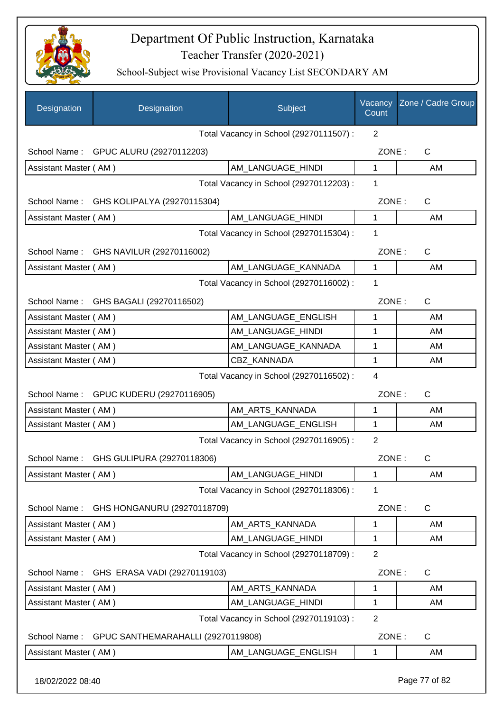

| Total Vacancy in School (29270111507) :<br>2<br>School Name: GPUC ALURU (29270112203)<br>ZONE:<br>C<br>AM_LANGUAGE_HINDI<br>1<br>Assistant Master (AM)<br>AM<br>Total Vacancy in School (29270112203) :<br>1<br>ZONE:<br>$\mathsf{C}$<br>School Name: GHS KOLIPALYA (29270115304)<br>AM_LANGUAGE_HINDI<br>1<br>Assistant Master (AM)<br>AM<br>Total Vacancy in School (29270115304) :<br>1<br>School Name: GHS NAVILUR (29270116002)<br>ZONE:<br>C<br>AM LANGUAGE KANNADA<br>$\mathbf{1}$<br>Assistant Master (AM)<br>AM<br>Total Vacancy in School (29270116002) :<br>1<br>GHS BAGALI (29270116502)<br>ZONE:<br>$\mathsf{C}$<br>School Name:<br>AM LANGUAGE ENGLISH<br>Assistant Master (AM)<br>1<br>AM<br>Assistant Master (AM)<br>AM_LANGUAGE_HINDI<br>AM<br>1<br>Assistant Master (AM)<br>AM_LANGUAGE_KANNADA<br>1<br>AM<br>CBZ KANNADA<br>1<br>Assistant Master (AM)<br>AM<br>$\overline{4}$<br>Total Vacancy in School (29270116502) :<br>School Name: GPUC KUDERU (29270116905)<br>ZONE:<br>$\mathsf{C}$<br>AM_ARTS_KANNADA<br>1<br>Assistant Master (AM)<br>AM<br>AM_LANGUAGE_ENGLISH<br>1<br>Assistant Master (AM)<br>AM<br>$\overline{2}$<br>Total Vacancy in School (29270116905) :<br>ZONE:<br>School Name:<br>GHS GULIPURA (29270118306)<br>C<br>Assistant Master (AM)<br>AM_LANGUAGE_HINDI<br>1<br>AM<br>Total Vacancy in School (29270118306) :<br>1<br>$\mathsf{C}$<br>GHS HONGANURU (29270118709)<br>ZONE:<br>School Name:<br>Assistant Master (AM)<br>AM ARTS KANNADA<br>AM<br>1<br>Assistant Master (AM)<br>AM LANGUAGE HINDI<br>1<br>AM<br>$\overline{2}$<br>Total Vacancy in School (29270118709) :<br>School Name:<br>ZONE:<br>C<br>GHS ERASA VADI (29270119103)<br>Assistant Master (AM)<br>AM ARTS KANNADA<br>1<br>AM<br>AM_LANGUAGE_HINDI<br>AM<br>Assistant Master (AM)<br>1<br>Total Vacancy in School (29270119103) :<br>$\overline{2}$<br>GPUC SANTHEMARAHALLI (29270119808)<br>ZONE:<br>C<br>School Name:<br>Assistant Master (AM) | Designation | Designation | Subject             | Vacancy<br>Count | Zone / Cadre Group |
|------------------------------------------------------------------------------------------------------------------------------------------------------------------------------------------------------------------------------------------------------------------------------------------------------------------------------------------------------------------------------------------------------------------------------------------------------------------------------------------------------------------------------------------------------------------------------------------------------------------------------------------------------------------------------------------------------------------------------------------------------------------------------------------------------------------------------------------------------------------------------------------------------------------------------------------------------------------------------------------------------------------------------------------------------------------------------------------------------------------------------------------------------------------------------------------------------------------------------------------------------------------------------------------------------------------------------------------------------------------------------------------------------------------------------------------------------------------------------------------------------------------------------------------------------------------------------------------------------------------------------------------------------------------------------------------------------------------------------------------------------------------------------------------------------------------------------------------------------------------------------------------------------------------------------------------------------------------|-------------|-------------|---------------------|------------------|--------------------|
|                                                                                                                                                                                                                                                                                                                                                                                                                                                                                                                                                                                                                                                                                                                                                                                                                                                                                                                                                                                                                                                                                                                                                                                                                                                                                                                                                                                                                                                                                                                                                                                                                                                                                                                                                                                                                                                                                                                                                                  |             |             |                     |                  |                    |
|                                                                                                                                                                                                                                                                                                                                                                                                                                                                                                                                                                                                                                                                                                                                                                                                                                                                                                                                                                                                                                                                                                                                                                                                                                                                                                                                                                                                                                                                                                                                                                                                                                                                                                                                                                                                                                                                                                                                                                  |             |             |                     |                  |                    |
|                                                                                                                                                                                                                                                                                                                                                                                                                                                                                                                                                                                                                                                                                                                                                                                                                                                                                                                                                                                                                                                                                                                                                                                                                                                                                                                                                                                                                                                                                                                                                                                                                                                                                                                                                                                                                                                                                                                                                                  |             |             |                     |                  |                    |
|                                                                                                                                                                                                                                                                                                                                                                                                                                                                                                                                                                                                                                                                                                                                                                                                                                                                                                                                                                                                                                                                                                                                                                                                                                                                                                                                                                                                                                                                                                                                                                                                                                                                                                                                                                                                                                                                                                                                                                  |             |             |                     |                  |                    |
|                                                                                                                                                                                                                                                                                                                                                                                                                                                                                                                                                                                                                                                                                                                                                                                                                                                                                                                                                                                                                                                                                                                                                                                                                                                                                                                                                                                                                                                                                                                                                                                                                                                                                                                                                                                                                                                                                                                                                                  |             |             |                     |                  |                    |
|                                                                                                                                                                                                                                                                                                                                                                                                                                                                                                                                                                                                                                                                                                                                                                                                                                                                                                                                                                                                                                                                                                                                                                                                                                                                                                                                                                                                                                                                                                                                                                                                                                                                                                                                                                                                                                                                                                                                                                  |             |             |                     |                  |                    |
|                                                                                                                                                                                                                                                                                                                                                                                                                                                                                                                                                                                                                                                                                                                                                                                                                                                                                                                                                                                                                                                                                                                                                                                                                                                                                                                                                                                                                                                                                                                                                                                                                                                                                                                                                                                                                                                                                                                                                                  |             |             |                     |                  |                    |
|                                                                                                                                                                                                                                                                                                                                                                                                                                                                                                                                                                                                                                                                                                                                                                                                                                                                                                                                                                                                                                                                                                                                                                                                                                                                                                                                                                                                                                                                                                                                                                                                                                                                                                                                                                                                                                                                                                                                                                  |             |             |                     |                  |                    |
|                                                                                                                                                                                                                                                                                                                                                                                                                                                                                                                                                                                                                                                                                                                                                                                                                                                                                                                                                                                                                                                                                                                                                                                                                                                                                                                                                                                                                                                                                                                                                                                                                                                                                                                                                                                                                                                                                                                                                                  |             |             |                     |                  |                    |
|                                                                                                                                                                                                                                                                                                                                                                                                                                                                                                                                                                                                                                                                                                                                                                                                                                                                                                                                                                                                                                                                                                                                                                                                                                                                                                                                                                                                                                                                                                                                                                                                                                                                                                                                                                                                                                                                                                                                                                  |             |             |                     |                  |                    |
|                                                                                                                                                                                                                                                                                                                                                                                                                                                                                                                                                                                                                                                                                                                                                                                                                                                                                                                                                                                                                                                                                                                                                                                                                                                                                                                                                                                                                                                                                                                                                                                                                                                                                                                                                                                                                                                                                                                                                                  |             |             |                     |                  |                    |
|                                                                                                                                                                                                                                                                                                                                                                                                                                                                                                                                                                                                                                                                                                                                                                                                                                                                                                                                                                                                                                                                                                                                                                                                                                                                                                                                                                                                                                                                                                                                                                                                                                                                                                                                                                                                                                                                                                                                                                  |             |             |                     |                  |                    |
|                                                                                                                                                                                                                                                                                                                                                                                                                                                                                                                                                                                                                                                                                                                                                                                                                                                                                                                                                                                                                                                                                                                                                                                                                                                                                                                                                                                                                                                                                                                                                                                                                                                                                                                                                                                                                                                                                                                                                                  |             |             |                     |                  |                    |
|                                                                                                                                                                                                                                                                                                                                                                                                                                                                                                                                                                                                                                                                                                                                                                                                                                                                                                                                                                                                                                                                                                                                                                                                                                                                                                                                                                                                                                                                                                                                                                                                                                                                                                                                                                                                                                                                                                                                                                  |             |             |                     |                  |                    |
|                                                                                                                                                                                                                                                                                                                                                                                                                                                                                                                                                                                                                                                                                                                                                                                                                                                                                                                                                                                                                                                                                                                                                                                                                                                                                                                                                                                                                                                                                                                                                                                                                                                                                                                                                                                                                                                                                                                                                                  |             |             |                     |                  |                    |
|                                                                                                                                                                                                                                                                                                                                                                                                                                                                                                                                                                                                                                                                                                                                                                                                                                                                                                                                                                                                                                                                                                                                                                                                                                                                                                                                                                                                                                                                                                                                                                                                                                                                                                                                                                                                                                                                                                                                                                  |             |             |                     |                  |                    |
|                                                                                                                                                                                                                                                                                                                                                                                                                                                                                                                                                                                                                                                                                                                                                                                                                                                                                                                                                                                                                                                                                                                                                                                                                                                                                                                                                                                                                                                                                                                                                                                                                                                                                                                                                                                                                                                                                                                                                                  |             |             |                     |                  |                    |
|                                                                                                                                                                                                                                                                                                                                                                                                                                                                                                                                                                                                                                                                                                                                                                                                                                                                                                                                                                                                                                                                                                                                                                                                                                                                                                                                                                                                                                                                                                                                                                                                                                                                                                                                                                                                                                                                                                                                                                  |             |             |                     |                  |                    |
|                                                                                                                                                                                                                                                                                                                                                                                                                                                                                                                                                                                                                                                                                                                                                                                                                                                                                                                                                                                                                                                                                                                                                                                                                                                                                                                                                                                                                                                                                                                                                                                                                                                                                                                                                                                                                                                                                                                                                                  |             |             |                     |                  |                    |
|                                                                                                                                                                                                                                                                                                                                                                                                                                                                                                                                                                                                                                                                                                                                                                                                                                                                                                                                                                                                                                                                                                                                                                                                                                                                                                                                                                                                                                                                                                                                                                                                                                                                                                                                                                                                                                                                                                                                                                  |             |             |                     |                  |                    |
|                                                                                                                                                                                                                                                                                                                                                                                                                                                                                                                                                                                                                                                                                                                                                                                                                                                                                                                                                                                                                                                                                                                                                                                                                                                                                                                                                                                                                                                                                                                                                                                                                                                                                                                                                                                                                                                                                                                                                                  |             |             |                     |                  |                    |
|                                                                                                                                                                                                                                                                                                                                                                                                                                                                                                                                                                                                                                                                                                                                                                                                                                                                                                                                                                                                                                                                                                                                                                                                                                                                                                                                                                                                                                                                                                                                                                                                                                                                                                                                                                                                                                                                                                                                                                  |             |             |                     |                  |                    |
|                                                                                                                                                                                                                                                                                                                                                                                                                                                                                                                                                                                                                                                                                                                                                                                                                                                                                                                                                                                                                                                                                                                                                                                                                                                                                                                                                                                                                                                                                                                                                                                                                                                                                                                                                                                                                                                                                                                                                                  |             |             |                     |                  |                    |
|                                                                                                                                                                                                                                                                                                                                                                                                                                                                                                                                                                                                                                                                                                                                                                                                                                                                                                                                                                                                                                                                                                                                                                                                                                                                                                                                                                                                                                                                                                                                                                                                                                                                                                                                                                                                                                                                                                                                                                  |             |             |                     |                  |                    |
|                                                                                                                                                                                                                                                                                                                                                                                                                                                                                                                                                                                                                                                                                                                                                                                                                                                                                                                                                                                                                                                                                                                                                                                                                                                                                                                                                                                                                                                                                                                                                                                                                                                                                                                                                                                                                                                                                                                                                                  |             |             |                     |                  |                    |
|                                                                                                                                                                                                                                                                                                                                                                                                                                                                                                                                                                                                                                                                                                                                                                                                                                                                                                                                                                                                                                                                                                                                                                                                                                                                                                                                                                                                                                                                                                                                                                                                                                                                                                                                                                                                                                                                                                                                                                  |             |             |                     |                  |                    |
|                                                                                                                                                                                                                                                                                                                                                                                                                                                                                                                                                                                                                                                                                                                                                                                                                                                                                                                                                                                                                                                                                                                                                                                                                                                                                                                                                                                                                                                                                                                                                                                                                                                                                                                                                                                                                                                                                                                                                                  |             |             |                     |                  |                    |
|                                                                                                                                                                                                                                                                                                                                                                                                                                                                                                                                                                                                                                                                                                                                                                                                                                                                                                                                                                                                                                                                                                                                                                                                                                                                                                                                                                                                                                                                                                                                                                                                                                                                                                                                                                                                                                                                                                                                                                  |             |             |                     |                  |                    |
|                                                                                                                                                                                                                                                                                                                                                                                                                                                                                                                                                                                                                                                                                                                                                                                                                                                                                                                                                                                                                                                                                                                                                                                                                                                                                                                                                                                                                                                                                                                                                                                                                                                                                                                                                                                                                                                                                                                                                                  |             |             |                     |                  |                    |
|                                                                                                                                                                                                                                                                                                                                                                                                                                                                                                                                                                                                                                                                                                                                                                                                                                                                                                                                                                                                                                                                                                                                                                                                                                                                                                                                                                                                                                                                                                                                                                                                                                                                                                                                                                                                                                                                                                                                                                  |             |             |                     |                  |                    |
|                                                                                                                                                                                                                                                                                                                                                                                                                                                                                                                                                                                                                                                                                                                                                                                                                                                                                                                                                                                                                                                                                                                                                                                                                                                                                                                                                                                                                                                                                                                                                                                                                                                                                                                                                                                                                                                                                                                                                                  |             |             |                     |                  |                    |
|                                                                                                                                                                                                                                                                                                                                                                                                                                                                                                                                                                                                                                                                                                                                                                                                                                                                                                                                                                                                                                                                                                                                                                                                                                                                                                                                                                                                                                                                                                                                                                                                                                                                                                                                                                                                                                                                                                                                                                  |             |             |                     |                  |                    |
|                                                                                                                                                                                                                                                                                                                                                                                                                                                                                                                                                                                                                                                                                                                                                                                                                                                                                                                                                                                                                                                                                                                                                                                                                                                                                                                                                                                                                                                                                                                                                                                                                                                                                                                                                                                                                                                                                                                                                                  |             |             | AM_LANGUAGE_ENGLISH | 1                | AM                 |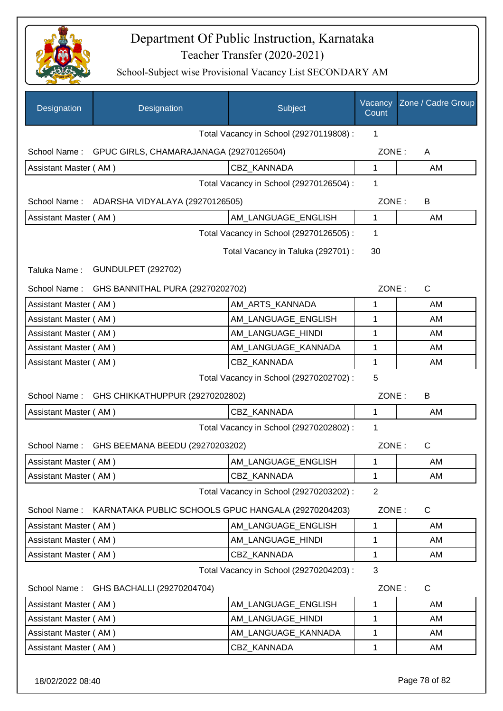

| Designation           | Designation                                         | Subject                                 | Vacancy<br>Count | Zone / Cadre Group |
|-----------------------|-----------------------------------------------------|-----------------------------------------|------------------|--------------------|
|                       |                                                     | Total Vacancy in School (29270119808) : | 1                |                    |
| School Name:          | GPUC GIRLS, CHAMARAJANAGA (29270126504)             |                                         | ZONE:            | A                  |
| Assistant Master (AM) |                                                     | <b>CBZ KANNADA</b>                      | 1                | AM                 |
|                       |                                                     | Total Vacancy in School (29270126504) : | $\mathbf 1$      |                    |
| School Name:          | ADARSHA VIDYALAYA (29270126505)                     |                                         | ZONE:            | B                  |
| Assistant Master (AM) |                                                     | AM_LANGUAGE_ENGLISH                     | $\mathbf{1}$     | AM                 |
|                       |                                                     | Total Vacancy in School (29270126505) : | 1                |                    |
|                       |                                                     | Total Vacancy in Taluka (292701) :      | 30               |                    |
| Taluka Name:          | <b>GUNDULPET (292702)</b>                           |                                         |                  |                    |
| School Name:          | GHS BANNITHAL PURA (29270202702)                    |                                         | ZONE:            | $\mathsf{C}$       |
| Assistant Master (AM) |                                                     | AM_ARTS_KANNADA                         | 1                | AM                 |
| Assistant Master (AM) |                                                     | AM_LANGUAGE_ENGLISH                     | 1                | AM                 |
| Assistant Master (AM) |                                                     | AM_LANGUAGE_HINDI                       | 1                | AM                 |
| Assistant Master (AM) |                                                     | AM_LANGUAGE_KANNADA                     | 1                | AM                 |
| Assistant Master (AM) |                                                     | <b>CBZ KANNADA</b>                      | 1                | AM                 |
|                       |                                                     | Total Vacancy in School (29270202702) : | 5                |                    |
| School Name:          | GHS CHIKKATHUPPUR (29270202802)                     |                                         | ZONE:            | B                  |
| Assistant Master (AM) |                                                     | <b>CBZ KANNADA</b>                      | 1                | AM                 |
|                       |                                                     | Total Vacancy in School (29270202802) : | 1                |                    |
| School Name:          | GHS BEEMANA BEEDU (29270203202)                     |                                         | ZONE:            | $\mathsf C$        |
| Assistant Master (AM) |                                                     | AM_LANGUAGE_ENGLISH                     | 1                | AM                 |
| Assistant Master (AM) |                                                     | CBZ KANNADA                             | 1                | AM                 |
|                       |                                                     | Total Vacancy in School (29270203202) : | $\overline{2}$   |                    |
| School Name:          | KARNATAKA PUBLIC SCHOOLS GPUC HANGALA (29270204203) |                                         | ZONE:            | C                  |
| Assistant Master (AM) |                                                     | AM_LANGUAGE_ENGLISH                     | 1                | AM                 |
| Assistant Master (AM) |                                                     | AM_LANGUAGE_HINDI                       | 1                | AM                 |
| Assistant Master (AM) |                                                     | CBZ KANNADA                             | 1                | AM                 |
|                       |                                                     | Total Vacancy in School (29270204203) : | 3                |                    |
| School Name:          | GHS BACHALLI (29270204704)                          |                                         | ZONE:            | C                  |
| Assistant Master (AM) |                                                     | AM_LANGUAGE_ENGLISH                     | 1                | AM                 |
| Assistant Master (AM) |                                                     | AM LANGUAGE HINDI                       | $\mathbf 1$      | AM                 |
| Assistant Master (AM) |                                                     | AM_LANGUAGE_KANNADA                     | 1                | AM                 |
| Assistant Master (AM) |                                                     | CBZ_KANNADA                             | 1                | AM                 |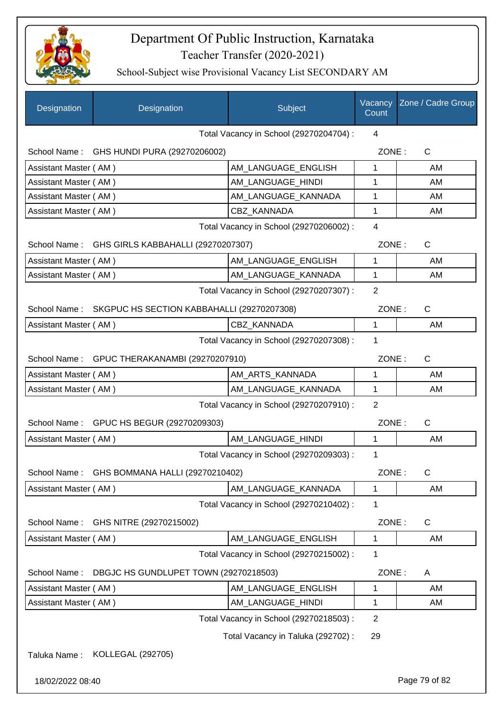

| Designation           | Designation                                             | Subject                                 | Vacancy<br>Count | Zone / Cadre Group |
|-----------------------|---------------------------------------------------------|-----------------------------------------|------------------|--------------------|
|                       |                                                         | Total Vacancy in School (29270204704) : | 4                |                    |
|                       | School Name: GHS HUNDI PURA (29270206002)               |                                         | ZONE:            | $\mathsf{C}$       |
| Assistant Master (AM) |                                                         | AM LANGUAGE ENGLISH                     | 1                | AM                 |
| Assistant Master (AM) |                                                         | AM LANGUAGE HINDI                       | 1                | AM                 |
| Assistant Master (AM) |                                                         | AM_LANGUAGE_KANNADA                     | 1                | AM                 |
| Assistant Master (AM) |                                                         | CBZ KANNADA                             | 1                | AM                 |
|                       |                                                         | Total Vacancy in School (29270206002) : | $\overline{4}$   |                    |
|                       | School Name: GHS GIRLS KABBAHALLI (29270207307)         |                                         | ZONE:            | $\mathsf{C}$       |
| Assistant Master (AM) |                                                         | AM LANGUAGE ENGLISH                     | 1                | AM                 |
| Assistant Master (AM) |                                                         | AM_LANGUAGE_KANNADA                     | $\mathbf 1$      | AM                 |
|                       |                                                         | Total Vacancy in School (29270207307) : | 2                |                    |
|                       | School Name: SKGPUC HS SECTION KABBAHALLI (29270207308) |                                         | ZONE:            | $\mathsf{C}$       |
| Assistant Master (AM) |                                                         | <b>CBZ KANNADA</b>                      | 1                | AM                 |
|                       |                                                         | Total Vacancy in School (29270207308) : | 1                |                    |
|                       | School Name: GPUC THERAKANAMBI (29270207910)            |                                         | ZONE:            | $\mathsf{C}$       |
| Assistant Master (AM) |                                                         | AM_ARTS_KANNADA                         | 1                | AM                 |
| Assistant Master (AM) |                                                         | AM_LANGUAGE_KANNADA                     | 1                | AM                 |
|                       |                                                         | Total Vacancy in School (29270207910) : | 2                |                    |
|                       | School Name: GPUC HS BEGUR (29270209303)                |                                         | ZONE:            | C                  |
| Assistant Master (AM) |                                                         | AM LANGUAGE HINDI                       | $\mathbf{1}$     | AM                 |
|                       |                                                         | Total Vacancy in School (29270209303) : | 1                |                    |
| School Name:          | GHS BOMMANA HALLI (29270210402)                         |                                         | ZONE:            | C                  |
| Assistant Master (AM) |                                                         | AM LANGUAGE KANNADA                     | 1                | AM                 |
|                       |                                                         | Total Vacancy in School (29270210402) : | 1                |                    |
| School Name:          | GHS NITRE (29270215002)                                 |                                         | ZONE:            | C                  |
| Assistant Master (AM) |                                                         | AM LANGUAGE ENGLISH                     | 1                | AM                 |
|                       |                                                         | Total Vacancy in School (29270215002) : | 1                |                    |
| School Name:          | DBGJC HS GUNDLUPET TOWN (29270218503)                   |                                         | ZONE:            | Α                  |
| Assistant Master (AM) |                                                         | AM_LANGUAGE_ENGLISH                     | 1                | AM                 |
| Assistant Master (AM) |                                                         | AM_LANGUAGE_HINDI                       | 1                | AM                 |
|                       |                                                         | Total Vacancy in School (29270218503) : | $\overline{2}$   |                    |
|                       |                                                         | Total Vacancy in Taluka (292702) :      | 29               |                    |
| Taluka Name:          | KOLLEGAL (292705)                                       |                                         |                  |                    |
| 18/02/2022 08:40      |                                                         |                                         |                  | Page 79 of 82      |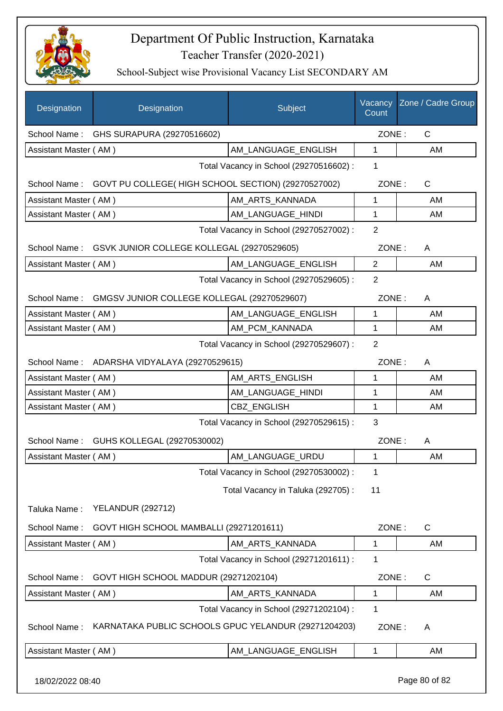

| Designation           | Designation                                                     | Subject                                 | Count          | Vacancy Zone / Cadre Group |  |
|-----------------------|-----------------------------------------------------------------|-----------------------------------------|----------------|----------------------------|--|
|                       | School Name: GHS SURAPURA (29270516602)                         |                                         | ZONE:          | C                          |  |
| Assistant Master (AM) |                                                                 | AM_LANGUAGE_ENGLISH                     | $\mathbf{1}$   | AM                         |  |
|                       |                                                                 | Total Vacancy in School (29270516602) : | 1              |                            |  |
|                       | School Name: GOVT PU COLLEGE(HIGH SCHOOL SECTION) (29270527002) |                                         | ZONE:          | C                          |  |
| Assistant Master (AM) |                                                                 | AM_ARTS_KANNADA                         | 1              | AM                         |  |
| Assistant Master (AM) |                                                                 | AM_LANGUAGE_HINDI                       | 1              | AM                         |  |
|                       |                                                                 | Total Vacancy in School (29270527002) : | $\overline{2}$ |                            |  |
|                       | School Name: GSVK JUNIOR COLLEGE KOLLEGAL (29270529605)         |                                         | ZONE:          | A                          |  |
| Assistant Master (AM) |                                                                 | AM_LANGUAGE_ENGLISH                     | $\overline{2}$ | AM                         |  |
|                       |                                                                 | Total Vacancy in School (29270529605) : | 2              |                            |  |
|                       | School Name: GMGSV JUNIOR COLLEGE KOLLEGAL (29270529607)        |                                         | ZONE:          | A                          |  |
| Assistant Master (AM) |                                                                 | AM_LANGUAGE_ENGLISH                     | 1              | AM                         |  |
| Assistant Master (AM) |                                                                 | AM PCM KANNADA                          | 1              | AM                         |  |
|                       |                                                                 | Total Vacancy in School (29270529607) : | 2              |                            |  |
|                       | School Name: ADARSHA VIDYALAYA (29270529615)                    |                                         | ZONE:          | Α                          |  |
| Assistant Master (AM) |                                                                 | AM_ARTS_ENGLISH                         | 1              | AM                         |  |
| Assistant Master (AM) |                                                                 | AM_LANGUAGE_HINDI                       | 1              | AM                         |  |
| Assistant Master (AM) |                                                                 | <b>CBZ ENGLISH</b>                      | 1              | AM                         |  |
|                       | 3<br>Total Vacancy in School (29270529615) :                    |                                         |                |                            |  |
|                       | School Name: GUHS KOLLEGAL (29270530002)                        |                                         | ZONE:          | A                          |  |
| Assistant Master (AM) |                                                                 | AM_LANGUAGE_URDU                        | 1              | <b>AM</b>                  |  |
|                       |                                                                 | Total Vacancy in School (29270530002) : | 1              |                            |  |
|                       |                                                                 | Total Vacancy in Taluka (292705) :      | 11             |                            |  |
| Taluka Name:          | <b>YELANDUR (292712)</b>                                        |                                         |                |                            |  |
| School Name:          | GOVT HIGH SCHOOL MAMBALLI (29271201611)                         |                                         | ZONE:          | C                          |  |
| Assistant Master (AM) |                                                                 | AM ARTS KANNADA                         | 1              | AM                         |  |
|                       |                                                                 | Total Vacancy in School (29271201611) : | 1              |                            |  |
| School Name:          | GOVT HIGH SCHOOL MADDUR (29271202104)                           |                                         | ZONE:          | $\mathsf C$                |  |
| Assistant Master (AM) |                                                                 | AM_ARTS_KANNADA                         | 1              | AM                         |  |
|                       |                                                                 | Total Vacancy in School (29271202104) : | 1              |                            |  |
| School Name:          | KARNATAKA PUBLIC SCHOOLS GPUC YELANDUR (29271204203)            |                                         | ZONE:          | A                          |  |
| Assistant Master (AM) |                                                                 | AM_LANGUAGE_ENGLISH                     | 1              | AM                         |  |
| 18/02/2022 08:40      |                                                                 |                                         |                | Page 80 of 82              |  |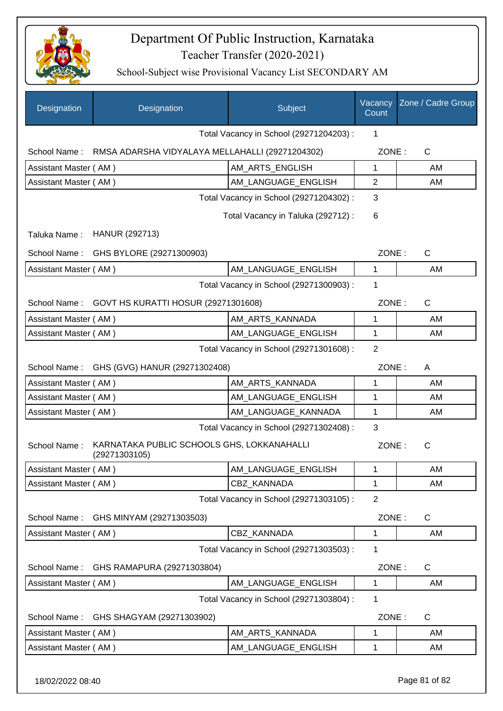

| Designation           | Designation                                                 | Subject                                 | Vacancy<br>Count | Zone / Cadre Group |
|-----------------------|-------------------------------------------------------------|-----------------------------------------|------------------|--------------------|
|                       |                                                             | Total Vacancy in School (29271204203) : | 1                |                    |
| School Name:          | RMSA ADARSHA VIDYALAYA MELLAHALLI (29271204302)             |                                         | ZONE:            | $\mathsf{C}$       |
| Assistant Master (AM) |                                                             | AM_ARTS_ENGLISH                         | 1                | AM                 |
| Assistant Master (AM) |                                                             | AM_LANGUAGE_ENGLISH                     | $\overline{2}$   | AM                 |
|                       |                                                             | Total Vacancy in School (29271204302) : | 3                |                    |
|                       |                                                             | Total Vacancy in Taluka (292712) :      | 6                |                    |
| Taluka Name:          | HANUR (292713)                                              |                                         |                  |                    |
| School Name:          | GHS BYLORE (29271300903)                                    |                                         | ZONE:            | $\mathsf{C}$       |
| Assistant Master (AM) |                                                             | AM_LANGUAGE_ENGLISH                     | 1                | AM                 |
|                       |                                                             | Total Vacancy in School (29271300903) : | 1                |                    |
|                       | School Name: GOVT HS KURATTI HOSUR (29271301608)            |                                         | ZONE:            | $\mathsf{C}$       |
| Assistant Master (AM) |                                                             | AM ARTS KANNADA                         | 1                | AM                 |
| Assistant Master (AM) |                                                             | AM_LANGUAGE_ENGLISH                     | 1                | AM                 |
|                       |                                                             | Total Vacancy in School (29271301608) : | $\overline{2}$   |                    |
| School Name :         | GHS (GVG) HANUR (29271302408)                               |                                         | ZONE:            | A                  |
| Assistant Master (AM) |                                                             | AM_ARTS_KANNADA                         | 1                | AM                 |
| Assistant Master (AM) |                                                             | AM LANGUAGE_ENGLISH                     | 1                | AM                 |
| Assistant Master (AM) |                                                             | AM_LANGUAGE_KANNADA                     | 1                | AM.                |
|                       |                                                             | Total Vacancy in School (29271302408) : | 3                |                    |
| School Name:          | KARNATAKA PUBLIC SCHOOLS GHS, LOKKANAHALLI<br>(29271303105) |                                         | ZONE:            | C                  |
| Assistant Master (AM) |                                                             | AM_LANGUAGE_ENGLISH                     | 1                | AM                 |
| Assistant Master (AM) |                                                             | CBZ KANNADA                             | 1                | AM                 |
|                       |                                                             | Total Vacancy in School (29271303105) : | $\overline{2}$   |                    |
| School Name:          | GHS MINYAM (29271303503)                                    |                                         | ZONE:            | C                  |
| Assistant Master (AM) |                                                             | CBZ_KANNADA                             | 1                | AM                 |
|                       |                                                             | Total Vacancy in School (29271303503) : | 1                |                    |
| School Name:          | GHS RAMAPURA (29271303804)                                  |                                         | ZONE:            | $\mathsf{C}$       |
| Assistant Master (AM) |                                                             | AM_LANGUAGE_ENGLISH                     | 1                | AM                 |
|                       |                                                             | Total Vacancy in School (29271303804) : | 1                |                    |
| School Name:          | GHS SHAGYAM (29271303902)                                   |                                         | ZONE:            | $\mathsf{C}$       |
| Assistant Master (AM) |                                                             | AM_ARTS_KANNADA                         | 1                | AM                 |
| Assistant Master (AM) |                                                             | AM_LANGUAGE_ENGLISH                     | 1                | AM                 |
|                       |                                                             |                                         |                  |                    |